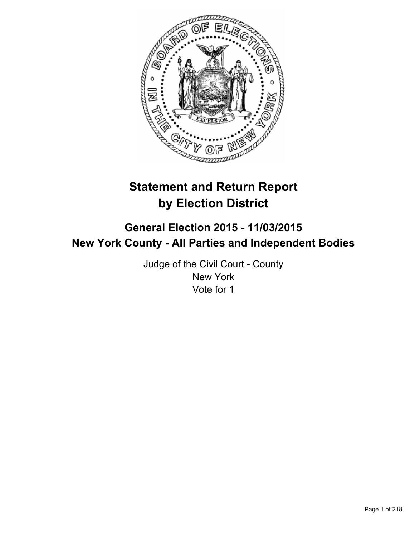

# **Statement and Return Report by Election District**

# **General Election 2015 - 11/03/2015 New York County - All Parties and Independent Bodies**

Judge of the Civil Court - County New York Vote for 1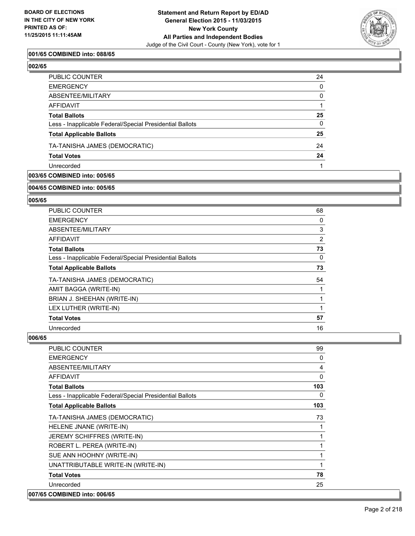

# **001/65 COMBINED into: 088/65**

| ×  |
|----|
| z. |

| PUBLIC COUNTER                                           | 24          |
|----------------------------------------------------------|-------------|
| EMERGENCY                                                | 0           |
| ABSENTEE/MILITARY                                        | $\mathbf 0$ |
| AFFIDAVIT                                                |             |
| Total Ballots                                            | 25          |
| Less - Inapplicable Federal/Special Presidential Ballots | 0           |
| <b>Total Applicable Ballots</b>                          | 25          |
| TA-TANISHA JAMES (DEMOCRATIC)                            | 24          |
| <b>Total Votes</b>                                       | 24          |
| Unrecorded                                               |             |

# **003/65 COMBINED into: 005/65**

#### **004/65 COMBINED into: 005/65**

#### **005/65**

| <b>PUBLIC COUNTER</b>                                    | 68             |
|----------------------------------------------------------|----------------|
| <b>EMERGENCY</b>                                         | 0              |
| ABSENTEE/MILITARY                                        | 3              |
| AFFIDAVIT                                                | $\overline{2}$ |
| <b>Total Ballots</b>                                     | 73             |
| Less - Inapplicable Federal/Special Presidential Ballots | 0              |
| <b>Total Applicable Ballots</b>                          | 73             |
| TA-TANISHA JAMES (DEMOCRATIC)                            | 54             |
| AMIT BAGGA (WRITE-IN)                                    |                |
| BRIAN J. SHEEHAN (WRITE-IN)                              |                |
| LEX LUTHER (WRITE-IN)                                    |                |
| <b>Total Votes</b>                                       | 57             |
| Unrecorded                                               | 16             |

| <b>PUBLIC COUNTER</b>                                    | 99  |
|----------------------------------------------------------|-----|
| <b>EMERGENCY</b>                                         | 0   |
| ABSENTEE/MILITARY                                        | 4   |
| <b>AFFIDAVIT</b>                                         | 0   |
| <b>Total Ballots</b>                                     | 103 |
| Less - Inapplicable Federal/Special Presidential Ballots | 0   |
| <b>Total Applicable Ballots</b>                          | 103 |
| TA-TANISHA JAMES (DEMOCRATIC)                            | 73  |
| HELENE JNANE (WRITE-IN)                                  | 1   |
| JEREMY SCHIFFRES (WRITE-IN)                              | 1   |
| ROBERT L. PEREA (WRITE-IN)                               | 1   |
| SUE ANN HOOHNY (WRITE-IN)                                | 1   |
| UNATTRIBUTABLE WRITE-IN (WRITE-IN)                       | 1   |
| <b>Total Votes</b>                                       | 78  |
| Unrecorded                                               | 25  |
| 007/65 COMBINED into: 006/65                             |     |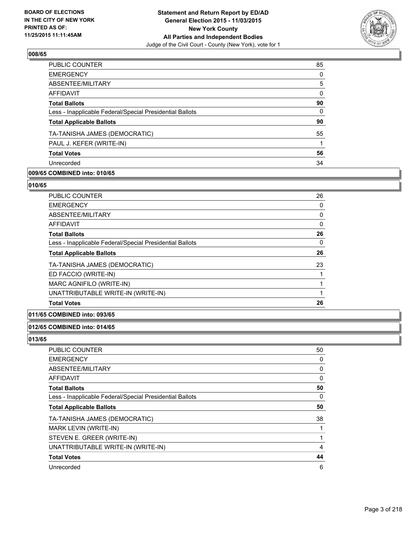

| <b>PUBLIC COUNTER</b>                                    | 85       |
|----------------------------------------------------------|----------|
| <b>EMERGENCY</b>                                         | 0        |
| ABSENTEE/MILITARY                                        | 5        |
| <b>AFFIDAVIT</b>                                         | $\Omega$ |
| <b>Total Ballots</b>                                     | 90       |
| Less - Inapplicable Federal/Special Presidential Ballots | $\Omega$ |
| <b>Total Applicable Ballots</b>                          | 90       |
| TA-TANISHA JAMES (DEMOCRATIC)                            | 55       |
| PAUL J. KEFER (WRITE-IN)                                 |          |
| <b>Total Votes</b>                                       | 56       |
| Unrecorded                                               | 34       |
|                                                          |          |

# **009/65 COMBINED into: 010/65**

## **010/65**

| <b>PUBLIC COUNTER</b>                                    | 26 |
|----------------------------------------------------------|----|
| <b>EMERGENCY</b>                                         | 0  |
| ABSENTEE/MILITARY                                        | 0  |
| AFFIDAVIT                                                | 0  |
| <b>Total Ballots</b>                                     | 26 |
| Less - Inapplicable Federal/Special Presidential Ballots | 0  |
| <b>Total Applicable Ballots</b>                          | 26 |
| TA-TANISHA JAMES (DEMOCRATIC)                            | 23 |
| ED FACCIO (WRITE-IN)                                     |    |
| MARC AGNIFILO (WRITE-IN)                                 |    |
| UNATTRIBUTABLE WRITE-IN (WRITE-IN)                       |    |
| <b>Total Votes</b>                                       | 26 |

# **011/65 COMBINED into: 093/65**

# **012/65 COMBINED into: 014/65**

| PUBLIC COUNTER                                           | 50 |
|----------------------------------------------------------|----|
| <b>EMERGENCY</b>                                         | 0  |
| ABSENTEE/MILITARY                                        | 0  |
| <b>AFFIDAVIT</b>                                         | 0  |
| <b>Total Ballots</b>                                     | 50 |
| Less - Inapplicable Federal/Special Presidential Ballots | 0  |
| <b>Total Applicable Ballots</b>                          | 50 |
| TA-TANISHA JAMES (DEMOCRATIC)                            | 38 |
| <b>MARK LEVIN (WRITE-IN)</b>                             |    |
| STEVEN E. GREER (WRITE-IN)                               |    |
| UNATTRIBUTABLE WRITE-IN (WRITE-IN)                       | 4  |
| <b>Total Votes</b>                                       | 44 |
| Unrecorded                                               | 6  |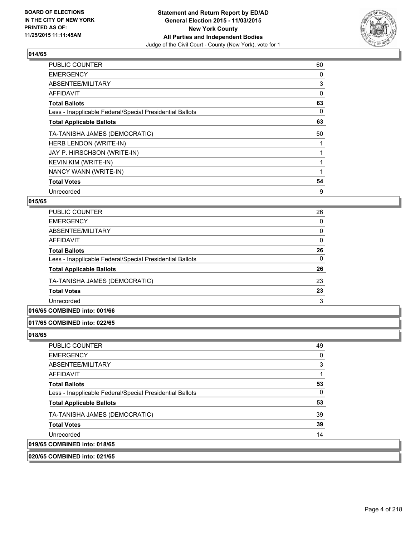

| <b>PUBLIC COUNTER</b>                                    | 60 |
|----------------------------------------------------------|----|
| <b>EMERGENCY</b>                                         | 0  |
| ABSENTEE/MILITARY                                        | 3  |
| AFFIDAVIT                                                | 0  |
| <b>Total Ballots</b>                                     | 63 |
| Less - Inapplicable Federal/Special Presidential Ballots | 0  |
| <b>Total Applicable Ballots</b>                          | 63 |
| TA-TANISHA JAMES (DEMOCRATIC)                            | 50 |
| HERB LENDON (WRITE-IN)                                   |    |
| JAY P. HIRSCHSON (WRITE-IN)                              |    |
| <b>KEVIN KIM (WRITE-IN)</b>                              |    |
| NANCY WANN (WRITE-IN)                                    |    |
| <b>Total Votes</b>                                       | 54 |
| Unrecorded                                               | 9  |

## **015/65**

| PUBLIC COUNTER                                           | 26 |
|----------------------------------------------------------|----|
| <b>EMERGENCY</b>                                         | 0  |
| ABSENTEE/MILITARY                                        | 0  |
| <b>AFFIDAVIT</b>                                         | 0  |
| <b>Total Ballots</b>                                     | 26 |
| Less - Inapplicable Federal/Special Presidential Ballots | 0  |
| <b>Total Applicable Ballots</b>                          | 26 |
| TA-TANISHA JAMES (DEMOCRATIC)                            | 23 |
| <b>Total Votes</b>                                       | 23 |
| Unrecorded                                               | 3  |
|                                                          |    |

# **016/65 COMBINED into: 001/66**

#### **017/65 COMBINED into: 022/65**

# **018/65**

019/65

| <b>PUBLIC COUNTER</b>                                    | 49 |
|----------------------------------------------------------|----|
| <b>EMERGENCY</b>                                         | 0  |
| ABSENTEE/MILITARY                                        | 3  |
| AFFIDAVIT                                                |    |
| <b>Total Ballots</b>                                     | 53 |
| Less - Inapplicable Federal/Special Presidential Ballots | 0  |
| <b>Total Applicable Ballots</b>                          | 53 |
| TA-TANISHA JAMES (DEMOCRATIC)                            | 39 |
| <b>Total Votes</b>                                       | 39 |
| Unrecorded                                               | 14 |
| <b>COMBINED into: 018/65</b>                             |    |

**020/65 COMBINED into: 021/65**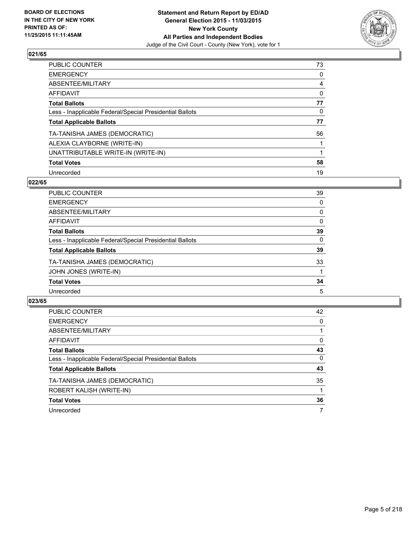

| PUBLIC COUNTER                                           | 73 |
|----------------------------------------------------------|----|
| <b>EMERGENCY</b>                                         | 0  |
| ABSENTEE/MILITARY                                        | 4  |
| AFFIDAVIT                                                | 0  |
| <b>Total Ballots</b>                                     | 77 |
| Less - Inapplicable Federal/Special Presidential Ballots | 0  |
| <b>Total Applicable Ballots</b>                          | 77 |
| TA-TANISHA JAMES (DEMOCRATIC)                            | 56 |
| ALEXIA CLAYBORNE (WRITE-IN)                              |    |
| UNATTRIBUTABLE WRITE-IN (WRITE-IN)                       |    |
| <b>Total Votes</b>                                       | 58 |
| Unrecorded                                               | 19 |

# **022/65**

| PUBLIC COUNTER                                           | 39       |
|----------------------------------------------------------|----------|
| <b>EMERGENCY</b>                                         | $\Omega$ |
| ABSENTEE/MILITARY                                        | 0        |
| <b>AFFIDAVIT</b>                                         | 0        |
| <b>Total Ballots</b>                                     | 39       |
| Less - Inapplicable Federal/Special Presidential Ballots | $\Omega$ |
| <b>Total Applicable Ballots</b>                          | 39       |
| TA-TANISHA JAMES (DEMOCRATIC)                            | 33       |
| JOHN JONES (WRITE-IN)                                    |          |
| <b>Total Votes</b>                                       | 34       |
| Unrecorded                                               | 5        |
|                                                          |          |

| <b>PUBLIC COUNTER</b>                                    | 42 |
|----------------------------------------------------------|----|
| <b>EMERGENCY</b>                                         | 0  |
| ABSENTEE/MILITARY                                        |    |
| AFFIDAVIT                                                | 0  |
| <b>Total Ballots</b>                                     | 43 |
| Less - Inapplicable Federal/Special Presidential Ballots | 0  |
| <b>Total Applicable Ballots</b>                          | 43 |
| TA-TANISHA JAMES (DEMOCRATIC)                            | 35 |
| ROBERT KALISH (WRITE-IN)                                 |    |
| <b>Total Votes</b>                                       | 36 |
| Unrecorded                                               | 7  |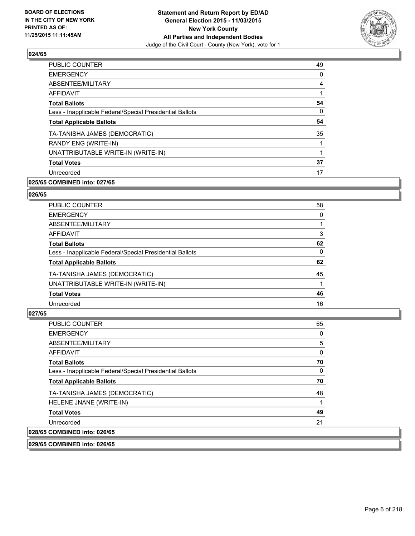

| 49             |
|----------------|
| 0              |
| $\overline{4}$ |
| 1              |
| 54             |
| 0              |
| 54             |
| 35             |
| 1              |
| 1              |
| 37             |
| 17             |
|                |

# **025/65 COMBINED into: 027/65**

#### **026/65**

| <b>PUBLIC COUNTER</b>                                    | 58 |
|----------------------------------------------------------|----|
| <b>EMERGENCY</b>                                         | 0  |
| ABSENTEE/MILITARY                                        |    |
| AFFIDAVIT                                                | 3  |
| <b>Total Ballots</b>                                     | 62 |
| Less - Inapplicable Federal/Special Presidential Ballots | 0  |
| <b>Total Applicable Ballots</b>                          | 62 |
| TA-TANISHA JAMES (DEMOCRATIC)                            | 45 |
| UNATTRIBUTABLE WRITE-IN (WRITE-IN)                       |    |
| <b>Total Votes</b>                                       | 46 |
| Unrecorded                                               | 16 |

# **027/65**

| <b>PUBLIC COUNTER</b>                                    | 65 |
|----------------------------------------------------------|----|
| <b>EMERGENCY</b>                                         | 0  |
| ABSENTEE/MILITARY                                        | 5  |
| AFFIDAVIT                                                | 0  |
| <b>Total Ballots</b>                                     | 70 |
| Less - Inapplicable Federal/Special Presidential Ballots | 0  |
| <b>Total Applicable Ballots</b>                          | 70 |
| TA-TANISHA JAMES (DEMOCRATIC)                            | 48 |
| HELENE JNANE (WRITE-IN)                                  |    |
| <b>Total Votes</b>                                       | 49 |
| Unrecorded                                               | 21 |
| 028/65 COMBINED into: 026/65                             |    |

**029/65 COMBINED into: 026/65**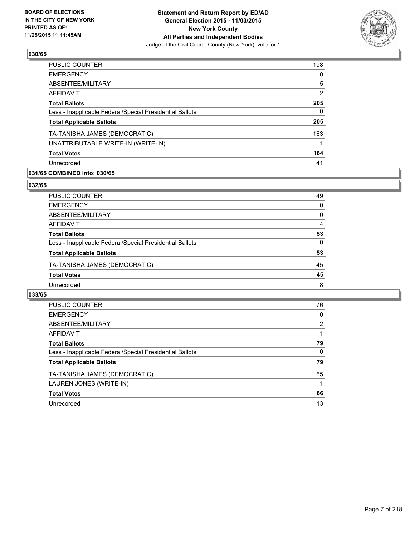

| <b>PUBLIC COUNTER</b>                                    | 198 |
|----------------------------------------------------------|-----|
| <b>EMERGENCY</b>                                         | 0   |
| ABSENTEE/MILITARY                                        | 5   |
| <b>AFFIDAVIT</b>                                         | 2   |
| <b>Total Ballots</b>                                     | 205 |
| Less - Inapplicable Federal/Special Presidential Ballots | 0   |
| <b>Total Applicable Ballots</b>                          | 205 |
| TA-TANISHA JAMES (DEMOCRATIC)                            | 163 |
| UNATTRIBUTABLE WRITE-IN (WRITE-IN)                       |     |
| <b>Total Votes</b>                                       | 164 |
| Unrecorded                                               | 41  |

# **031/65 COMBINED into: 030/65**

# **032/65**

| PUBLIC COUNTER                                           | 49 |
|----------------------------------------------------------|----|
| <b>EMERGENCY</b>                                         | 0  |
| ABSENTEE/MILITARY                                        | 0  |
| <b>AFFIDAVIT</b>                                         | 4  |
| <b>Total Ballots</b>                                     | 53 |
| Less - Inapplicable Federal/Special Presidential Ballots | 0  |
| <b>Total Applicable Ballots</b>                          | 53 |
| TA-TANISHA JAMES (DEMOCRATIC)                            | 45 |
| <b>Total Votes</b>                                       | 45 |
| Unrecorded                                               | 8  |

| <b>PUBLIC COUNTER</b>                                    | 76             |
|----------------------------------------------------------|----------------|
| <b>EMERGENCY</b>                                         | 0              |
| ABSENTEE/MILITARY                                        | $\overline{2}$ |
| AFFIDAVIT                                                |                |
| <b>Total Ballots</b>                                     | 79             |
| Less - Inapplicable Federal/Special Presidential Ballots | 0              |
| <b>Total Applicable Ballots</b>                          | 79             |
| TA-TANISHA JAMES (DEMOCRATIC)                            | 65             |
| LAUREN JONES (WRITE-IN)                                  |                |
| <b>Total Votes</b>                                       | 66             |
| Unrecorded                                               | 13             |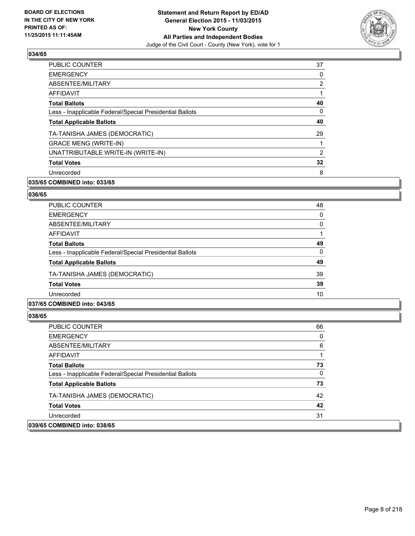

| <b>PUBLIC COUNTER</b>                                    | 37             |
|----------------------------------------------------------|----------------|
| <b>EMERGENCY</b>                                         | 0              |
| ABSENTEE/MILITARY                                        | $\overline{2}$ |
| <b>AFFIDAVIT</b>                                         |                |
| <b>Total Ballots</b>                                     | 40             |
| Less - Inapplicable Federal/Special Presidential Ballots | 0              |
| <b>Total Applicable Ballots</b>                          | 40             |
| TA-TANISHA JAMES (DEMOCRATIC)                            | 29             |
| <b>GRACE MENG (WRITE-IN)</b>                             |                |
| UNATTRIBUTABLE WRITE-IN (WRITE-IN)                       | $\overline{2}$ |
| <b>Total Votes</b>                                       | 32             |
| Unrecorded                                               | 8              |
|                                                          |                |

# **035/65 COMBINED into: 033/65**

#### **036/65**

| <b>PUBLIC COUNTER</b>                                    | 48 |
|----------------------------------------------------------|----|
| <b>EMERGENCY</b>                                         | 0  |
| ABSENTEE/MILITARY                                        | 0  |
| AFFIDAVIT                                                |    |
| <b>Total Ballots</b>                                     | 49 |
| Less - Inapplicable Federal/Special Presidential Ballots | 0  |
| <b>Total Applicable Ballots</b>                          | 49 |
| TA-TANISHA JAMES (DEMOCRATIC)                            | 39 |
| <b>Total Votes</b>                                       | 39 |
| Unrecorded                                               | 10 |

## **037/65 COMBINED into: 043/65**

| <b>PUBLIC COUNTER</b>                                    | 66 |
|----------------------------------------------------------|----|
| <b>EMERGENCY</b>                                         | 0  |
| ABSENTEE/MILITARY                                        | 6  |
| AFFIDAVIT                                                |    |
| <b>Total Ballots</b>                                     | 73 |
| Less - Inapplicable Federal/Special Presidential Ballots | 0  |
| <b>Total Applicable Ballots</b>                          | 73 |
| TA-TANISHA JAMES (DEMOCRATIC)                            | 42 |
| <b>Total Votes</b>                                       | 42 |
| Unrecorded                                               | 31 |
| 039/65 COMBINED into: 038/65                             |    |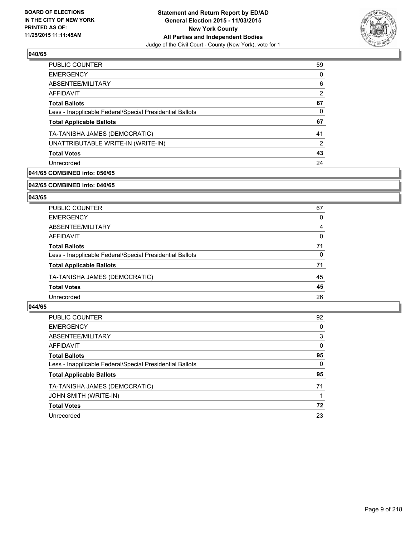

| <b>PUBLIC COUNTER</b>                                    | 59 |
|----------------------------------------------------------|----|
| <b>EMERGENCY</b>                                         | 0  |
| ABSENTEE/MILITARY                                        | 6  |
| <b>AFFIDAVIT</b>                                         | 2  |
| <b>Total Ballots</b>                                     | 67 |
| Less - Inapplicable Federal/Special Presidential Ballots | 0  |
| <b>Total Applicable Ballots</b>                          | 67 |
| TA-TANISHA JAMES (DEMOCRATIC)                            | 41 |
| UNATTRIBUTABLE WRITE-IN (WRITE-IN)                       | 2  |
| <b>Total Votes</b>                                       | 43 |
| Unrecorded                                               | 24 |

# **041/65 COMBINED into: 056/65**

#### **042/65 COMBINED into: 040/65**

# **043/65**

| <b>PUBLIC COUNTER</b>                                    | 67 |
|----------------------------------------------------------|----|
| <b>EMERGENCY</b>                                         | 0  |
| ABSENTEE/MILITARY                                        | 4  |
| AFFIDAVIT                                                | 0  |
| <b>Total Ballots</b>                                     | 71 |
| Less - Inapplicable Federal/Special Presidential Ballots | 0  |
| <b>Total Applicable Ballots</b>                          | 71 |
| TA-TANISHA JAMES (DEMOCRATIC)                            | 45 |
| <b>Total Votes</b>                                       | 45 |
| Unrecorded                                               | 26 |

| <b>PUBLIC COUNTER</b>                                    | 92 |
|----------------------------------------------------------|----|
| <b>EMERGENCY</b>                                         | 0  |
| ABSENTEE/MILITARY                                        | 3  |
| AFFIDAVIT                                                | 0  |
| <b>Total Ballots</b>                                     | 95 |
| Less - Inapplicable Federal/Special Presidential Ballots | 0  |
| <b>Total Applicable Ballots</b>                          | 95 |
| TA-TANISHA JAMES (DEMOCRATIC)                            | 71 |
| JOHN SMITH (WRITE-IN)                                    |    |
| <b>Total Votes</b>                                       | 72 |
| Unrecorded                                               | 23 |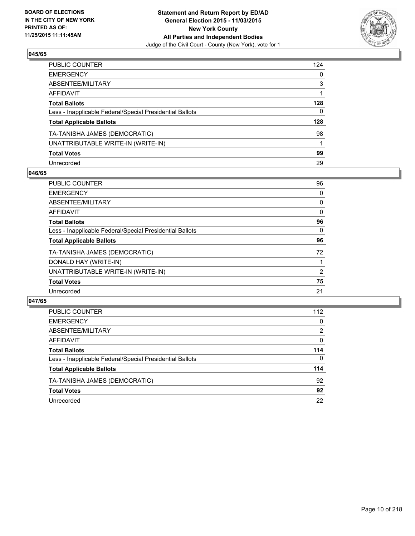

| PUBLIC COUNTER                                           | 124 |
|----------------------------------------------------------|-----|
| EMERGENCY                                                | 0   |
| ABSENTEE/MILITARY                                        | 3   |
| AFFIDAVIT                                                |     |
| <b>Total Ballots</b>                                     | 128 |
| Less - Inapplicable Federal/Special Presidential Ballots | 0   |
| <b>Total Applicable Ballots</b>                          | 128 |
| TA-TANISHA JAMES (DEMOCRATIC)                            | 98  |
| UNATTRIBUTABLE WRITE-IN (WRITE-IN)                       | 1   |
| <b>Total Votes</b>                                       | 99  |
| Unrecorded                                               | 29  |

# **046/65**

| PUBLIC COUNTER                                           | 96 |
|----------------------------------------------------------|----|
| <b>EMERGENCY</b>                                         | 0  |
| ABSENTEE/MILITARY                                        | 0  |
| AFFIDAVIT                                                | 0  |
| <b>Total Ballots</b>                                     | 96 |
| Less - Inapplicable Federal/Special Presidential Ballots | 0  |
| <b>Total Applicable Ballots</b>                          | 96 |
| TA-TANISHA JAMES (DEMOCRATIC)                            | 72 |
| DONALD HAY (WRITE-IN)                                    |    |
| UNATTRIBUTABLE WRITE-IN (WRITE-IN)                       | 2  |
| <b>Total Votes</b>                                       | 75 |
| Unrecorded                                               | 21 |
|                                                          |    |

| <b>PUBLIC COUNTER</b>                                    | 112      |
|----------------------------------------------------------|----------|
| <b>EMERGENCY</b>                                         | 0        |
| ABSENTEE/MILITARY                                        | 2        |
| AFFIDAVIT                                                | 0        |
| <b>Total Ballots</b>                                     | 114      |
| Less - Inapplicable Federal/Special Presidential Ballots | $\Omega$ |
| <b>Total Applicable Ballots</b>                          | 114      |
| TA-TANISHA JAMES (DEMOCRATIC)                            | 92       |
| <b>Total Votes</b>                                       | 92       |
| Unrecorded                                               | 22       |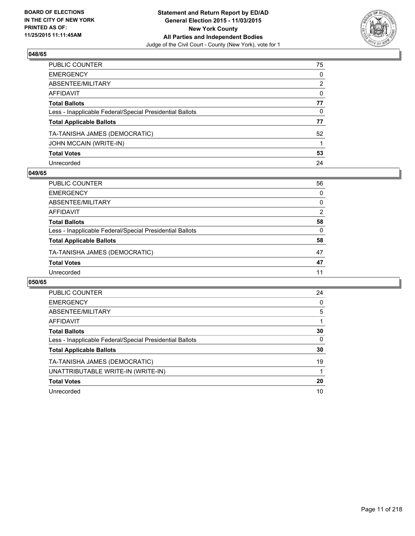

| PUBLIC COUNTER                                           | 75 |
|----------------------------------------------------------|----|
| EMERGENCY                                                | 0  |
| ABSENTEE/MILITARY                                        | 2  |
| AFFIDAVIT                                                | 0  |
| Total Ballots                                            | 77 |
| Less - Inapplicable Federal/Special Presidential Ballots | 0  |
| <b>Total Applicable Ballots</b>                          | 77 |
| TA-TANISHA JAMES (DEMOCRATIC)                            | 52 |
| JOHN MCCAIN (WRITE-IN)                                   |    |
| <b>Total Votes</b>                                       | 53 |
| Unrecorded                                               | 24 |

## **049/65**

| PUBLIC COUNTER                                           | 56       |
|----------------------------------------------------------|----------|
| <b>EMERGENCY</b>                                         | 0        |
| ABSENTEE/MILITARY                                        | 0        |
| AFFIDAVIT                                                | 2        |
| <b>Total Ballots</b>                                     | 58       |
| Less - Inapplicable Federal/Special Presidential Ballots | $\Omega$ |
| <b>Total Applicable Ballots</b>                          | 58       |
| TA-TANISHA JAMES (DEMOCRATIC)                            | 47       |
| <b>Total Votes</b>                                       | 47       |
| Unrecorded                                               | 11       |
|                                                          |          |

| <b>PUBLIC COUNTER</b>                                    | 24 |
|----------------------------------------------------------|----|
| <b>EMERGENCY</b>                                         | 0  |
| ABSENTEE/MILITARY                                        | 5  |
| AFFIDAVIT                                                |    |
| <b>Total Ballots</b>                                     | 30 |
| Less - Inapplicable Federal/Special Presidential Ballots | 0  |
| <b>Total Applicable Ballots</b>                          | 30 |
| TA-TANISHA JAMES (DEMOCRATIC)                            | 19 |
| UNATTRIBUTABLE WRITE-IN (WRITE-IN)                       |    |
| <b>Total Votes</b>                                       | 20 |
| Unrecorded                                               | 10 |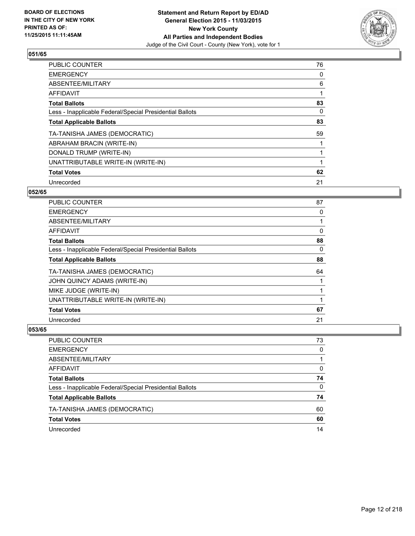

| <b>PUBLIC COUNTER</b>                                    | 76 |
|----------------------------------------------------------|----|
| <b>EMERGENCY</b>                                         | 0  |
| ABSENTEE/MILITARY                                        | 6  |
| AFFIDAVIT                                                |    |
| <b>Total Ballots</b>                                     | 83 |
| Less - Inapplicable Federal/Special Presidential Ballots | 0  |
| <b>Total Applicable Ballots</b>                          | 83 |
| TA-TANISHA JAMES (DEMOCRATIC)                            | 59 |
| ABRAHAM BRACIN (WRITE-IN)                                |    |
| DONALD TRUMP (WRITE-IN)                                  |    |
| UNATTRIBUTABLE WRITE-IN (WRITE-IN)                       |    |
| <b>Total Votes</b>                                       | 62 |
| Unrecorded                                               | 21 |

# **052/65**

| PUBLIC COUNTER                                           | 87 |
|----------------------------------------------------------|----|
| <b>EMERGENCY</b>                                         | 0  |
| ABSENTEE/MILITARY                                        |    |
| <b>AFFIDAVIT</b>                                         | 0  |
| <b>Total Ballots</b>                                     | 88 |
| Less - Inapplicable Federal/Special Presidential Ballots | 0  |
| <b>Total Applicable Ballots</b>                          | 88 |
| TA-TANISHA JAMES (DEMOCRATIC)                            | 64 |
| JOHN QUINCY ADAMS (WRITE-IN)                             |    |
| MIKE JUDGE (WRITE-IN)                                    |    |
| UNATTRIBUTABLE WRITE-IN (WRITE-IN)                       |    |
| <b>Total Votes</b>                                       | 67 |
| Unrecorded                                               | 21 |

| PUBLIC COUNTER                                           | 73           |
|----------------------------------------------------------|--------------|
| <b>EMERGENCY</b>                                         | $\Omega$     |
| ABSENTEE/MILITARY                                        |              |
| <b>AFFIDAVIT</b>                                         | 0            |
| <b>Total Ballots</b>                                     | 74           |
| Less - Inapplicable Federal/Special Presidential Ballots | $\mathbf{0}$ |
| <b>Total Applicable Ballots</b>                          | 74           |
| TA-TANISHA JAMES (DEMOCRATIC)                            | 60           |
| <b>Total Votes</b>                                       | 60           |
| Unrecorded                                               | 14           |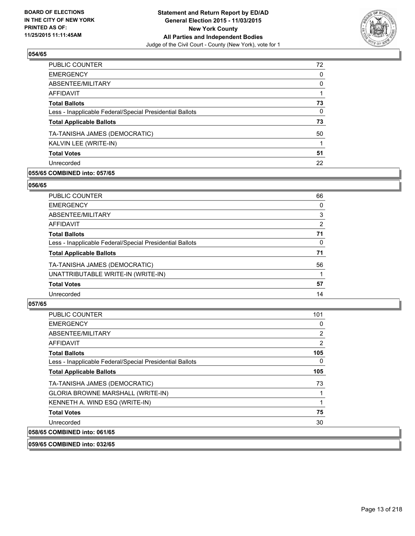

| 72 |
|----|
| 0  |
| 0  |
|    |
| 73 |
| 0  |
| 73 |
| 50 |
|    |
| 51 |
| 22 |
|    |

# **055/65 COMBINED into: 057/65**

## **056/65**

| PUBLIC COUNTER                                           | 66 |
|----------------------------------------------------------|----|
| <b>EMERGENCY</b>                                         | 0  |
| ABSENTEE/MILITARY                                        | 3  |
| AFFIDAVIT                                                | 2  |
| <b>Total Ballots</b>                                     | 71 |
| Less - Inapplicable Federal/Special Presidential Ballots | 0  |
| <b>Total Applicable Ballots</b>                          | 71 |
| TA-TANISHA JAMES (DEMOCRATIC)                            | 56 |
| UNATTRIBUTABLE WRITE-IN (WRITE-IN)                       |    |
| <b>Total Votes</b>                                       | 57 |
| Unrecorded                                               | 14 |
|                                                          |    |

# **057/65**

| <b>PUBLIC COUNTER</b>                                    | 101 |
|----------------------------------------------------------|-----|
| <b>EMERGENCY</b>                                         | 0   |
| ABSENTEE/MILITARY                                        | 2   |
| AFFIDAVIT                                                | 2   |
| <b>Total Ballots</b>                                     | 105 |
| Less - Inapplicable Federal/Special Presidential Ballots | 0   |
| <b>Total Applicable Ballots</b>                          | 105 |
| TA-TANISHA JAMES (DEMOCRATIC)                            | 73  |
| GLORIA BROWNE MARSHALL (WRITE-IN)                        |     |
| KENNETH A. WIND ESQ (WRITE-IN)                           |     |
| <b>Total Votes</b>                                       | 75  |
| Unrecorded                                               | 30  |
| 058/65 COMBINED into: 061/65                             |     |

**059/65 COMBINED into: 032/65**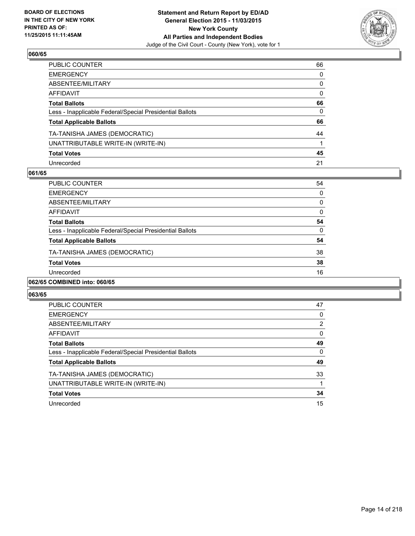

| PUBLIC COUNTER                                           | 66           |
|----------------------------------------------------------|--------------|
| EMERGENCY                                                | $\mathbf{0}$ |
| ABSENTEE/MILITARY                                        | 0            |
| AFFIDAVIT                                                | $\mathbf{0}$ |
| <b>Total Ballots</b>                                     | 66           |
| Less - Inapplicable Federal/Special Presidential Ballots | $\mathbf{0}$ |
| <b>Total Applicable Ballots</b>                          | 66           |
| TA-TANISHA JAMES (DEMOCRATIC)                            | 44           |
| UNATTRIBUTABLE WRITE-IN (WRITE-IN)                       |              |
| <b>Total Votes</b>                                       | 45           |
| Unrecorded                                               | 21           |

## **061/65**

| PUBLIC COUNTER                                           | 54       |
|----------------------------------------------------------|----------|
| <b>EMERGENCY</b>                                         | 0        |
| ABSENTEE/MILITARY                                        | $\Omega$ |
| AFFIDAVIT                                                | $\Omega$ |
| <b>Total Ballots</b>                                     | 54       |
| Less - Inapplicable Federal/Special Presidential Ballots | $\Omega$ |
| <b>Total Applicable Ballots</b>                          | 54       |
| TA-TANISHA JAMES (DEMOCRATIC)                            | 38       |
| <b>Total Votes</b>                                       | 38       |
| Unrecorded                                               | 16       |
|                                                          |          |

# **062/65 COMBINED into: 060/65**

| <b>PUBLIC COUNTER</b>                                    | 47             |
|----------------------------------------------------------|----------------|
| <b>EMERGENCY</b>                                         | 0              |
| ABSENTEE/MILITARY                                        | $\overline{2}$ |
| AFFIDAVIT                                                | 0              |
| <b>Total Ballots</b>                                     | 49             |
| Less - Inapplicable Federal/Special Presidential Ballots | 0              |
| <b>Total Applicable Ballots</b>                          | 49             |
| TA-TANISHA JAMES (DEMOCRATIC)                            | 33             |
| UNATTRIBUTABLE WRITE-IN (WRITE-IN)                       |                |
| <b>Total Votes</b>                                       | 34             |
| Unrecorded                                               | 15             |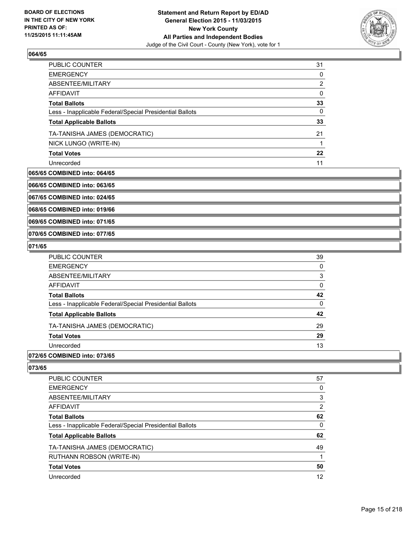

| <b>PUBLIC COUNTER</b>                                    | 31 |
|----------------------------------------------------------|----|
| <b>EMERGENCY</b>                                         | 0  |
| ABSENTEE/MILITARY                                        | 2  |
| AFFIDAVIT                                                | 0  |
| <b>Total Ballots</b>                                     | 33 |
| Less - Inapplicable Federal/Special Presidential Ballots | 0  |
| <b>Total Applicable Ballots</b>                          | 33 |
| TA-TANISHA JAMES (DEMOCRATIC)                            | 21 |
| NICK LUNGO (WRITE-IN)                                    |    |
| <b>Total Votes</b>                                       | 22 |
| Unrecorded                                               | 11 |

# **065/65 COMBINED into: 064/65**

**066/65 COMBINED into: 063/65**

**067/65 COMBINED into: 024/65**

**068/65 COMBINED into: 019/66**

**069/65 COMBINED into: 071/65**

**070/65 COMBINED into: 077/65**

#### **071/65**

| PUBLIC COUNTER                                           | 39 |
|----------------------------------------------------------|----|
| <b>EMERGENCY</b>                                         | 0  |
| ABSENTEE/MILITARY                                        | 3  |
| AFFIDAVIT                                                | 0  |
| <b>Total Ballots</b>                                     | 42 |
| Less - Inapplicable Federal/Special Presidential Ballots | 0  |
| <b>Total Applicable Ballots</b>                          | 42 |
| TA-TANISHA JAMES (DEMOCRATIC)                            | 29 |
| <b>Total Votes</b>                                       | 29 |
| Unrecorded                                               | 13 |

## **072/65 COMBINED into: 073/65**

| <b>PUBLIC COUNTER</b>                                    | 57             |
|----------------------------------------------------------|----------------|
| <b>EMERGENCY</b>                                         | 0              |
| ABSENTEE/MILITARY                                        | 3              |
| AFFIDAVIT                                                | $\overline{2}$ |
| <b>Total Ballots</b>                                     | 62             |
| Less - Inapplicable Federal/Special Presidential Ballots | 0              |
| <b>Total Applicable Ballots</b>                          | 62             |
| TA-TANISHA JAMES (DEMOCRATIC)                            | 49             |
| <b>RUTHANN ROBSON (WRITE-IN)</b>                         |                |
| <b>Total Votes</b>                                       | 50             |
| Unrecorded                                               | 12             |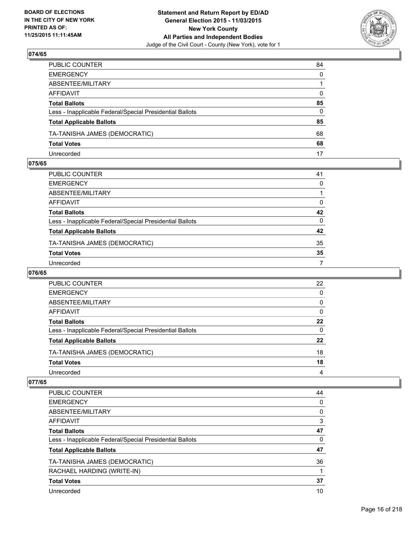

| PUBLIC COUNTER                                           | 84           |
|----------------------------------------------------------|--------------|
| EMERGENCY                                                | $\mathbf{0}$ |
| ABSENTEE/MILITARY                                        |              |
| AFFIDAVIT                                                | $\mathbf{0}$ |
| Total Ballots                                            | 85           |
| Less - Inapplicable Federal/Special Presidential Ballots | 0            |
| <b>Total Applicable Ballots</b>                          | 85           |
| TA-TANISHA JAMES (DEMOCRATIC)                            | 68           |
| <b>Total Votes</b>                                       | 68           |
| Unrecorded                                               | 17           |

# **075/65**

| PUBLIC COUNTER                                           | 41 |
|----------------------------------------------------------|----|
| EMERGENCY                                                | 0  |
| ABSENTEE/MILITARY                                        |    |
| AFFIDAVIT                                                | 0  |
| Total Ballots                                            | 42 |
| Less - Inapplicable Federal/Special Presidential Ballots | 0  |
| <b>Total Applicable Ballots</b>                          | 42 |
| TA-TANISHA JAMES (DEMOCRATIC)                            | 35 |
| <b>Total Votes</b>                                       | 35 |
| Unrecorded                                               | 7  |

## **076/65**

| <b>PUBLIC COUNTER</b>                                    | 22 |
|----------------------------------------------------------|----|
| <b>EMERGENCY</b>                                         | 0  |
| ABSENTEE/MILITARY                                        | 0  |
| AFFIDAVIT                                                | 0  |
| <b>Total Ballots</b>                                     | 22 |
| Less - Inapplicable Federal/Special Presidential Ballots | 0  |
| <b>Total Applicable Ballots</b>                          | 22 |
| TA-TANISHA JAMES (DEMOCRATIC)                            | 18 |
| <b>Total Votes</b>                                       | 18 |
| Unrecorded                                               | 4  |
|                                                          |    |

| <b>PUBLIC COUNTER</b>                                    | 44 |
|----------------------------------------------------------|----|
| <b>EMERGENCY</b>                                         | 0  |
| ABSENTEE/MILITARY                                        | 0  |
| <b>AFFIDAVIT</b>                                         | 3  |
| <b>Total Ballots</b>                                     | 47 |
| Less - Inapplicable Federal/Special Presidential Ballots | 0  |
| <b>Total Applicable Ballots</b>                          | 47 |
| TA-TANISHA JAMES (DEMOCRATIC)                            | 36 |
| RACHAEL HARDING (WRITE-IN)                               |    |
| <b>Total Votes</b>                                       | 37 |
| Unrecorded                                               | 10 |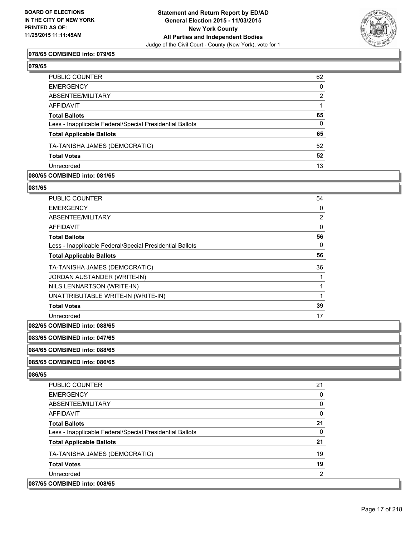

## **078/65 COMBINED into: 079/65**

| PUBLIC COUNTER                                           | 62           |
|----------------------------------------------------------|--------------|
| EMERGENCY                                                | 0            |
| ABSENTEE/MILITARY                                        | 2            |
| AFFIDAVIT                                                |              |
| <b>Total Ballots</b>                                     | 65           |
| Less - Inapplicable Federal/Special Presidential Ballots | $\mathbf{0}$ |
| <b>Total Applicable Ballots</b>                          | 65           |
| TA-TANISHA JAMES (DEMOCRATIC)                            | 52           |
| <b>Total Votes</b>                                       | 52           |
| Unrecorded                                               | 13           |

#### **080/65 COMBINED into: 081/65**

#### **081/65**

| PUBLIC COUNTER                                           | 54 |
|----------------------------------------------------------|----|
| <b>EMERGENCY</b>                                         | 0  |
| ABSENTEE/MILITARY                                        | 2  |
| AFFIDAVIT                                                | 0  |
| <b>Total Ballots</b>                                     | 56 |
| Less - Inapplicable Federal/Special Presidential Ballots | 0  |
| <b>Total Applicable Ballots</b>                          | 56 |
| TA-TANISHA JAMES (DEMOCRATIC)                            | 36 |
| JORDAN AUSTANDER (WRITE-IN)                              | 1  |
| NILS LENNARTSON (WRITE-IN)                               |    |
| UNATTRIBUTABLE WRITE-IN (WRITE-IN)                       | 1  |
| <b>Total Votes</b>                                       | 39 |
| Unrecorded                                               | 17 |

#### **082/65 COMBINED into: 088/65**

#### **083/65 COMBINED into: 047/65**

## **084/65 COMBINED into: 088/65**

#### **085/65 COMBINED into: 086/65**

| <b>PUBLIC COUNTER</b>                                    | 21             |
|----------------------------------------------------------|----------------|
| <b>EMERGENCY</b>                                         | 0              |
| ABSENTEE/MILITARY                                        | 0              |
| AFFIDAVIT                                                | 0              |
| <b>Total Ballots</b>                                     | 21             |
| Less - Inapplicable Federal/Special Presidential Ballots | 0              |
| <b>Total Applicable Ballots</b>                          | 21             |
| TA-TANISHA JAMES (DEMOCRATIC)                            | 19             |
| <b>Total Votes</b>                                       | 19             |
| Unrecorded                                               | $\overline{2}$ |
| 087/65 COMBINED into: 008/65                             |                |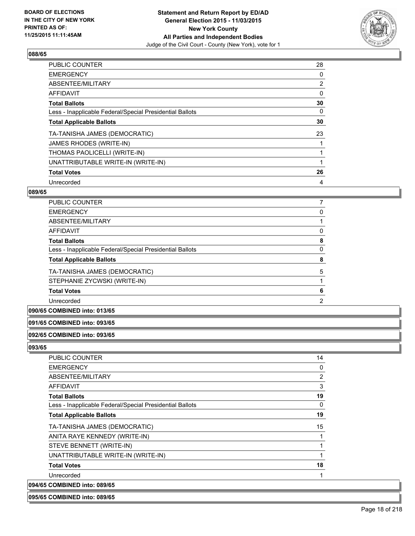

| <b>PUBLIC COUNTER</b>                                    | 28             |
|----------------------------------------------------------|----------------|
| <b>EMERGENCY</b>                                         | 0              |
| ABSENTEE/MILITARY                                        | $\overline{2}$ |
| <b>AFFIDAVIT</b>                                         | 0              |
| <b>Total Ballots</b>                                     | 30             |
| Less - Inapplicable Federal/Special Presidential Ballots | 0              |
| <b>Total Applicable Ballots</b>                          | 30             |
| TA-TANISHA JAMES (DEMOCRATIC)                            | 23             |
| <b>JAMES RHODES (WRITE-IN)</b>                           |                |
| THOMAS PAOLICELLI (WRITE-IN)                             |                |
| UNATTRIBUTABLE WRITE-IN (WRITE-IN)                       |                |
| <b>Total Votes</b>                                       | 26             |
| Unrecorded                                               | 4              |

# **089/65**

| <b>PUBLIC COUNTER</b>                                    |   |
|----------------------------------------------------------|---|
| <b>EMERGENCY</b>                                         | 0 |
| ABSENTEE/MILITARY                                        |   |
| AFFIDAVIT                                                | 0 |
| <b>Total Ballots</b>                                     | 8 |
| Less - Inapplicable Federal/Special Presidential Ballots | 0 |
| <b>Total Applicable Ballots</b>                          | 8 |
| TA-TANISHA JAMES (DEMOCRATIC)                            | 5 |
| STEPHANIE ZYCWSKI (WRITE-IN)                             |   |
| <b>Total Votes</b>                                       | 6 |
| Unrecorded                                               | 2 |
|                                                          |   |

# **090/65 COMBINED into: 013/65**

## **091/65 COMBINED into: 093/65**

# **092/65 COMBINED into: 093/65**

**093/65** 

| PUBLIC COUNTER                                           | 14             |
|----------------------------------------------------------|----------------|
| <b>EMERGENCY</b>                                         | 0              |
| ABSENTEE/MILITARY                                        | $\overline{2}$ |
| AFFIDAVIT                                                | 3              |
| <b>Total Ballots</b>                                     | 19             |
| Less - Inapplicable Federal/Special Presidential Ballots | 0              |
| <b>Total Applicable Ballots</b>                          | 19             |
| TA-TANISHA JAMES (DEMOCRATIC)                            | 15             |
| ANITA RAYE KENNEDY (WRITE-IN)                            | 1              |
| STEVE BENNETT (WRITE-IN)                                 | 1              |
| UNATTRIBUTABLE WRITE-IN (WRITE-IN)                       | 1              |
| <b>Total Votes</b>                                       | 18             |
| Unrecorded                                               | 1              |
| 094/65 COMBINED into: 089/65                             |                |

## **095/65 COMBINED into: 089/65**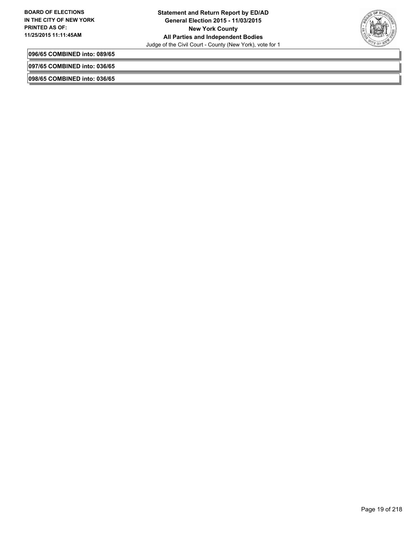

**096/65 COMBINED into: 089/65**

**097/65 COMBINED into: 036/65**

**098/65 COMBINED into: 036/65**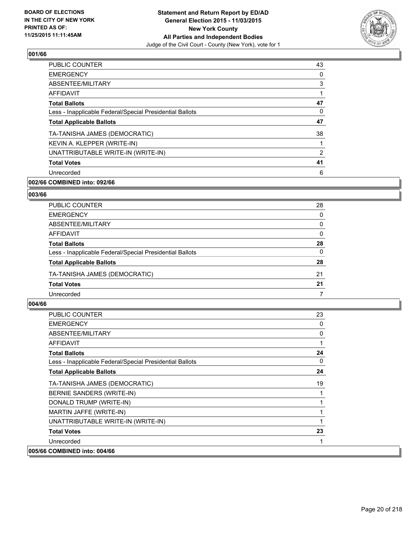

| PUBLIC COUNTER                                           | 43 |
|----------------------------------------------------------|----|
| <b>EMERGENCY</b>                                         | 0  |
| ABSENTEE/MILITARY                                        | 3  |
| AFFIDAVIT                                                | 1  |
| <b>Total Ballots</b>                                     | 47 |
| Less - Inapplicable Federal/Special Presidential Ballots | 0  |
| <b>Total Applicable Ballots</b>                          | 47 |
| TA-TANISHA JAMES (DEMOCRATIC)                            | 38 |
| KEVIN A. KLEPPER (WRITE-IN)                              | 1  |
| UNATTRIBUTABLE WRITE-IN (WRITE-IN)                       | 2  |
| <b>Total Votes</b>                                       | 41 |
| Unrecorded                                               | 6  |
|                                                          |    |

# **002/66 COMBINED into: 092/66**

#### **003/66**

| <b>PUBLIC COUNTER</b>                                    | 28       |
|----------------------------------------------------------|----------|
| <b>EMERGENCY</b>                                         | 0        |
| ABSENTEE/MILITARY                                        | 0        |
| AFFIDAVIT                                                | 0        |
| <b>Total Ballots</b>                                     | 28       |
| Less - Inapplicable Federal/Special Presidential Ballots | $\Omega$ |
| <b>Total Applicable Ballots</b>                          | 28       |
| TA-TANISHA JAMES (DEMOCRATIC)                            | 21       |
| <b>Total Votes</b>                                       | 21       |
| Unrecorded                                               |          |

| PUBLIC COUNTER                                           | 23 |
|----------------------------------------------------------|----|
| <b>EMERGENCY</b>                                         | 0  |
| ABSENTEE/MILITARY                                        | 0  |
| <b>AFFIDAVIT</b>                                         |    |
| <b>Total Ballots</b>                                     | 24 |
| Less - Inapplicable Federal/Special Presidential Ballots | 0  |
| <b>Total Applicable Ballots</b>                          | 24 |
| TA-TANISHA JAMES (DEMOCRATIC)                            | 19 |
| BERNIE SANDERS (WRITE-IN)                                |    |
| DONALD TRUMP (WRITE-IN)                                  |    |
| MARTIN JAFFE (WRITE-IN)                                  | 1  |
| UNATTRIBUTABLE WRITE-IN (WRITE-IN)                       |    |
| <b>Total Votes</b>                                       | 23 |
| Unrecorded                                               | 1  |
| 005/66 COMBINED into: 004/66                             |    |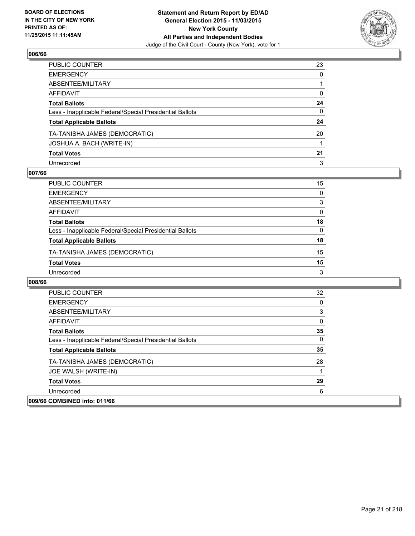

| PUBLIC COUNTER                                           | 23           |
|----------------------------------------------------------|--------------|
| EMERGENCY                                                | $\mathbf{0}$ |
| ABSENTEE/MILITARY                                        |              |
| AFFIDAVIT                                                | 0            |
| Total Ballots                                            | 24           |
| Less - Inapplicable Federal/Special Presidential Ballots | 0            |
| <b>Total Applicable Ballots</b>                          | 24           |
| TA-TANISHA JAMES (DEMOCRATIC)                            | 20           |
| JOSHUA A. BACH (WRITE-IN)                                |              |
| <b>Total Votes</b>                                       | 21           |
| Unrecorded                                               | 3            |

# **007/66**

| PUBLIC COUNTER                                           | 15       |
|----------------------------------------------------------|----------|
| <b>EMERGENCY</b>                                         | 0        |
| ABSENTEE/MILITARY                                        | 3        |
| AFFIDAVIT                                                | $\Omega$ |
| <b>Total Ballots</b>                                     | 18       |
| Less - Inapplicable Federal/Special Presidential Ballots | $\Omega$ |
| <b>Total Applicable Ballots</b>                          | 18       |
| TA-TANISHA JAMES (DEMOCRATIC)                            | 15       |
| <b>Total Votes</b>                                       | 15       |
| Unrecorded                                               | 3        |

| <b>PUBLIC COUNTER</b>                                    | 32 |
|----------------------------------------------------------|----|
| <b>EMERGENCY</b>                                         |    |
| ABSENTEE/MILITARY                                        | 3  |
| AFFIDAVIT                                                |    |
| <b>Total Ballots</b>                                     | 35 |
| Less - Inapplicable Federal/Special Presidential Ballots | 0  |
| <b>Total Applicable Ballots</b>                          | 35 |
| TA-TANISHA JAMES (DEMOCRATIC)                            | 28 |
| JOE WALSH (WRITE-IN)                                     |    |
| <b>Total Votes</b>                                       | 29 |
| Unrecorded                                               | 6  |
| 009/66 COMBINED into: 011/66                             |    |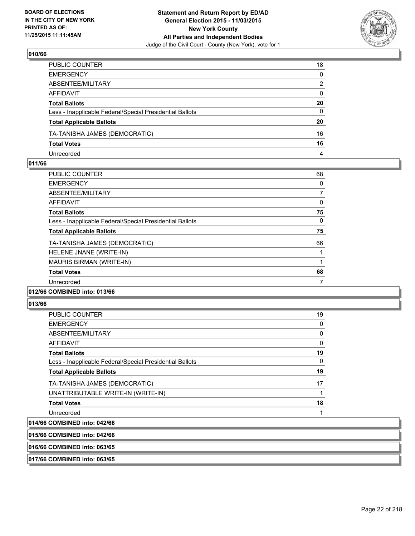

| PUBLIC COUNTER                                           | 18           |
|----------------------------------------------------------|--------------|
| EMERGENCY                                                | $\mathbf{0}$ |
| ABSENTEE/MILITARY                                        | 2            |
| AFFIDAVIT                                                | $\mathbf{0}$ |
| Total Ballots                                            | 20           |
| Less - Inapplicable Federal/Special Presidential Ballots | $\mathbf{0}$ |
| <b>Total Applicable Ballots</b>                          | 20           |
| TA-TANISHA JAMES (DEMOCRATIC)                            | 16           |
| <b>Total Votes</b>                                       | 16           |
| Unrecorded                                               | 4            |

## **011/66**

| <b>PUBLIC COUNTER</b>                                    | 68 |
|----------------------------------------------------------|----|
| <b>EMERGENCY</b>                                         | 0  |
| ABSENTEE/MILITARY                                        | 7  |
| AFFIDAVIT                                                | 0  |
| <b>Total Ballots</b>                                     | 75 |
| Less - Inapplicable Federal/Special Presidential Ballots | 0  |
| <b>Total Applicable Ballots</b>                          | 75 |
| TA-TANISHA JAMES (DEMOCRATIC)                            | 66 |
| HELENE JNANE (WRITE-IN)                                  |    |
| MAURIS BIRMAN (WRITE-IN)                                 |    |
| <b>Total Votes</b>                                       | 68 |
| Unrecorded                                               | 7  |
|                                                          |    |

# **012/66 COMBINED into: 013/66**

#### **013/66**

| <b>PUBLIC COUNTER</b>                                    | 19 |
|----------------------------------------------------------|----|
| <b>EMERGENCY</b>                                         | 0  |
| ABSENTEE/MILITARY                                        | 0  |
| <b>AFFIDAVIT</b>                                         | 0  |
| <b>Total Ballots</b>                                     | 19 |
| Less - Inapplicable Federal/Special Presidential Ballots | 0  |
| <b>Total Applicable Ballots</b>                          | 19 |
| TA-TANISHA JAMES (DEMOCRATIC)                            | 17 |
| UNATTRIBUTABLE WRITE-IN (WRITE-IN)                       | 1  |
| <b>Total Votes</b>                                       | 18 |
| Unrecorded                                               | 1  |
| 014/66 COMBINED into: 042/66                             |    |

# **015/66 COMBINED into: 042/66**

**016/66 COMBINED into: 063/65**

**017/66 COMBINED into: 063/65**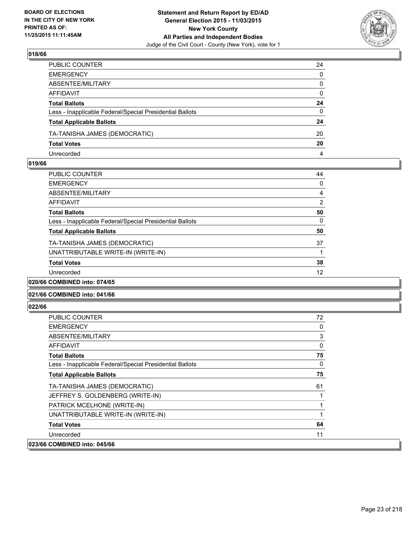

| PUBLIC COUNTER                                           | 24           |
|----------------------------------------------------------|--------------|
| EMERGENCY                                                | $\mathbf{0}$ |
| ABSENTEE/MILITARY                                        | $\mathbf{0}$ |
| AFFIDAVIT                                                | 0            |
| Total Ballots                                            | 24           |
| Less - Inapplicable Federal/Special Presidential Ballots | $\mathbf{0}$ |
| <b>Total Applicable Ballots</b>                          | 24           |
| TA-TANISHA JAMES (DEMOCRATIC)                            | 20           |
| <b>Total Votes</b>                                       | 20           |
| Unrecorded                                               | 4            |

## **019/66**

| <b>PUBLIC COUNTER</b>                                    | 44 |
|----------------------------------------------------------|----|
| <b>EMERGENCY</b>                                         | 0  |
| ABSENTEE/MILITARY                                        | 4  |
| AFFIDAVIT                                                | 2  |
| <b>Total Ballots</b>                                     | 50 |
| Less - Inapplicable Federal/Special Presidential Ballots | 0  |
| <b>Total Applicable Ballots</b>                          | 50 |
| TA-TANISHA JAMES (DEMOCRATIC)                            | 37 |
| UNATTRIBUTABLE WRITE-IN (WRITE-IN)                       |    |
| <b>Total Votes</b>                                       | 38 |
| Unrecorded                                               | 12 |
| 020/66 COMBINED into: 074/65                             |    |

# **021/66 COMBINED into: 041/66**

| <b>PUBLIC COUNTER</b>                                    | 72 |
|----------------------------------------------------------|----|
| <b>EMERGENCY</b>                                         | 0  |
| ABSENTEE/MILITARY                                        | 3  |
| <b>AFFIDAVIT</b>                                         | 0  |
| <b>Total Ballots</b>                                     | 75 |
| Less - Inapplicable Federal/Special Presidential Ballots | 0  |
| <b>Total Applicable Ballots</b>                          | 75 |
| TA-TANISHA JAMES (DEMOCRATIC)                            | 61 |
| JEFFREY S. GOLDENBERG (WRITE-IN)                         |    |
| PATRICK MCELHONE (WRITE-IN)                              |    |
| UNATTRIBUTABLE WRITE-IN (WRITE-IN)                       |    |
| <b>Total Votes</b>                                       | 64 |
| Unrecorded                                               | 11 |
| 023/66 COMBINED into: 045/66                             |    |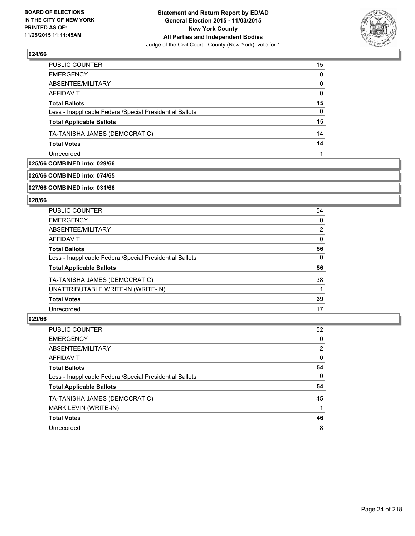

| PUBLIC COUNTER                                           | 15           |
|----------------------------------------------------------|--------------|
| <b>EMERGENCY</b>                                         | $\Omega$     |
| ABSENTEE/MILITARY                                        | $\mathbf{0}$ |
| <b>AFFIDAVIT</b>                                         | $\Omega$     |
| <b>Total Ballots</b>                                     | 15           |
| Less - Inapplicable Federal/Special Presidential Ballots | $\mathbf{0}$ |
| <b>Total Applicable Ballots</b>                          | 15           |
| TA-TANISHA JAMES (DEMOCRATIC)                            | 14           |
| <b>Total Votes</b>                                       | 14           |
| Unrecorded                                               |              |

# **025/66 COMBINED into: 029/66**

#### **026/66 COMBINED into: 074/65**

#### **027/66 COMBINED into: 031/66**

## **028/66**

| <b>PUBLIC COUNTER</b>                                    | 54 |
|----------------------------------------------------------|----|
| <b>EMERGENCY</b>                                         | 0  |
| ABSENTEE/MILITARY                                        | 2  |
| AFFIDAVIT                                                | 0  |
| <b>Total Ballots</b>                                     | 56 |
| Less - Inapplicable Federal/Special Presidential Ballots | 0  |
| <b>Total Applicable Ballots</b>                          | 56 |
| TA-TANISHA JAMES (DEMOCRATIC)                            | 38 |
| UNATTRIBUTABLE WRITE-IN (WRITE-IN)                       |    |
| <b>Total Votes</b>                                       | 39 |
| Unrecorded                                               | 17 |

| <b>PUBLIC COUNTER</b>                                    | 52 |
|----------------------------------------------------------|----|
| <b>EMERGENCY</b>                                         | 0  |
| ABSENTEE/MILITARY                                        | 2  |
| AFFIDAVIT                                                | 0  |
| <b>Total Ballots</b>                                     | 54 |
| Less - Inapplicable Federal/Special Presidential Ballots | 0  |
| <b>Total Applicable Ballots</b>                          | 54 |
| TA-TANISHA JAMES (DEMOCRATIC)                            | 45 |
| MARK LEVIN (WRITE-IN)                                    | 1  |
| <b>Total Votes</b>                                       | 46 |
| Unrecorded                                               | 8  |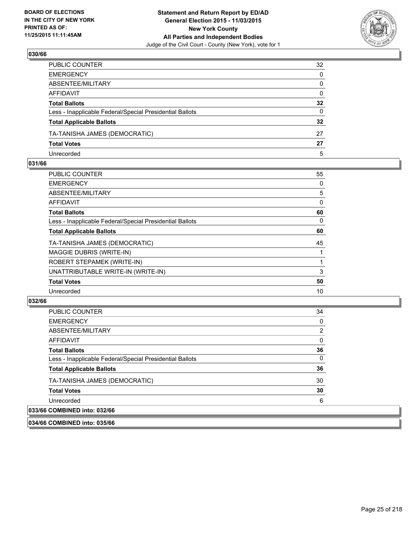

| PUBLIC COUNTER                                           | 32              |
|----------------------------------------------------------|-----------------|
| EMERGENCY                                                | $\mathbf{0}$    |
| ABSENTEE/MILITARY                                        | $\Omega$        |
| AFFIDAVIT                                                | $\mathbf{0}$    |
| Total Ballots                                            | $32\phantom{a}$ |
| Less - Inapplicable Federal/Special Presidential Ballots | 0               |
| <b>Total Applicable Ballots</b>                          | 32              |
| TA-TANISHA JAMES (DEMOCRATIC)                            | 27              |
| <b>Total Votes</b>                                       | 27              |
| Unrecorded                                               | 5               |

## **031/66**

| <b>PUBLIC COUNTER</b>                                    | 55 |
|----------------------------------------------------------|----|
| <b>EMERGENCY</b>                                         | 0  |
| ABSENTEE/MILITARY                                        | 5  |
| <b>AFFIDAVIT</b>                                         | 0  |
| <b>Total Ballots</b>                                     | 60 |
| Less - Inapplicable Federal/Special Presidential Ballots | 0  |
| <b>Total Applicable Ballots</b>                          | 60 |
| TA-TANISHA JAMES (DEMOCRATIC)                            | 45 |
| MAGGIE DUBRIS (WRITE-IN)                                 |    |
| ROBERT STEPAMEK (WRITE-IN)                               | 1  |
| UNATTRIBUTABLE WRITE-IN (WRITE-IN)                       | 3  |
| <b>Total Votes</b>                                       | 50 |
| Unrecorded                                               | 10 |
|                                                          |    |

# **032/66**

| <b>PUBLIC COUNTER</b>                                    | 34             |
|----------------------------------------------------------|----------------|
| <b>EMERGENCY</b>                                         | 0              |
| ABSENTEE/MILITARY                                        | $\overline{2}$ |
| AFFIDAVIT                                                | 0              |
| <b>Total Ballots</b>                                     | 36             |
| Less - Inapplicable Federal/Special Presidential Ballots | 0              |
| <b>Total Applicable Ballots</b>                          | 36             |
| TA-TANISHA JAMES (DEMOCRATIC)                            | 30             |
| <b>Total Votes</b>                                       | 30             |
| Unrecorded                                               | 6              |
| 033/66 COMBINED into: 032/66                             |                |

**034/66 COMBINED into: 035/66**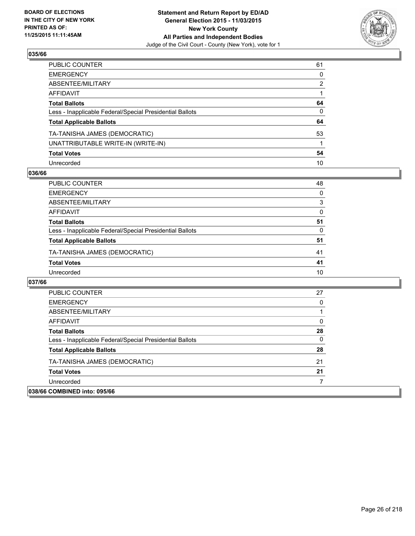

| PUBLIC COUNTER                                           | 61 |
|----------------------------------------------------------|----|
| EMERGENCY                                                | 0  |
| ABSENTEE/MILITARY                                        | 2  |
| AFFIDAVIT                                                |    |
| <b>Total Ballots</b>                                     | 64 |
| Less - Inapplicable Federal/Special Presidential Ballots | 0  |
| <b>Total Applicable Ballots</b>                          | 64 |
| TA-TANISHA JAMES (DEMOCRATIC)                            | 53 |
| UNATTRIBUTABLE WRITE-IN (WRITE-IN)                       |    |
| <b>Total Votes</b>                                       | 54 |
| Unrecorded                                               | 10 |

## **036/66**

| PUBLIC COUNTER                                           | 48 |
|----------------------------------------------------------|----|
| <b>EMERGENCY</b>                                         | 0  |
| ABSENTEE/MILITARY                                        | 3  |
| AFFIDAVIT                                                | 0  |
| <b>Total Ballots</b>                                     | 51 |
| Less - Inapplicable Federal/Special Presidential Ballots | 0  |
| <b>Total Applicable Ballots</b>                          | 51 |
| TA-TANISHA JAMES (DEMOCRATIC)                            | 41 |
| <b>Total Votes</b>                                       | 41 |
| Unrecorded                                               | 10 |

| <b>PUBLIC COUNTER</b>                                    | 27 |
|----------------------------------------------------------|----|
| <b>EMERGENCY</b>                                         | 0  |
| ABSENTEE/MILITARY                                        |    |
| AFFIDAVIT                                                | 0  |
| <b>Total Ballots</b>                                     | 28 |
| Less - Inapplicable Federal/Special Presidential Ballots | 0  |
| <b>Total Applicable Ballots</b>                          | 28 |
| TA-TANISHA JAMES (DEMOCRATIC)                            | 21 |
| <b>Total Votes</b>                                       | 21 |
| Unrecorded                                               |    |
| 038/66 COMBINED into: 095/66                             |    |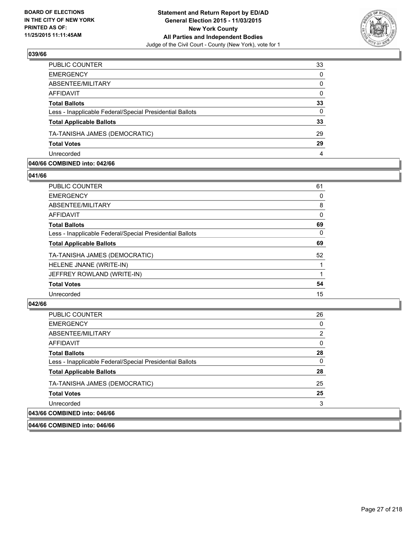

| PUBLIC COUNTER                                           | 33           |
|----------------------------------------------------------|--------------|
| <b>EMERGENCY</b>                                         | $\Omega$     |
| ABSENTEE/MILITARY                                        | $\mathbf{0}$ |
| <b>AFFIDAVIT</b>                                         | $\Omega$     |
| <b>Total Ballots</b>                                     | 33           |
| Less - Inapplicable Federal/Special Presidential Ballots | $\Omega$     |
| <b>Total Applicable Ballots</b>                          | 33           |
| TA-TANISHA JAMES (DEMOCRATIC)                            | 29           |
| <b>Total Votes</b>                                       | 29           |
| Unrecorded                                               | 4            |

## **040/66 COMBINED into: 042/66**

**041/66** 

| <b>PUBLIC COUNTER</b>                                    | 61       |
|----------------------------------------------------------|----------|
| <b>EMERGENCY</b>                                         | 0        |
| <b>ABSENTEE/MILITARY</b>                                 | 8        |
| <b>AFFIDAVIT</b>                                         | 0        |
| <b>Total Ballots</b>                                     | 69       |
| Less - Inapplicable Federal/Special Presidential Ballots | $\Omega$ |
| <b>Total Applicable Ballots</b>                          | 69       |
| TA-TANISHA JAMES (DEMOCRATIC)                            | 52       |
| HELENE JNANE (WRITE-IN)                                  |          |
| JEFFREY ROWLAND (WRITE-IN)                               | 1        |
| <b>Total Votes</b>                                       | 54       |
| Unrecorded                                               | 15       |
|                                                          |          |

#### **042/66**

| <b>PUBLIC COUNTER</b>                                    | 26             |
|----------------------------------------------------------|----------------|
| <b>EMERGENCY</b>                                         | 0              |
| ABSENTEE/MILITARY                                        | $\overline{2}$ |
| AFFIDAVIT                                                | 0              |
| <b>Total Ballots</b>                                     | 28             |
| Less - Inapplicable Federal/Special Presidential Ballots | 0              |
| <b>Total Applicable Ballots</b>                          | 28             |
| TA-TANISHA JAMES (DEMOCRATIC)                            | 25             |
| <b>Total Votes</b>                                       | 25             |
| Unrecorded                                               | 3              |
| 043/66 COMBINED into: 046/66                             |                |

**044/66 COMBINED into: 046/66**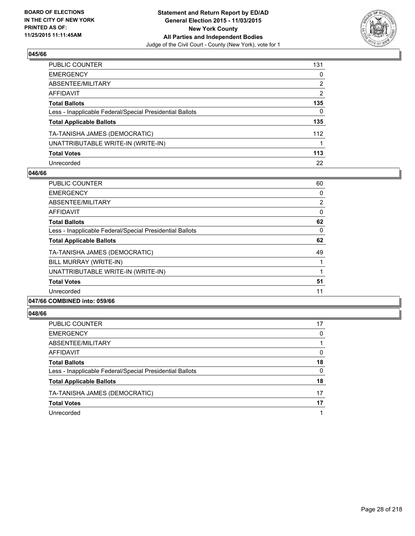

| PUBLIC COUNTER                                           | 131 |
|----------------------------------------------------------|-----|
| EMERGENCY                                                | 0   |
| ABSENTEE/MILITARY                                        | 2   |
| AFFIDAVIT                                                | 2   |
| Total Ballots                                            | 135 |
| Less - Inapplicable Federal/Special Presidential Ballots | 0   |
| <b>Total Applicable Ballots</b>                          | 135 |
| TA-TANISHA JAMES (DEMOCRATIC)                            | 112 |
| UNATTRIBUTABLE WRITE-IN (WRITE-IN)                       | 1   |
| <b>Total Votes</b>                                       | 113 |
| Unrecorded                                               | 22  |

## **046/66**

| <b>PUBLIC COUNTER</b>                                    | 60             |
|----------------------------------------------------------|----------------|
| <b>EMERGENCY</b>                                         | 0              |
| ABSENTEE/MILITARY                                        | $\overline{2}$ |
| AFFIDAVIT                                                | 0              |
| <b>Total Ballots</b>                                     | 62             |
| Less - Inapplicable Federal/Special Presidential Ballots | 0              |
| <b>Total Applicable Ballots</b>                          | 62             |
| TA-TANISHA JAMES (DEMOCRATIC)                            | 49             |
| BILL MURRAY (WRITE-IN)                                   |                |
| UNATTRIBUTABLE WRITE-IN (WRITE-IN)                       |                |
| <b>Total Votes</b>                                       | 51             |
| Unrecorded                                               | 11             |
|                                                          |                |

# **047/66 COMBINED into: 059/66**

| <b>PUBLIC COUNTER</b>                                    | 17 |
|----------------------------------------------------------|----|
| <b>EMERGENCY</b>                                         | 0  |
| ABSENTEE/MILITARY                                        |    |
| AFFIDAVIT                                                | 0  |
| <b>Total Ballots</b>                                     | 18 |
| Less - Inapplicable Federal/Special Presidential Ballots | 0  |
| <b>Total Applicable Ballots</b>                          | 18 |
| TA-TANISHA JAMES (DEMOCRATIC)                            | 17 |
| <b>Total Votes</b>                                       | 17 |
| Unrecorded                                               |    |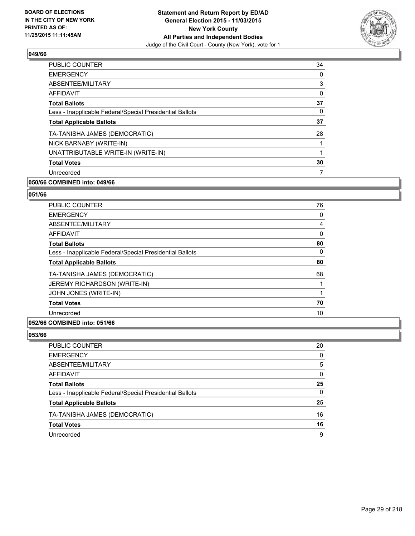

| 34 |
|----|
| 0  |
| 3  |
| 0  |
| 37 |
| 0  |
| 37 |
| 28 |
| 1  |
| 1  |
| 30 |
| 7  |
|    |

# **050/66 COMBINED into: 049/66**

# **051/66**

| <b>PUBLIC COUNTER</b>                                    | 76 |
|----------------------------------------------------------|----|
| <b>EMERGENCY</b>                                         | 0  |
| ABSENTEE/MILITARY                                        | 4  |
| <b>AFFIDAVIT</b>                                         | 0  |
| <b>Total Ballots</b>                                     | 80 |
| Less - Inapplicable Federal/Special Presidential Ballots | 0  |
| <b>Total Applicable Ballots</b>                          | 80 |
| TA-TANISHA JAMES (DEMOCRATIC)                            | 68 |
| <b>JEREMY RICHARDSON (WRITE-IN)</b>                      |    |
| JOHN JONES (WRITE-IN)                                    |    |
| <b>Total Votes</b>                                       | 70 |
| Unrecorded                                               | 10 |
|                                                          |    |

## **052/66 COMBINED into: 051/66**

| PUBLIC COUNTER                                           | 20 |
|----------------------------------------------------------|----|
| <b>EMERGENCY</b>                                         | 0  |
| ABSENTEE/MILITARY                                        | 5  |
| AFFIDAVIT                                                | 0  |
| <b>Total Ballots</b>                                     | 25 |
| Less - Inapplicable Federal/Special Presidential Ballots | 0  |
| <b>Total Applicable Ballots</b>                          | 25 |
| TA-TANISHA JAMES (DEMOCRATIC)                            | 16 |
| <b>Total Votes</b>                                       | 16 |
| Unrecorded                                               | 9  |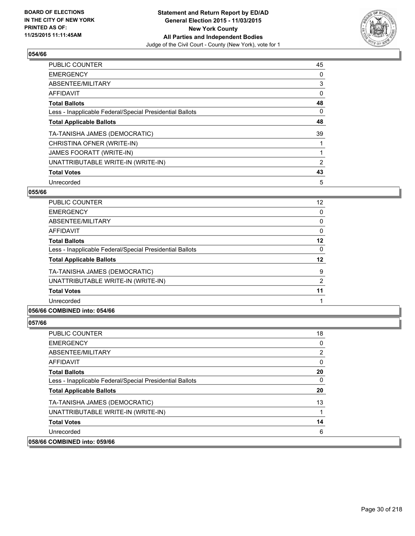

| <b>PUBLIC COUNTER</b>                                    | 45             |
|----------------------------------------------------------|----------------|
| <b>EMERGENCY</b>                                         | 0              |
| ABSENTEE/MILITARY                                        | 3              |
| <b>AFFIDAVIT</b>                                         | 0              |
| <b>Total Ballots</b>                                     | 48             |
| Less - Inapplicable Federal/Special Presidential Ballots | 0              |
| <b>Total Applicable Ballots</b>                          | 48             |
| TA-TANISHA JAMES (DEMOCRATIC)                            | 39             |
| CHRISTINA OFNER (WRITE-IN)                               |                |
| JAMES FOORATT (WRITE-IN)                                 |                |
| UNATTRIBUTABLE WRITE-IN (WRITE-IN)                       | $\overline{2}$ |
| <b>Total Votes</b>                                       | 43             |
| Unrecorded                                               | 5              |

# **055/66**

| <b>PUBLIC COUNTER</b>                                    | 12 |
|----------------------------------------------------------|----|
| <b>EMERGENCY</b>                                         | 0  |
| ABSENTEE/MILITARY                                        | 0  |
| <b>AFFIDAVIT</b>                                         | 0  |
| <b>Total Ballots</b>                                     | 12 |
| Less - Inapplicable Federal/Special Presidential Ballots | 0  |
| <b>Total Applicable Ballots</b>                          | 12 |
| TA-TANISHA JAMES (DEMOCRATIC)                            | 9  |
| UNATTRIBUTABLE WRITE-IN (WRITE-IN)                       | 2  |
| <b>Total Votes</b>                                       | 11 |
| Unrecorded                                               |    |
|                                                          |    |

# **056/66 COMBINED into: 054/66**

| <b>PUBLIC COUNTER</b>                                    | 18 |
|----------------------------------------------------------|----|
| <b>EMERGENCY</b>                                         | 0  |
| ABSENTEE/MILITARY                                        | 2  |
| AFFIDAVIT                                                | 0  |
| <b>Total Ballots</b>                                     | 20 |
| Less - Inapplicable Federal/Special Presidential Ballots | 0  |
| <b>Total Applicable Ballots</b>                          | 20 |
| TA-TANISHA JAMES (DEMOCRATIC)                            | 13 |
| UNATTRIBUTABLE WRITE-IN (WRITE-IN)                       |    |
| <b>Total Votes</b>                                       | 14 |
| Unrecorded                                               | 6  |
| 058/66 COMBINED into: 059/66                             |    |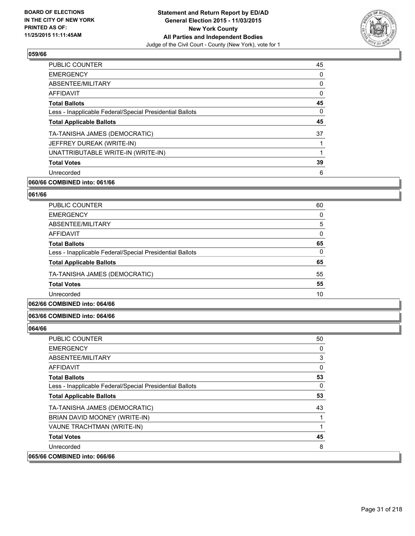

| 45 |
|----|
| 0  |
| 0  |
| 0  |
| 45 |
| 0  |
| 45 |
| 37 |
|    |
|    |
| 39 |
| 6  |
|    |

# **060/66 COMBINED into: 061/66**

# **061/66**

| <b>PUBLIC COUNTER</b>                                    | 60 |
|----------------------------------------------------------|----|
| <b>EMERGENCY</b>                                         | 0  |
| ABSENTEE/MILITARY                                        | 5  |
| AFFIDAVIT                                                | 0  |
| <b>Total Ballots</b>                                     | 65 |
| Less - Inapplicable Federal/Special Presidential Ballots | 0  |
| <b>Total Applicable Ballots</b>                          | 65 |
| TA-TANISHA JAMES (DEMOCRATIC)                            | 55 |
| <b>Total Votes</b>                                       | 55 |
| Unrecorded                                               | 10 |

# **062/66 COMBINED into: 064/66**

# **063/66 COMBINED into: 064/66**

| <b>PUBLIC COUNTER</b>                                    | 50 |
|----------------------------------------------------------|----|
| <b>EMERGENCY</b>                                         | 0  |
| ABSENTEE/MILITARY                                        | 3  |
| <b>AFFIDAVIT</b>                                         | 0  |
| <b>Total Ballots</b>                                     | 53 |
| Less - Inapplicable Federal/Special Presidential Ballots | 0  |
| <b>Total Applicable Ballots</b>                          | 53 |
| TA-TANISHA JAMES (DEMOCRATIC)                            | 43 |
| BRIAN DAVID MOONEY (WRITE-IN)                            |    |
| VAUNE TRACHTMAN (WRITE-IN)                               |    |
| <b>Total Votes</b>                                       | 45 |
| Unrecorded                                               | 8  |
| 065/66 COMBINED into: 066/66                             |    |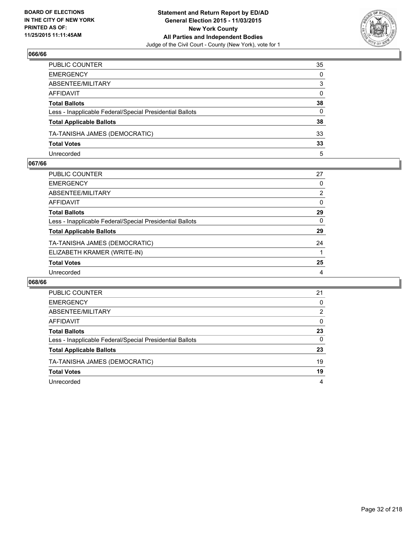

| PUBLIC COUNTER                                           | 35           |
|----------------------------------------------------------|--------------|
| EMERGENCY                                                | $\mathbf{0}$ |
| ABSENTEE/MILITARY                                        | 3            |
| AFFIDAVIT                                                | $\mathbf{0}$ |
| Total Ballots                                            | 38           |
| Less - Inapplicable Federal/Special Presidential Ballots | 0            |
| <b>Total Applicable Ballots</b>                          | 38           |
| TA-TANISHA JAMES (DEMOCRATIC)                            | 33           |
| <b>Total Votes</b>                                       | 33           |
| Unrecorded                                               | 5            |

## **067/66**

| PUBLIC COUNTER                                           | 27             |
|----------------------------------------------------------|----------------|
| <b>EMERGENCY</b>                                         | 0              |
| ABSENTEE/MILITARY                                        | $\overline{2}$ |
| AFFIDAVIT                                                | 0              |
| <b>Total Ballots</b>                                     | 29             |
| Less - Inapplicable Federal/Special Presidential Ballots | 0              |
| <b>Total Applicable Ballots</b>                          | 29             |
| TA-TANISHA JAMES (DEMOCRATIC)                            | 24             |
| ELIZABETH KRAMER (WRITE-IN)                              |                |
| <b>Total Votes</b>                                       | 25             |
| Unrecorded                                               | 4              |
|                                                          |                |

| <b>PUBLIC COUNTER</b>                                    | 21 |
|----------------------------------------------------------|----|
| <b>EMERGENCY</b>                                         | 0  |
| ABSENTEE/MILITARY                                        | 2  |
| AFFIDAVIT                                                | 0  |
| <b>Total Ballots</b>                                     | 23 |
| Less - Inapplicable Federal/Special Presidential Ballots | 0  |
| <b>Total Applicable Ballots</b>                          | 23 |
| TA-TANISHA JAMES (DEMOCRATIC)                            | 19 |
| <b>Total Votes</b>                                       | 19 |
| Unrecorded                                               | 4  |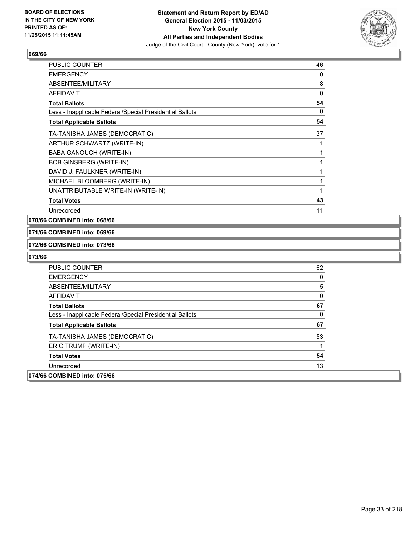

| <b>PUBLIC COUNTER</b>                                    | 46           |
|----------------------------------------------------------|--------------|
| <b>EMERGENCY</b>                                         | 0            |
| ABSENTEE/MILITARY                                        | 8            |
| <b>AFFIDAVIT</b>                                         | 0            |
| <b>Total Ballots</b>                                     | 54           |
| Less - Inapplicable Federal/Special Presidential Ballots | 0            |
| <b>Total Applicable Ballots</b>                          | 54           |
| TA-TANISHA JAMES (DEMOCRATIC)                            | 37           |
| ARTHUR SCHWARTZ (WRITE-IN)                               |              |
| <b>BABA GANOUCH (WRITE-IN)</b>                           | 1            |
| <b>BOB GINSBERG (WRITE-IN)</b>                           | 1            |
| DAVID J. FAULKNER (WRITE-IN)                             | $\mathbf{1}$ |
| MICHAEL BLOOMBERG (WRITE-IN)                             | 1            |
| UNATTRIBUTABLE WRITE-IN (WRITE-IN)                       | 1            |
| <b>Total Votes</b>                                       | 43           |
| Unrecorded                                               | 11           |

## **070/66 COMBINED into: 068/66**

#### **071/66 COMBINED into: 069/66**

#### **072/66 COMBINED into: 073/66**

| <b>PUBLIC COUNTER</b>                                    | 62 |
|----------------------------------------------------------|----|
| <b>EMERGENCY</b>                                         | 0  |
| ABSENTEE/MILITARY                                        | 5  |
| <b>AFFIDAVIT</b>                                         | 0  |
| <b>Total Ballots</b>                                     | 67 |
| Less - Inapplicable Federal/Special Presidential Ballots | 0  |
| <b>Total Applicable Ballots</b>                          | 67 |
| TA-TANISHA JAMES (DEMOCRATIC)                            | 53 |
| ERIC TRUMP (WRITE-IN)                                    | 1  |
| <b>Total Votes</b>                                       | 54 |
| Unrecorded                                               | 13 |
| 074/66 COMBINED into: 075/66                             |    |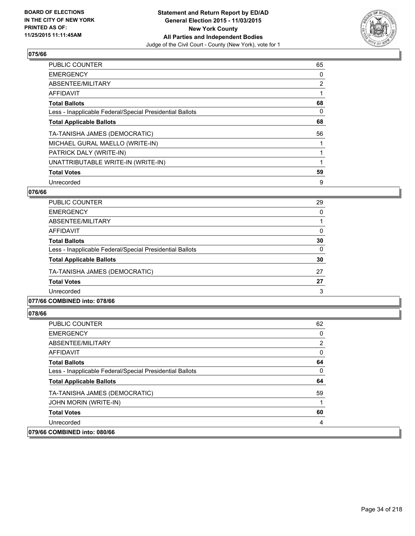

| <b>PUBLIC COUNTER</b>                                    | 65             |
|----------------------------------------------------------|----------------|
| <b>EMERGENCY</b>                                         | 0              |
| ABSENTEE/MILITARY                                        | $\overline{2}$ |
| <b>AFFIDAVIT</b>                                         |                |
| <b>Total Ballots</b>                                     | 68             |
| Less - Inapplicable Federal/Special Presidential Ballots | 0              |
| <b>Total Applicable Ballots</b>                          | 68             |
| TA-TANISHA JAMES (DEMOCRATIC)                            | 56             |
| MICHAEL GURAL MAELLO (WRITE-IN)                          |                |
| PATRICK DALY (WRITE-IN)                                  |                |
| UNATTRIBUTABLE WRITE-IN (WRITE-IN)                       |                |
| <b>Total Votes</b>                                       | 59             |
| Unrecorded                                               | 9              |

# **076/66**

| <b>PUBLIC COUNTER</b>                                    | 29 |
|----------------------------------------------------------|----|
| <b>EMERGENCY</b>                                         | 0  |
| ABSENTEE/MILITARY                                        |    |
| AFFIDAVIT                                                | 0  |
| <b>Total Ballots</b>                                     | 30 |
| Less - Inapplicable Federal/Special Presidential Ballots | 0  |
| <b>Total Applicable Ballots</b>                          | 30 |
| TA-TANISHA JAMES (DEMOCRATIC)                            | 27 |
| <b>Total Votes</b>                                       | 27 |
| Unrecorded                                               | 3  |
|                                                          |    |

# **077/66 COMBINED into: 078/66**

| <b>PUBLIC COUNTER</b>                                    | 62 |
|----------------------------------------------------------|----|
| <b>EMERGENCY</b>                                         | 0  |
| ABSENTEE/MILITARY                                        | 2  |
| AFFIDAVIT                                                | 0  |
| <b>Total Ballots</b>                                     | 64 |
| Less - Inapplicable Federal/Special Presidential Ballots | 0  |
| <b>Total Applicable Ballots</b>                          | 64 |
| TA-TANISHA JAMES (DEMOCRATIC)                            | 59 |
| JOHN MORIN (WRITE-IN)                                    |    |
| <b>Total Votes</b>                                       | 60 |
| Unrecorded                                               | 4  |
| 079/66 COMBINED into: 080/66                             |    |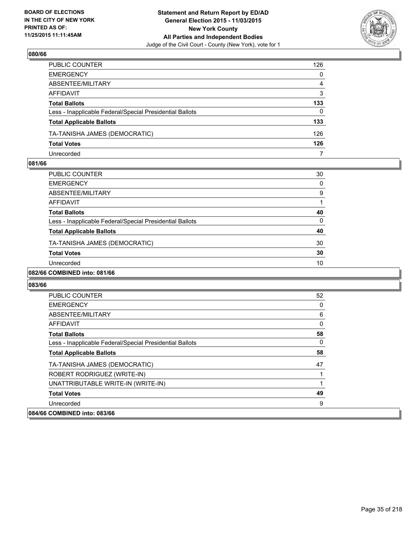

| PUBLIC COUNTER                                           | 126          |
|----------------------------------------------------------|--------------|
| EMERGENCY                                                | $\mathbf{0}$ |
| ABSENTEE/MILITARY                                        | 4            |
| AFFIDAVIT                                                | 3            |
| Total Ballots                                            | 133          |
| Less - Inapplicable Federal/Special Presidential Ballots | 0            |
| <b>Total Applicable Ballots</b>                          | 133          |
| TA-TANISHA JAMES (DEMOCRATIC)                            | 126          |
| <b>Total Votes</b>                                       | 126          |
| Unrecorded                                               | 7            |

## **081/66**

| PUBLIC COUNTER                                           | 30 |
|----------------------------------------------------------|----|
| <b>EMERGENCY</b>                                         | 0  |
| ABSENTEE/MILITARY                                        | 9  |
| <b>AFFIDAVIT</b>                                         |    |
| <b>Total Ballots</b>                                     | 40 |
| Less - Inapplicable Federal/Special Presidential Ballots | 0  |
| <b>Total Applicable Ballots</b>                          | 40 |
| TA-TANISHA JAMES (DEMOCRATIC)                            | 30 |
| <b>Total Votes</b>                                       | 30 |
| Unrecorded                                               | 10 |
|                                                          |    |

# **082/66 COMBINED into: 081/66**

| <b>PUBLIC COUNTER</b>                                    | 52 |
|----------------------------------------------------------|----|
| <b>EMERGENCY</b>                                         | 0  |
| ABSENTEE/MILITARY                                        | 6  |
| AFFIDAVIT                                                | 0  |
| <b>Total Ballots</b>                                     | 58 |
| Less - Inapplicable Federal/Special Presidential Ballots | 0  |
| <b>Total Applicable Ballots</b>                          | 58 |
| TA-TANISHA JAMES (DEMOCRATIC)                            | 47 |
| ROBERT RODRIGUEZ (WRITE-IN)                              |    |
| UNATTRIBUTABLE WRITE-IN (WRITE-IN)                       |    |
| <b>Total Votes</b>                                       | 49 |
| Unrecorded                                               | 9  |
| 084/66 COMBINED into: 083/66                             |    |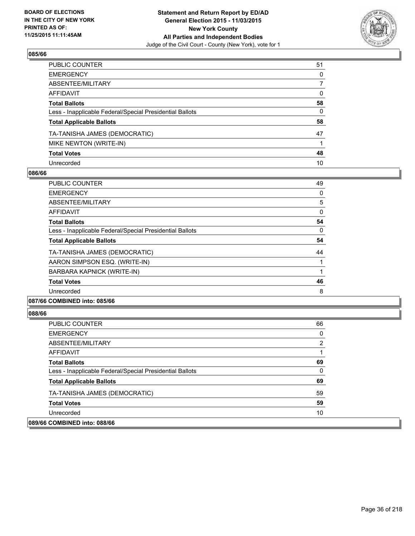

| PUBLIC COUNTER                                           | 51           |
|----------------------------------------------------------|--------------|
| EMERGENCY                                                | $\mathbf{0}$ |
| ABSENTEE/MILITARY                                        | 7            |
| AFFIDAVIT                                                | 0            |
| Total Ballots                                            | 58           |
| Less - Inapplicable Federal/Special Presidential Ballots | 0            |
| <b>Total Applicable Ballots</b>                          | 58           |
| TA-TANISHA JAMES (DEMOCRATIC)                            | 47           |
| MIKE NEWTON (WRITE-IN)                                   |              |
| <b>Total Votes</b>                                       | 48           |
| Unrecorded                                               | 10           |

# **086/66**

| <b>PUBLIC COUNTER</b>                                    | 49 |
|----------------------------------------------------------|----|
| <b>EMERGENCY</b>                                         | 0  |
| ABSENTEE/MILITARY                                        | 5  |
| <b>AFFIDAVIT</b>                                         | 0  |
| <b>Total Ballots</b>                                     | 54 |
| Less - Inapplicable Federal/Special Presidential Ballots | 0  |
| <b>Total Applicable Ballots</b>                          | 54 |
| TA-TANISHA JAMES (DEMOCRATIC)                            | 44 |
| AARON SIMPSON ESQ. (WRITE-IN)                            |    |
| BARBARA KAPNICK (WRITE-IN)                               |    |
| <b>Total Votes</b>                                       | 46 |
| Unrecorded                                               | 8  |
|                                                          |    |

# **087/66 COMBINED into: 085/66**

| <b>PUBLIC COUNTER</b>                                    | 66 |
|----------------------------------------------------------|----|
| <b>EMERGENCY</b>                                         | 0  |
| ABSENTEE/MILITARY                                        | 2  |
| AFFIDAVIT                                                |    |
| <b>Total Ballots</b>                                     | 69 |
| Less - Inapplicable Federal/Special Presidential Ballots | 0  |
| <b>Total Applicable Ballots</b>                          | 69 |
| TA-TANISHA JAMES (DEMOCRATIC)                            | 59 |
| <b>Total Votes</b>                                       | 59 |
| Unrecorded                                               | 10 |
| 089/66 COMBINED into: 088/66                             |    |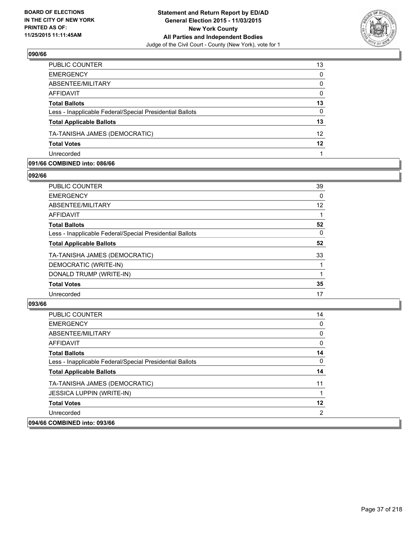

| PUBLIC COUNTER                                           | 13              |
|----------------------------------------------------------|-----------------|
| <b>EMERGENCY</b>                                         | 0               |
| ABSENTEE/MILITARY                                        | $\mathbf{0}$    |
| <b>AFFIDAVIT</b>                                         | $\mathbf{0}$    |
| <b>Total Ballots</b>                                     | 13              |
| Less - Inapplicable Federal/Special Presidential Ballots | $\Omega$        |
| <b>Total Applicable Ballots</b>                          | 13              |
| TA-TANISHA JAMES (DEMOCRATIC)                            | 12 <sup>2</sup> |
| <b>Total Votes</b>                                       | 12              |
| Unrecorded                                               |                 |

### **091/66 COMBINED into: 086/66**

**092/66** 

| <b>PUBLIC COUNTER</b>                                    | 39 |
|----------------------------------------------------------|----|
| <b>EMERGENCY</b>                                         | 0  |
| <b>ABSENTEE/MILITARY</b>                                 | 12 |
| <b>AFFIDAVIT</b>                                         |    |
| <b>Total Ballots</b>                                     | 52 |
| Less - Inapplicable Federal/Special Presidential Ballots | 0  |
| <b>Total Applicable Ballots</b>                          | 52 |
| TA-TANISHA JAMES (DEMOCRATIC)                            | 33 |
| DEMOCRATIC (WRITE-IN)                                    |    |
| DONALD TRUMP (WRITE-IN)                                  | 1  |
| <b>Total Votes</b>                                       | 35 |
| Unrecorded                                               | 17 |
|                                                          |    |

| <b>PUBLIC COUNTER</b>                                    | 14 |
|----------------------------------------------------------|----|
| <b>EMERGENCY</b>                                         | 0  |
| ABSENTEE/MILITARY                                        | 0  |
| AFFIDAVIT                                                | 0  |
| <b>Total Ballots</b>                                     | 14 |
| Less - Inapplicable Federal/Special Presidential Ballots | 0  |
| <b>Total Applicable Ballots</b>                          | 14 |
| TA-TANISHA JAMES (DEMOCRATIC)                            | 11 |
| <b>JESSICA LUPPIN (WRITE-IN)</b>                         |    |
| <b>Total Votes</b>                                       | 12 |
| Unrecorded                                               | 2  |
| 094/66 COMBINED into: 093/66                             |    |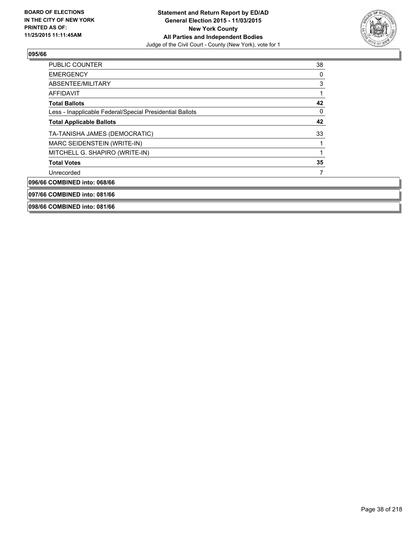

| <b>PUBLIC COUNTER</b>                                    | 38 |
|----------------------------------------------------------|----|
| <b>EMERGENCY</b>                                         | 0  |
| ABSENTEE/MILITARY                                        | 3  |
| <b>AFFIDAVIT</b>                                         |    |
| <b>Total Ballots</b>                                     | 42 |
| Less - Inapplicable Federal/Special Presidential Ballots | 0  |
| <b>Total Applicable Ballots</b>                          | 42 |
| TA-TANISHA JAMES (DEMOCRATIC)                            | 33 |
| MARC SEIDENSTEIN (WRITE-IN)                              |    |
| MITCHELL G. SHAPIRO (WRITE-IN)                           |    |
| <b>Total Votes</b>                                       | 35 |
| Unrecorded                                               |    |
| 096/66 COMBINED into: 068/66                             |    |
| 097/66 COMBINED into: 081/66                             |    |
| 098/66 COMBINED into: 081/66                             |    |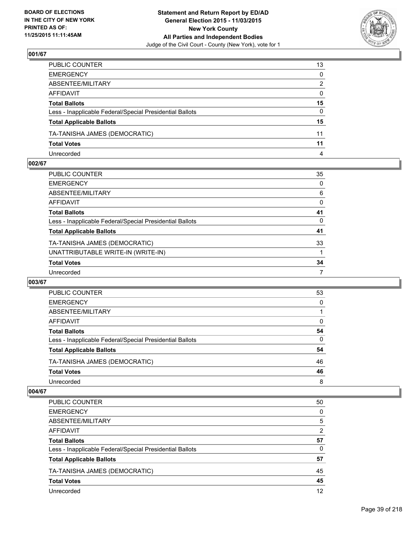

| PUBLIC COUNTER                                           | 13           |
|----------------------------------------------------------|--------------|
| EMERGENCY                                                | $\mathbf{0}$ |
| ABSENTEE/MILITARY                                        | 2            |
| AFFIDAVIT                                                | $\mathbf{0}$ |
| Total Ballots                                            | 15           |
| Less - Inapplicable Federal/Special Presidential Ballots | $\mathbf{0}$ |
| <b>Total Applicable Ballots</b>                          | 15           |
| TA-TANISHA JAMES (DEMOCRATIC)                            | 11           |
| <b>Total Votes</b>                                       | 11           |
| Unrecorded                                               | 4            |

### **002/67**

| PUBLIC COUNTER                                           | 35 |
|----------------------------------------------------------|----|
| EMERGENCY                                                | 0  |
| ABSENTEE/MILITARY                                        | 6  |
| AFFIDAVIT                                                | 0  |
| <b>Total Ballots</b>                                     | 41 |
| Less - Inapplicable Federal/Special Presidential Ballots | 0  |
| <b>Total Applicable Ballots</b>                          | 41 |
| TA-TANISHA JAMES (DEMOCRATIC)                            | 33 |
| UNATTRIBUTABLE WRITE-IN (WRITE-IN)                       |    |
| <b>Total Votes</b>                                       | 34 |
| Unrecorded                                               | 7  |
|                                                          |    |

### **003/67**

| PUBLIC COUNTER                                           | 53 |
|----------------------------------------------------------|----|
| <b>EMERGENCY</b>                                         | 0  |
| ABSENTEE/MILITARY                                        |    |
| AFFIDAVIT                                                | 0  |
| <b>Total Ballots</b>                                     | 54 |
| Less - Inapplicable Federal/Special Presidential Ballots | 0  |
| <b>Total Applicable Ballots</b>                          | 54 |
| TA-TANISHA JAMES (DEMOCRATIC)                            | 46 |
| <b>Total Votes</b>                                       | 46 |
| Unrecorded                                               | 8  |

| <b>PUBLIC COUNTER</b>                                    | 50 |
|----------------------------------------------------------|----|
| <b>EMERGENCY</b>                                         | 0  |
| ABSENTEE/MILITARY                                        | 5  |
| AFFIDAVIT                                                | 2  |
| <b>Total Ballots</b>                                     | 57 |
| Less - Inapplicable Federal/Special Presidential Ballots | 0  |
| <b>Total Applicable Ballots</b>                          | 57 |
| TA-TANISHA JAMES (DEMOCRATIC)                            | 45 |
| <b>Total Votes</b>                                       | 45 |
| Unrecorded                                               | 12 |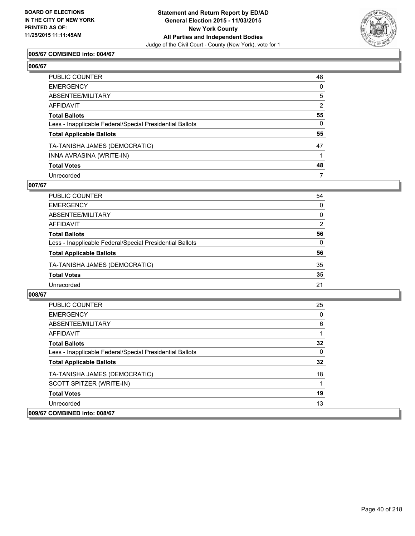

## **005/67 COMBINED into: 004/67**

| PUBLIC COUNTER                                           | 48             |
|----------------------------------------------------------|----------------|
| EMERGENCY                                                | $\Omega$       |
| ABSENTEE/MILITARY                                        | 5              |
| AFFIDAVIT                                                | $\overline{2}$ |
| Total Ballots                                            | 55             |
| Less - Inapplicable Federal/Special Presidential Ballots | $\mathbf{0}$   |
| <b>Total Applicable Ballots</b>                          | 55             |
| TA-TANISHA JAMES (DEMOCRATIC)                            | 47             |
| INNA AVRASINA (WRITE-IN)                                 |                |
| <b>Total Votes</b>                                       | 48             |
| Unrecorded                                               | 7              |

#### **007/67**

| <b>PUBLIC COUNTER</b>                                    | 54 |
|----------------------------------------------------------|----|
| <b>EMERGENCY</b>                                         | 0  |
| ABSENTEE/MILITARY                                        | 0  |
| AFFIDAVIT                                                | 2  |
| <b>Total Ballots</b>                                     | 56 |
| Less - Inapplicable Federal/Special Presidential Ballots | 0  |
| <b>Total Applicable Ballots</b>                          | 56 |
| TA-TANISHA JAMES (DEMOCRATIC)                            | 35 |
| <b>Total Votes</b>                                       | 35 |
| Unrecorded                                               | 21 |

| <b>PUBLIC COUNTER</b>                                    | 25 |
|----------------------------------------------------------|----|
| <b>EMERGENCY</b>                                         | 0  |
| ABSENTEE/MILITARY                                        | 6  |
| <b>AFFIDAVIT</b>                                         |    |
| <b>Total Ballots</b>                                     | 32 |
| Less - Inapplicable Federal/Special Presidential Ballots | 0  |
| <b>Total Applicable Ballots</b>                          | 32 |
| TA-TANISHA JAMES (DEMOCRATIC)                            | 18 |
| SCOTT SPITZER (WRITE-IN)                                 |    |
| <b>Total Votes</b>                                       | 19 |
| Unrecorded                                               | 13 |
| 009/67 COMBINED into: 008/67                             |    |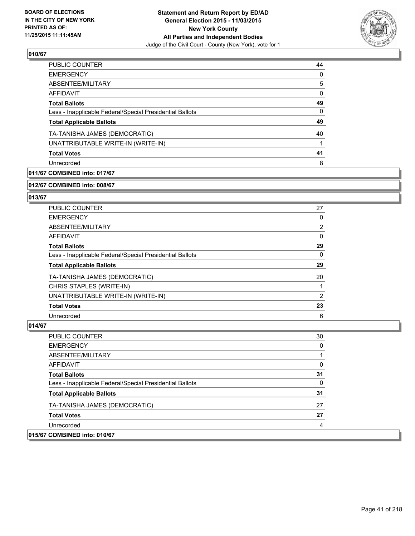

| 44 |
|----|
| 0  |
| 5  |
| 0  |
| 49 |
| 0  |
| 49 |
| 40 |
|    |
| 41 |
| 8  |
|    |

# **011/67 COMBINED into: 017/67**

#### **012/67 COMBINED into: 008/67**

## **013/67**

| <b>PUBLIC COUNTER</b>                                    | 27 |
|----------------------------------------------------------|----|
| <b>EMERGENCY</b>                                         | 0  |
| ABSENTEE/MILITARY                                        | 2  |
| AFFIDAVIT                                                | 0  |
| <b>Total Ballots</b>                                     | 29 |
| Less - Inapplicable Federal/Special Presidential Ballots | 0  |
| <b>Total Applicable Ballots</b>                          | 29 |
| TA-TANISHA JAMES (DEMOCRATIC)                            | 20 |
| CHRIS STAPLES (WRITE-IN)                                 |    |
| UNATTRIBUTABLE WRITE-IN (WRITE-IN)                       | 2  |
| <b>Total Votes</b>                                       | 23 |
| Unrecorded                                               | 6  |

| <b>PUBLIC COUNTER</b>                                    | 30 |
|----------------------------------------------------------|----|
| <b>EMERGENCY</b>                                         | 0  |
| ABSENTEE/MILITARY                                        |    |
| AFFIDAVIT                                                | 0  |
| <b>Total Ballots</b>                                     | 31 |
| Less - Inapplicable Federal/Special Presidential Ballots | 0  |
| <b>Total Applicable Ballots</b>                          | 31 |
| TA-TANISHA JAMES (DEMOCRATIC)                            | 27 |
| <b>Total Votes</b>                                       | 27 |
| Unrecorded                                               | 4  |
| 015/67 COMBINED into: 010/67                             |    |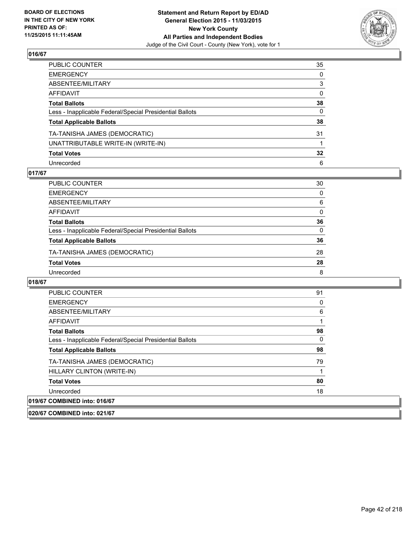

| PUBLIC COUNTER                                           | 35              |
|----------------------------------------------------------|-----------------|
| EMERGENCY                                                | $\mathbf{0}$    |
| ABSENTEE/MILITARY                                        | 3               |
| AFFIDAVIT                                                | 0               |
| Total Ballots                                            | 38              |
| Less - Inapplicable Federal/Special Presidential Ballots | 0               |
| <b>Total Applicable Ballots</b>                          | 38              |
| TA-TANISHA JAMES (DEMOCRATIC)                            | 31              |
| UNATTRIBUTABLE WRITE-IN (WRITE-IN)                       |                 |
| <b>Total Votes</b>                                       | $32\phantom{a}$ |
| Unrecorded                                               | 6               |

## **017/67**

| PUBLIC COUNTER                                           | 30       |
|----------------------------------------------------------|----------|
| <b>EMERGENCY</b>                                         | 0        |
| ABSENTEE/MILITARY                                        | 6        |
| AFFIDAVIT                                                | $\Omega$ |
| <b>Total Ballots</b>                                     | 36       |
| Less - Inapplicable Federal/Special Presidential Ballots | $\Omega$ |
| <b>Total Applicable Ballots</b>                          | 36       |
| TA-TANISHA JAMES (DEMOCRATIC)                            | 28       |
| <b>Total Votes</b>                                       | 28       |
| Unrecorded                                               | 8        |

| <b>PUBLIC COUNTER</b>                                    | 91 |
|----------------------------------------------------------|----|
| <b>EMERGENCY</b>                                         | 0  |
| ABSENTEE/MILITARY                                        | 6  |
| AFFIDAVIT                                                |    |
| <b>Total Ballots</b>                                     | 98 |
| Less - Inapplicable Federal/Special Presidential Ballots | 0  |
| <b>Total Applicable Ballots</b>                          | 98 |
| TA-TANISHA JAMES (DEMOCRATIC)                            | 79 |
| HILLARY CLINTON (WRITE-IN)                               |    |
| <b>Total Votes</b>                                       | 80 |
| Unrecorded                                               | 18 |
| 019/67 COMBINED into: 016/67                             |    |
| 020/67 COMBINED into: 021/67                             |    |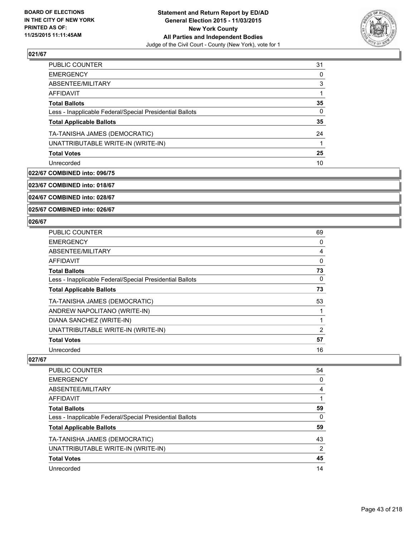

| <b>EMERGENCY</b><br>ABSENTEE/MILITARY<br><b>AFFIDAVIT</b><br><b>Total Ballots</b><br>Less - Inapplicable Federal/Special Presidential Ballots | 31 |
|-----------------------------------------------------------------------------------------------------------------------------------------------|----|
|                                                                                                                                               | 0  |
|                                                                                                                                               | 3  |
|                                                                                                                                               |    |
|                                                                                                                                               | 35 |
|                                                                                                                                               | 0  |
| <b>Total Applicable Ballots</b>                                                                                                               | 35 |
| TA-TANISHA JAMES (DEMOCRATIC)                                                                                                                 | 24 |
| UNATTRIBUTABLE WRITE-IN (WRITE-IN)                                                                                                            |    |
| <b>Total Votes</b>                                                                                                                            | 25 |
| Unrecorded                                                                                                                                    | 10 |

## **022/67 COMBINED into: 096/75**

**023/67 COMBINED into: 018/67**

**024/67 COMBINED into: 028/67**

**025/67 COMBINED into: 026/67**

## **026/67**

| <b>PUBLIC COUNTER</b>                                    | 69             |
|----------------------------------------------------------|----------------|
| <b>EMERGENCY</b>                                         | 0              |
| ABSENTEE/MILITARY                                        | 4              |
| <b>AFFIDAVIT</b>                                         | 0              |
| <b>Total Ballots</b>                                     | 73             |
| Less - Inapplicable Federal/Special Presidential Ballots | 0              |
| <b>Total Applicable Ballots</b>                          | 73             |
| TA-TANISHA JAMES (DEMOCRATIC)                            | 53             |
| ANDREW NAPOLITANO (WRITE-IN)                             |                |
| DIANA SANCHEZ (WRITE-IN)                                 |                |
| UNATTRIBUTABLE WRITE-IN (WRITE-IN)                       | $\overline{2}$ |
| <b>Total Votes</b>                                       | 57             |
| Unrecorded                                               | 16             |

| PUBLIC COUNTER                                           | 54 |
|----------------------------------------------------------|----|
| <b>EMERGENCY</b>                                         | 0  |
| ABSENTEE/MILITARY                                        | 4  |
| AFFIDAVIT                                                |    |
| <b>Total Ballots</b>                                     | 59 |
| Less - Inapplicable Federal/Special Presidential Ballots | 0  |
| <b>Total Applicable Ballots</b>                          | 59 |
| TA-TANISHA JAMES (DEMOCRATIC)                            | 43 |
| UNATTRIBUTABLE WRITE-IN (WRITE-IN)                       | 2  |
| <b>Total Votes</b>                                       | 45 |
| Unrecorded                                               | 14 |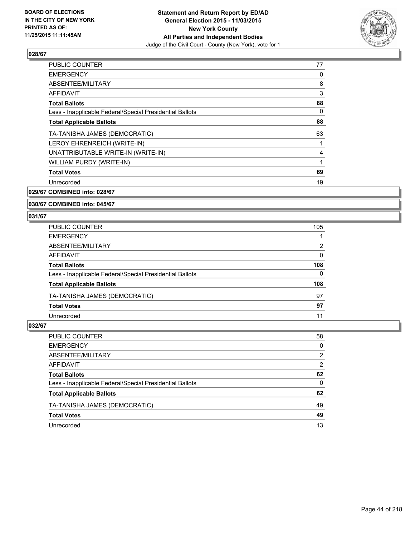

| <b>PUBLIC COUNTER</b>                                    | 77 |
|----------------------------------------------------------|----|
| <b>EMERGENCY</b>                                         | 0  |
| ABSENTEE/MILITARY                                        | 8  |
| AFFIDAVIT                                                | 3  |
| <b>Total Ballots</b>                                     | 88 |
| Less - Inapplicable Federal/Special Presidential Ballots | 0  |
| <b>Total Applicable Ballots</b>                          | 88 |
| TA-TANISHA JAMES (DEMOCRATIC)                            | 63 |
| LEROY EHRENREICH (WRITE-IN)                              | 1  |
| UNATTRIBUTABLE WRITE-IN (WRITE-IN)                       | 4  |
| WILLIAM PURDY (WRITE-IN)                                 | 1  |
| <b>Total Votes</b>                                       | 69 |
| Unrecorded                                               | 19 |
|                                                          |    |

**029/67 COMBINED into: 028/67**

#### **030/67 COMBINED into: 045/67**

#### **031/67**

| PUBLIC COUNTER                                           | 105 |
|----------------------------------------------------------|-----|
| <b>EMERGENCY</b>                                         |     |
| ABSENTEE/MILITARY                                        | 2   |
| <b>AFFIDAVIT</b>                                         | 0   |
| <b>Total Ballots</b>                                     | 108 |
| Less - Inapplicable Federal/Special Presidential Ballots | 0   |
| <b>Total Applicable Ballots</b>                          | 108 |
| TA-TANISHA JAMES (DEMOCRATIC)                            | 97  |
| <b>Total Votes</b>                                       | 97  |
| Unrecorded                                               | 11  |

| PUBLIC COUNTER                                           | 58           |
|----------------------------------------------------------|--------------|
| <b>EMERGENCY</b>                                         | $\Omega$     |
| ABSENTEE/MILITARY                                        | 2            |
| <b>AFFIDAVIT</b>                                         | 2            |
| <b>Total Ballots</b>                                     | 62           |
| Less - Inapplicable Federal/Special Presidential Ballots | $\mathbf{0}$ |
| <b>Total Applicable Ballots</b>                          | 62           |
| TA-TANISHA JAMES (DEMOCRATIC)                            | 49           |
| <b>Total Votes</b>                                       | 49           |
| Unrecorded                                               | 13           |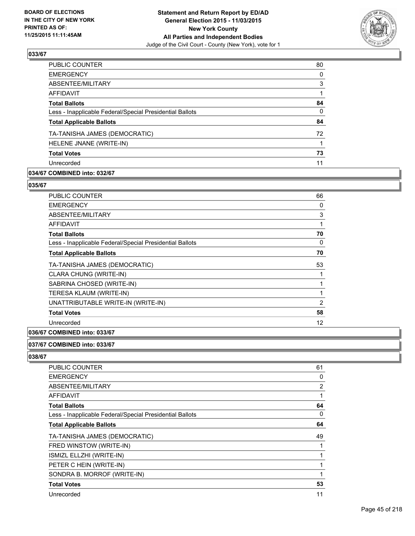

| PUBLIC COUNTER                                           | 80       |
|----------------------------------------------------------|----------|
| <b>EMERGENCY</b>                                         | $\Omega$ |
| ABSENTEE/MILITARY                                        | 3        |
| <b>AFFIDAVIT</b>                                         |          |
| <b>Total Ballots</b>                                     | 84       |
| Less - Inapplicable Federal/Special Presidential Ballots | $\Omega$ |
| <b>Total Applicable Ballots</b>                          | 84       |
| TA-TANISHA JAMES (DEMOCRATIC)                            | 72       |
| HELENE JNANE (WRITE-IN)                                  |          |
| <b>Total Votes</b>                                       | 73       |
| Unrecorded                                               | 11       |
|                                                          |          |

## **034/67 COMBINED into: 032/67**

#### **035/67**

| <b>PUBLIC COUNTER</b>                                    | 66             |
|----------------------------------------------------------|----------------|
| <b>EMERGENCY</b>                                         | 0              |
| ABSENTEE/MILITARY                                        | 3              |
| AFFIDAVIT                                                |                |
| <b>Total Ballots</b>                                     | 70             |
| Less - Inapplicable Federal/Special Presidential Ballots | 0              |
| <b>Total Applicable Ballots</b>                          | 70             |
| TA-TANISHA JAMES (DEMOCRATIC)                            | 53             |
| CLARA CHUNG (WRITE-IN)                                   |                |
| SABRINA CHOSED (WRITE-IN)                                |                |
| TERESA KLAUM (WRITE-IN)                                  |                |
| UNATTRIBUTABLE WRITE-IN (WRITE-IN)                       | $\overline{2}$ |
| <b>Total Votes</b>                                       | 58             |
| Unrecorded                                               | 12             |

## **036/67 COMBINED into: 033/67**

#### **037/67 COMBINED into: 033/67**

| <b>PUBLIC COUNTER</b>                                    | 61 |
|----------------------------------------------------------|----|
| <b>EMERGENCY</b>                                         | 0  |
| ABSENTEE/MILITARY                                        | 2  |
| <b>AFFIDAVIT</b>                                         | 1  |
| <b>Total Ballots</b>                                     | 64 |
| Less - Inapplicable Federal/Special Presidential Ballots | 0  |
| <b>Total Applicable Ballots</b>                          | 64 |
| TA-TANISHA JAMES (DEMOCRATIC)                            | 49 |
| FRED WINSTOW (WRITE-IN)                                  | 1  |
| ISMIZL ELLZHI (WRITE-IN)                                 |    |
| PETER C HEIN (WRITE-IN)                                  | 1  |
| SONDRA B. MORROF (WRITE-IN)                              | 1  |
| <b>Total Votes</b>                                       | 53 |
| Unrecorded                                               | 11 |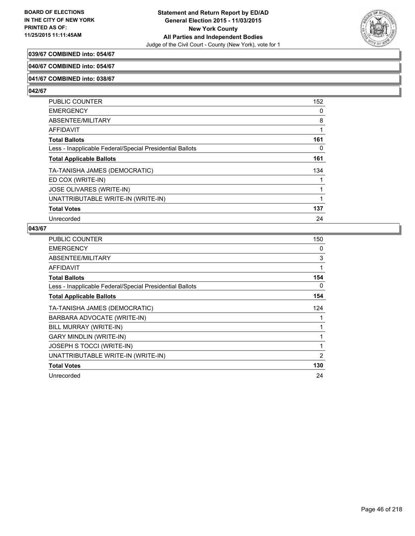

# **039/67 COMBINED into: 054/67**

### **040/67 COMBINED into: 054/67**

### **041/67 COMBINED into: 038/67**

**042/67** 

| <b>PUBLIC COUNTER</b>                                    | 152 |
|----------------------------------------------------------|-----|
| <b>EMERGENCY</b>                                         | 0   |
| ABSENTEE/MILITARY                                        | 8   |
| AFFIDAVIT                                                | 1   |
| <b>Total Ballots</b>                                     | 161 |
| Less - Inapplicable Federal/Special Presidential Ballots | 0   |
| <b>Total Applicable Ballots</b>                          | 161 |
| TA-TANISHA JAMES (DEMOCRATIC)                            | 134 |
| ED COX (WRITE-IN)                                        |     |
| <b>JOSE OLIVARES (WRITE-IN)</b>                          | 1   |
| UNATTRIBUTABLE WRITE-IN (WRITE-IN)                       |     |
| <b>Total Votes</b>                                       | 137 |
| Unrecorded                                               | 24  |

| PUBLIC COUNTER                                           | 150 |
|----------------------------------------------------------|-----|
| <b>EMERGENCY</b>                                         | 0   |
| ABSENTEE/MILITARY                                        | 3   |
| <b>AFFIDAVIT</b>                                         | 1   |
| <b>Total Ballots</b>                                     | 154 |
| Less - Inapplicable Federal/Special Presidential Ballots | 0   |
| <b>Total Applicable Ballots</b>                          | 154 |
| TA-TANISHA JAMES (DEMOCRATIC)                            | 124 |
| BARBARA ADVOCATE (WRITE-IN)                              |     |
| BILL MURRAY (WRITE-IN)                                   |     |
| <b>GARY MINDLIN (WRITE-IN)</b>                           | 1   |
| JOSEPH S TOCCI (WRITE-IN)                                | 1   |
| UNATTRIBUTABLE WRITE-IN (WRITE-IN)                       | 2   |
| <b>Total Votes</b>                                       | 130 |
| Unrecorded                                               | 24  |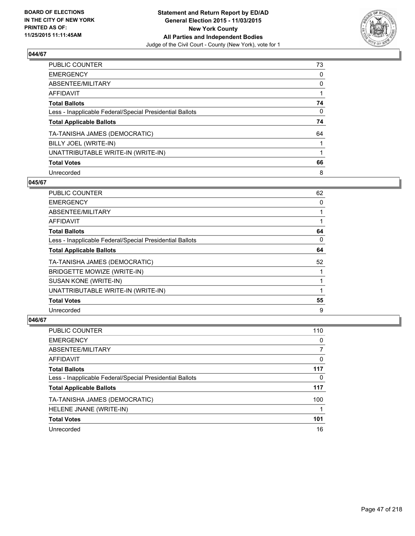

| PUBLIC COUNTER                                           | 73 |
|----------------------------------------------------------|----|
| <b>EMERGENCY</b>                                         | 0  |
| ABSENTEE/MILITARY                                        | 0  |
| <b>AFFIDAVIT</b>                                         |    |
| <b>Total Ballots</b>                                     | 74 |
| Less - Inapplicable Federal/Special Presidential Ballots | 0  |
| <b>Total Applicable Ballots</b>                          | 74 |
| TA-TANISHA JAMES (DEMOCRATIC)                            | 64 |
| BILLY JOEL (WRITE-IN)                                    |    |
| UNATTRIBUTABLE WRITE-IN (WRITE-IN)                       |    |
| <b>Total Votes</b>                                       | 66 |
| Unrecorded                                               | 8  |

### **045/67**

| <b>PUBLIC COUNTER</b>                                    | 62 |
|----------------------------------------------------------|----|
| <b>EMERGENCY</b>                                         | 0  |
| ABSENTEE/MILITARY                                        |    |
| AFFIDAVIT                                                |    |
| <b>Total Ballots</b>                                     | 64 |
| Less - Inapplicable Federal/Special Presidential Ballots | 0  |
| <b>Total Applicable Ballots</b>                          | 64 |
| TA-TANISHA JAMES (DEMOCRATIC)                            | 52 |
| BRIDGETTE MOWIZE (WRITE-IN)                              |    |
| SUSAN KONE (WRITE-IN)                                    |    |
| UNATTRIBUTABLE WRITE-IN (WRITE-IN)                       |    |
| <b>Total Votes</b>                                       | 55 |
| Unrecorded                                               | 9  |

| <b>PUBLIC COUNTER</b>                                    | 110 |
|----------------------------------------------------------|-----|
| <b>EMERGENCY</b>                                         | 0   |
| ABSENTEE/MILITARY                                        |     |
| AFFIDAVIT                                                | 0   |
| <b>Total Ballots</b>                                     | 117 |
| Less - Inapplicable Federal/Special Presidential Ballots | 0   |
| <b>Total Applicable Ballots</b>                          | 117 |
| TA-TANISHA JAMES (DEMOCRATIC)                            | 100 |
| HELENE JNANE (WRITE-IN)                                  |     |
| <b>Total Votes</b>                                       | 101 |
| Unrecorded                                               | 16  |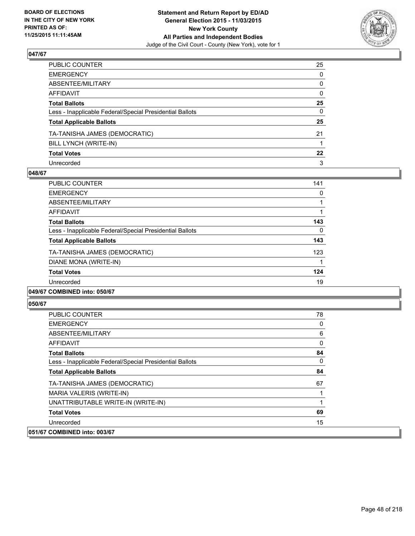

| PUBLIC COUNTER                                           | 25      |
|----------------------------------------------------------|---------|
| EMERGENCY                                                | 0       |
| ABSENTEE/MILITARY                                        | 0       |
| AFFIDAVIT                                                | 0       |
| Total Ballots                                            | 25      |
| Less - Inapplicable Federal/Special Presidential Ballots | 0       |
| <b>Total Applicable Ballots</b>                          | 25      |
| TA-TANISHA JAMES (DEMOCRATIC)                            | 21      |
| BILL LYNCH (WRITE-IN)                                    |         |
| Total Votes                                              | $22 \,$ |
| Unrecorded                                               | 3       |

### **048/67**

| PUBLIC COUNTER                                           | 141 |
|----------------------------------------------------------|-----|
| <b>EMERGENCY</b>                                         | 0   |
| ABSENTEE/MILITARY                                        |     |
| AFFIDAVIT                                                |     |
| <b>Total Ballots</b>                                     | 143 |
| Less - Inapplicable Federal/Special Presidential Ballots | 0   |
| <b>Total Applicable Ballots</b>                          | 143 |
| TA-TANISHA JAMES (DEMOCRATIC)                            | 123 |
| DIANE MONA (WRITE-IN)                                    |     |
| <b>Total Votes</b>                                       | 124 |
| Unrecorded                                               | 19  |
|                                                          |     |

### **049/67 COMBINED into: 050/67**

| <b>PUBLIC COUNTER</b>                                    | 78       |
|----------------------------------------------------------|----------|
| <b>EMERGENCY</b>                                         | 0        |
| ABSENTEE/MILITARY                                        | 6        |
| AFFIDAVIT                                                | $\Omega$ |
| <b>Total Ballots</b>                                     | 84       |
| Less - Inapplicable Federal/Special Presidential Ballots | 0        |
| <b>Total Applicable Ballots</b>                          | 84       |
| TA-TANISHA JAMES (DEMOCRATIC)                            | 67       |
| MARIA VALERIS (WRITE-IN)                                 |          |
| UNATTRIBUTABLE WRITE-IN (WRITE-IN)                       |          |
| <b>Total Votes</b>                                       | 69       |
| Unrecorded                                               | 15       |
| 051/67 COMBINED into: 003/67                             |          |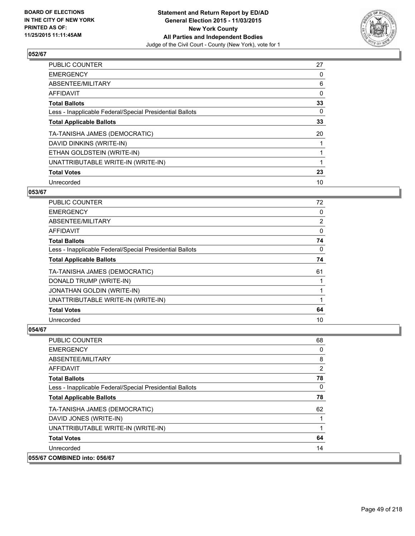

| PUBLIC COUNTER                                           | 27       |
|----------------------------------------------------------|----------|
| <b>EMERGENCY</b>                                         | 0        |
| ABSENTEE/MILITARY                                        | 6        |
| AFFIDAVIT                                                | $\Omega$ |
| <b>Total Ballots</b>                                     | 33       |
| Less - Inapplicable Federal/Special Presidential Ballots | 0        |
| <b>Total Applicable Ballots</b>                          | 33       |
| TA-TANISHA JAMES (DEMOCRATIC)                            | 20       |
| DAVID DINKINS (WRITE-IN)                                 |          |
| ETHAN GOLDSTEIN (WRITE-IN)                               |          |
| UNATTRIBUTABLE WRITE-IN (WRITE-IN)                       |          |
| <b>Total Votes</b>                                       | 23       |
| Unrecorded                                               | 10       |

# **053/67**

| <b>PUBLIC COUNTER</b>                                    | 72             |
|----------------------------------------------------------|----------------|
| <b>EMERGENCY</b>                                         | 0              |
| ABSENTEE/MILITARY                                        | $\overline{2}$ |
| AFFIDAVIT                                                | 0              |
| <b>Total Ballots</b>                                     | 74             |
| Less - Inapplicable Federal/Special Presidential Ballots | $\Omega$       |
| <b>Total Applicable Ballots</b>                          | 74             |
| TA-TANISHA JAMES (DEMOCRATIC)                            | 61             |
| DONALD TRUMP (WRITE-IN)                                  |                |
| <b>JONATHAN GOLDIN (WRITE-IN)</b>                        |                |
| UNATTRIBUTABLE WRITE-IN (WRITE-IN)                       |                |
| <b>Total Votes</b>                                       | 64             |
| Unrecorded                                               | 10             |

| <b>PUBLIC COUNTER</b>                                    | 68             |
|----------------------------------------------------------|----------------|
| <b>EMERGENCY</b>                                         | 0              |
| ABSENTEE/MILITARY                                        | 8              |
| AFFIDAVIT                                                | $\overline{2}$ |
| <b>Total Ballots</b>                                     | 78             |
| Less - Inapplicable Federal/Special Presidential Ballots | 0              |
| <b>Total Applicable Ballots</b>                          | 78             |
| TA-TANISHA JAMES (DEMOCRATIC)                            | 62             |
| DAVID JONES (WRITE-IN)                                   |                |
| UNATTRIBUTABLE WRITE-IN (WRITE-IN)                       |                |
| <b>Total Votes</b>                                       | 64             |
| Unrecorded                                               | 14             |
| 055/67 COMBINED into: 056/67                             |                |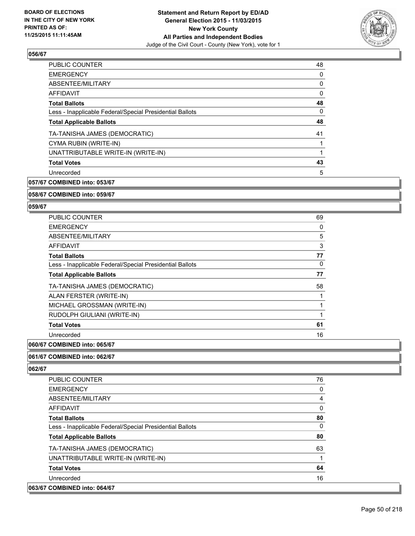

| <b>PUBLIC COUNTER</b>                                    | 48 |
|----------------------------------------------------------|----|
| <b>EMERGENCY</b>                                         | 0  |
| ABSENTEE/MILITARY                                        | 0  |
| AFFIDAVIT                                                | 0  |
| <b>Total Ballots</b>                                     | 48 |
| Less - Inapplicable Federal/Special Presidential Ballots | 0  |
| <b>Total Applicable Ballots</b>                          | 48 |
| TA-TANISHA JAMES (DEMOCRATIC)                            | 41 |
| CYMA RUBIN (WRITE-IN)                                    |    |
| UNATTRIBUTABLE WRITE-IN (WRITE-IN)                       |    |
| <b>Total Votes</b>                                       | 43 |
| Unrecorded                                               | 5  |
|                                                          |    |

**057/67 COMBINED into: 053/67**

**058/67 COMBINED into: 059/67**

#### **059/67**

| <b>PUBLIC COUNTER</b>                                    | 69 |
|----------------------------------------------------------|----|
| <b>EMERGENCY</b>                                         | 0  |
| ABSENTEE/MILITARY                                        | 5  |
| <b>AFFIDAVIT</b>                                         | 3  |
| <b>Total Ballots</b>                                     | 77 |
| Less - Inapplicable Federal/Special Presidential Ballots | 0  |
| <b>Total Applicable Ballots</b>                          | 77 |
| TA-TANISHA JAMES (DEMOCRATIC)                            | 58 |
| ALAN FERSTER (WRITE-IN)                                  |    |
| MICHAEL GROSSMAN (WRITE-IN)                              | 1  |
| RUDOLPH GIULIANI (WRITE-IN)                              | 1  |
| <b>Total Votes</b>                                       | 61 |
| Unrecorded                                               | 16 |
|                                                          |    |

#### **060/67 COMBINED into: 065/67**

#### **061/67 COMBINED into: 062/67**

| <b>PUBLIC COUNTER</b>                                    | 76       |
|----------------------------------------------------------|----------|
| <b>EMERGENCY</b>                                         | 0        |
| ABSENTEE/MILITARY                                        | 4        |
| <b>AFFIDAVIT</b>                                         | 0        |
| <b>Total Ballots</b>                                     | 80       |
| Less - Inapplicable Federal/Special Presidential Ballots | $\Omega$ |
| <b>Total Applicable Ballots</b>                          | 80       |
| TA-TANISHA JAMES (DEMOCRATIC)                            | 63       |
| UNATTRIBUTABLE WRITE-IN (WRITE-IN)                       |          |
| <b>Total Votes</b>                                       | 64       |
| Unrecorded                                               | 16       |
| 063/67 COMBINED into: 064/67                             |          |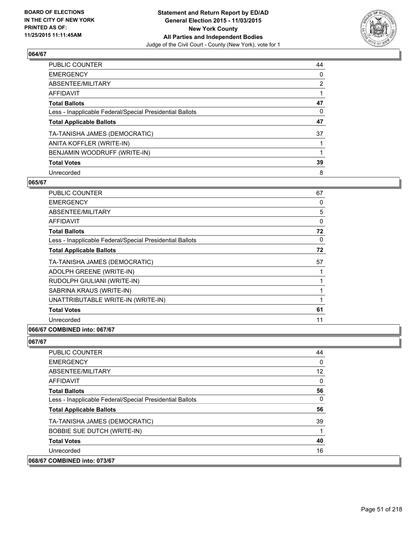

| PUBLIC COUNTER                                           | 44             |
|----------------------------------------------------------|----------------|
| <b>EMERGENCY</b>                                         | 0              |
| ABSENTEE/MILITARY                                        | $\overline{2}$ |
| AFFIDAVIT                                                |                |
| <b>Total Ballots</b>                                     | 47             |
| Less - Inapplicable Federal/Special Presidential Ballots | 0              |
| <b>Total Applicable Ballots</b>                          | 47             |
| TA-TANISHA JAMES (DEMOCRATIC)                            | 37             |
| ANITA KOFFLER (WRITE-IN)                                 |                |
| BENJAMIN WOODRUFF (WRITE-IN)                             |                |
| <b>Total Votes</b>                                       | 39             |
| Unrecorded                                               | 8              |

## **065/67**

| PUBLIC COUNTER                                           | 67 |
|----------------------------------------------------------|----|
| <b>EMERGENCY</b>                                         | 0  |
| ABSENTEE/MILITARY                                        | 5  |
| AFFIDAVIT                                                | 0  |
| <b>Total Ballots</b>                                     | 72 |
| Less - Inapplicable Federal/Special Presidential Ballots | 0  |
| <b>Total Applicable Ballots</b>                          | 72 |
| TA-TANISHA JAMES (DEMOCRATIC)                            | 57 |
| ADOLPH GREENE (WRITE-IN)                                 |    |
| RUDOLPH GIULIANI (WRITE-IN)                              |    |
| SABRINA KRAUS (WRITE-IN)                                 |    |
| UNATTRIBUTABLE WRITE-IN (WRITE-IN)                       | 1  |
| <b>Total Votes</b>                                       | 61 |
| Unrecorded                                               | 11 |
|                                                          |    |

## **066/67 COMBINED into: 067/67**

| <b>PUBLIC COUNTER</b>                                    | 44 |
|----------------------------------------------------------|----|
| <b>EMERGENCY</b>                                         | 0  |
| ABSENTEE/MILITARY                                        | 12 |
| <b>AFFIDAVIT</b>                                         | 0  |
| <b>Total Ballots</b>                                     | 56 |
| Less - Inapplicable Federal/Special Presidential Ballots | 0  |
| <b>Total Applicable Ballots</b>                          | 56 |
| TA-TANISHA JAMES (DEMOCRATIC)                            | 39 |
| <b>BOBBIE SUE DUTCH (WRITE-IN)</b>                       |    |
| <b>Total Votes</b>                                       | 40 |
| Unrecorded                                               | 16 |
| 068/67 COMBINED into: 073/67                             |    |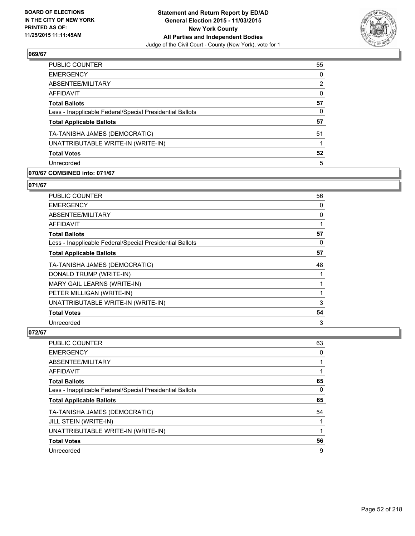

| <b>PUBLIC COUNTER</b>                                    | 55 |
|----------------------------------------------------------|----|
| <b>EMERGENCY</b>                                         | 0  |
| ABSENTEE/MILITARY                                        | 2  |
| <b>AFFIDAVIT</b>                                         | 0  |
| <b>Total Ballots</b>                                     | 57 |
| Less - Inapplicable Federal/Special Presidential Ballots | 0  |
| <b>Total Applicable Ballots</b>                          | 57 |
| TA-TANISHA JAMES (DEMOCRATIC)                            | 51 |
| UNATTRIBUTABLE WRITE-IN (WRITE-IN)                       |    |
| <b>Total Votes</b>                                       | 52 |
| Unrecorded                                               | 5  |
|                                                          |    |

## **070/67 COMBINED into: 071/67**

### **071/67**

| <b>PUBLIC COUNTER</b>                                    | 56 |
|----------------------------------------------------------|----|
| <b>EMERGENCY</b>                                         | 0  |
| ABSENTEE/MILITARY                                        | 0  |
| <b>AFFIDAVIT</b>                                         | 1  |
| <b>Total Ballots</b>                                     | 57 |
| Less - Inapplicable Federal/Special Presidential Ballots | 0  |
| <b>Total Applicable Ballots</b>                          | 57 |
| TA-TANISHA JAMES (DEMOCRATIC)                            | 48 |
| DONALD TRUMP (WRITE-IN)                                  |    |
| MARY GAIL LEARNS (WRITE-IN)                              |    |
| PETER MILLIGAN (WRITE-IN)                                | 1  |
| UNATTRIBUTABLE WRITE-IN (WRITE-IN)                       | 3  |
| <b>Total Votes</b>                                       | 54 |
| Unrecorded                                               | 3  |

| PUBLIC COUNTER                                           | 63 |
|----------------------------------------------------------|----|
| <b>EMERGENCY</b>                                         | 0  |
| ABSENTEE/MILITARY                                        |    |
| AFFIDAVIT                                                |    |
| <b>Total Ballots</b>                                     | 65 |
| Less - Inapplicable Federal/Special Presidential Ballots | 0  |
| <b>Total Applicable Ballots</b>                          | 65 |
| TA-TANISHA JAMES (DEMOCRATIC)                            | 54 |
| JILL STEIN (WRITE-IN)                                    |    |
| UNATTRIBUTABLE WRITE-IN (WRITE-IN)                       |    |
| <b>Total Votes</b>                                       | 56 |
| Unrecorded                                               | 9  |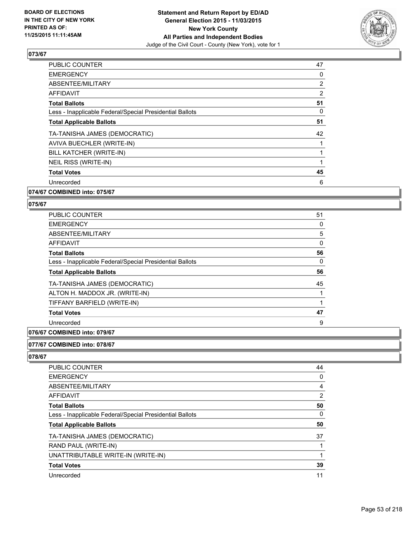

| <b>PUBLIC COUNTER</b>                                    | 47             |
|----------------------------------------------------------|----------------|
| <b>EMERGENCY</b>                                         | 0              |
| ABSENTEE/MILITARY                                        | $\overline{2}$ |
| <b>AFFIDAVIT</b>                                         | $\overline{2}$ |
| <b>Total Ballots</b>                                     | 51             |
| Less - Inapplicable Federal/Special Presidential Ballots | 0              |
| <b>Total Applicable Ballots</b>                          | 51             |
| TA-TANISHA JAMES (DEMOCRATIC)                            | 42             |
| AVIVA BUECHLER (WRITE-IN)                                |                |
| BILL KATCHER (WRITE-IN)                                  |                |
| NEIL RISS (WRITE-IN)                                     |                |
| <b>Total Votes</b>                                       | 45             |
| Unrecorded                                               | 6              |
|                                                          |                |

## **074/67 COMBINED into: 075/67**

#### **075/67**

| <b>PUBLIC COUNTER</b>                                    | 51 |
|----------------------------------------------------------|----|
| <b>EMERGENCY</b>                                         | 0  |
| ABSENTEE/MILITARY                                        | 5  |
| AFFIDAVIT                                                | 0  |
| <b>Total Ballots</b>                                     | 56 |
| Less - Inapplicable Federal/Special Presidential Ballots | 0  |
| <b>Total Applicable Ballots</b>                          | 56 |
| TA-TANISHA JAMES (DEMOCRATIC)                            | 45 |
| ALTON H. MADDOX JR. (WRITE-IN)                           |    |
| TIFFANY BARFIELD (WRITE-IN)                              |    |
| <b>Total Votes</b>                                       | 47 |
| Unrecorded                                               | 9  |

# **076/67 COMBINED into: 079/67**

#### **077/67 COMBINED into: 078/67**

| <b>PUBLIC COUNTER</b>                                    | 44             |
|----------------------------------------------------------|----------------|
| <b>EMERGENCY</b>                                         | 0              |
| ABSENTEE/MILITARY                                        | 4              |
| AFFIDAVIT                                                | $\overline{2}$ |
| <b>Total Ballots</b>                                     | 50             |
| Less - Inapplicable Federal/Special Presidential Ballots | 0              |
| <b>Total Applicable Ballots</b>                          | 50             |
| TA-TANISHA JAMES (DEMOCRATIC)                            | 37             |
| RAND PAUL (WRITE-IN)                                     |                |
| UNATTRIBUTABLE WRITE-IN (WRITE-IN)                       |                |
| <b>Total Votes</b>                                       | 39             |
| Unrecorded                                               | 11             |
|                                                          |                |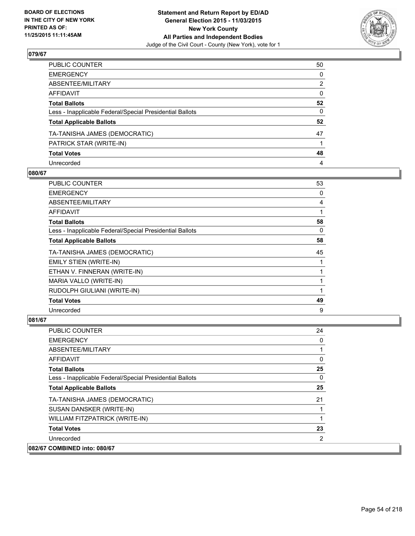

| PUBLIC COUNTER                                           | 50           |
|----------------------------------------------------------|--------------|
| EMERGENCY                                                | $\mathbf{0}$ |
| ABSENTEE/MILITARY                                        | 2            |
| AFFIDAVIT                                                | 0            |
| Total Ballots                                            | 52           |
| Less - Inapplicable Federal/Special Presidential Ballots | 0            |
| <b>Total Applicable Ballots</b>                          | 52           |
| TA-TANISHA JAMES (DEMOCRATIC)                            | 47           |
| PATRICK STAR (WRITE-IN)                                  |              |
| <b>Total Votes</b>                                       | 48           |
| Unrecorded                                               | 4            |

## **080/67**

| <b>PUBLIC COUNTER</b>                                    | 53 |
|----------------------------------------------------------|----|
| <b>EMERGENCY</b>                                         | 0  |
| ABSENTEE/MILITARY                                        | 4  |
| AFFIDAVIT                                                |    |
| <b>Total Ballots</b>                                     | 58 |
| Less - Inapplicable Federal/Special Presidential Ballots | 0  |
| <b>Total Applicable Ballots</b>                          | 58 |
| TA-TANISHA JAMES (DEMOCRATIC)                            | 45 |
| <b>EMILY STIEN (WRITE-IN)</b>                            |    |
| ETHAN V. FINNERAN (WRITE-IN)                             |    |
| MARIA VALLO (WRITE-IN)                                   |    |
| RUDOLPH GIULIANI (WRITE-IN)                              |    |
| <b>Total Votes</b>                                       | 49 |
| Unrecorded                                               | 9  |

| <b>PUBLIC COUNTER</b>                                    | 24 |
|----------------------------------------------------------|----|
| <b>EMERGENCY</b>                                         | 0  |
| ABSENTEE/MILITARY                                        |    |
| AFFIDAVIT                                                | 0  |
| <b>Total Ballots</b>                                     | 25 |
| Less - Inapplicable Federal/Special Presidential Ballots | 0  |
| <b>Total Applicable Ballots</b>                          | 25 |
| TA-TANISHA JAMES (DEMOCRATIC)                            | 21 |
| SUSAN DANSKER (WRITE-IN)                                 |    |
| WILLIAM FITZPATRICK (WRITE-IN)                           |    |
| <b>Total Votes</b>                                       | 23 |
| Unrecorded                                               | 2  |
| 082/67 COMBINED into: 080/67                             |    |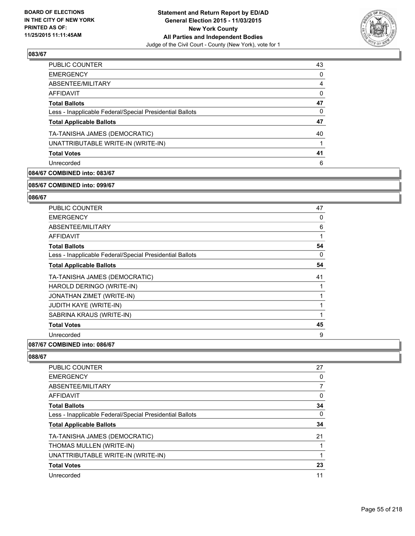

| <b>PUBLIC COUNTER</b>                                    | 43 |
|----------------------------------------------------------|----|
| <b>EMERGENCY</b>                                         | 0  |
| ABSENTEE/MILITARY                                        | 4  |
| <b>AFFIDAVIT</b>                                         | 0  |
| <b>Total Ballots</b>                                     | 47 |
| Less - Inapplicable Federal/Special Presidential Ballots | 0  |
| <b>Total Applicable Ballots</b>                          | 47 |
| TA-TANISHA JAMES (DEMOCRATIC)                            | 40 |
| UNATTRIBUTABLE WRITE-IN (WRITE-IN)                       |    |
| <b>Total Votes</b>                                       | 41 |
| Unrecorded                                               | 6  |
|                                                          |    |

# **084/67 COMBINED into: 083/67**

#### **085/67 COMBINED into: 099/67**

## **086/67**

| PUBLIC COUNTER                                           | 47 |
|----------------------------------------------------------|----|
| <b>EMERGENCY</b>                                         | 0  |
| <b>ABSENTEE/MILITARY</b>                                 | 6  |
| AFFIDAVIT                                                | 1  |
| <b>Total Ballots</b>                                     | 54 |
| Less - Inapplicable Federal/Special Presidential Ballots | 0  |
| <b>Total Applicable Ballots</b>                          | 54 |
| TA-TANISHA JAMES (DEMOCRATIC)                            | 41 |
| HAROLD DERINGO (WRITE-IN)                                |    |
| JONATHAN ZIMET (WRITE-IN)                                |    |
| <b>JUDITH KAYE (WRITE-IN)</b>                            |    |
| SABRINA KRAUS (WRITE-IN)                                 | 1  |
| <b>Total Votes</b>                                       | 45 |
| Unrecorded                                               | 9  |
|                                                          |    |

## **087/67 COMBINED into: 086/67**

| 27 |
|----|
| 0  |
|    |
| 0  |
| 34 |
| 0  |
| 34 |
| 21 |
|    |
|    |
| 23 |
| 11 |
|    |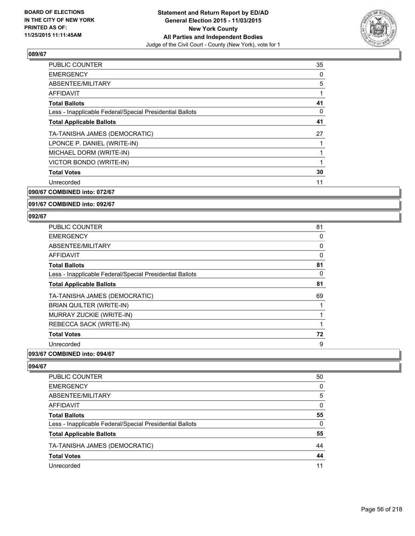

| <b>PUBLIC COUNTER</b>                                    | 35 |
|----------------------------------------------------------|----|
| <b>EMERGENCY</b>                                         | 0  |
| ABSENTEE/MILITARY                                        | 5  |
| AFFIDAVIT                                                |    |
| <b>Total Ballots</b>                                     | 41 |
| Less - Inapplicable Federal/Special Presidential Ballots | 0  |
| <b>Total Applicable Ballots</b>                          | 41 |
| TA-TANISHA JAMES (DEMOCRATIC)                            | 27 |
| LPONCE P. DANIEL (WRITE-IN)                              |    |
| MICHAEL DORM (WRITE-IN)                                  |    |
| VICTOR BONDO (WRITE-IN)                                  |    |
| <b>Total Votes</b>                                       | 30 |
| Unrecorded                                               | 11 |
| 090/67 COMBINED into: 072/67                             |    |

# **091/67 COMBINED into: 092/67**

#### **092/67**

| <b>PUBLIC COUNTER</b>                                    | 81 |
|----------------------------------------------------------|----|
| <b>EMERGENCY</b>                                         | 0  |
| ABSENTEE/MILITARY                                        | 0  |
| AFFIDAVIT                                                | 0  |
| <b>Total Ballots</b>                                     | 81 |
| Less - Inapplicable Federal/Special Presidential Ballots | 0  |
| <b>Total Applicable Ballots</b>                          | 81 |
| TA-TANISHA JAMES (DEMOCRATIC)                            | 69 |
| BRIAN QUILTER (WRITE-IN)                                 |    |
| MURRAY ZUCKIE (WRITE-IN)                                 |    |
| REBECCA SACK (WRITE-IN)                                  | 1  |
| <b>Total Votes</b>                                       | 72 |
| Unrecorded                                               | 9  |

# **093/67 COMBINED into: 094/67**

| <b>PUBLIC COUNTER</b>                                    | 50 |
|----------------------------------------------------------|----|
| <b>EMERGENCY</b>                                         | 0  |
| ABSENTEE/MILITARY                                        | 5  |
| AFFIDAVIT                                                | 0  |
| <b>Total Ballots</b>                                     | 55 |
| Less - Inapplicable Federal/Special Presidential Ballots | 0  |
| <b>Total Applicable Ballots</b>                          | 55 |
| TA-TANISHA JAMES (DEMOCRATIC)                            | 44 |
| <b>Total Votes</b>                                       | 44 |
| Unrecorded                                               | 11 |
|                                                          |    |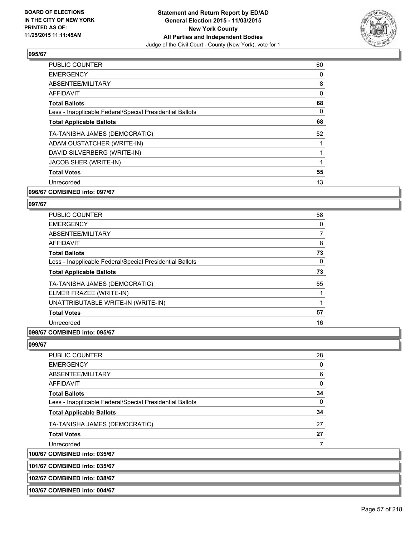

| <b>PUBLIC COUNTER</b>                                    | 60 |
|----------------------------------------------------------|----|
| <b>EMERGENCY</b>                                         | 0  |
| ABSENTEE/MILITARY                                        | 8  |
| <b>AFFIDAVIT</b>                                         | 0  |
| <b>Total Ballots</b>                                     | 68 |
| Less - Inapplicable Federal/Special Presidential Ballots | 0  |
| <b>Total Applicable Ballots</b>                          | 68 |
| TA-TANISHA JAMES (DEMOCRATIC)                            | 52 |
| ADAM OUSTATCHER (WRITE-IN)                               |    |
| DAVID SILVERBERG (WRITE-IN)                              |    |
| JACOB SHER (WRITE-IN)                                    |    |
| <b>Total Votes</b>                                       | 55 |
| Unrecorded                                               | 13 |
| 096/67 COMBINED into: 097/67                             |    |

# **097/67**

| <b>PUBLIC COUNTER</b>                                    | 58             |
|----------------------------------------------------------|----------------|
| <b>EMERGENCY</b>                                         | 0              |
| ABSENTEE/MILITARY                                        | $\overline{7}$ |
| <b>AFFIDAVIT</b>                                         | 8              |
| <b>Total Ballots</b>                                     | 73             |
| Less - Inapplicable Federal/Special Presidential Ballots | 0              |
| <b>Total Applicable Ballots</b>                          | 73             |
| TA-TANISHA JAMES (DEMOCRATIC)                            | 55             |
| ELMER FRAZEE (WRITE-IN)                                  |                |
| UNATTRIBUTABLE WRITE-IN (WRITE-IN)                       |                |
| <b>Total Votes</b>                                       | 57             |
| Unrecorded                                               | 16             |
|                                                          |                |

#### **098/67 COMBINED into: 095/67**

**099/67** 

| 101/67 COMBINED into: 035/67                             |    |
|----------------------------------------------------------|----|
| 100/67 COMBINED into: 035/67                             |    |
| Unrecorded                                               |    |
| <b>Total Votes</b>                                       | 27 |
| TA-TANISHA JAMES (DEMOCRATIC)                            | 27 |
| <b>Total Applicable Ballots</b>                          | 34 |
| Less - Inapplicable Federal/Special Presidential Ballots | 0  |
| <b>Total Ballots</b>                                     | 34 |
| AFFIDAVIT                                                | 0  |
| ABSENTEE/MILITARY                                        | 6  |
| <b>EMERGENCY</b>                                         | 0  |
| <b>PUBLIC COUNTER</b>                                    | 28 |

**102/67 COMBINED into: 038/67**

**103/67 COMBINED into: 004/67**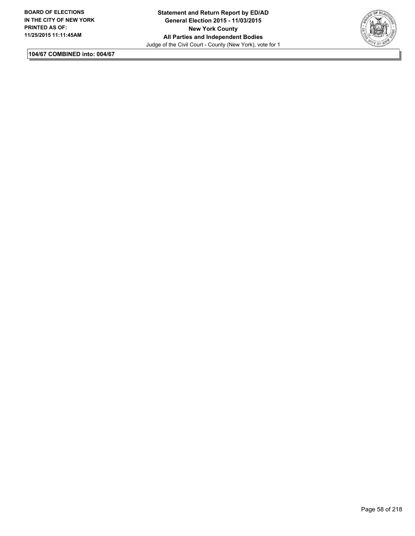

**104/67 COMBINED into: 004/67**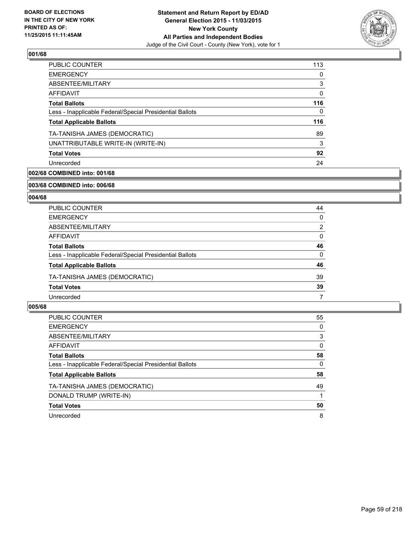

| <b>PUBLIC COUNTER</b>                                    | 113 |
|----------------------------------------------------------|-----|
| <b>EMERGENCY</b>                                         | 0   |
| ABSENTEE/MILITARY                                        | 3   |
| <b>AFFIDAVIT</b>                                         | 0   |
| <b>Total Ballots</b>                                     | 116 |
| Less - Inapplicable Federal/Special Presidential Ballots | 0   |
| <b>Total Applicable Ballots</b>                          | 116 |
| TA-TANISHA JAMES (DEMOCRATIC)                            | 89  |
| UNATTRIBUTABLE WRITE-IN (WRITE-IN)                       | 3   |
| <b>Total Votes</b>                                       | 92  |
| Unrecorded                                               | 24  |
|                                                          |     |

# **002/68 COMBINED into: 001/68**

#### **003/68 COMBINED into: 006/68**

## **004/68**

| <b>PUBLIC COUNTER</b>                                    | 44 |
|----------------------------------------------------------|----|
| <b>EMERGENCY</b>                                         | 0  |
| ABSENTEE/MILITARY                                        | 2  |
| AFFIDAVIT                                                | 0  |
| <b>Total Ballots</b>                                     | 46 |
| Less - Inapplicable Federal/Special Presidential Ballots | 0  |
| <b>Total Applicable Ballots</b>                          | 46 |
| TA-TANISHA JAMES (DEMOCRATIC)                            | 39 |
| <b>Total Votes</b>                                       | 39 |
| Unrecorded                                               |    |

| PUBLIC COUNTER                                           | 55 |
|----------------------------------------------------------|----|
| <b>EMERGENCY</b>                                         | 0  |
| ABSENTEE/MILITARY                                        | 3  |
| AFFIDAVIT                                                | 0  |
| <b>Total Ballots</b>                                     | 58 |
| Less - Inapplicable Federal/Special Presidential Ballots | 0  |
| <b>Total Applicable Ballots</b>                          | 58 |
| TA-TANISHA JAMES (DEMOCRATIC)                            | 49 |
| DONALD TRUMP (WRITE-IN)                                  |    |
| <b>Total Votes</b>                                       | 50 |
| Unrecorded                                               | 8  |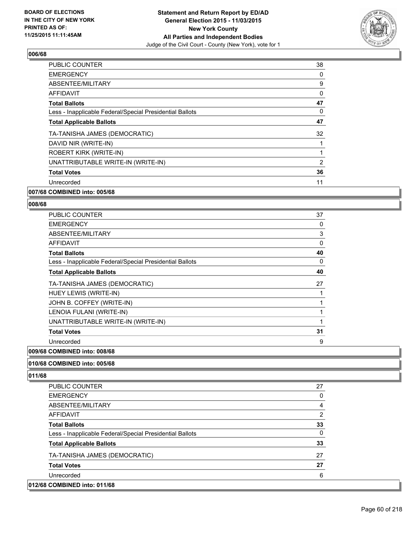

| <b>PUBLIC COUNTER</b>                                    | 38 |
|----------------------------------------------------------|----|
| <b>EMERGENCY</b>                                         | 0  |
| ABSENTEE/MILITARY                                        | 9  |
| <b>AFFIDAVIT</b>                                         | 0  |
| <b>Total Ballots</b>                                     | 47 |
| Less - Inapplicable Federal/Special Presidential Ballots | 0  |
| <b>Total Applicable Ballots</b>                          | 47 |
| TA-TANISHA JAMES (DEMOCRATIC)                            | 32 |
| DAVID NIR (WRITE-IN)                                     |    |
| <b>ROBERT KIRK (WRITE-IN)</b>                            |    |
| UNATTRIBUTABLE WRITE-IN (WRITE-IN)                       | 2  |
| <b>Total Votes</b>                                       | 36 |
| Unrecorded                                               | 11 |
|                                                          |    |

# **007/68 COMBINED into: 005/68**

#### **008/68**

| <b>PUBLIC COUNTER</b>                                    | 37           |
|----------------------------------------------------------|--------------|
| <b>EMERGENCY</b>                                         | 0            |
| ABSENTEE/MILITARY                                        | 3            |
| AFFIDAVIT                                                | 0            |
| <b>Total Ballots</b>                                     | 40           |
| Less - Inapplicable Federal/Special Presidential Ballots | 0            |
| <b>Total Applicable Ballots</b>                          | 40           |
| TA-TANISHA JAMES (DEMOCRATIC)                            | 27           |
| HUEY LEWIS (WRITE-IN)                                    |              |
| JOHN B. COFFEY (WRITE-IN)                                | 1            |
| LENOIA FULANI (WRITE-IN)                                 | 1            |
| UNATTRIBUTABLE WRITE-IN (WRITE-IN)                       | $\mathbf{1}$ |
| <b>Total Votes</b>                                       | 31           |
| Unrecorded                                               | 9            |

# **009/68 COMBINED into: 008/68**

## **010/68 COMBINED into: 005/68**

| <b>PUBLIC COUNTER</b>                                    | 27 |
|----------------------------------------------------------|----|
| <b>EMERGENCY</b>                                         | 0  |
| ABSENTEE/MILITARY                                        | 4  |
| AFFIDAVIT                                                | 2  |
| <b>Total Ballots</b>                                     | 33 |
| Less - Inapplicable Federal/Special Presidential Ballots | 0  |
| <b>Total Applicable Ballots</b>                          | 33 |
| TA-TANISHA JAMES (DEMOCRATIC)                            | 27 |
| <b>Total Votes</b>                                       | 27 |
| Unrecorded                                               | 6  |
| 012/68 COMBINED into: 011/68                             |    |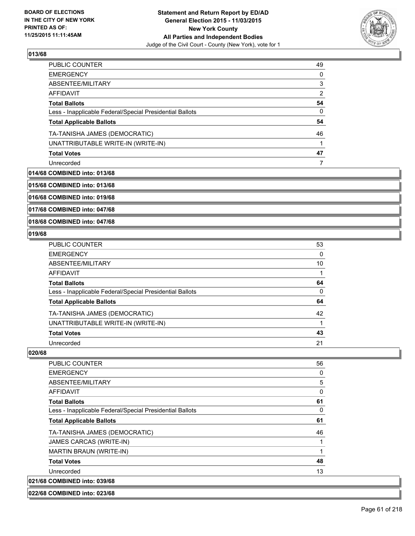

| PUBLIC COUNTER                                           | 49 |
|----------------------------------------------------------|----|
| <b>EMERGENCY</b>                                         | 0  |
| ABSENTEE/MILITARY                                        | 3  |
| AFFIDAVIT                                                | 2  |
| <b>Total Ballots</b>                                     | 54 |
| Less - Inapplicable Federal/Special Presidential Ballots | 0  |
| <b>Total Applicable Ballots</b>                          | 54 |
| TA-TANISHA JAMES (DEMOCRATIC)                            | 46 |
| UNATTRIBUTABLE WRITE-IN (WRITE-IN)                       |    |
| <b>Total Votes</b>                                       | 47 |
| Unrecorded                                               |    |

### **014/68 COMBINED into: 013/68**

**015/68 COMBINED into: 013/68**

**016/68 COMBINED into: 019/68**

**017/68 COMBINED into: 047/68**

### **018/68 COMBINED into: 047/68**

## **019/68**

| <b>PUBLIC COUNTER</b>                                    | 53 |
|----------------------------------------------------------|----|
| <b>EMERGENCY</b>                                         | 0  |
| ABSENTEE/MILITARY                                        | 10 |
| AFFIDAVIT                                                |    |
| <b>Total Ballots</b>                                     | 64 |
| Less - Inapplicable Federal/Special Presidential Ballots | 0  |
| <b>Total Applicable Ballots</b>                          | 64 |
| TA-TANISHA JAMES (DEMOCRATIC)                            | 42 |
| UNATTRIBUTABLE WRITE-IN (WRITE-IN)                       |    |
| <b>Total Votes</b>                                       | 43 |
| Unrecorded                                               | 21 |

#### **020/68**

| <b>PUBLIC COUNTER</b>                                    | 56 |
|----------------------------------------------------------|----|
| <b>EMERGENCY</b>                                         | 0  |
| ABSENTEE/MILITARY                                        | 5  |
| AFFIDAVIT                                                | 0  |
| <b>Total Ballots</b>                                     | 61 |
| Less - Inapplicable Federal/Special Presidential Ballots | 0  |
| <b>Total Applicable Ballots</b>                          | 61 |
| TA-TANISHA JAMES (DEMOCRATIC)                            | 46 |
| JAMES CARCAS (WRITE-IN)                                  | 1  |
| <b>MARTIN BRAUN (WRITE-IN)</b>                           | 1  |
| <b>Total Votes</b>                                       | 48 |
| Unrecorded                                               | 13 |
| 021/68 COMBINED into: 039/68                             |    |

**022/68 COMBINED into: 023/68**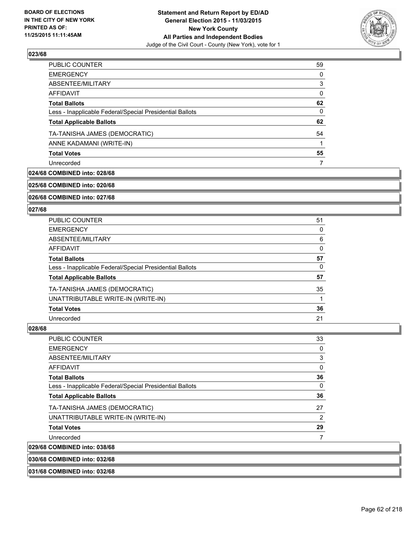

| 0<br>3<br>0<br>62<br>0<br>62<br>54<br>55<br>7 | <b>PUBLIC COUNTER</b>                                    | 59 |
|-----------------------------------------------|----------------------------------------------------------|----|
|                                               | <b>EMERGENCY</b>                                         |    |
|                                               | ABSENTEE/MILITARY                                        |    |
|                                               | AFFIDAVIT                                                |    |
|                                               | <b>Total Ballots</b>                                     |    |
|                                               | Less - Inapplicable Federal/Special Presidential Ballots |    |
|                                               | <b>Total Applicable Ballots</b>                          |    |
|                                               | TA-TANISHA JAMES (DEMOCRATIC)                            |    |
|                                               | ANNE KADAMANI (WRITE-IN)                                 |    |
|                                               | <b>Total Votes</b>                                       |    |
|                                               | Unrecorded                                               |    |

### **024/68 COMBINED into: 028/68**

**025/68 COMBINED into: 020/68**

**026/68 COMBINED into: 027/68**

### **027/68**

| <b>PUBLIC COUNTER</b>                                    | 51 |
|----------------------------------------------------------|----|
| <b>EMERGENCY</b>                                         | 0  |
| ABSENTEE/MILITARY                                        | 6  |
| <b>AFFIDAVIT</b>                                         | 0  |
| <b>Total Ballots</b>                                     | 57 |
| Less - Inapplicable Federal/Special Presidential Ballots | 0  |
| <b>Total Applicable Ballots</b>                          | 57 |
| TA-TANISHA JAMES (DEMOCRATIC)                            | 35 |
| UNATTRIBUTABLE WRITE-IN (WRITE-IN)                       |    |
| <b>Total Votes</b>                                       | 36 |
| Unrecorded                                               | 21 |

### **028/68**

| <b>PUBLIC COUNTER</b>                                    | 33 |
|----------------------------------------------------------|----|
| <b>EMERGENCY</b>                                         | 0  |
| ABSENTEE/MILITARY                                        | 3  |
| AFFIDAVIT                                                | 0  |
| <b>Total Ballots</b>                                     | 36 |
| Less - Inapplicable Federal/Special Presidential Ballots | 0  |
| <b>Total Applicable Ballots</b>                          | 36 |
| TA-TANISHA JAMES (DEMOCRATIC)                            | 27 |
| UNATTRIBUTABLE WRITE-IN (WRITE-IN)                       | 2  |
| <b>Total Votes</b>                                       | 29 |
| Unrecorded                                               |    |
| 029/68 COMBINED into: 038/68                             |    |

**030/68 COMBINED into: 032/68**

**031/68 COMBINED into: 032/68**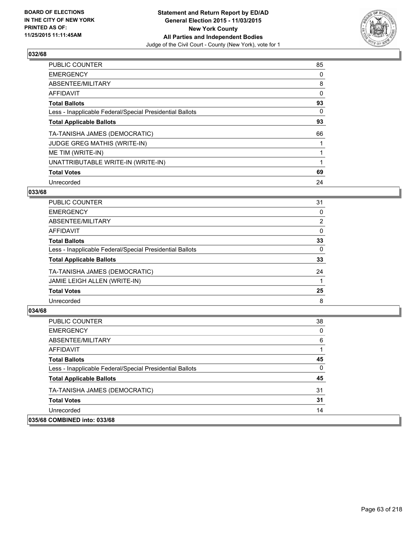

| <b>PUBLIC COUNTER</b>                                    | 85 |
|----------------------------------------------------------|----|
| <b>EMERGENCY</b>                                         | 0  |
| ABSENTEE/MILITARY                                        | 8  |
| AFFIDAVIT                                                | 0  |
| <b>Total Ballots</b>                                     | 93 |
| Less - Inapplicable Federal/Special Presidential Ballots | 0  |
| <b>Total Applicable Ballots</b>                          | 93 |
| TA-TANISHA JAMES (DEMOCRATIC)                            | 66 |
| <b>JUDGE GREG MATHIS (WRITE-IN)</b>                      |    |
| ME TIM (WRITE-IN)                                        |    |
| UNATTRIBUTABLE WRITE-IN (WRITE-IN)                       |    |
| <b>Total Votes</b>                                       | 69 |
| Unrecorded                                               | 24 |

## **033/68**

| <b>PUBLIC COUNTER</b>                                    | 31 |
|----------------------------------------------------------|----|
| <b>EMERGENCY</b>                                         | 0  |
| ABSENTEE/MILITARY                                        | 2  |
| <b>AFFIDAVIT</b>                                         | 0  |
| <b>Total Ballots</b>                                     | 33 |
| Less - Inapplicable Federal/Special Presidential Ballots | 0  |
| <b>Total Applicable Ballots</b>                          | 33 |
| TA-TANISHA JAMES (DEMOCRATIC)                            | 24 |
| JAMIE LEIGH ALLEN (WRITE-IN)                             |    |
| <b>Total Votes</b>                                       | 25 |
| Unrecorded                                               | 8  |
|                                                          |    |

| <b>PUBLIC COUNTER</b>                                    | 38       |
|----------------------------------------------------------|----------|
| <b>EMERGENCY</b>                                         | 0        |
| ABSENTEE/MILITARY                                        | 6        |
| AFFIDAVIT                                                |          |
| <b>Total Ballots</b>                                     | 45       |
| Less - Inapplicable Federal/Special Presidential Ballots | $\Omega$ |
| <b>Total Applicable Ballots</b>                          | 45       |
| TA-TANISHA JAMES (DEMOCRATIC)                            | 31       |
| <b>Total Votes</b>                                       | 31       |
| Unrecorded                                               | 14       |
| 035/68 COMBINED into: 033/68                             |          |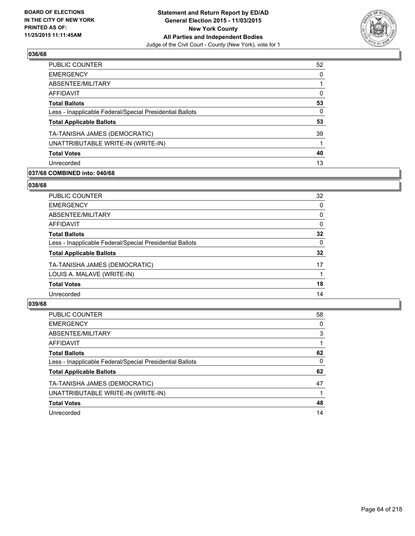

| PUBLIC COUNTER                                           | 52 |
|----------------------------------------------------------|----|
| <b>EMERGENCY</b>                                         | 0  |
| ABSENTEE/MILITARY                                        |    |
| <b>AFFIDAVIT</b>                                         | 0  |
| <b>Total Ballots</b>                                     | 53 |
| Less - Inapplicable Federal/Special Presidential Ballots | 0  |
| <b>Total Applicable Ballots</b>                          | 53 |
| TA-TANISHA JAMES (DEMOCRATIC)                            | 39 |
| UNATTRIBUTABLE WRITE-IN (WRITE-IN)                       |    |
| <b>Total Votes</b>                                       | 40 |
| Unrecorded                                               | 13 |
|                                                          |    |

## **037/68 COMBINED into: 040/68**

### **038/68**

| PUBLIC COUNTER                                           | 32       |
|----------------------------------------------------------|----------|
| <b>EMERGENCY</b>                                         | 0        |
| ABSENTEE/MILITARY                                        | 0        |
| <b>AFFIDAVIT</b>                                         | $\Omega$ |
| <b>Total Ballots</b>                                     | 32       |
| Less - Inapplicable Federal/Special Presidential Ballots | 0        |
| <b>Total Applicable Ballots</b>                          | 32       |
| TA-TANISHA JAMES (DEMOCRATIC)                            | 17       |
| LOUIS A. MALAVE (WRITE-IN)                               |          |
| <b>Total Votes</b>                                       | 18       |
| Unrecorded                                               | 14       |
|                                                          |          |

| <b>PUBLIC COUNTER</b>                                    | 58 |
|----------------------------------------------------------|----|
| <b>EMERGENCY</b>                                         | 0  |
| ABSENTEE/MILITARY                                        | 3  |
| AFFIDAVIT                                                |    |
| <b>Total Ballots</b>                                     | 62 |
| Less - Inapplicable Federal/Special Presidential Ballots | 0  |
| <b>Total Applicable Ballots</b>                          | 62 |
| TA-TANISHA JAMES (DEMOCRATIC)                            | 47 |
| UNATTRIBUTABLE WRITE-IN (WRITE-IN)                       |    |
| <b>Total Votes</b>                                       | 48 |
| Unrecorded                                               | 14 |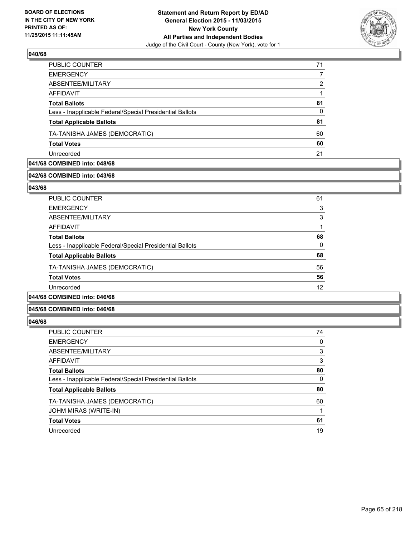

| PUBLIC COUNTER                                           | 71 |
|----------------------------------------------------------|----|
| <b>EMERGENCY</b>                                         |    |
| ABSENTEE/MILITARY                                        | 2  |
| AFFIDAVIT                                                |    |
| <b>Total Ballots</b>                                     | 81 |
| Less - Inapplicable Federal/Special Presidential Ballots | 0  |
| <b>Total Applicable Ballots</b>                          | 81 |
| TA-TANISHA JAMES (DEMOCRATIC)                            | 60 |
| <b>Total Votes</b>                                       | 60 |
| Unrecorded                                               | 21 |

# **041/68 COMBINED into: 048/68**

# **042/68 COMBINED into: 043/68**

**043/68** 

| PUBLIC COUNTER                                           | 61 |
|----------------------------------------------------------|----|
| <b>EMERGENCY</b>                                         | 3  |
| ABSENTEE/MILITARY                                        | 3  |
| AFFIDAVIT                                                |    |
| <b>Total Ballots</b>                                     | 68 |
| Less - Inapplicable Federal/Special Presidential Ballots | 0  |
| <b>Total Applicable Ballots</b>                          | 68 |
| TA-TANISHA JAMES (DEMOCRATIC)                            | 56 |
| <b>Total Votes</b>                                       | 56 |
| Unrecorded                                               | 12 |
| $\sim$ - - $\sim$ - - $\sim$ - $\sim$ - $\sim$           |    |

# **044/68 COMBINED into: 046/68**

### **045/68 COMBINED into: 046/68**

| <b>PUBLIC COUNTER</b>                                    | 74 |
|----------------------------------------------------------|----|
| <b>EMERGENCY</b>                                         | 0  |
| ABSENTEE/MILITARY                                        | 3  |
| AFFIDAVIT                                                | 3  |
| <b>Total Ballots</b>                                     | 80 |
| Less - Inapplicable Federal/Special Presidential Ballots | 0  |
| <b>Total Applicable Ballots</b>                          | 80 |
| TA-TANISHA JAMES (DEMOCRATIC)                            | 60 |
| JOHM MIRAS (WRITE-IN)                                    |    |
| <b>Total Votes</b>                                       | 61 |
| Unrecorded                                               | 19 |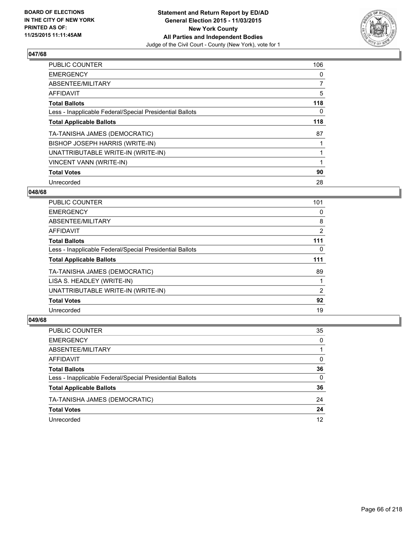

| <b>PUBLIC COUNTER</b>                                    | 106 |
|----------------------------------------------------------|-----|
| <b>EMERGENCY</b>                                         | 0   |
| ABSENTEE/MILITARY                                        | 7   |
| <b>AFFIDAVIT</b>                                         | 5   |
| <b>Total Ballots</b>                                     | 118 |
| Less - Inapplicable Federal/Special Presidential Ballots | 0   |
| <b>Total Applicable Ballots</b>                          | 118 |
| TA-TANISHA JAMES (DEMOCRATIC)                            | 87  |
| BISHOP JOSEPH HARRIS (WRITE-IN)                          |     |
| UNATTRIBUTABLE WRITE-IN (WRITE-IN)                       |     |
| <b>VINCENT VANN (WRITE-IN)</b>                           |     |
| <b>Total Votes</b>                                       | 90  |
| Unrecorded                                               | 28  |

## **048/68**

| PUBLIC COUNTER                                           | 101 |
|----------------------------------------------------------|-----|
| <b>EMERGENCY</b>                                         | 0   |
| ABSENTEE/MILITARY                                        | 8   |
| AFFIDAVIT                                                | 2   |
| <b>Total Ballots</b>                                     | 111 |
| Less - Inapplicable Federal/Special Presidential Ballots | 0   |
| <b>Total Applicable Ballots</b>                          | 111 |
| TA-TANISHA JAMES (DEMOCRATIC)                            | 89  |
| LISA S. HEADLEY (WRITE-IN)                               |     |
| UNATTRIBUTABLE WRITE-IN (WRITE-IN)                       | 2   |
| <b>Total Votes</b>                                       | 92  |
| Unrecorded                                               | 19  |

| PUBLIC COUNTER                                           | 35 |
|----------------------------------------------------------|----|
| <b>EMERGENCY</b>                                         | 0  |
| ABSENTEE/MILITARY                                        |    |
| AFFIDAVIT                                                | 0  |
| <b>Total Ballots</b>                                     | 36 |
| Less - Inapplicable Federal/Special Presidential Ballots | 0  |
| <b>Total Applicable Ballots</b>                          | 36 |
| TA-TANISHA JAMES (DEMOCRATIC)                            | 24 |
| <b>Total Votes</b>                                       | 24 |
| Unrecorded                                               | 12 |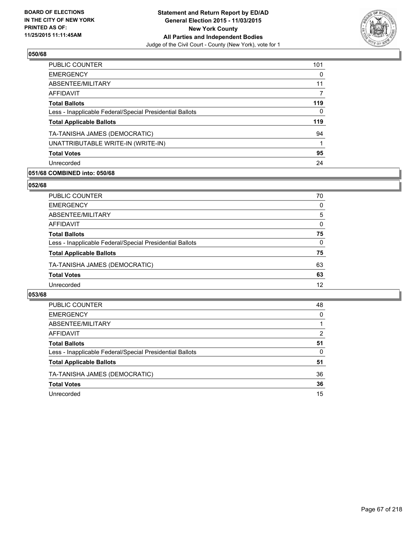

| <b>PUBLIC COUNTER</b>                                    | 101 |
|----------------------------------------------------------|-----|
| <b>EMERGENCY</b>                                         | 0   |
| ABSENTEE/MILITARY                                        | 11  |
| AFFIDAVIT                                                |     |
| <b>Total Ballots</b>                                     | 119 |
| Less - Inapplicable Federal/Special Presidential Ballots | 0   |
| <b>Total Applicable Ballots</b>                          | 119 |
| TA-TANISHA JAMES (DEMOCRATIC)                            | 94  |
| UNATTRIBUTABLE WRITE-IN (WRITE-IN)                       |     |
| <b>Total Votes</b>                                       | 95  |
| Unrecorded                                               | 24  |

## **051/68 COMBINED into: 050/68**

### **052/68**

| PUBLIC COUNTER                                           | 70           |
|----------------------------------------------------------|--------------|
| <b>EMERGENCY</b>                                         | 0            |
| ABSENTEE/MILITARY                                        | 5            |
| <b>AFFIDAVIT</b>                                         | $\Omega$     |
| <b>Total Ballots</b>                                     | 75           |
| Less - Inapplicable Federal/Special Presidential Ballots | $\mathbf{0}$ |
| <b>Total Applicable Ballots</b>                          | 75           |
| TA-TANISHA JAMES (DEMOCRATIC)                            | 63           |
| <b>Total Votes</b>                                       | 63           |
| Unrecorded                                               | 12           |
|                                                          |              |

| <b>PUBLIC COUNTER</b>                                    | 48       |
|----------------------------------------------------------|----------|
| <b>EMERGENCY</b>                                         | $\Omega$ |
| ABSENTEE/MILITARY                                        |          |
| AFFIDAVIT                                                | 2        |
| <b>Total Ballots</b>                                     | 51       |
| Less - Inapplicable Federal/Special Presidential Ballots | 0        |
| <b>Total Applicable Ballots</b>                          | 51       |
| TA-TANISHA JAMES (DEMOCRATIC)                            | 36       |
| <b>Total Votes</b>                                       | 36       |
| Unrecorded                                               | 15       |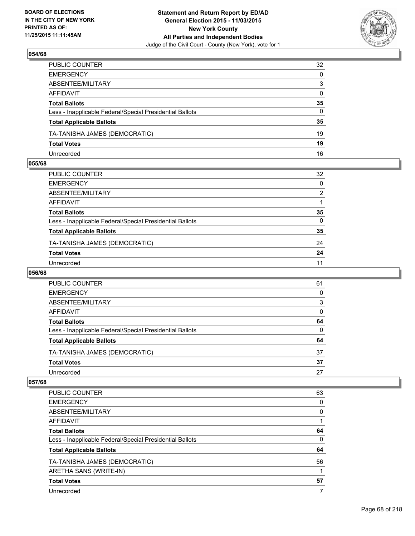

| PUBLIC COUNTER                                           | 32           |
|----------------------------------------------------------|--------------|
| EMERGENCY                                                | $\mathbf{0}$ |
| ABSENTEE/MILITARY                                        | 3            |
| AFFIDAVIT                                                | $\mathbf{0}$ |
| Total Ballots                                            | 35           |
| Less - Inapplicable Federal/Special Presidential Ballots | $\mathbf{0}$ |
| <b>Total Applicable Ballots</b>                          | 35           |
| TA-TANISHA JAMES (DEMOCRATIC)                            | 19           |
| <b>Total Votes</b>                                       | 19           |
| Unrecorded                                               | 16           |

## **055/68**

| PUBLIC COUNTER                                           | 32             |
|----------------------------------------------------------|----------------|
| EMERGENCY                                                | 0              |
| ABSENTEE/MILITARY                                        | $\overline{2}$ |
| AFFIDAVIT                                                | 1              |
| Total Ballots                                            | 35             |
| Less - Inapplicable Federal/Special Presidential Ballots | $\mathbf{0}$   |
| <b>Total Applicable Ballots</b>                          | 35             |
| TA-TANISHA JAMES (DEMOCRATIC)                            | 24             |
| Total Votes                                              | 24             |
| Unrecorded                                               | 11             |

### **056/68**

| <b>PUBLIC COUNTER</b>                                    | 61 |
|----------------------------------------------------------|----|
| <b>EMERGENCY</b>                                         | 0  |
| ABSENTEE/MILITARY                                        | 3  |
| AFFIDAVIT                                                | 0  |
| <b>Total Ballots</b>                                     | 64 |
| Less - Inapplicable Federal/Special Presidential Ballots | 0  |
| <b>Total Applicable Ballots</b>                          | 64 |
| TA-TANISHA JAMES (DEMOCRATIC)                            | 37 |
| <b>Total Votes</b>                                       | 37 |
| Unrecorded                                               | 27 |
|                                                          |    |

| <b>PUBLIC COUNTER</b>                                    | 63 |
|----------------------------------------------------------|----|
| <b>EMERGENCY</b>                                         | 0  |
| ABSENTEE/MILITARY                                        | 0  |
| <b>AFFIDAVIT</b>                                         |    |
| <b>Total Ballots</b>                                     | 64 |
| Less - Inapplicable Federal/Special Presidential Ballots | 0  |
| <b>Total Applicable Ballots</b>                          | 64 |
| TA-TANISHA JAMES (DEMOCRATIC)                            | 56 |
| ARETHA SANS (WRITE-IN)                                   |    |
| <b>Total Votes</b>                                       | 57 |
| Unrecorded                                               | 7  |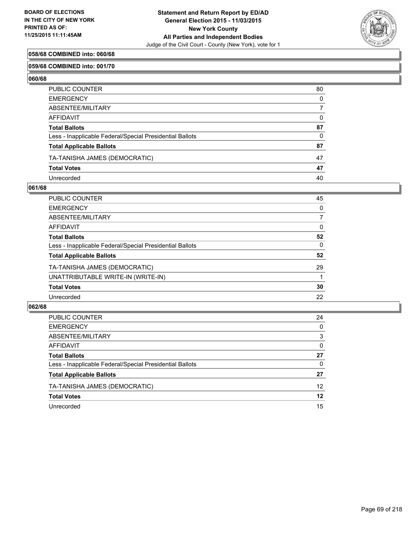

## **058/68 COMBINED into: 060/68**

### **059/68 COMBINED into: 001/70**

**060/68** 

| PUBLIC COUNTER                                           | 80           |
|----------------------------------------------------------|--------------|
| EMERGENCY                                                | $\mathbf{0}$ |
| ABSENTEE/MILITARY                                        | 7            |
| AFFIDAVIT                                                | 0            |
| Total Ballots                                            | 87           |
| Less - Inapplicable Federal/Special Presidential Ballots | $\Omega$     |
| <b>Total Applicable Ballots</b>                          | 87           |
| TA-TANISHA JAMES (DEMOCRATIC)                            | 47           |
| <b>Total Votes</b>                                       | 47           |
| Unrecorded                                               | 40           |

### **061/68**

| <b>PUBLIC COUNTER</b>                                    | 45 |
|----------------------------------------------------------|----|
| <b>EMERGENCY</b>                                         | 0  |
| ABSENTEE/MILITARY                                        | 7  |
| <b>AFFIDAVIT</b>                                         | 0  |
| <b>Total Ballots</b>                                     | 52 |
| Less - Inapplicable Federal/Special Presidential Ballots | 0  |
| <b>Total Applicable Ballots</b>                          | 52 |
| TA-TANISHA JAMES (DEMOCRATIC)                            | 29 |
| UNATTRIBUTABLE WRITE-IN (WRITE-IN)                       |    |
| <b>Total Votes</b>                                       | 30 |
| Unrecorded                                               | 22 |

| PUBLIC COUNTER                                           | 24              |
|----------------------------------------------------------|-----------------|
|                                                          |                 |
| <b>EMERGENCY</b>                                         | 0               |
| ABSENTEE/MILITARY                                        | 3               |
| AFFIDAVIT                                                | 0               |
| <b>Total Ballots</b>                                     | 27              |
| Less - Inapplicable Federal/Special Presidential Ballots | 0               |
| <b>Total Applicable Ballots</b>                          | 27              |
| TA-TANISHA JAMES (DEMOCRATIC)                            | 12 <sup>2</sup> |
| <b>Total Votes</b>                                       | 12              |
| Unrecorded                                               | 15              |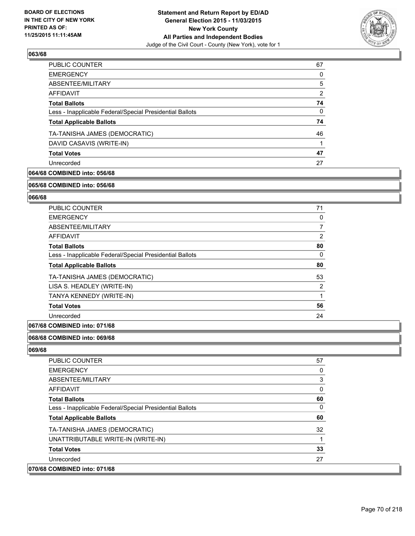

| 67 |
|----|
| 0  |
| 5  |
| 2  |
| 74 |
| 0  |
| 74 |
| 46 |
|    |
| 47 |
| 27 |
|    |

# **064/68 COMBINED into: 056/68**

#### **065/68 COMBINED into: 056/68**

# **066/68**

| <b>PUBLIC COUNTER</b>                                    | 71             |
|----------------------------------------------------------|----------------|
| <b>EMERGENCY</b>                                         | 0              |
| ABSENTEE/MILITARY                                        | 7              |
| <b>AFFIDAVIT</b>                                         | 2              |
| <b>Total Ballots</b>                                     | 80             |
| Less - Inapplicable Federal/Special Presidential Ballots | 0              |
| <b>Total Applicable Ballots</b>                          | 80             |
| TA-TANISHA JAMES (DEMOCRATIC)                            | 53             |
| LISA S. HEADLEY (WRITE-IN)                               | $\overline{2}$ |
| TANYA KENNEDY (WRITE-IN)                                 | 1              |
| <b>Total Votes</b>                                       | 56             |
| Unrecorded                                               | 24             |

## **067/68 COMBINED into: 071/68**

#### **068/68 COMBINED into: 069/68**

| <b>PUBLIC COUNTER</b>                                    | 57 |
|----------------------------------------------------------|----|
| <b>EMERGENCY</b>                                         | 0  |
| ABSENTEE/MILITARY                                        | 3  |
| AFFIDAVIT                                                | 0  |
| <b>Total Ballots</b>                                     | 60 |
| Less - Inapplicable Federal/Special Presidential Ballots | 0  |
| <b>Total Applicable Ballots</b>                          | 60 |
| TA-TANISHA JAMES (DEMOCRATIC)                            | 32 |
| UNATTRIBUTABLE WRITE-IN (WRITE-IN)                       |    |
| <b>Total Votes</b>                                       | 33 |
| Unrecorded                                               | 27 |
| 070/68 COMBINED into: 071/68                             |    |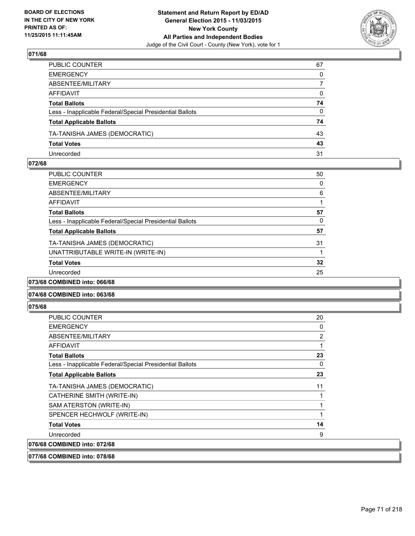

| PUBLIC COUNTER                                           | 67           |
|----------------------------------------------------------|--------------|
| EMERGENCY                                                | $\Omega$     |
| ABSENTEE/MILITARY                                        | 7            |
| AFFIDAVIT                                                | $\mathbf{0}$ |
| Total Ballots                                            | 74           |
| Less - Inapplicable Federal/Special Presidential Ballots | $\Omega$     |
| <b>Total Applicable Ballots</b>                          | 74           |
| TA-TANISHA JAMES (DEMOCRATIC)                            | 43           |
| <b>Total Votes</b>                                       | 43           |
| Unrecorded                                               | 31           |

### **072/68**

| <b>PUBLIC COUNTER</b>                                    | 50 |
|----------------------------------------------------------|----|
| <b>EMERGENCY</b>                                         | 0  |
| ABSENTEE/MILITARY                                        | 6  |
| AFFIDAVIT                                                |    |
| <b>Total Ballots</b>                                     | 57 |
| Less - Inapplicable Federal/Special Presidential Ballots | 0  |
| <b>Total Applicable Ballots</b>                          | 57 |
| TA-TANISHA JAMES (DEMOCRATIC)                            | 31 |
| UNATTRIBUTABLE WRITE-IN (WRITE-IN)                       |    |
| <b>Total Votes</b>                                       | 32 |
| Unrecorded                                               | 25 |
| 073/68 COMBINED into: 066/68                             |    |

## **074/68 COMBINED into: 063/68**

**075/68** 

| <b>PUBLIC COUNTER</b>                                    | 20 |
|----------------------------------------------------------|----|
| <b>EMERGENCY</b>                                         | 0  |
| ABSENTEE/MILITARY                                        | 2  |
| <b>AFFIDAVIT</b>                                         | 1  |
| <b>Total Ballots</b>                                     | 23 |
| Less - Inapplicable Federal/Special Presidential Ballots | 0  |
| <b>Total Applicable Ballots</b>                          | 23 |
| TA-TANISHA JAMES (DEMOCRATIC)                            | 11 |
| CATHERINE SMITH (WRITE-IN)                               |    |
| SAM ATERSTON (WRITE-IN)                                  |    |
| SPENCER HECHWOLF (WRITE-IN)                              |    |
| <b>Total Votes</b>                                       | 14 |
| Unrecorded                                               | 9  |
| 076/68 COMBINED into: 072/68                             |    |

**077/68 COMBINED into: 078/68**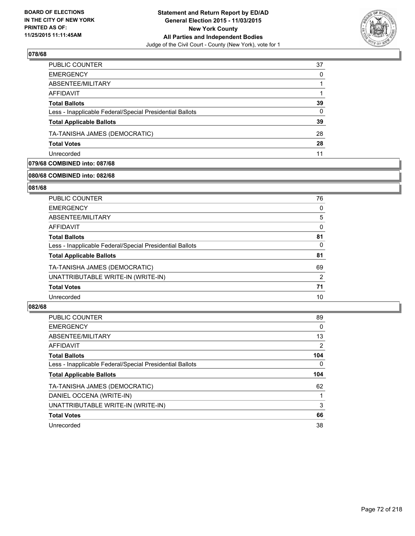

| PUBLIC COUNTER                                           | 37 |
|----------------------------------------------------------|----|
| <b>EMERGENCY</b>                                         | 0  |
| ABSENTEE/MILITARY                                        |    |
| <b>AFFIDAVIT</b>                                         |    |
| <b>Total Ballots</b>                                     | 39 |
| Less - Inapplicable Federal/Special Presidential Ballots | 0  |
| <b>Total Applicable Ballots</b>                          | 39 |
| TA-TANISHA JAMES (DEMOCRATIC)                            | 28 |
| <b>Total Votes</b>                                       | 28 |
| Unrecorded                                               | 11 |

# **079/68 COMBINED into: 087/68**

# **080/68 COMBINED into: 082/68**

## **081/68**

| <b>PUBLIC COUNTER</b>                                    | 76 |
|----------------------------------------------------------|----|
| <b>EMERGENCY</b>                                         | 0  |
| ABSENTEE/MILITARY                                        | 5  |
| AFFIDAVIT                                                | 0  |
| <b>Total Ballots</b>                                     | 81 |
| Less - Inapplicable Federal/Special Presidential Ballots | 0  |
| <b>Total Applicable Ballots</b>                          | 81 |
| TA-TANISHA JAMES (DEMOCRATIC)                            | 69 |
| UNATTRIBUTABLE WRITE-IN (WRITE-IN)                       | 2  |
| <b>Total Votes</b>                                       | 71 |
| Unrecorded                                               | 10 |
|                                                          |    |

| PUBLIC COUNTER                                           | 89  |
|----------------------------------------------------------|-----|
| <b>EMERGENCY</b>                                         | 0   |
| ABSENTEE/MILITARY                                        | 13  |
| AFFIDAVIT                                                | 2   |
| <b>Total Ballots</b>                                     | 104 |
| Less - Inapplicable Federal/Special Presidential Ballots | 0   |
| <b>Total Applicable Ballots</b>                          | 104 |
| TA-TANISHA JAMES (DEMOCRATIC)                            | 62  |
| DANIEL OCCENA (WRITE-IN)                                 |     |
| UNATTRIBUTABLE WRITE-IN (WRITE-IN)                       | 3   |
| <b>Total Votes</b>                                       | 66  |
| Unrecorded                                               | 38  |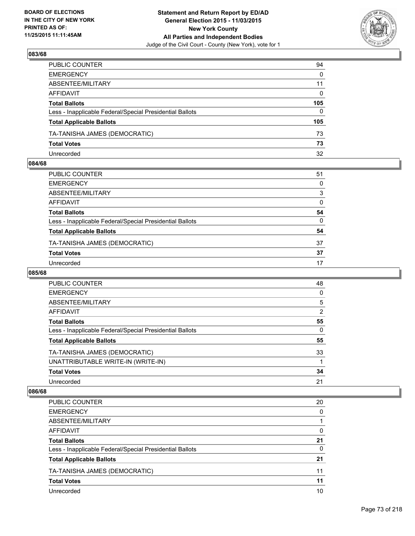

| PUBLIC COUNTER                                           | 94           |
|----------------------------------------------------------|--------------|
| EMERGENCY                                                | $\mathbf{0}$ |
| ABSENTEE/MILITARY                                        | 11           |
| AFFIDAVIT                                                | $\mathbf{0}$ |
| Total Ballots                                            | 105          |
| Less - Inapplicable Federal/Special Presidential Ballots | $\Omega$     |
| <b>Total Applicable Ballots</b>                          | 105          |
| TA-TANISHA JAMES (DEMOCRATIC)                            | 73           |
| <b>Total Votes</b>                                       | 73           |
| Unrecorded                                               | 32           |

#### **084/68**

| PUBLIC COUNTER                                           | 51 |
|----------------------------------------------------------|----|
| EMERGENCY                                                | 0  |
| ABSENTEE/MILITARY                                        | 3  |
| AFFIDAVIT                                                | 0  |
| Total Ballots                                            | 54 |
| Less - Inapplicable Federal/Special Presidential Ballots | 0  |
| <b>Total Applicable Ballots</b>                          | 54 |
| TA-TANISHA JAMES (DEMOCRATIC)                            | 37 |
| <b>Total Votes</b>                                       | 37 |
| Unrecorded                                               | 17 |

#### **085/68**

| <b>PUBLIC COUNTER</b>                                    | 48       |
|----------------------------------------------------------|----------|
| <b>EMERGENCY</b>                                         | 0        |
| ABSENTEE/MILITARY                                        | 5        |
| AFFIDAVIT                                                | 2        |
| <b>Total Ballots</b>                                     | 55       |
| Less - Inapplicable Federal/Special Presidential Ballots | $\Omega$ |
| <b>Total Applicable Ballots</b>                          | 55       |
| TA-TANISHA JAMES (DEMOCRATIC)                            | 33       |
| UNATTRIBUTABLE WRITE-IN (WRITE-IN)                       |          |
| <b>Total Votes</b>                                       | 34       |
| Unrecorded                                               | 21       |

| PUBLIC COUNTER                                           | 20 |
|----------------------------------------------------------|----|
| <b>EMERGENCY</b>                                         | 0  |
| ABSENTEE/MILITARY                                        |    |
| AFFIDAVIT                                                | 0  |
| <b>Total Ballots</b>                                     | 21 |
| Less - Inapplicable Federal/Special Presidential Ballots | 0  |
| <b>Total Applicable Ballots</b>                          | 21 |
| TA-TANISHA JAMES (DEMOCRATIC)                            | 11 |
| <b>Total Votes</b>                                       | 11 |
| Unrecorded                                               | 10 |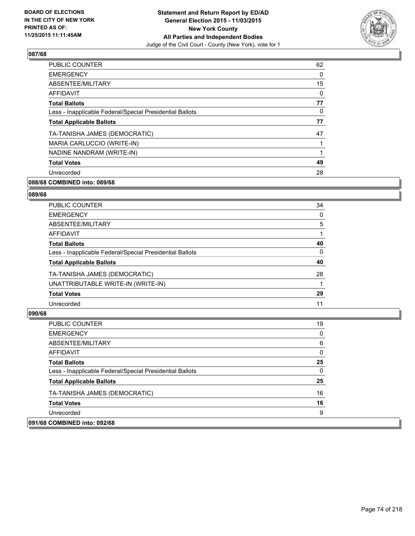

| <b>PUBLIC COUNTER</b>                                    | 62 |
|----------------------------------------------------------|----|
| <b>EMERGENCY</b>                                         | 0  |
| ABSENTEE/MILITARY                                        | 15 |
| AFFIDAVIT                                                | 0  |
| <b>Total Ballots</b>                                     | 77 |
| Less - Inapplicable Federal/Special Presidential Ballots | 0  |
| <b>Total Applicable Ballots</b>                          | 77 |
| TA-TANISHA JAMES (DEMOCRATIC)                            | 47 |
| MARIA CARLUCCIO (WRITE-IN)                               |    |
| NADINE NANDRAM (WRITE-IN)                                | 1  |
| <b>Total Votes</b>                                       | 49 |
| Unrecorded                                               | 28 |

### **088/68 COMBINED into: 089/68**

#### **089/68**

| <b>PUBLIC COUNTER</b>                                    | 34 |
|----------------------------------------------------------|----|
| <b>EMERGENCY</b>                                         | 0  |
| ABSENTEE/MILITARY                                        | 5  |
| <b>AFFIDAVIT</b>                                         |    |
| <b>Total Ballots</b>                                     | 40 |
| Less - Inapplicable Federal/Special Presidential Ballots | 0  |
| <b>Total Applicable Ballots</b>                          | 40 |
| TA-TANISHA JAMES (DEMOCRATIC)                            | 28 |
| UNATTRIBUTABLE WRITE-IN (WRITE-IN)                       |    |
| <b>Total Votes</b>                                       | 29 |
| Unrecorded                                               | 11 |

| <b>PUBLIC COUNTER</b>                                    | 19 |
|----------------------------------------------------------|----|
| <b>EMERGENCY</b>                                         | 0  |
| ABSENTEE/MILITARY                                        | 6  |
| AFFIDAVIT                                                | 0  |
| <b>Total Ballots</b>                                     | 25 |
| Less - Inapplicable Federal/Special Presidential Ballots | 0  |
| <b>Total Applicable Ballots</b>                          | 25 |
| TA-TANISHA JAMES (DEMOCRATIC)                            | 16 |
| <b>Total Votes</b>                                       | 16 |
| Unrecorded                                               | 9  |
| 091/68 COMBINED into: 092/68                             |    |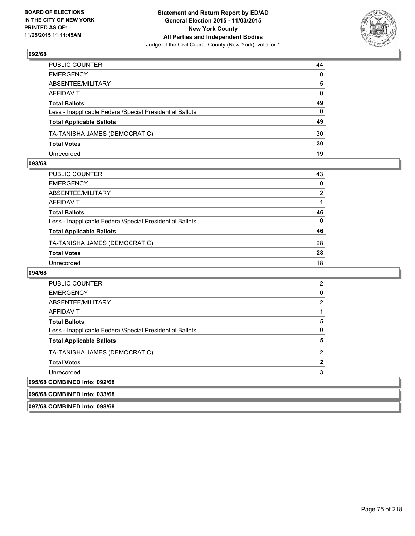

| PUBLIC COUNTER                                           | 44           |
|----------------------------------------------------------|--------------|
| EMERGENCY                                                | 0            |
| ABSENTEE/MILITARY                                        | 5            |
| AFFIDAVIT                                                | $\mathbf{0}$ |
| Total Ballots                                            | 49           |
| Less - Inapplicable Federal/Special Presidential Ballots | $\mathbf{0}$ |
| <b>Total Applicable Ballots</b>                          | 49           |
| TA-TANISHA JAMES (DEMOCRATIC)                            | 30           |
| <b>Total Votes</b>                                       | 30           |
| Unrecorded                                               | 19           |

#### **093/68**

| PUBLIC COUNTER                                           | 43 |
|----------------------------------------------------------|----|
| EMERGENCY                                                | 0  |
| ABSENTEE/MILITARY                                        | 2  |
| AFFIDAVIT                                                | 1  |
| Total Ballots                                            | 46 |
| Less - Inapplicable Federal/Special Presidential Ballots | 0  |
| <b>Total Applicable Ballots</b>                          | 46 |
| TA-TANISHA JAMES (DEMOCRATIC)                            | 28 |
| <b>Total Votes</b>                                       | 28 |
| Unrecorded                                               | 18 |

| <b>PUBLIC COUNTER</b>                                    | 2 |
|----------------------------------------------------------|---|
| <b>EMERGENCY</b>                                         | 0 |
| ABSENTEE/MILITARY                                        | 2 |
| <b>AFFIDAVIT</b>                                         |   |
| <b>Total Ballots</b>                                     | 5 |
| Less - Inapplicable Federal/Special Presidential Ballots | O |
| <b>Total Applicable Ballots</b>                          | 5 |
| TA-TANISHA JAMES (DEMOCRATIC)                            | 2 |
| <b>Total Votes</b>                                       |   |
| Unrecorded                                               | 3 |
| 095/68 COMBINED into: 092/68                             |   |
| 096/68 COMBINED into: 033/68                             |   |
| 097/68 COMBINED into: 098/68                             |   |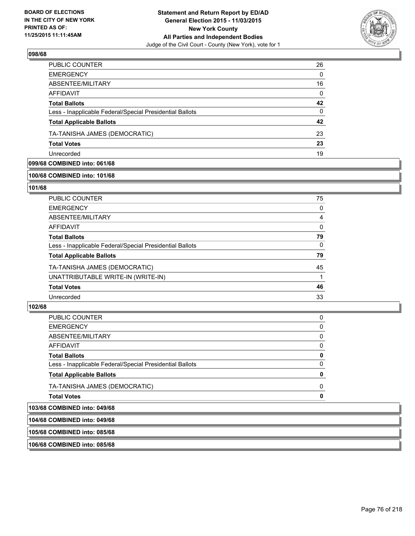

| PUBLIC COUNTER                                           | 26       |
|----------------------------------------------------------|----------|
| <b>EMERGENCY</b>                                         | $\Omega$ |
| ABSENTEE/MILITARY                                        | 16       |
| AFFIDAVIT                                                | $\Omega$ |
| <b>Total Ballots</b>                                     | 42       |
| Less - Inapplicable Federal/Special Presidential Ballots | 0        |
| <b>Total Applicable Ballots</b>                          | 42       |
| TA-TANISHA JAMES (DEMOCRATIC)                            | 23       |
| <b>Total Votes</b>                                       | 23       |
| Unrecorded                                               | 19       |

### **099/68 COMBINED into: 061/68**

#### **100/68 COMBINED into: 101/68**

#### **101/68**

| PUBLIC COUNTER                                           | 75       |
|----------------------------------------------------------|----------|
| <b>EMERGENCY</b>                                         | 0        |
| ABSENTEE/MILITARY                                        | 4        |
| <b>AFFIDAVIT</b>                                         | $\Omega$ |
| <b>Total Ballots</b>                                     | 79       |
| Less - Inapplicable Federal/Special Presidential Ballots | $\Omega$ |
| <b>Total Applicable Ballots</b>                          | 79       |
| TA-TANISHA JAMES (DEMOCRATIC)                            | 45       |
| UNATTRIBUTABLE WRITE-IN (WRITE-IN)                       |          |
| <b>Total Votes</b>                                       | 46       |
| Unrecorded                                               | 33       |
|                                                          |          |

### **102/68**

| 103/68 COMBINED into: 049/68                             |          |
|----------------------------------------------------------|----------|
| <b>Total Votes</b>                                       | n        |
| TA-TANISHA JAMES (DEMOCRATIC)                            | $\Omega$ |
| <b>Total Applicable Ballots</b>                          | 0        |
| Less - Inapplicable Federal/Special Presidential Ballots | 0        |
| <b>Total Ballots</b>                                     | 0        |
| AFFIDAVIT                                                | 0        |
| ABSENTEE/MILITARY                                        | 0        |
| <b>EMERGENCY</b>                                         | 0        |
| PUBLIC COUNTER                                           | 0        |

# **104/68 COMBINED into: 049/68**

**105/68 COMBINED into: 085/68**

**106/68 COMBINED into: 085/68**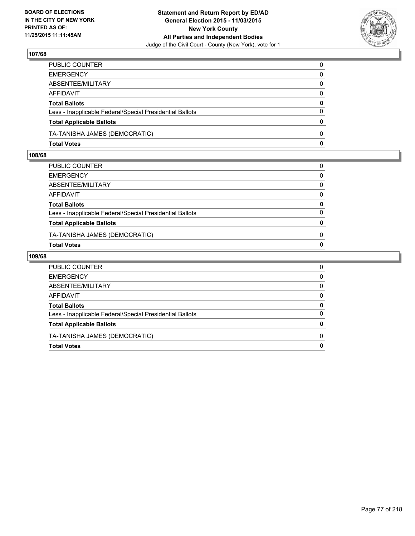

| PUBLIC COUNTER                                           | $\mathbf{0}$ |
|----------------------------------------------------------|--------------|
| EMERGENCY                                                | $\mathbf{0}$ |
| ABSENTEE/MILITARY                                        | 0            |
| AFFIDAVIT                                                | 0            |
| Total Ballots                                            | 0            |
| Less - Inapplicable Federal/Special Presidential Ballots | $\mathbf{0}$ |
| <b>Total Applicable Ballots</b>                          | 0            |
| TA-TANISHA JAMES (DEMOCRATIC)                            | $\Omega$     |
| Total Votes                                              | $\mathbf{0}$ |

### **108/68**

| PUBLIC COUNTER                                           | 0            |
|----------------------------------------------------------|--------------|
| EMERGENCY                                                | $\Omega$     |
| ABSENTEE/MILITARY                                        | 0            |
| AFFIDAVIT                                                | $\Omega$     |
| <b>Total Ballots</b>                                     | 0            |
| Less - Inapplicable Federal/Special Presidential Ballots | 0            |
| <b>Total Applicable Ballots</b>                          | $\mathbf{0}$ |
| TA-TANISHA JAMES (DEMOCRATIC)                            | 0            |
| Total Votes                                              | 0            |
|                                                          |              |

| PUBLIC COUNTER                                           | 0        |
|----------------------------------------------------------|----------|
| <b>EMERGENCY</b>                                         | 0        |
| ABSENTEE/MILITARY                                        | $\Omega$ |
| <b>AFFIDAVIT</b>                                         | 0        |
| <b>Total Ballots</b>                                     | 0        |
| Less - Inapplicable Federal/Special Presidential Ballots | 0        |
| <b>Total Applicable Ballots</b>                          | 0        |
| TA-TANISHA JAMES (DEMOCRATIC)                            | 0        |
| <b>Total Votes</b>                                       | 0        |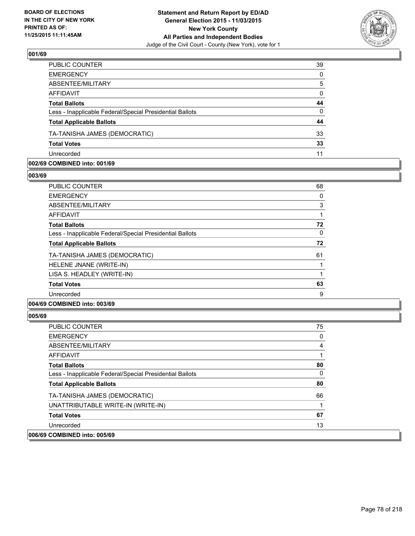

| PUBLIC COUNTER                                           | 39       |
|----------------------------------------------------------|----------|
| <b>EMERGENCY</b>                                         | $\Omega$ |
| ABSENTEE/MILITARY                                        | 5        |
| AFFIDAVIT                                                | $\Omega$ |
| <b>Total Ballots</b>                                     | 44       |
| Less - Inapplicable Federal/Special Presidential Ballots | $\Omega$ |
| <b>Total Applicable Ballots</b>                          | 44       |
| TA-TANISHA JAMES (DEMOCRATIC)                            | 33       |
| <b>Total Votes</b>                                       | 33       |
| Unrecorded                                               | 11       |

#### **002/69 COMBINED into: 001/69**

**003/69** 

| PUBLIC COUNTER                                           | 68 |
|----------------------------------------------------------|----|
| <b>EMERGENCY</b>                                         | 0  |
| ABSENTEE/MILITARY                                        | 3  |
| AFFIDAVIT                                                |    |
| <b>Total Ballots</b>                                     | 72 |
| Less - Inapplicable Federal/Special Presidential Ballots | 0  |
| <b>Total Applicable Ballots</b>                          | 72 |
| TA-TANISHA JAMES (DEMOCRATIC)                            | 61 |
| HELENE JNANE (WRITE-IN)                                  |    |
| LISA S. HEADLEY (WRITE-IN)                               |    |
| <b>Total Votes</b>                                       | 63 |
| Unrecorded                                               | 9  |
|                                                          |    |

# **004/69 COMBINED into: 003/69**

| PUBLIC COUNTER                                           | 75 |
|----------------------------------------------------------|----|
| <b>EMERGENCY</b>                                         | 0  |
| ABSENTEE/MILITARY                                        | 4  |
| <b>AFFIDAVIT</b>                                         |    |
| <b>Total Ballots</b>                                     | 80 |
| Less - Inapplicable Federal/Special Presidential Ballots | 0  |
| <b>Total Applicable Ballots</b>                          | 80 |
| TA-TANISHA JAMES (DEMOCRATIC)                            | 66 |
| UNATTRIBUTABLE WRITE-IN (WRITE-IN)                       |    |
| <b>Total Votes</b>                                       | 67 |
| Unrecorded                                               | 13 |
| 006/69 COMBINED into: 005/69                             |    |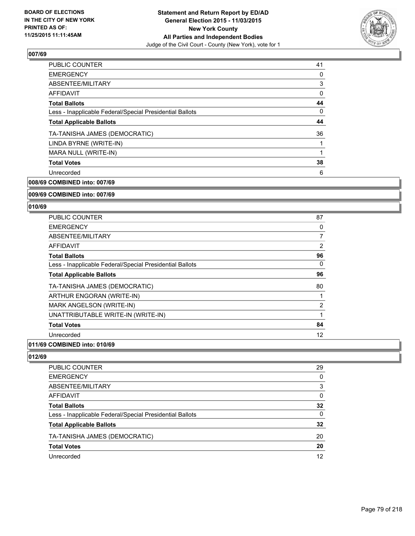

| <b>PUBLIC COUNTER</b>                                    | 41 |
|----------------------------------------------------------|----|
| <b>EMERGENCY</b>                                         | 0  |
| ABSENTEE/MILITARY                                        | 3  |
| AFFIDAVIT                                                | 0  |
| <b>Total Ballots</b>                                     | 44 |
| Less - Inapplicable Federal/Special Presidential Ballots | 0  |
| <b>Total Applicable Ballots</b>                          | 44 |
| TA-TANISHA JAMES (DEMOCRATIC)                            | 36 |
| LINDA BYRNE (WRITE-IN)                                   |    |
| MARA NULL (WRITE-IN)                                     |    |
| <b>Total Votes</b>                                       | 38 |
| Unrecorded                                               | 6  |
|                                                          |    |

**008/69 COMBINED into: 007/69**

**009/69 COMBINED into: 007/69**

#### **010/69**

| <b>PUBLIC COUNTER</b>                                    | 87             |
|----------------------------------------------------------|----------------|
| <b>EMERGENCY</b>                                         | 0              |
| ABSENTEE/MILITARY                                        | $\overline{7}$ |
| AFFIDAVIT                                                | 2              |
| <b>Total Ballots</b>                                     | 96             |
| Less - Inapplicable Federal/Special Presidential Ballots | 0              |
| <b>Total Applicable Ballots</b>                          | 96             |
| TA-TANISHA JAMES (DEMOCRATIC)                            | 80             |
| ARTHUR ENGORAN (WRITE-IN)                                |                |
| MARK ANGELSON (WRITE-IN)                                 | $\overline{2}$ |
| UNATTRIBUTABLE WRITE-IN (WRITE-IN)                       | 1              |
| <b>Total Votes</b>                                       | 84             |
| Unrecorded                                               | 12             |
|                                                          |                |

### **011/69 COMBINED into: 010/69**

| PUBLIC COUNTER                                           | 29 |
|----------------------------------------------------------|----|
| EMERGENCY                                                | 0  |
| ABSENTEE/MILITARY                                        | 3  |
| AFFIDAVIT                                                | 0  |
| Total Ballots                                            | 32 |
| Less - Inapplicable Federal/Special Presidential Ballots | 0  |
| <b>Total Applicable Ballots</b>                          | 32 |
| TA-TANISHA JAMES (DEMOCRATIC)                            | 20 |
| Total Votes                                              | 20 |
| Unrecorded                                               | 12 |
|                                                          |    |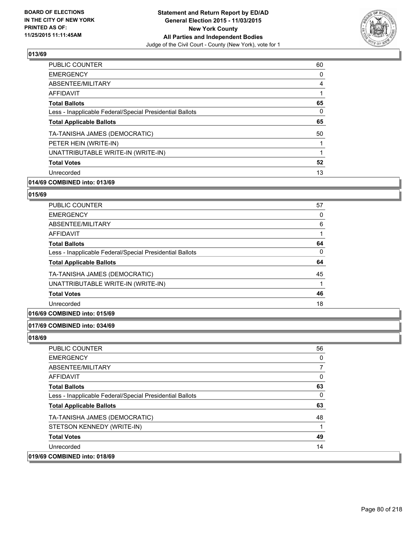

| <b>PUBLIC COUNTER</b>                                    | 60 |
|----------------------------------------------------------|----|
| <b>EMERGENCY</b>                                         | 0  |
| ABSENTEE/MILITARY                                        | 4  |
| <b>AFFIDAVIT</b>                                         |    |
| <b>Total Ballots</b>                                     | 65 |
| Less - Inapplicable Federal/Special Presidential Ballots | 0  |
| <b>Total Applicable Ballots</b>                          | 65 |
| TA-TANISHA JAMES (DEMOCRATIC)                            | 50 |
| PETER HEIN (WRITE-IN)                                    |    |
| UNATTRIBUTABLE WRITE-IN (WRITE-IN)                       |    |
| <b>Total Votes</b>                                       | 52 |
| Unrecorded                                               | 13 |
|                                                          |    |

### **014/69 COMBINED into: 013/69**

#### **015/69**

| <b>PUBLIC COUNTER</b>                                    | 57 |
|----------------------------------------------------------|----|
| <b>EMERGENCY</b>                                         | 0  |
| ABSENTEE/MILITARY                                        | 6  |
| <b>AFFIDAVIT</b>                                         |    |
| <b>Total Ballots</b>                                     | 64 |
| Less - Inapplicable Federal/Special Presidential Ballots | 0  |
| <b>Total Applicable Ballots</b>                          | 64 |
| TA-TANISHA JAMES (DEMOCRATIC)                            | 45 |
| UNATTRIBUTABLE WRITE-IN (WRITE-IN)                       |    |
| <b>Total Votes</b>                                       | 46 |
| Unrecorded                                               | 18 |

### **016/69 COMBINED into: 015/69**

#### **017/69 COMBINED into: 034/69**

| <b>PUBLIC COUNTER</b>                                    | 56 |
|----------------------------------------------------------|----|
| <b>EMERGENCY</b>                                         | 0  |
| ABSENTEE/MILITARY                                        | 7  |
| <b>AFFIDAVIT</b>                                         | 0  |
| <b>Total Ballots</b>                                     | 63 |
| Less - Inapplicable Federal/Special Presidential Ballots | 0  |
| <b>Total Applicable Ballots</b>                          | 63 |
| TA-TANISHA JAMES (DEMOCRATIC)                            | 48 |
| STETSON KENNEDY (WRITE-IN)                               |    |
| <b>Total Votes</b>                                       | 49 |
| Unrecorded                                               | 14 |
| 019/69 COMBINED into: 018/69                             |    |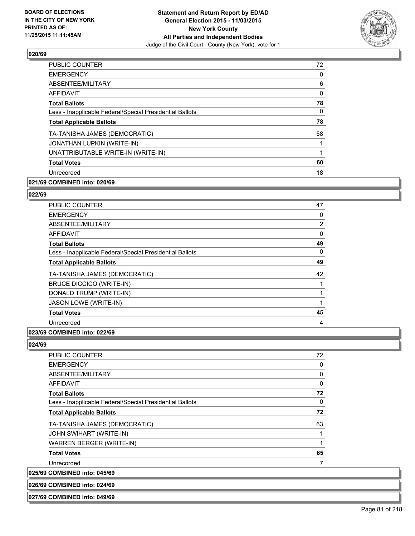

| <b>PUBLIC COUNTER</b>                                    | 72 |
|----------------------------------------------------------|----|
| <b>EMERGENCY</b>                                         | 0  |
| ABSENTEE/MILITARY                                        | 6  |
| AFFIDAVIT                                                | 0  |
| <b>Total Ballots</b>                                     | 78 |
| Less - Inapplicable Federal/Special Presidential Ballots | 0  |
| <b>Total Applicable Ballots</b>                          | 78 |
| TA-TANISHA JAMES (DEMOCRATIC)                            | 58 |
| JONATHAN LUPKIN (WRITE-IN)                               |    |
| UNATTRIBUTABLE WRITE-IN (WRITE-IN)                       |    |
| <b>Total Votes</b>                                       | 60 |
| Unrecorded                                               | 18 |
|                                                          |    |

### **021/69 COMBINED into: 020/69**

#### **022/69**

| PUBLIC COUNTER                                           | 47 |
|----------------------------------------------------------|----|
| <b>EMERGENCY</b>                                         | 0  |
| ABSENTEE/MILITARY                                        | 2  |
| <b>AFFIDAVIT</b>                                         | 0  |
| <b>Total Ballots</b>                                     | 49 |
| Less - Inapplicable Federal/Special Presidential Ballots | 0  |
| <b>Total Applicable Ballots</b>                          | 49 |
| TA-TANISHA JAMES (DEMOCRATIC)                            | 42 |
| <b>BRUCE DICCICO (WRITE-IN)</b>                          | 1  |
| DONALD TRUMP (WRITE-IN)                                  |    |
| <b>JASON LOWE (WRITE-IN)</b>                             | 1  |
| <b>Total Votes</b>                                       | 45 |
| Unrecorded                                               | 4  |
|                                                          |    |

#### **023/69 COMBINED into: 022/69**

## **024/69**

| <b>PUBLIC COUNTER</b>                                    | 72           |
|----------------------------------------------------------|--------------|
| <b>EMERGENCY</b>                                         | 0            |
| ABSENTEE/MILITARY                                        | 0            |
| <b>AFFIDAVIT</b>                                         | $\mathbf{0}$ |
| <b>Total Ballots</b>                                     | 72           |
| Less - Inapplicable Federal/Special Presidential Ballots | $\mathbf{0}$ |
| <b>Total Applicable Ballots</b>                          | 72           |
| TA-TANISHA JAMES (DEMOCRATIC)                            | 63           |
| JOHN SWIHART (WRITE-IN)                                  |              |
| <b>WARREN BERGER (WRITE-IN)</b>                          |              |
| <b>Total Votes</b>                                       | 65           |
| Unrecorded                                               | 7            |
| 025/69 COMBINED into: 045/69                             |              |
| 026/69 COMBINED into: 024/69                             |              |

#### **027/69 COMBINED into: 049/69**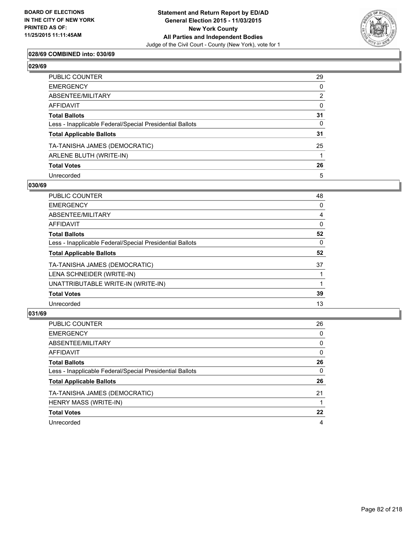

### **028/69 COMBINED into: 030/69**

| PUBLIC COUNTER                                           | 29           |
|----------------------------------------------------------|--------------|
| EMERGENCY                                                | 0            |
| ABSENTEE/MILITARY                                        | 2            |
| AFFIDAVIT                                                | $\mathbf{0}$ |
| Total Ballots                                            | 31           |
| Less - Inapplicable Federal/Special Presidential Ballots | $\mathbf{0}$ |
| <b>Total Applicable Ballots</b>                          | 31           |
| TA-TANISHA JAMES (DEMOCRATIC)                            | 25           |
| ARLENE BLUTH (WRITE-IN)                                  |              |
| <b>Total Votes</b>                                       | 26           |
| Unrecorded                                               | 5            |

#### **030/69**

| PUBLIC COUNTER                                           | 48 |
|----------------------------------------------------------|----|
| <b>EMERGENCY</b>                                         | 0  |
| ABSENTEE/MILITARY                                        | 4  |
| AFFIDAVIT                                                | 0  |
| <b>Total Ballots</b>                                     | 52 |
| Less - Inapplicable Federal/Special Presidential Ballots | 0  |
| <b>Total Applicable Ballots</b>                          | 52 |
| TA-TANISHA JAMES (DEMOCRATIC)                            | 37 |
| LENA SCHNEIDER (WRITE-IN)                                |    |
| UNATTRIBUTABLE WRITE-IN (WRITE-IN)                       |    |
| <b>Total Votes</b>                                       | 39 |
| Unrecorded                                               | 13 |
|                                                          |    |

| PUBLIC COUNTER                                           | 26 |
|----------------------------------------------------------|----|
| <b>EMERGENCY</b>                                         | 0  |
| ABSENTEE/MILITARY                                        | 0  |
| <b>AFFIDAVIT</b>                                         | 0  |
| <b>Total Ballots</b>                                     | 26 |
| Less - Inapplicable Federal/Special Presidential Ballots | 0  |
| <b>Total Applicable Ballots</b>                          | 26 |
| TA-TANISHA JAMES (DEMOCRATIC)                            | 21 |
| HENRY MASS (WRITE-IN)                                    |    |
| <b>Total Votes</b>                                       | 22 |
| Unrecorded                                               | 4  |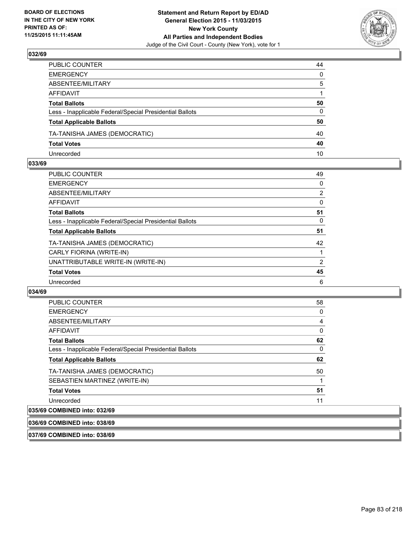

| PUBLIC COUNTER                                           | 44           |
|----------------------------------------------------------|--------------|
| EMERGENCY                                                | $\mathbf{0}$ |
| ABSENTEE/MILITARY                                        | 5            |
| AFFIDAVIT                                                |              |
| Total Ballots                                            | 50           |
| Less - Inapplicable Federal/Special Presidential Ballots | 0            |
| <b>Total Applicable Ballots</b>                          | 50           |
| TA-TANISHA JAMES (DEMOCRATIC)                            | 40           |
| <b>Total Votes</b>                                       | 40           |
| Unrecorded                                               | 10           |

#### **033/69**

| PUBLIC COUNTER                                           | 49 |
|----------------------------------------------------------|----|
| <b>EMERGENCY</b>                                         | 0  |
| ABSENTEE/MILITARY                                        | 2  |
| <b>AFFIDAVIT</b>                                         | 0  |
| <b>Total Ballots</b>                                     | 51 |
| Less - Inapplicable Federal/Special Presidential Ballots | 0  |
| <b>Total Applicable Ballots</b>                          | 51 |
| TA-TANISHA JAMES (DEMOCRATIC)                            | 42 |
| CARLY FIORINA (WRITE-IN)                                 |    |
| UNATTRIBUTABLE WRITE-IN (WRITE-IN)                       | 2  |
| <b>Total Votes</b>                                       | 45 |
| Unrecorded                                               | 6  |
|                                                          |    |

#### **034/69**

| <b>PUBLIC COUNTER</b>                                    | 58 |
|----------------------------------------------------------|----|
| <b>EMERGENCY</b>                                         | 0  |
| ABSENTEE/MILITARY                                        | 4  |
| AFFIDAVIT                                                | 0  |
| <b>Total Ballots</b>                                     | 62 |
| Less - Inapplicable Federal/Special Presidential Ballots | 0  |
| <b>Total Applicable Ballots</b>                          | 62 |
| TA-TANISHA JAMES (DEMOCRATIC)                            | 50 |
| SEBASTIEN MARTINEZ (WRITE-IN)                            |    |
| <b>Total Votes</b>                                       | 51 |
| Unrecorded                                               | 11 |
| COMPINED into: 022/60                                    |    |

# **035/69 COMBINED into: 032/69**

**036/69 COMBINED into: 038/69**

**037/69 COMBINED into: 038/69**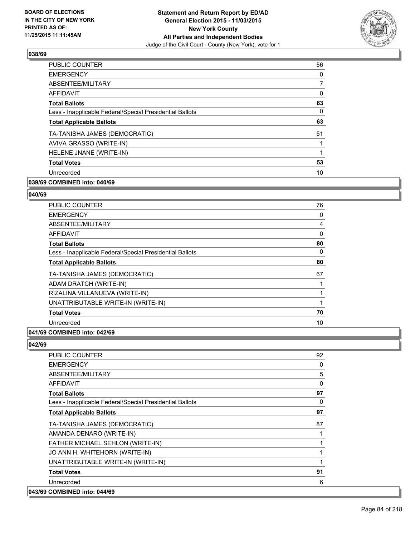

| <b>PUBLIC COUNTER</b>                                    | 56 |
|----------------------------------------------------------|----|
| <b>EMERGENCY</b>                                         | 0  |
| ABSENTEE/MILITARY                                        | 7  |
| AFFIDAVIT                                                | 0  |
| <b>Total Ballots</b>                                     | 63 |
| Less - Inapplicable Federal/Special Presidential Ballots | 0  |
| <b>Total Applicable Ballots</b>                          | 63 |
| TA-TANISHA JAMES (DEMOCRATIC)                            | 51 |
| AVIVA GRASSO (WRITE-IN)                                  |    |
| HELENE JNANE (WRITE-IN)                                  |    |
| <b>Total Votes</b>                                       | 53 |
| Unrecorded                                               | 10 |
|                                                          |    |

### **039/69 COMBINED into: 040/69**

#### **040/69**

| PUBLIC COUNTER                                           | 76 |
|----------------------------------------------------------|----|
| <b>EMERGENCY</b>                                         | 0  |
| ABSENTEE/MILITARY                                        | 4  |
| AFFIDAVIT                                                | 0  |
| <b>Total Ballots</b>                                     | 80 |
| Less - Inapplicable Federal/Special Presidential Ballots | 0  |
| <b>Total Applicable Ballots</b>                          | 80 |
| TA-TANISHA JAMES (DEMOCRATIC)                            | 67 |
| ADAM DRATCH (WRITE-IN)                                   | 1  |
| RIZALINA VILLANUEVA (WRITE-IN)                           | 1  |
| UNATTRIBUTABLE WRITE-IN (WRITE-IN)                       | 1  |
| <b>Total Votes</b>                                       | 70 |
| Unrecorded                                               | 10 |
|                                                          |    |

### **041/69 COMBINED into: 042/69**

| PUBLIC COUNTER                                           | 92           |
|----------------------------------------------------------|--------------|
| <b>EMERGENCY</b>                                         | 0            |
| ABSENTEE/MILITARY                                        | 5            |
| AFFIDAVIT                                                | $\mathbf{0}$ |
| <b>Total Ballots</b>                                     | 97           |
| Less - Inapplicable Federal/Special Presidential Ballots | 0            |
| <b>Total Applicable Ballots</b>                          | 97           |
| TA-TANISHA JAMES (DEMOCRATIC)                            | 87           |
| AMANDA DENARO (WRITE-IN)                                 |              |
| FATHER MICHAEL SEHLON (WRITE-IN)                         |              |
| JO ANN H. WHITEHORN (WRITE-IN)                           |              |
| UNATTRIBUTABLE WRITE-IN (WRITE-IN)                       | 1            |
| <b>Total Votes</b>                                       | 91           |
| Unrecorded                                               | 6            |
| 043/69 COMBINED into: 044/69                             |              |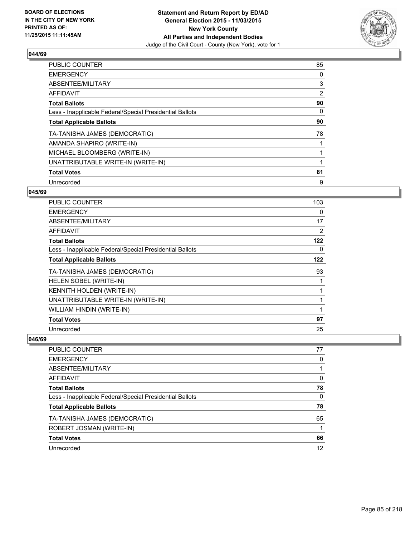

| <b>PUBLIC COUNTER</b>                                    | 85 |
|----------------------------------------------------------|----|
| <b>EMERGENCY</b>                                         | 0  |
| ABSENTEE/MILITARY                                        | 3  |
| AFFIDAVIT                                                | 2  |
| <b>Total Ballots</b>                                     | 90 |
| Less - Inapplicable Federal/Special Presidential Ballots | 0  |
| <b>Total Applicable Ballots</b>                          | 90 |
| TA-TANISHA JAMES (DEMOCRATIC)                            | 78 |
| AMANDA SHAPIRO (WRITE-IN)                                |    |
| MICHAEL BLOOMBERG (WRITE-IN)                             |    |
| UNATTRIBUTABLE WRITE-IN (WRITE-IN)                       |    |
| <b>Total Votes</b>                                       | 81 |
| Unrecorded                                               | 9  |

#### **045/69**

| <b>PUBLIC COUNTER</b>                                    | 103 |
|----------------------------------------------------------|-----|
| <b>EMERGENCY</b>                                         | 0   |
| ABSENTEE/MILITARY                                        | 17  |
| AFFIDAVIT                                                | 2   |
| <b>Total Ballots</b>                                     | 122 |
| Less - Inapplicable Federal/Special Presidential Ballots | 0   |
| <b>Total Applicable Ballots</b>                          | 122 |
| TA-TANISHA JAMES (DEMOCRATIC)                            | 93  |
| HELEN SOBEL (WRITE-IN)                                   | 1   |
| <b>KENNITH HOLDEN (WRITE-IN)</b>                         | 1   |
| UNATTRIBUTABLE WRITE-IN (WRITE-IN)                       | 1   |
| WILLIAM HINDIN (WRITE-IN)                                | 1   |
| <b>Total Votes</b>                                       | 97  |
| Unrecorded                                               | 25  |

| PUBLIC COUNTER                                           | 77       |
|----------------------------------------------------------|----------|
| <b>EMERGENCY</b>                                         | 0        |
| ABSENTEE/MILITARY                                        |          |
| <b>AFFIDAVIT</b>                                         | 0        |
| <b>Total Ballots</b>                                     | 78       |
| Less - Inapplicable Federal/Special Presidential Ballots | $\Omega$ |
| <b>Total Applicable Ballots</b>                          | 78       |
| TA-TANISHA JAMES (DEMOCRATIC)                            | 65       |
| ROBERT JOSMAN (WRITE-IN)                                 |          |
| <b>Total Votes</b>                                       | 66       |
| Unrecorded                                               | 12       |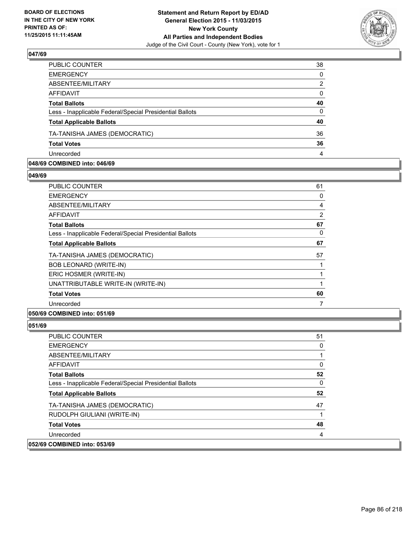

| 38           |
|--------------|
| $\Omega$     |
| 2            |
| $\mathbf{0}$ |
| 40           |
| $\Omega$     |
| 40           |
| 36           |
| 36           |
| 4            |
|              |

#### **048/69 COMBINED into: 046/69**

**049/69** 

| <b>PUBLIC COUNTER</b>                                    | 61             |
|----------------------------------------------------------|----------------|
| <b>EMERGENCY</b>                                         | 0              |
| ABSENTEE/MILITARY                                        | $\overline{4}$ |
| AFFIDAVIT                                                | $\overline{2}$ |
| <b>Total Ballots</b>                                     | 67             |
| Less - Inapplicable Federal/Special Presidential Ballots | 0              |
| <b>Total Applicable Ballots</b>                          | 67             |
| TA-TANISHA JAMES (DEMOCRATIC)                            | 57             |
| <b>BOB LEONARD (WRITE-IN)</b>                            |                |
| ERIC HOSMER (WRITE-IN)                                   | 1              |
| UNATTRIBUTABLE WRITE-IN (WRITE-IN)                       | 1              |
| <b>Total Votes</b>                                       | 60             |
| Unrecorded                                               | 7              |
|                                                          |                |

### **050/69 COMBINED into: 051/69**

| <b>PUBLIC COUNTER</b>                                    | 51 |
|----------------------------------------------------------|----|
| <b>EMERGENCY</b>                                         | 0  |
| ABSENTEE/MILITARY                                        |    |
| AFFIDAVIT                                                | 0  |
| <b>Total Ballots</b>                                     | 52 |
| Less - Inapplicable Federal/Special Presidential Ballots | 0  |
| <b>Total Applicable Ballots</b>                          | 52 |
| TA-TANISHA JAMES (DEMOCRATIC)                            | 47 |
| RUDOLPH GIULIANI (WRITE-IN)                              |    |
| <b>Total Votes</b>                                       | 48 |
| Unrecorded                                               | 4  |
| 052/69 COMBINED into: 053/69                             |    |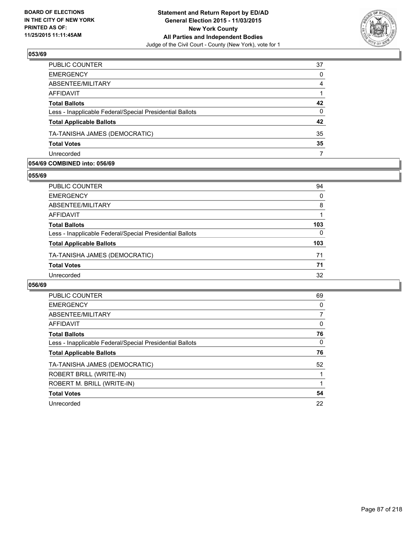

| PUBLIC COUNTER                                           | 37           |
|----------------------------------------------------------|--------------|
| <b>EMERGENCY</b>                                         | 0            |
| ABSENTEE/MILITARY                                        | 4            |
| <b>AFFIDAVIT</b>                                         |              |
| <b>Total Ballots</b>                                     | 42           |
| Less - Inapplicable Federal/Special Presidential Ballots | $\mathbf{0}$ |
| <b>Total Applicable Ballots</b>                          | 42           |
| TA-TANISHA JAMES (DEMOCRATIC)                            | 35           |
| <b>Total Votes</b>                                       | 35           |
| Unrecorded                                               |              |

#### **054/69 COMBINED into: 056/69**

**055/69** 

| PUBLIC COUNTER                                           | 94  |
|----------------------------------------------------------|-----|
| <b>EMERGENCY</b>                                         | 0   |
| ABSENTEE/MILITARY                                        | 8   |
| <b>AFFIDAVIT</b>                                         |     |
| <b>Total Ballots</b>                                     | 103 |
| Less - Inapplicable Federal/Special Presidential Ballots | 0   |
| <b>Total Applicable Ballots</b>                          | 103 |
| TA-TANISHA JAMES (DEMOCRATIC)                            | 71  |
| <b>Total Votes</b>                                       | 71  |
| Unrecorded                                               | 32  |
|                                                          |     |

| <b>PUBLIC COUNTER</b>                                    | 69 |
|----------------------------------------------------------|----|
| <b>EMERGENCY</b>                                         | 0  |
| ABSENTEE/MILITARY                                        |    |
| <b>AFFIDAVIT</b>                                         | 0  |
| <b>Total Ballots</b>                                     | 76 |
| Less - Inapplicable Federal/Special Presidential Ballots | 0  |
| <b>Total Applicable Ballots</b>                          | 76 |
| TA-TANISHA JAMES (DEMOCRATIC)                            | 52 |
| ROBERT BRILL (WRITE-IN)                                  |    |
| ROBERT M. BRILL (WRITE-IN)                               |    |
| <b>Total Votes</b>                                       | 54 |
|                                                          |    |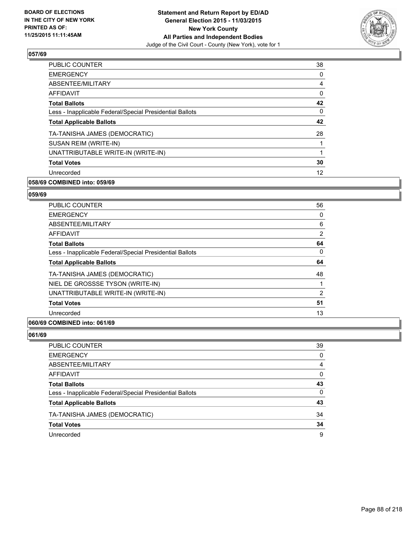

| <b>EMERGENCY</b><br>0<br>ABSENTEE/MILITARY<br>4<br>0<br><b>AFFIDAVIT</b><br>42<br><b>Total Ballots</b><br>0<br>Less - Inapplicable Federal/Special Presidential Ballots<br>42<br><b>Total Applicable Ballots</b><br>TA-TANISHA JAMES (DEMOCRATIC)<br>28<br>SUSAN REIM (WRITE-IN)<br>UNATTRIBUTABLE WRITE-IN (WRITE-IN)<br>30<br><b>Total Votes</b><br>12<br>Unrecorded | <b>PUBLIC COUNTER</b> | 38 |
|------------------------------------------------------------------------------------------------------------------------------------------------------------------------------------------------------------------------------------------------------------------------------------------------------------------------------------------------------------------------|-----------------------|----|
|                                                                                                                                                                                                                                                                                                                                                                        |                       |    |
|                                                                                                                                                                                                                                                                                                                                                                        |                       |    |
|                                                                                                                                                                                                                                                                                                                                                                        |                       |    |
|                                                                                                                                                                                                                                                                                                                                                                        |                       |    |
|                                                                                                                                                                                                                                                                                                                                                                        |                       |    |
|                                                                                                                                                                                                                                                                                                                                                                        |                       |    |
|                                                                                                                                                                                                                                                                                                                                                                        |                       |    |
|                                                                                                                                                                                                                                                                                                                                                                        |                       |    |
|                                                                                                                                                                                                                                                                                                                                                                        |                       |    |
|                                                                                                                                                                                                                                                                                                                                                                        |                       |    |
|                                                                                                                                                                                                                                                                                                                                                                        |                       |    |

### **058/69 COMBINED into: 059/69**

#### **059/69**

| <b>PUBLIC COUNTER</b>                                    | 56             |
|----------------------------------------------------------|----------------|
| <b>EMERGENCY</b>                                         | 0              |
| ABSENTEE/MILITARY                                        | 6              |
| AFFIDAVIT                                                | $\overline{2}$ |
| <b>Total Ballots</b>                                     | 64             |
| Less - Inapplicable Federal/Special Presidential Ballots | 0              |
| <b>Total Applicable Ballots</b>                          | 64             |
| TA-TANISHA JAMES (DEMOCRATIC)                            | 48             |
| NIEL DE GROSSSE TYSON (WRITE-IN)                         |                |
| UNATTRIBUTABLE WRITE-IN (WRITE-IN)                       | $\overline{2}$ |
| <b>Total Votes</b>                                       | 51             |
| Unrecorded                                               | 13             |
|                                                          |                |

### **060/69 COMBINED into: 061/69**

| PUBLIC COUNTER                                           | 39 |
|----------------------------------------------------------|----|
| <b>EMERGENCY</b>                                         | 0  |
| ABSENTEE/MILITARY                                        | 4  |
| AFFIDAVIT                                                | 0  |
| <b>Total Ballots</b>                                     | 43 |
| Less - Inapplicable Federal/Special Presidential Ballots | 0  |
| <b>Total Applicable Ballots</b>                          | 43 |
| TA-TANISHA JAMES (DEMOCRATIC)                            | 34 |
| <b>Total Votes</b>                                       | 34 |
| Unrecorded                                               | 9  |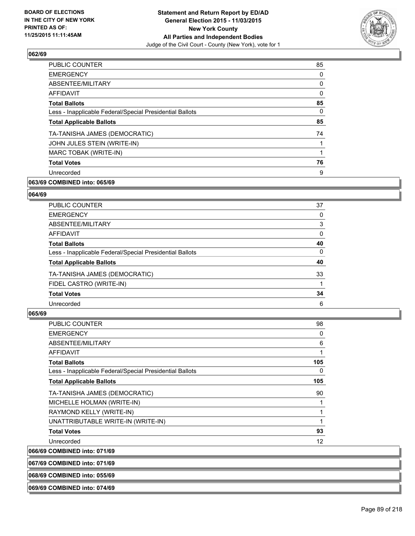

| <b>PUBLIC COUNTER</b>                                    | 85 |
|----------------------------------------------------------|----|
| <b>EMERGENCY</b>                                         | 0  |
| ABSENTEE/MILITARY                                        | 0  |
| AFFIDAVIT                                                | 0  |
| <b>Total Ballots</b>                                     | 85 |
| Less - Inapplicable Federal/Special Presidential Ballots | 0  |
| <b>Total Applicable Ballots</b>                          | 85 |
| TA-TANISHA JAMES (DEMOCRATIC)                            | 74 |
| JOHN JULES STEIN (WRITE-IN)                              |    |
| MARC TOBAK (WRITE-IN)                                    |    |
| <b>Total Votes</b>                                       | 76 |
| Unrecorded                                               | 9  |
|                                                          |    |

### **063/69 COMBINED into: 065/69**

#### **064/69**

| PUBLIC COUNTER                                           | 37 |
|----------------------------------------------------------|----|
| <b>EMERGENCY</b>                                         | 0  |
| ABSENTEE/MILITARY                                        | 3  |
| <b>AFFIDAVIT</b>                                         | 0  |
| <b>Total Ballots</b>                                     | 40 |
| Less - Inapplicable Federal/Special Presidential Ballots | 0  |
| <b>Total Applicable Ballots</b>                          | 40 |
| TA-TANISHA JAMES (DEMOCRATIC)                            | 33 |
| FIDEL CASTRO (WRITE-IN)                                  |    |
| <b>Total Votes</b>                                       | 34 |
| Unrecorded                                               | 6  |

| <b>PUBLIC COUNTER</b>                                    | 98  |
|----------------------------------------------------------|-----|
| <b>EMERGENCY</b>                                         | 0   |
| ABSENTEE/MILITARY                                        | 6   |
| <b>AFFIDAVIT</b>                                         | 1   |
| <b>Total Ballots</b>                                     | 105 |
| Less - Inapplicable Federal/Special Presidential Ballots | 0   |
| <b>Total Applicable Ballots</b>                          | 105 |
| TA-TANISHA JAMES (DEMOCRATIC)                            | 90  |
| MICHELLE HOLMAN (WRITE-IN)                               | 1   |
| RAYMOND KELLY (WRITE-IN)                                 | 1   |
| UNATTRIBUTABLE WRITE-IN (WRITE-IN)                       | 1   |
| <b>Total Votes</b>                                       | 93  |
| Unrecorded                                               | 12  |
| 066/69 COMBINED into: 071/69                             |     |
| 067/69 COMBINED into: 071/69                             |     |
| 068/69 COMBINED into: 055/69                             |     |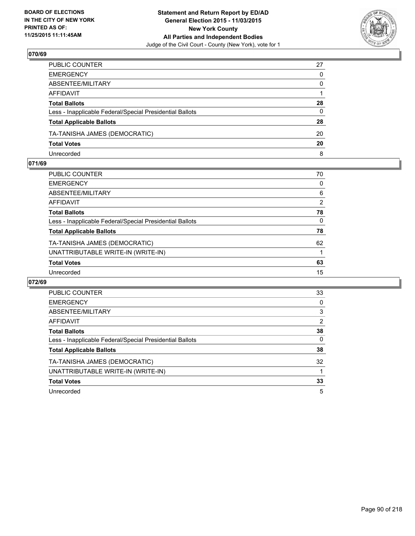

| PUBLIC COUNTER                                           | 27       |
|----------------------------------------------------------|----------|
| EMERGENCY                                                | 0        |
| ABSENTEE/MILITARY                                        | $\Omega$ |
| AFFIDAVIT                                                |          |
| Total Ballots                                            | 28       |
| Less - Inapplicable Federal/Special Presidential Ballots | 0        |
| <b>Total Applicable Ballots</b>                          | 28       |
| TA-TANISHA JAMES (DEMOCRATIC)                            | 20       |
| <b>Total Votes</b>                                       | 20       |
| Unrecorded                                               | 8        |

#### **071/69**

| PUBLIC COUNTER                                           | 70             |
|----------------------------------------------------------|----------------|
| EMERGENCY                                                | 0              |
| ABSENTEE/MILITARY                                        | 6              |
| AFFIDAVIT                                                | $\overline{2}$ |
| Total Ballots                                            | 78             |
| Less - Inapplicable Federal/Special Presidential Ballots | 0              |
| <b>Total Applicable Ballots</b>                          | 78             |
| TA-TANISHA JAMES (DEMOCRATIC)                            | 62             |
| UNATTRIBUTABLE WRITE-IN (WRITE-IN)                       |                |
| <b>Total Votes</b>                                       | 63             |
| Unrecorded                                               | 15             |
|                                                          |                |

| PUBLIC COUNTER                                           | 33 |
|----------------------------------------------------------|----|
| <b>EMERGENCY</b>                                         | 0  |
| ABSENTEE/MILITARY                                        | 3  |
| AFFIDAVIT                                                | 2  |
| <b>Total Ballots</b>                                     | 38 |
| Less - Inapplicable Federal/Special Presidential Ballots | 0  |
| <b>Total Applicable Ballots</b>                          | 38 |
| TA-TANISHA JAMES (DEMOCRATIC)                            | 32 |
| UNATTRIBUTABLE WRITE-IN (WRITE-IN)                       |    |
| <b>Total Votes</b>                                       | 33 |
| Unrecorded                                               | 5  |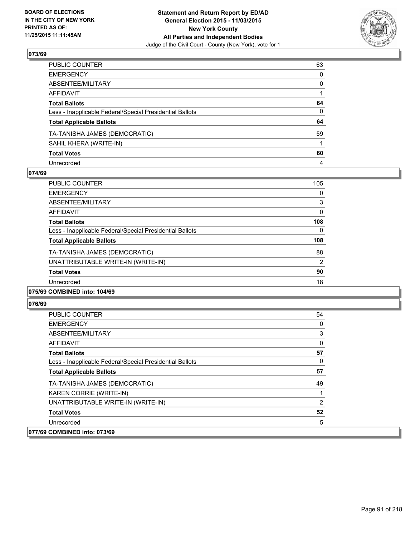

| PUBLIC COUNTER                                           | 63           |
|----------------------------------------------------------|--------------|
| EMERGENCY                                                | 0            |
| ABSENTEE/MILITARY                                        | 0            |
| AFFIDAVIT                                                |              |
| Total Ballots                                            | 64           |
| Less - Inapplicable Federal/Special Presidential Ballots | $\mathbf{0}$ |
| <b>Total Applicable Ballots</b>                          | 64           |
| TA-TANISHA JAMES (DEMOCRATIC)                            | 59           |
| SAHIL KHERA (WRITE-IN)                                   |              |
| Total Votes                                              | 60           |
| Unrecorded                                               | 4            |

#### **074/69**

| <b>PUBLIC COUNTER</b>                                    | 105 |
|----------------------------------------------------------|-----|
| <b>EMERGENCY</b>                                         | 0   |
| ABSENTEE/MILITARY                                        | 3   |
| <b>AFFIDAVIT</b>                                         | 0   |
| <b>Total Ballots</b>                                     | 108 |
| Less - Inapplicable Federal/Special Presidential Ballots | 0   |
| <b>Total Applicable Ballots</b>                          | 108 |
| TA-TANISHA JAMES (DEMOCRATIC)                            | 88  |
| UNATTRIBUTABLE WRITE-IN (WRITE-IN)                       | 2   |
| <b>Total Votes</b>                                       | 90  |
| Unrecorded                                               | 18  |
|                                                          |     |

#### **075/69 COMBINED into: 104/69**

| <b>PUBLIC COUNTER</b>                                    | 54       |
|----------------------------------------------------------|----------|
| <b>EMERGENCY</b>                                         | 0        |
| ABSENTEE/MILITARY                                        | 3        |
| AFFIDAVIT                                                | $\Omega$ |
| <b>Total Ballots</b>                                     | 57       |
| Less - Inapplicable Federal/Special Presidential Ballots | 0        |
| <b>Total Applicable Ballots</b>                          | 57       |
| TA-TANISHA JAMES (DEMOCRATIC)                            | 49       |
| KAREN CORRIE (WRITE-IN)                                  |          |
| UNATTRIBUTABLE WRITE-IN (WRITE-IN)                       | 2        |
| <b>Total Votes</b>                                       | 52       |
| Unrecorded                                               | 5        |
| 077/69 COMBINED into: 073/69                             |          |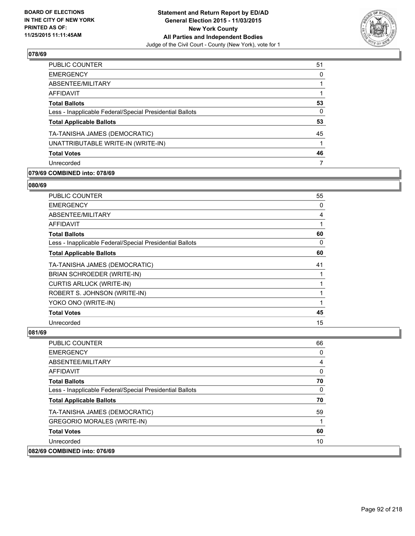

| PUBLIC COUNTER                                           | 51 |
|----------------------------------------------------------|----|
| <b>EMERGENCY</b>                                         | 0  |
| ABSENTEE/MILITARY                                        |    |
| <b>AFFIDAVIT</b>                                         |    |
| <b>Total Ballots</b>                                     | 53 |
| Less - Inapplicable Federal/Special Presidential Ballots | 0  |
| <b>Total Applicable Ballots</b>                          | 53 |
| TA-TANISHA JAMES (DEMOCRATIC)                            | 45 |
| UNATTRIBUTABLE WRITE-IN (WRITE-IN)                       |    |
| <b>Total Votes</b>                                       | 46 |
| Unrecorded                                               |    |

### **079/69 COMBINED into: 078/69**

#### **080/69**

| <b>PUBLIC COUNTER</b>                                    | 55 |
|----------------------------------------------------------|----|
| <b>EMERGENCY</b>                                         | 0  |
| ABSENTEE/MILITARY                                        | 4  |
| <b>AFFIDAVIT</b>                                         | 1  |
| <b>Total Ballots</b>                                     | 60 |
| Less - Inapplicable Federal/Special Presidential Ballots | 0  |
| <b>Total Applicable Ballots</b>                          | 60 |
| TA-TANISHA JAMES (DEMOCRATIC)                            | 41 |
| BRIAN SCHROEDER (WRITE-IN)                               |    |
| <b>CURTIS ARLUCK (WRITE-IN)</b>                          |    |
| ROBERT S. JOHNSON (WRITE-IN)                             | 1  |
| YOKO ONO (WRITE-IN)                                      |    |
| <b>Total Votes</b>                                       | 45 |
| Unrecorded                                               | 15 |

| <b>PUBLIC COUNTER</b>                                    | 66 |
|----------------------------------------------------------|----|
| <b>EMERGENCY</b>                                         | 0  |
| ABSENTEE/MILITARY                                        | 4  |
| <b>AFFIDAVIT</b>                                         | 0  |
| <b>Total Ballots</b>                                     | 70 |
| Less - Inapplicable Federal/Special Presidential Ballots | 0  |
| <b>Total Applicable Ballots</b>                          | 70 |
| TA-TANISHA JAMES (DEMOCRATIC)                            | 59 |
| <b>GREGORIO MORALES (WRITE-IN)</b>                       |    |
| <b>Total Votes</b>                                       | 60 |
| Unrecorded                                               | 10 |
| 082/69 COMBINED into: 076/69                             |    |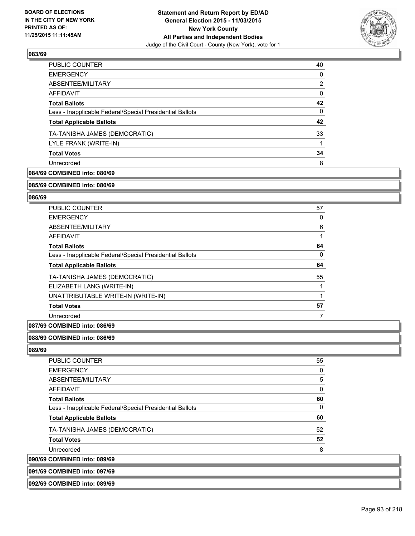

| <b>PUBLIC COUNTER</b>                                    | 40       |
|----------------------------------------------------------|----------|
| <b>EMERGENCY</b>                                         | 0        |
| ABSENTEE/MILITARY                                        | 2        |
| AFFIDAVIT                                                | 0        |
| <b>Total Ballots</b>                                     | 42       |
| Less - Inapplicable Federal/Special Presidential Ballots | $\Omega$ |
| <b>Total Applicable Ballots</b>                          | 42       |
| TA-TANISHA JAMES (DEMOCRATIC)                            | 33       |
| LYLE FRANK (WRITE-IN)                                    |          |
| <b>Total Votes</b>                                       | 34       |
| Unrecorded                                               | 8        |
|                                                          |          |

### **084/69 COMBINED into: 080/69**

#### **085/69 COMBINED into: 080/69**

#### **086/69**

| PUBLIC COUNTER                                           | 57 |
|----------------------------------------------------------|----|
| <b>EMERGENCY</b>                                         | 0  |
| ABSENTEE/MILITARY                                        | 6  |
| <b>AFFIDAVIT</b>                                         |    |
| <b>Total Ballots</b>                                     | 64 |
| Less - Inapplicable Federal/Special Presidential Ballots | 0  |
| <b>Total Applicable Ballots</b>                          | 64 |
| TA-TANISHA JAMES (DEMOCRATIC)                            | 55 |
| ELIZABETH LANG (WRITE-IN)                                |    |
| UNATTRIBUTABLE WRITE-IN (WRITE-IN)                       |    |
| <b>Total Votes</b>                                       | 57 |
| Unrecorded                                               |    |

#### **087/69 COMBINED into: 086/69**

#### **088/69 COMBINED into: 086/69**

**089/69** 

090/69

| <b>PUBLIC COUNTER</b>                                    | 55 |
|----------------------------------------------------------|----|
| <b>EMERGENCY</b>                                         | 0  |
| ABSENTEE/MILITARY                                        | 5  |
| AFFIDAVIT                                                | 0  |
| <b>Total Ballots</b>                                     | 60 |
| Less - Inapplicable Federal/Special Presidential Ballots | 0  |
| <b>Total Applicable Ballots</b>                          | 60 |
| TA-TANISHA JAMES (DEMOCRATIC)                            | 52 |
| <b>Total Votes</b>                                       | 52 |
| Unrecorded                                               | 8  |
| <b>COMBINED into: 089/69</b>                             |    |

#### **091/69 COMBINED into: 097/69**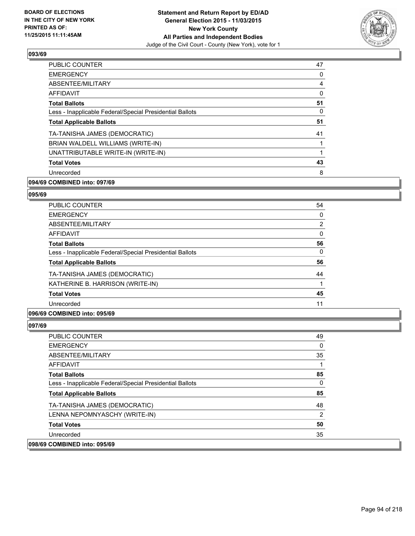

| <b>PUBLIC COUNTER</b>                                    | 47 |
|----------------------------------------------------------|----|
| <b>EMERGENCY</b>                                         | 0  |
| ABSENTEE/MILITARY                                        | 4  |
| <b>AFFIDAVIT</b>                                         | 0  |
| <b>Total Ballots</b>                                     | 51 |
| Less - Inapplicable Federal/Special Presidential Ballots | 0  |
| <b>Total Applicable Ballots</b>                          | 51 |
| TA-TANISHA JAMES (DEMOCRATIC)                            | 41 |
| BRIAN WALDELL WILLIAMS (WRITE-IN)                        | 1  |
| UNATTRIBUTABLE WRITE-IN (WRITE-IN)                       | 1  |
| <b>Total Votes</b>                                       | 43 |
| Unrecorded                                               | 8  |

### **094/69 COMBINED into: 097/69**

#### **095/69**

| <b>PUBLIC COUNTER</b>                                    | 54                    |
|----------------------------------------------------------|-----------------------|
| <b>EMERGENCY</b>                                         | 0                     |
| ABSENTEE/MILITARY                                        | $\mathbf{2}^{\prime}$ |
| <b>AFFIDAVIT</b>                                         | 0                     |
| <b>Total Ballots</b>                                     | 56                    |
| Less - Inapplicable Federal/Special Presidential Ballots | 0                     |
| <b>Total Applicable Ballots</b>                          | 56                    |
| TA-TANISHA JAMES (DEMOCRATIC)                            | 44                    |
| KATHERINE B. HARRISON (WRITE-IN)                         |                       |
| <b>Total Votes</b>                                       | 45                    |
| Unrecorded                                               | 11                    |

### **096/69 COMBINED into: 095/69**

| <b>PUBLIC COUNTER</b>                                    | 49 |
|----------------------------------------------------------|----|
| <b>EMERGENCY</b>                                         | 0  |
| ABSENTEE/MILITARY                                        | 35 |
| <b>AFFIDAVIT</b>                                         |    |
| <b>Total Ballots</b>                                     | 85 |
| Less - Inapplicable Federal/Special Presidential Ballots | 0  |
| <b>Total Applicable Ballots</b>                          | 85 |
| TA-TANISHA JAMES (DEMOCRATIC)                            | 48 |
| LENNA NEPOMNYASCHY (WRITE-IN)                            | 2  |
| <b>Total Votes</b>                                       | 50 |
| Unrecorded                                               | 35 |
| 098/69 COMBINED into: 095/69                             |    |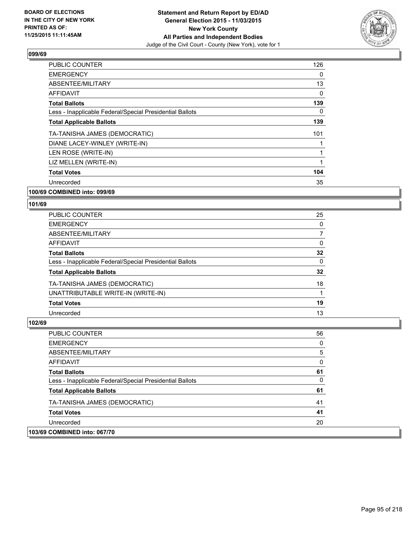

| <b>PUBLIC COUNTER</b>                                    | 126 |
|----------------------------------------------------------|-----|
| <b>EMERGENCY</b>                                         | 0   |
| ABSENTEE/MILITARY                                        | 13  |
| <b>AFFIDAVIT</b>                                         | 0   |
| <b>Total Ballots</b>                                     | 139 |
| Less - Inapplicable Federal/Special Presidential Ballots | 0   |
| <b>Total Applicable Ballots</b>                          | 139 |
| TA-TANISHA JAMES (DEMOCRATIC)                            | 101 |
| DIANE LACEY-WINLEY (WRITE-IN)                            | 1   |
| LEN ROSE (WRITE-IN)                                      | 1   |
| LIZ MELLEN (WRITE-IN)                                    | 1   |
| <b>Total Votes</b>                                       | 104 |
| Unrecorded                                               | 35  |
|                                                          |     |

#### **100/69 COMBINED into: 099/69**

#### **101/69**

| PUBLIC COUNTER                                           | 25           |
|----------------------------------------------------------|--------------|
| <b>EMERGENCY</b>                                         | 0            |
| ABSENTEE/MILITARY                                        | 7            |
| <b>AFFIDAVIT</b>                                         | 0            |
| <b>Total Ballots</b>                                     | 32           |
| Less - Inapplicable Federal/Special Presidential Ballots | $\mathbf{0}$ |
| <b>Total Applicable Ballots</b>                          | 32           |
| TA-TANISHA JAMES (DEMOCRATIC)                            | 18           |
| UNATTRIBUTABLE WRITE-IN (WRITE-IN)                       |              |
| <b>Total Votes</b>                                       | 19           |
| Unrecorded                                               | 13           |

### **102/69**

| <b>PUBLIC COUNTER</b>                                    | 56 |
|----------------------------------------------------------|----|
| <b>EMERGENCY</b>                                         | 0  |
| ABSENTEE/MILITARY                                        | 5  |
| AFFIDAVIT                                                | 0  |
| <b>Total Ballots</b>                                     | 61 |
| Less - Inapplicable Federal/Special Presidential Ballots | 0  |
| <b>Total Applicable Ballots</b>                          | 61 |
| TA-TANISHA JAMES (DEMOCRATIC)                            | 41 |
| <b>Total Votes</b>                                       | 41 |
| Unrecorded                                               | 20 |
| <b>COMBINED into: 067/70</b>                             |    |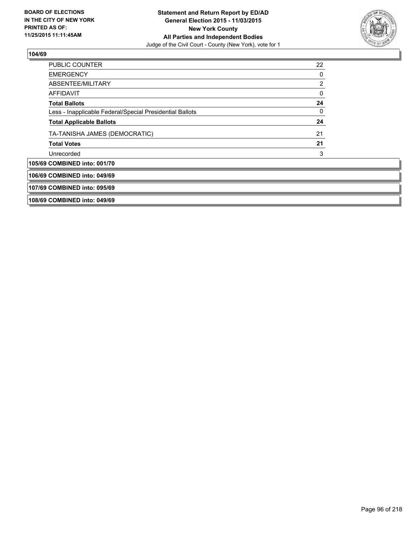

| 108/69 COMBINED into: 049/69    |                                                          |    |
|---------------------------------|----------------------------------------------------------|----|
| 107/69 COMBINED into: 095/69    |                                                          |    |
| 106/69 COMBINED into: 049/69    |                                                          |    |
| 105/69 COMBINED into: 001/70    |                                                          |    |
| Unrecorded                      |                                                          | 3  |
| <b>Total Votes</b>              |                                                          | 21 |
|                                 | TA-TANISHA JAMES (DEMOCRATIC)                            | 21 |
| <b>Total Applicable Ballots</b> |                                                          | 24 |
|                                 | Less - Inapplicable Federal/Special Presidential Ballots | 0  |
| <b>Total Ballots</b>            |                                                          | 24 |
| <b>AFFIDAVIT</b>                |                                                          | 0  |
| ABSENTEE/MILITARY               |                                                          | 2  |
| <b>EMERGENCY</b>                |                                                          | 0  |
| <b>PUBLIC COUNTER</b>           |                                                          | 22 |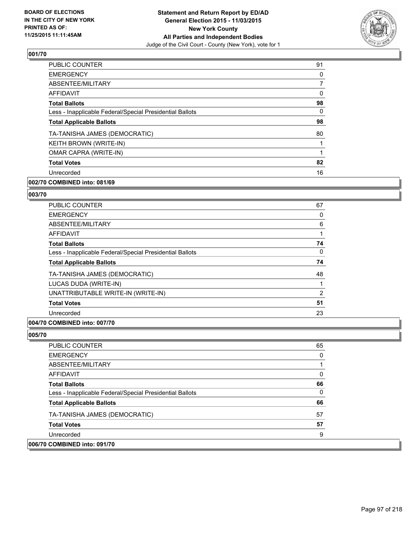

| 91 |
|----|
| 0  |
| 7  |
| 0  |
| 98 |
| 0  |
| 98 |
| 80 |
|    |
|    |
| 82 |
| 16 |
|    |

### **002/70 COMBINED into: 081/69**

#### **003/70**

| <b>PUBLIC COUNTER</b>                                    | 67 |
|----------------------------------------------------------|----|
| <b>EMERGENCY</b>                                         | 0  |
| ABSENTEE/MILITARY                                        | 6  |
| <b>AFFIDAVIT</b>                                         |    |
| <b>Total Ballots</b>                                     | 74 |
| Less - Inapplicable Federal/Special Presidential Ballots | 0  |
| <b>Total Applicable Ballots</b>                          | 74 |
| TA-TANISHA JAMES (DEMOCRATIC)                            | 48 |
| LUCAS DUDA (WRITE-IN)                                    |    |
| UNATTRIBUTABLE WRITE-IN (WRITE-IN)                       | 2  |
| <b>Total Votes</b>                                       | 51 |
| Unrecorded                                               | 23 |
|                                                          |    |

### **004/70 COMBINED into: 007/70**

| PUBLIC COUNTER                                           | 65       |
|----------------------------------------------------------|----------|
| <b>EMERGENCY</b>                                         | $\Omega$ |
| ABSENTEE/MILITARY                                        |          |
| AFFIDAVIT                                                | 0        |
| <b>Total Ballots</b>                                     | 66       |
| Less - Inapplicable Federal/Special Presidential Ballots | $\Omega$ |
| <b>Total Applicable Ballots</b>                          | 66       |
| TA-TANISHA JAMES (DEMOCRATIC)                            | 57       |
| <b>Total Votes</b>                                       | 57       |
| Unrecorded                                               | 9        |
| 006/70 COMBINED into: 091/70                             |          |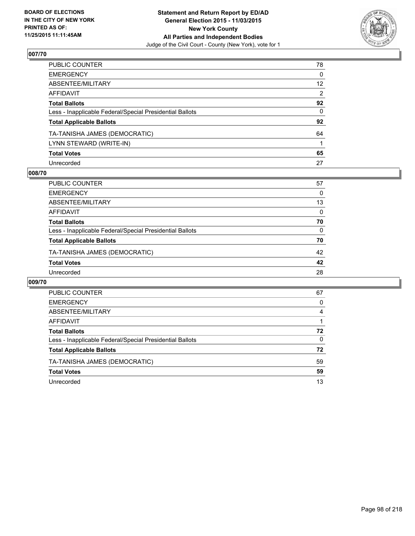

| PUBLIC COUNTER                                           | 78              |
|----------------------------------------------------------|-----------------|
| EMERGENCY                                                | 0               |
| ABSENTEE/MILITARY                                        | 12 <sup>2</sup> |
| AFFIDAVIT                                                | 2               |
| Total Ballots                                            | 92              |
| Less - Inapplicable Federal/Special Presidential Ballots | 0               |
| <b>Total Applicable Ballots</b>                          | 92              |
| TA-TANISHA JAMES (DEMOCRATIC)                            | 64              |
| LYNN STEWARD (WRITE-IN)                                  |                 |
| <b>Total Votes</b>                                       | 65              |
| Unrecorded                                               | 27              |

#### **008/70**

| PUBLIC COUNTER                                           | 57       |
|----------------------------------------------------------|----------|
| <b>EMERGENCY</b>                                         | 0        |
| ABSENTEE/MILITARY                                        | 13       |
| AFFIDAVIT                                                | 0        |
| <b>Total Ballots</b>                                     | 70       |
| Less - Inapplicable Federal/Special Presidential Ballots | $\Omega$ |
| <b>Total Applicable Ballots</b>                          | 70       |
| TA-TANISHA JAMES (DEMOCRATIC)                            | 42       |
| <b>Total Votes</b>                                       | 42       |
| Unrecorded                                               | 28       |
|                                                          |          |

| PUBLIC COUNTER                                           | 67       |
|----------------------------------------------------------|----------|
| <b>EMERGENCY</b>                                         | 0        |
| ABSENTEE/MILITARY                                        | 4        |
| AFFIDAVIT                                                |          |
| <b>Total Ballots</b>                                     | 72       |
| Less - Inapplicable Federal/Special Presidential Ballots | $\Omega$ |
| <b>Total Applicable Ballots</b>                          | 72       |
| TA-TANISHA JAMES (DEMOCRATIC)                            | 59       |
| <b>Total Votes</b>                                       | 59       |
| Unrecorded                                               | 13       |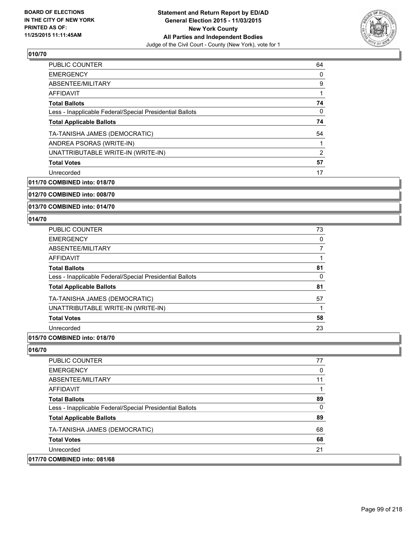

| <b>PUBLIC COUNTER</b>                                    | 64 |
|----------------------------------------------------------|----|
| <b>EMERGENCY</b>                                         | 0  |
| ABSENTEE/MILITARY                                        | 9  |
| AFFIDAVIT                                                |    |
| <b>Total Ballots</b>                                     | 74 |
| Less - Inapplicable Federal/Special Presidential Ballots | 0  |
| <b>Total Applicable Ballots</b>                          | 74 |
| TA-TANISHA JAMES (DEMOCRATIC)                            | 54 |
| ANDREA PSORAS (WRITE-IN)                                 |    |
| UNATTRIBUTABLE WRITE-IN (WRITE-IN)                       | 2  |
| <b>Total Votes</b>                                       | 57 |
| Unrecorded                                               | 17 |

**011/70 COMBINED into: 018/70**

**012/70 COMBINED into: 008/70**

**013/70 COMBINED into: 014/70**

#### **014/70**

| PUBLIC COUNTER                                           | 73 |
|----------------------------------------------------------|----|
| <b>EMERGENCY</b>                                         | 0  |
| ABSENTEE/MILITARY                                        |    |
| <b>AFFIDAVIT</b>                                         |    |
| <b>Total Ballots</b>                                     | 81 |
| Less - Inapplicable Federal/Special Presidential Ballots | 0  |
| <b>Total Applicable Ballots</b>                          | 81 |
| TA-TANISHA JAMES (DEMOCRATIC)                            | 57 |
| UNATTRIBUTABLE WRITE-IN (WRITE-IN)                       |    |
| <b>Total Votes</b>                                       | 58 |
| Unrecorded                                               | 23 |

#### **015/70 COMBINED into: 018/70**

| PUBLIC COUNTER                                           | 77 |
|----------------------------------------------------------|----|
| <b>EMERGENCY</b>                                         | 0  |
| ABSENTEE/MILITARY                                        | 11 |
| AFFIDAVIT                                                |    |
| <b>Total Ballots</b>                                     | 89 |
| Less - Inapplicable Federal/Special Presidential Ballots | 0  |
| <b>Total Applicable Ballots</b>                          | 89 |
| TA-TANISHA JAMES (DEMOCRATIC)                            | 68 |
| <b>Total Votes</b>                                       | 68 |
| Unrecorded                                               | 21 |
| 017/70 COMBINED into: 081/68                             |    |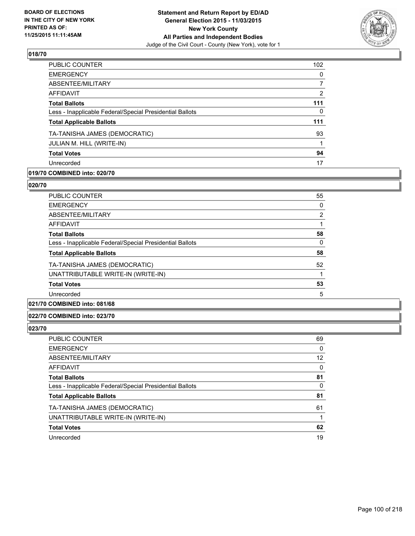

| <b>PUBLIC COUNTER</b>                                    | 102          |
|----------------------------------------------------------|--------------|
| <b>EMERGENCY</b>                                         | $\Omega$     |
| ABSENTEE/MILITARY                                        | 7            |
| <b>AFFIDAVIT</b>                                         | 2            |
| <b>Total Ballots</b>                                     | 111          |
| Less - Inapplicable Federal/Special Presidential Ballots | $\mathbf{0}$ |
| <b>Total Applicable Ballots</b>                          | 111          |
| TA-TANISHA JAMES (DEMOCRATIC)                            | 93           |
| JULIAN M. HILL (WRITE-IN)                                |              |
| <b>Total Votes</b>                                       | 94           |
| Unrecorded                                               | 17           |
|                                                          |              |

### **019/70 COMBINED into: 020/70**

#### **020/70**

| <b>PUBLIC COUNTER</b>                                    | 55             |
|----------------------------------------------------------|----------------|
| <b>EMERGENCY</b>                                         | 0              |
| ABSENTEE/MILITARY                                        | $\overline{2}$ |
| <b>AFFIDAVIT</b>                                         |                |
| <b>Total Ballots</b>                                     | 58             |
| Less - Inapplicable Federal/Special Presidential Ballots | 0              |
| <b>Total Applicable Ballots</b>                          | 58             |
| TA-TANISHA JAMES (DEMOCRATIC)                            | 52             |
| UNATTRIBUTABLE WRITE-IN (WRITE-IN)                       | 1              |
| <b>Total Votes</b>                                       | 53             |
| Unrecorded                                               | 5              |
|                                                          |                |

### **021/70 COMBINED into: 081/68**

#### **022/70 COMBINED into: 023/70**

| PUBLIC COUNTER                                           | 69 |
|----------------------------------------------------------|----|
| <b>EMERGENCY</b>                                         | 0  |
| ABSENTEE/MILITARY                                        | 12 |
| AFFIDAVIT                                                | 0  |
| <b>Total Ballots</b>                                     | 81 |
| Less - Inapplicable Federal/Special Presidential Ballots | 0  |
| <b>Total Applicable Ballots</b>                          | 81 |
| TA-TANISHA JAMES (DEMOCRATIC)                            | 61 |
| UNATTRIBUTABLE WRITE-IN (WRITE-IN)                       |    |
| <b>Total Votes</b>                                       | 62 |
| Unrecorded                                               | 19 |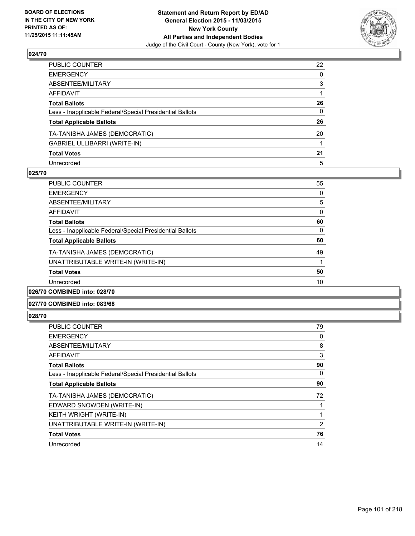

| PUBLIC COUNTER                                           | 22           |
|----------------------------------------------------------|--------------|
| EMERGENCY                                                | $\mathbf{0}$ |
| ABSENTEE/MILITARY                                        | 3            |
| AFFIDAVIT                                                |              |
| Total Ballots                                            | 26           |
| Less - Inapplicable Federal/Special Presidential Ballots | $\mathbf{0}$ |
| <b>Total Applicable Ballots</b>                          | 26           |
| TA-TANISHA JAMES (DEMOCRATIC)                            | 20           |
| GABRIEL ULLIBARRI (WRITE-IN)                             |              |
| <b>Total Votes</b>                                       | 21           |
| Unrecorded                                               | 5            |

#### **025/70**

| <b>PUBLIC COUNTER</b>                                    | 55 |
|----------------------------------------------------------|----|
| <b>EMERGENCY</b>                                         | 0  |
| ABSENTEE/MILITARY                                        | 5  |
| AFFIDAVIT                                                | 0  |
| <b>Total Ballots</b>                                     | 60 |
| Less - Inapplicable Federal/Special Presidential Ballots | 0  |
| <b>Total Applicable Ballots</b>                          | 60 |
| TA-TANISHA JAMES (DEMOCRATIC)                            | 49 |
| UNATTRIBUTABLE WRITE-IN (WRITE-IN)                       |    |
| <b>Total Votes</b>                                       | 50 |
| Unrecorded                                               | 10 |
|                                                          |    |

#### **026/70 COMBINED into: 028/70**

#### **027/70 COMBINED into: 083/68**

| <b>PUBLIC COUNTER</b>                                    | 79             |
|----------------------------------------------------------|----------------|
| <b>EMERGENCY</b>                                         | 0              |
| ABSENTEE/MILITARY                                        | 8              |
| <b>AFFIDAVIT</b>                                         | 3              |
| <b>Total Ballots</b>                                     | 90             |
| Less - Inapplicable Federal/Special Presidential Ballots | 0              |
| <b>Total Applicable Ballots</b>                          | 90             |
| TA-TANISHA JAMES (DEMOCRATIC)                            | 72             |
| EDWARD SNOWDEN (WRITE-IN)                                |                |
| KEITH WRIGHT (WRITE-IN)                                  | 1              |
| UNATTRIBUTABLE WRITE-IN (WRITE-IN)                       | $\overline{2}$ |
| <b>Total Votes</b>                                       | 76             |
| Unrecorded                                               | 14             |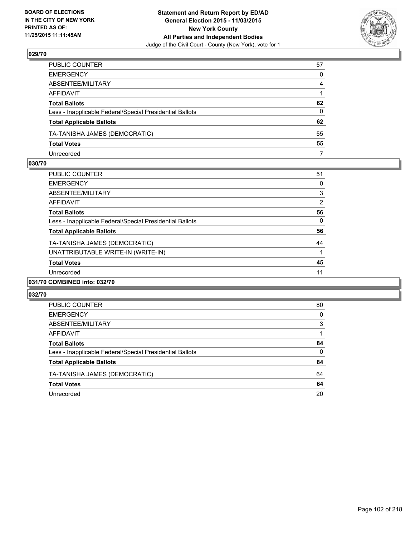

| PUBLIC COUNTER                                           | 57 |
|----------------------------------------------------------|----|
| EMERGENCY                                                | 0  |
| ABSENTEE/MILITARY                                        | 4  |
| AFFIDAVIT                                                |    |
| Total Ballots                                            | 62 |
| Less - Inapplicable Federal/Special Presidential Ballots | 0  |
| <b>Total Applicable Ballots</b>                          | 62 |
| TA-TANISHA JAMES (DEMOCRATIC)                            | 55 |
| <b>Total Votes</b>                                       | 55 |
| Unrecorded                                               | 7  |

#### **030/70**

| <b>PUBLIC COUNTER</b>                                    | 51 |
|----------------------------------------------------------|----|
| <b>EMERGENCY</b>                                         | 0  |
| ABSENTEE/MILITARY                                        | 3  |
| AFFIDAVIT                                                | 2  |
| <b>Total Ballots</b>                                     | 56 |
| Less - Inapplicable Federal/Special Presidential Ballots | 0  |
| <b>Total Applicable Ballots</b>                          | 56 |
| TA-TANISHA JAMES (DEMOCRATIC)                            | 44 |
| UNATTRIBUTABLE WRITE-IN (WRITE-IN)                       |    |
| <b>Total Votes</b>                                       | 45 |
| Unrecorded                                               | 11 |
| 031/70 COMBINED into: 032/70                             |    |

| <b>PUBLIC COUNTER</b>                                    | 80       |
|----------------------------------------------------------|----------|
| <b>EMERGENCY</b>                                         | 0        |
| ABSENTEE/MILITARY                                        | 3        |
| AFFIDAVIT                                                |          |
| <b>Total Ballots</b>                                     | 84       |
| Less - Inapplicable Federal/Special Presidential Ballots | $\Omega$ |
| <b>Total Applicable Ballots</b>                          | 84       |
| TA-TANISHA JAMES (DEMOCRATIC)                            | 64       |
| <b>Total Votes</b>                                       | 64       |
| Unrecorded                                               | 20       |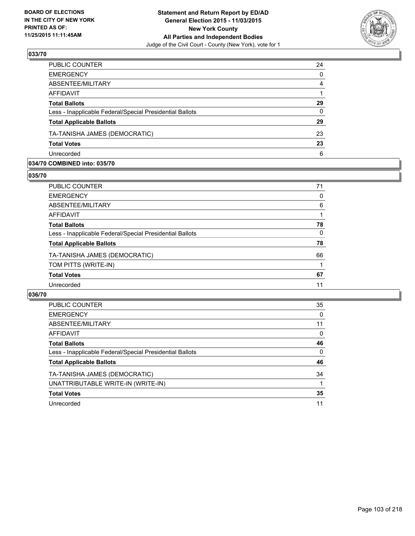

| PUBLIC COUNTER                                           | 24       |
|----------------------------------------------------------|----------|
| <b>EMERGENCY</b>                                         | $\Omega$ |
| ABSENTEE/MILITARY                                        | 4        |
| <b>AFFIDAVIT</b>                                         |          |
| <b>Total Ballots</b>                                     | 29       |
| Less - Inapplicable Federal/Special Presidential Ballots | $\Omega$ |
| <b>Total Applicable Ballots</b>                          | 29       |
| TA-TANISHA JAMES (DEMOCRATIC)                            | 23       |
| <b>Total Votes</b>                                       | 23       |
| Unrecorded                                               | 6        |

#### **034/70 COMBINED into: 035/70**

**035/70** 

| PUBLIC COUNTER                                           | 71 |
|----------------------------------------------------------|----|
| <b>EMERGENCY</b>                                         | 0  |
| ABSENTEE/MILITARY                                        | 6  |
| AFFIDAVIT                                                |    |
| <b>Total Ballots</b>                                     | 78 |
| Less - Inapplicable Federal/Special Presidential Ballots | 0  |
| <b>Total Applicable Ballots</b>                          | 78 |
| TA-TANISHA JAMES (DEMOCRATIC)                            | 66 |
| TOM PITTS (WRITE-IN)                                     |    |
| <b>Total Votes</b>                                       | 67 |
| Unrecorded                                               | 11 |
|                                                          |    |

| <b>PUBLIC COUNTER</b>                                    | 35 |
|----------------------------------------------------------|----|
| <b>EMERGENCY</b>                                         | 0  |
| ABSENTEE/MILITARY                                        | 11 |
| AFFIDAVIT                                                | 0  |
| <b>Total Ballots</b>                                     | 46 |
| Less - Inapplicable Federal/Special Presidential Ballots | 0  |
| <b>Total Applicable Ballots</b>                          | 46 |
| TA-TANISHA JAMES (DEMOCRATIC)                            | 34 |
| UNATTRIBUTABLE WRITE-IN (WRITE-IN)                       |    |
| <b>Total Votes</b>                                       | 35 |
| Unrecorded                                               | 11 |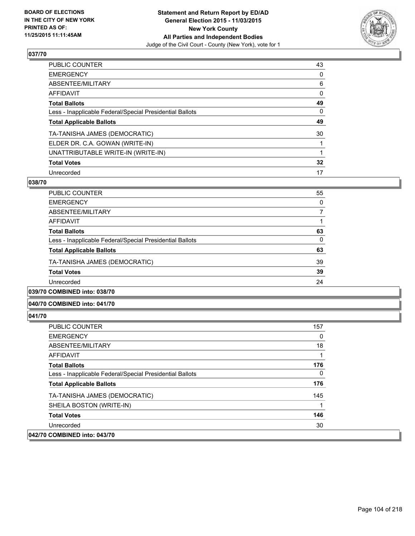

| PUBLIC COUNTER                                           | 43 |
|----------------------------------------------------------|----|
| <b>EMERGENCY</b>                                         | 0  |
| ABSENTEE/MILITARY                                        | 6  |
| <b>AFFIDAVIT</b>                                         | 0  |
| <b>Total Ballots</b>                                     | 49 |
| Less - Inapplicable Federal/Special Presidential Ballots | 0  |
| <b>Total Applicable Ballots</b>                          | 49 |
| TA-TANISHA JAMES (DEMOCRATIC)                            | 30 |
| ELDER DR. C.A. GOWAN (WRITE-IN)                          |    |
| UNATTRIBUTABLE WRITE-IN (WRITE-IN)                       |    |
| <b>Total Votes</b>                                       | 32 |
| Unrecorded                                               | 17 |

#### **038/70**

| PUBLIC COUNTER                                           | 55 |
|----------------------------------------------------------|----|
| <b>EMERGENCY</b>                                         | 0  |
| ABSENTEE/MILITARY                                        | 7  |
| AFFIDAVIT                                                |    |
| <b>Total Ballots</b>                                     | 63 |
| Less - Inapplicable Federal/Special Presidential Ballots | 0  |
| <b>Total Applicable Ballots</b>                          | 63 |
| TA-TANISHA JAMES (DEMOCRATIC)                            | 39 |
| <b>Total Votes</b>                                       | 39 |
| Unrecorded                                               | 24 |
|                                                          |    |

### **039/70 COMBINED into: 038/70**

#### **040/70 COMBINED into: 041/70**

| <b>PUBLIC COUNTER</b>                                    | 157 |
|----------------------------------------------------------|-----|
| <b>EMERGENCY</b>                                         | 0   |
| ABSENTEE/MILITARY                                        | 18  |
| AFFIDAVIT                                                | 1   |
| <b>Total Ballots</b>                                     | 176 |
| Less - Inapplicable Federal/Special Presidential Ballots | 0   |
| <b>Total Applicable Ballots</b>                          | 176 |
| TA-TANISHA JAMES (DEMOCRATIC)                            | 145 |
| SHEILA BOSTON (WRITE-IN)                                 | 1   |
| <b>Total Votes</b>                                       | 146 |
| Unrecorded                                               | 30  |
| 042/70 COMBINED into: 043/70                             |     |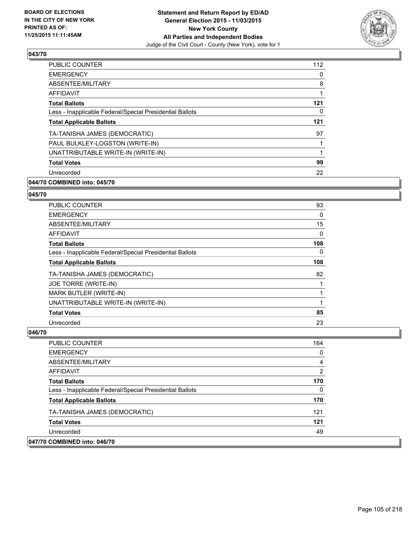

| <b>PUBLIC COUNTER</b>                                    | 112 |
|----------------------------------------------------------|-----|
| <b>EMERGENCY</b>                                         | 0   |
| ABSENTEE/MILITARY                                        | 8   |
| <b>AFFIDAVIT</b>                                         | 1   |
| <b>Total Ballots</b>                                     | 121 |
| Less - Inapplicable Federal/Special Presidential Ballots | 0   |
| <b>Total Applicable Ballots</b>                          | 121 |
| TA-TANISHA JAMES (DEMOCRATIC)                            | 97  |
| PAUL BULKLEY-LOGSTON (WRITE-IN)                          | 1   |
| UNATTRIBUTABLE WRITE-IN (WRITE-IN)                       | 1   |
| <b>Total Votes</b>                                       | 99  |
| Unrecorded                                               | 22  |

### **044/70 COMBINED into: 045/70**

#### **045/70**

| <b>PUBLIC COUNTER</b>                                    | 93  |
|----------------------------------------------------------|-----|
| <b>EMERGENCY</b>                                         | 0   |
| ABSENTEE/MILITARY                                        | 15  |
| <b>AFFIDAVIT</b>                                         | 0   |
| <b>Total Ballots</b>                                     | 108 |
| Less - Inapplicable Federal/Special Presidential Ballots | 0   |
| <b>Total Applicable Ballots</b>                          | 108 |
| TA-TANISHA JAMES (DEMOCRATIC)                            | 82  |
| JOE TORRE (WRITE-IN)                                     |     |
| <b>MARK BUTLER (WRITE-IN)</b>                            | 1   |
| UNATTRIBUTABLE WRITE-IN (WRITE-IN)                       | 1   |
| <b>Total Votes</b>                                       | 85  |
| Unrecorded                                               | 23  |

| PUBLIC COUNTER                                           | 164 |
|----------------------------------------------------------|-----|
| <b>EMERGENCY</b>                                         | 0   |
| ABSENTEE/MILITARY                                        | 4   |
| AFFIDAVIT                                                | 2   |
| <b>Total Ballots</b>                                     | 170 |
| Less - Inapplicable Federal/Special Presidential Ballots | 0   |
| <b>Total Applicable Ballots</b>                          | 170 |
| TA-TANISHA JAMES (DEMOCRATIC)                            | 121 |
| <b>Total Votes</b>                                       | 121 |
| Unrecorded                                               | 49  |
| 047/70 COMBINED into: 046/70                             |     |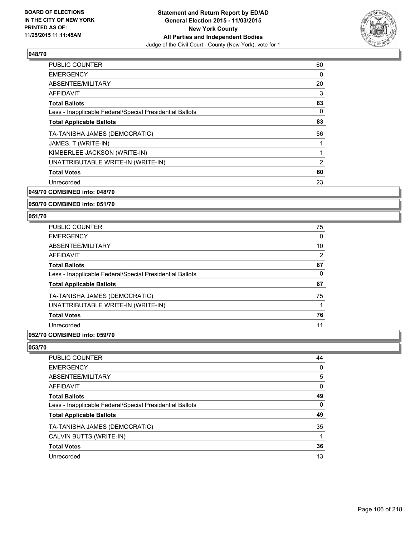

| <b>PUBLIC COUNTER</b>                                    | 60 |
|----------------------------------------------------------|----|
| <b>EMERGENCY</b>                                         | 0  |
| ABSENTEE/MILITARY                                        | 20 |
| AFFIDAVIT                                                | 3  |
| <b>Total Ballots</b>                                     | 83 |
| Less - Inapplicable Federal/Special Presidential Ballots | 0  |
| <b>Total Applicable Ballots</b>                          | 83 |
| TA-TANISHA JAMES (DEMOCRATIC)                            | 56 |
| JAMES, T (WRITE-IN)                                      |    |
| KIMBERLEE JACKSON (WRITE-IN)                             |    |
| UNATTRIBUTABLE WRITE-IN (WRITE-IN)                       | 2  |
| <b>Total Votes</b>                                       | 60 |
| Unrecorded                                               | 23 |
| 049/70 COMBINED into: 048/70                             |    |

# **050/70 COMBINED into: 051/70**

#### **051/70**

| <b>PUBLIC COUNTER</b>                                    | 75 |
|----------------------------------------------------------|----|
| <b>EMERGENCY</b>                                         | 0  |
| ABSENTEE/MILITARY                                        | 10 |
| AFFIDAVIT                                                | 2  |
| <b>Total Ballots</b>                                     | 87 |
| Less - Inapplicable Federal/Special Presidential Ballots | 0  |
| <b>Total Applicable Ballots</b>                          | 87 |
| TA-TANISHA JAMES (DEMOCRATIC)                            | 75 |
| UNATTRIBUTABLE WRITE-IN (WRITE-IN)                       |    |
| <b>Total Votes</b>                                       | 76 |
| Unrecorded                                               | 11 |

### **052/70 COMBINED into: 059/70**

| PUBLIC COUNTER                                           | 44 |
|----------------------------------------------------------|----|
| <b>EMERGENCY</b>                                         | 0  |
| <b>ABSENTEE/MILITARY</b>                                 | 5  |
| <b>AFFIDAVIT</b>                                         | 0  |
| <b>Total Ballots</b>                                     | 49 |
| Less - Inapplicable Federal/Special Presidential Ballots | 0  |
| <b>Total Applicable Ballots</b>                          | 49 |
| TA-TANISHA JAMES (DEMOCRATIC)                            | 35 |
| CALVIN BUTTS (WRITE-IN)                                  |    |
| <b>Total Votes</b>                                       | 36 |
| Unrecorded                                               | 13 |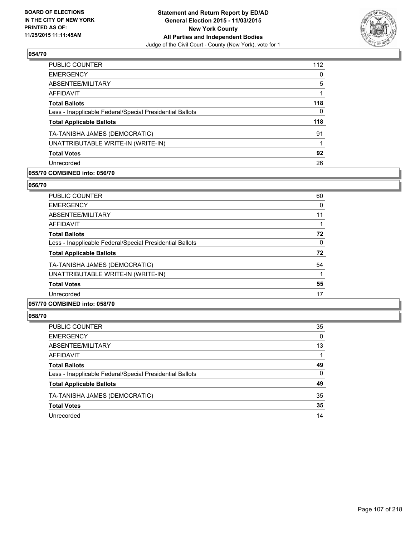

| PUBLIC COUNTER                                           | 112 |
|----------------------------------------------------------|-----|
| <b>EMERGENCY</b>                                         | 0   |
| ABSENTEE/MILITARY                                        | 5   |
| <b>AFFIDAVIT</b>                                         |     |
| <b>Total Ballots</b>                                     | 118 |
| Less - Inapplicable Federal/Special Presidential Ballots | 0   |
| <b>Total Applicable Ballots</b>                          | 118 |
| TA-TANISHA JAMES (DEMOCRATIC)                            | 91  |
| UNATTRIBUTABLE WRITE-IN (WRITE-IN)                       |     |
| <b>Total Votes</b>                                       | 92  |
| Unrecorded                                               | 26  |
|                                                          |     |

### **055/70 COMBINED into: 056/70**

#### **056/70**

| <b>PUBLIC COUNTER</b>                                    | 60 |
|----------------------------------------------------------|----|
| <b>EMERGENCY</b>                                         | 0  |
| ABSENTEE/MILITARY                                        | 11 |
| AFFIDAVIT                                                |    |
| <b>Total Ballots</b>                                     | 72 |
| Less - Inapplicable Federal/Special Presidential Ballots | 0  |
| <b>Total Applicable Ballots</b>                          | 72 |
| TA-TANISHA JAMES (DEMOCRATIC)                            | 54 |
| UNATTRIBUTABLE WRITE-IN (WRITE-IN)                       |    |
| <b>Total Votes</b>                                       | 55 |
| Unrecorded                                               | 17 |
|                                                          |    |

#### **057/70 COMBINED into: 058/70**

| PUBLIC COUNTER                                           | 35 |
|----------------------------------------------------------|----|
| <b>EMERGENCY</b>                                         | 0  |
| ABSENTEE/MILITARY                                        | 13 |
| AFFIDAVIT                                                | 1  |
| <b>Total Ballots</b>                                     | 49 |
| Less - Inapplicable Federal/Special Presidential Ballots | 0  |
| <b>Total Applicable Ballots</b>                          | 49 |
| TA-TANISHA JAMES (DEMOCRATIC)                            | 35 |
| <b>Total Votes</b>                                       | 35 |
| Unrecorded                                               | 14 |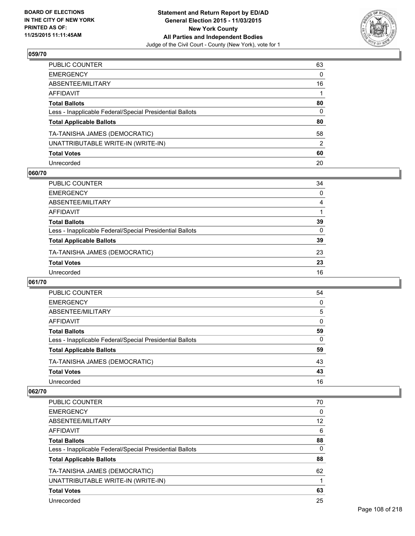

| PUBLIC COUNTER                                           | 63 |
|----------------------------------------------------------|----|
| EMERGENCY                                                | 0  |
| ABSENTEE/MILITARY                                        | 16 |
| AFFIDAVIT                                                |    |
| <b>Total Ballots</b>                                     | 80 |
| Less - Inapplicable Federal/Special Presidential Ballots | 0  |
| <b>Total Applicable Ballots</b>                          | 80 |
| TA-TANISHA JAMES (DEMOCRATIC)                            | 58 |
| UNATTRIBUTABLE WRITE-IN (WRITE-IN)                       | 2  |
| <b>Total Votes</b>                                       | 60 |
| Unrecorded                                               | 20 |

#### **060/70**

| PUBLIC COUNTER                                           | 34       |
|----------------------------------------------------------|----------|
| <b>EMERGENCY</b>                                         | $\Omega$ |
| ABSENTEE/MILITARY                                        | 4        |
| AFFIDAVIT                                                |          |
| <b>Total Ballots</b>                                     | 39       |
| Less - Inapplicable Federal/Special Presidential Ballots | $\Omega$ |
| <b>Total Applicable Ballots</b>                          | 39       |
| TA-TANISHA JAMES (DEMOCRATIC)                            | 23       |
| <b>Total Votes</b>                                       | 23       |
| Unrecorded                                               | 16       |
|                                                          |          |

#### **061/70**

| PUBLIC COUNTER                                           | 54 |
|----------------------------------------------------------|----|
| <b>EMERGENCY</b>                                         | 0  |
| ABSENTEE/MILITARY                                        | 5  |
| AFFIDAVIT                                                | 0  |
| <b>Total Ballots</b>                                     | 59 |
| Less - Inapplicable Federal/Special Presidential Ballots | 0  |
| <b>Total Applicable Ballots</b>                          | 59 |
| TA-TANISHA JAMES (DEMOCRATIC)                            | 43 |
| <b>Total Votes</b>                                       | 43 |
| Unrecorded                                               | 16 |

| <b>PUBLIC COUNTER</b>                                    | 70 |
|----------------------------------------------------------|----|
| <b>EMERGENCY</b>                                         | 0  |
| ABSENTEE/MILITARY                                        | 12 |
| AFFIDAVIT                                                | 6  |
| <b>Total Ballots</b>                                     | 88 |
| Less - Inapplicable Federal/Special Presidential Ballots | 0  |
| <b>Total Applicable Ballots</b>                          | 88 |
| TA-TANISHA JAMES (DEMOCRATIC)                            | 62 |
| UNATTRIBUTABLE WRITE-IN (WRITE-IN)                       |    |
| <b>Total Votes</b>                                       | 63 |
| Unrecorded                                               | 25 |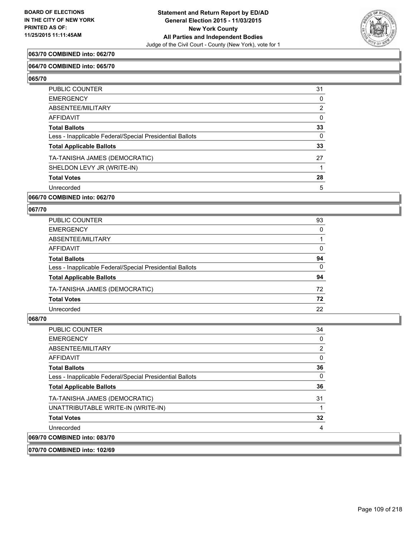

### **063/70 COMBINED into: 062/70**

### **064/70 COMBINED into: 065/70**

**065/70** 

| PUBLIC COUNTER                                           | 31             |
|----------------------------------------------------------|----------------|
| <b>EMERGENCY</b>                                         | 0              |
| ABSENTEE/MILITARY                                        | $\overline{2}$ |
| <b>AFFIDAVIT</b>                                         | $\Omega$       |
| <b>Total Ballots</b>                                     | 33             |
| Less - Inapplicable Federal/Special Presidential Ballots | 0              |
| <b>Total Applicable Ballots</b>                          | 33             |
| TA-TANISHA JAMES (DEMOCRATIC)                            | 27             |
| SHELDON LEVY JR (WRITE-IN)                               |                |
| <b>Total Votes</b>                                       | 28             |
| Unrecorded                                               | 5              |

### **066/70 COMBINED into: 062/70**

## **067/70**

| 93       |
|----------|
| 0        |
|          |
| 0        |
| 94       |
| $\Omega$ |
| 94       |
| 72       |
| 72       |
| 22       |
|          |

## **068/70**

| <b>PUBLIC COUNTER</b>                                    | 34 |
|----------------------------------------------------------|----|
| <b>EMERGENCY</b>                                         | 0  |
| ABSENTEE/MILITARY                                        | 2  |
| <b>AFFIDAVIT</b>                                         | 0  |
| <b>Total Ballots</b>                                     | 36 |
| Less - Inapplicable Federal/Special Presidential Ballots | 0  |
| <b>Total Applicable Ballots</b>                          | 36 |
| TA-TANISHA JAMES (DEMOCRATIC)                            | 31 |
| UNATTRIBUTABLE WRITE-IN (WRITE-IN)                       |    |
| <b>Total Votes</b>                                       | 32 |
| Unrecorded                                               | 4  |
| 069/70 COMBINED into: 083/70                             |    |

### **070/70 COMBINED into: 102/69**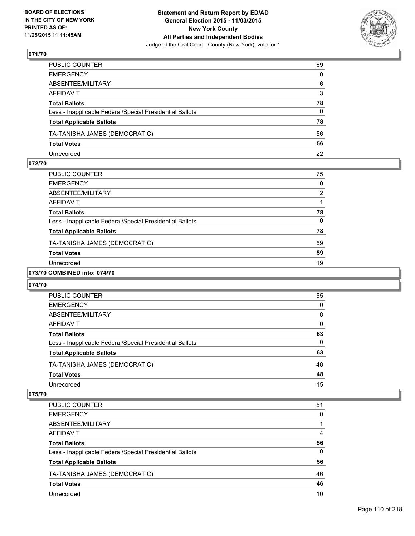

| PUBLIC COUNTER                                           | 69           |
|----------------------------------------------------------|--------------|
| EMERGENCY                                                | 0            |
| ABSENTEE/MILITARY                                        | 6            |
| AFFIDAVIT                                                | 3            |
| Total Ballots                                            | 78           |
| Less - Inapplicable Federal/Special Presidential Ballots | $\mathbf{0}$ |
| <b>Total Applicable Ballots</b>                          | 78           |
| TA-TANISHA JAMES (DEMOCRATIC)                            | 56           |
| <b>Total Votes</b>                                       | 56           |
| Unrecorded                                               | 22           |

### **072/70**

| PUBLIC COUNTER                                           | 75 |
|----------------------------------------------------------|----|
| <b>EMERGENCY</b>                                         | 0  |
| ABSENTEE/MILITARY                                        | 2  |
| <b>AFFIDAVIT</b>                                         |    |
| <b>Total Ballots</b>                                     | 78 |
| Less - Inapplicable Federal/Special Presidential Ballots | 0  |
| <b>Total Applicable Ballots</b>                          | 78 |
| TA-TANISHA JAMES (DEMOCRATIC)                            | 59 |
| <b>Total Votes</b>                                       | 59 |
| Unrecorded                                               | 19 |
| -----------                                              |    |

## **073/70 COMBINED into: 074/70**

### **074/70**

| PUBLIC COUNTER                                           | 55 |
|----------------------------------------------------------|----|
| <b>EMERGENCY</b>                                         | 0  |
| ABSENTEE/MILITARY                                        | 8  |
| AFFIDAVIT                                                | 0  |
| <b>Total Ballots</b>                                     | 63 |
| Less - Inapplicable Federal/Special Presidential Ballots | 0  |
| <b>Total Applicable Ballots</b>                          | 63 |
| TA-TANISHA JAMES (DEMOCRATIC)                            | 48 |
| <b>Total Votes</b>                                       | 48 |
| Unrecorded                                               | 15 |

| PUBLIC COUNTER                                           | 51 |
|----------------------------------------------------------|----|
| <b>EMERGENCY</b>                                         | 0  |
| ABSENTEE/MILITARY                                        |    |
| AFFIDAVIT                                                | 4  |
| <b>Total Ballots</b>                                     | 56 |
| Less - Inapplicable Federal/Special Presidential Ballots | 0  |
| <b>Total Applicable Ballots</b>                          | 56 |
| TA-TANISHA JAMES (DEMOCRATIC)                            | 46 |
| <b>Total Votes</b>                                       | 46 |
| Unrecorded                                               | 10 |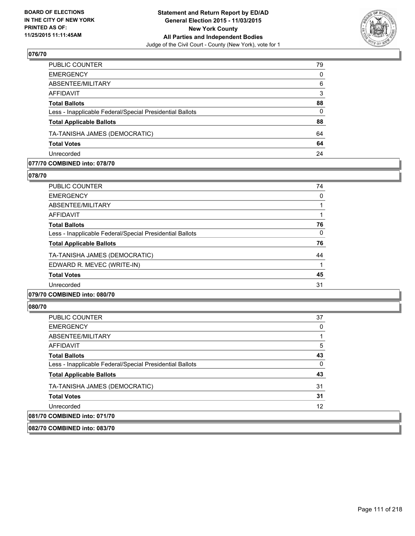

| PUBLIC COUNTER                                           | 79       |
|----------------------------------------------------------|----------|
| <b>EMERGENCY</b>                                         | $\Omega$ |
| ABSENTEE/MILITARY                                        | 6        |
| <b>AFFIDAVIT</b>                                         | 3        |
| <b>Total Ballots</b>                                     | 88       |
| Less - Inapplicable Federal/Special Presidential Ballots | $\Omega$ |
| <b>Total Applicable Ballots</b>                          | 88       |
| TA-TANISHA JAMES (DEMOCRATIC)                            | 64       |
| <b>Total Votes</b>                                       | 64       |
| Unrecorded                                               | 24       |
|                                                          |          |

#### **077/70 COMBINED into: 078/70**

**078/70** 

| PUBLIC COUNTER                                           | 74 |
|----------------------------------------------------------|----|
| <b>EMERGENCY</b>                                         | 0  |
| ABSENTEE/MILITARY                                        |    |
| AFFIDAVIT                                                |    |
| <b>Total Ballots</b>                                     | 76 |
| Less - Inapplicable Federal/Special Presidential Ballots | 0  |
| <b>Total Applicable Ballots</b>                          | 76 |
| TA-TANISHA JAMES (DEMOCRATIC)                            | 44 |
| EDWARD R. MEVEC (WRITE-IN)                               | 1  |
| <b>Total Votes</b>                                       | 45 |
| Unrecorded                                               | 31 |
| <br>$\cdots$                                             |    |

## **079/70 COMBINED into: 080/70**

## **080/70**

| PUBLIC COUNTER                                           | 37 |
|----------------------------------------------------------|----|
| <b>EMERGENCY</b>                                         | 0  |
| ABSENTEE/MILITARY                                        |    |
| AFFIDAVIT                                                | 5  |
| <b>Total Ballots</b>                                     | 43 |
| Less - Inapplicable Federal/Special Presidential Ballots | 0  |
| <b>Total Applicable Ballots</b>                          | 43 |
| TA-TANISHA JAMES (DEMOCRATIC)                            | 31 |
| <b>Total Votes</b>                                       | 31 |
| Unrecorded                                               | 12 |
| 081/70 COMBINED into: 071/70                             |    |

**082/70 COMBINED into: 083/70**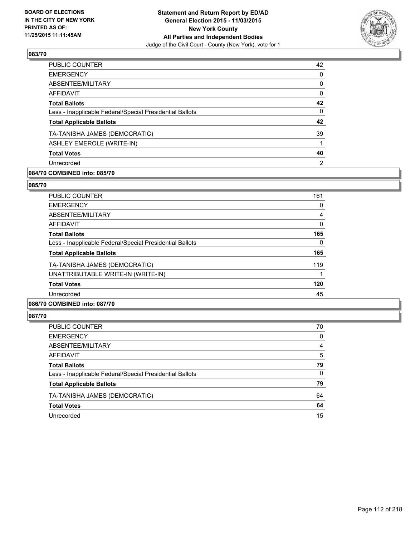

| PUBLIC COUNTER                                           | 42           |
|----------------------------------------------------------|--------------|
| <b>EMERGENCY</b>                                         | $\Omega$     |
| ABSENTEE/MILITARY                                        | 0            |
| <b>AFFIDAVIT</b>                                         | 0            |
| <b>Total Ballots</b>                                     | 42           |
| Less - Inapplicable Federal/Special Presidential Ballots | $\mathbf{0}$ |
| <b>Total Applicable Ballots</b>                          | 42           |
| TA-TANISHA JAMES (DEMOCRATIC)                            | 39           |
| <b>ASHLEY EMEROLE (WRITE-IN)</b>                         |              |
| <b>Total Votes</b>                                       | 40           |
| Unrecorded                                               | 2            |
|                                                          |              |

## **084/70 COMBINED into: 085/70**

#### **085/70**

| PUBLIC COUNTER                                           | 161 |
|----------------------------------------------------------|-----|
| <b>EMERGENCY</b>                                         | 0   |
| ABSENTEE/MILITARY                                        | 4   |
| AFFIDAVIT                                                | 0   |
| <b>Total Ballots</b>                                     | 165 |
| Less - Inapplicable Federal/Special Presidential Ballots | 0   |
| <b>Total Applicable Ballots</b>                          | 165 |
| TA-TANISHA JAMES (DEMOCRATIC)                            | 119 |
| UNATTRIBUTABLE WRITE-IN (WRITE-IN)                       |     |
| <b>Total Votes</b>                                       | 120 |
| Unrecorded                                               | 45  |
|                                                          |     |

## **086/70 COMBINED into: 087/70**

| PUBLIC COUNTER                                           | 70 |
|----------------------------------------------------------|----|
| <b>EMERGENCY</b>                                         | 0  |
| ABSENTEE/MILITARY                                        | 4  |
| AFFIDAVIT                                                | 5  |
| <b>Total Ballots</b>                                     | 79 |
| Less - Inapplicable Federal/Special Presidential Ballots | 0  |
| <b>Total Applicable Ballots</b>                          | 79 |
| TA-TANISHA JAMES (DEMOCRATIC)                            | 64 |
| <b>Total Votes</b>                                       | 64 |
| Unrecorded                                               | 15 |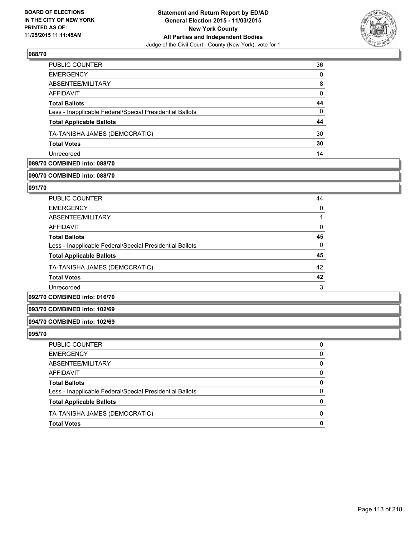

| <b>PUBLIC COUNTER</b>                                    | 36 |
|----------------------------------------------------------|----|
| <b>EMERGENCY</b>                                         | 0  |
| ABSENTEE/MILITARY                                        | 8  |
| AFFIDAVIT                                                | 0  |
| <b>Total Ballots</b>                                     | 44 |
| Less - Inapplicable Federal/Special Presidential Ballots | 0  |
| <b>Total Applicable Ballots</b>                          | 44 |
| TA-TANISHA JAMES (DEMOCRATIC)                            | 30 |
| <b>Total Votes</b>                                       | 30 |
| Unrecorded                                               | 14 |

## **089/70 COMBINED into: 088/70**

## **090/70 COMBINED into: 088/70**

**091/70** 

| PUBLIC COUNTER                                           | 44 |
|----------------------------------------------------------|----|
| <b>EMERGENCY</b>                                         | 0  |
| ABSENTEE/MILITARY                                        |    |
| AFFIDAVIT                                                | 0  |
| <b>Total Ballots</b>                                     | 45 |
| Less - Inapplicable Federal/Special Presidential Ballots | 0  |
| <b>Total Applicable Ballots</b>                          | 45 |
| TA-TANISHA JAMES (DEMOCRATIC)                            | 42 |
| <b>Total Votes</b>                                       | 42 |
| Unrecorded                                               | 3  |
|                                                          |    |

## **092/70 COMBINED into: 016/70**

#### **093/70 COMBINED into: 102/69**

### **094/70 COMBINED into: 102/69**

| PUBLIC COUNTER                                           |              |
|----------------------------------------------------------|--------------|
| EMERGENCY                                                | 0            |
| ABSENTEE/MILITARY                                        | 0            |
| AFFIDAVIT                                                | 0            |
| Total Ballots                                            |              |
| Less - Inapplicable Federal/Special Presidential Ballots | 0            |
| <b>Total Applicable Ballots</b>                          |              |
| TA-TANISHA JAMES (DEMOCRATIC)                            | <sup>0</sup> |
| <b>Total Votes</b>                                       |              |
|                                                          |              |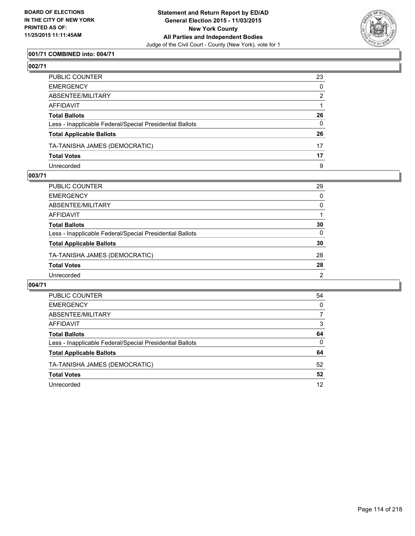

## **001/71 COMBINED into: 004/71**

## **002/71**

| PUBLIC COUNTER                                           | 23       |
|----------------------------------------------------------|----------|
| EMERGENCY                                                | $\Omega$ |
| ABSENTEE/MILITARY                                        | 2        |
| AFFIDAVIT                                                |          |
| Total Ballots                                            | 26       |
| Less - Inapplicable Federal/Special Presidential Ballots | $\Omega$ |
| <b>Total Applicable Ballots</b>                          | 26       |
| TA-TANISHA JAMES (DEMOCRATIC)                            | 17       |
| <b>Total Votes</b>                                       | 17       |
| Unrecorded                                               | 9        |

### **003/71**

| PUBLIC COUNTER                                           | 29             |
|----------------------------------------------------------|----------------|
| <b>EMERGENCY</b>                                         | $\Omega$       |
| <b>ABSENTEE/MILITARY</b>                                 | 0              |
| <b>AFFIDAVIT</b>                                         |                |
| <b>Total Ballots</b>                                     | 30             |
| Less - Inapplicable Federal/Special Presidential Ballots | $\Omega$       |
| <b>Total Applicable Ballots</b>                          | 30             |
| TA-TANISHA JAMES (DEMOCRATIC)                            | 28             |
| <b>Total Votes</b>                                       | 28             |
| Unrecorded                                               | $\overline{2}$ |
|                                                          |                |

| PUBLIC COUNTER                                           | 54 |
|----------------------------------------------------------|----|
| <b>EMERGENCY</b>                                         | 0  |
| ABSENTEE/MILITARY                                        |    |
| AFFIDAVIT                                                | 3  |
| <b>Total Ballots</b>                                     | 64 |
| Less - Inapplicable Federal/Special Presidential Ballots | 0  |
| <b>Total Applicable Ballots</b>                          | 64 |
| TA-TANISHA JAMES (DEMOCRATIC)                            | 52 |
| <b>Total Votes</b>                                       | 52 |
| Unrecorded                                               | 12 |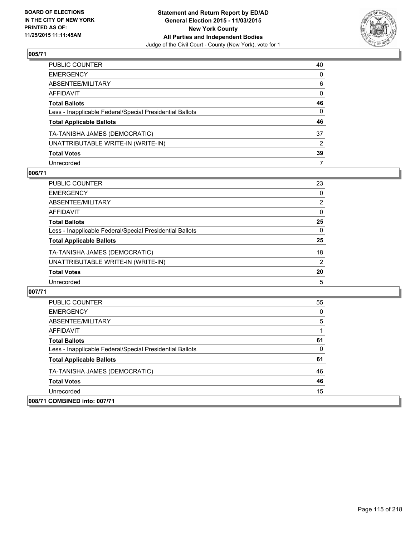

| PUBLIC COUNTER                                           | 40 |
|----------------------------------------------------------|----|
| EMERGENCY                                                | 0  |
| ABSENTEE/MILITARY                                        | 6  |
| AFFIDAVIT                                                | 0  |
| <b>Total Ballots</b>                                     | 46 |
| Less - Inapplicable Federal/Special Presidential Ballots | 0  |
| <b>Total Applicable Ballots</b>                          | 46 |
| TA-TANISHA JAMES (DEMOCRATIC)                            | 37 |
| UNATTRIBUTABLE WRITE-IN (WRITE-IN)                       | 2  |
| <b>Total Votes</b>                                       | 39 |
| Unrecorded                                               | 7  |

## **006/71**

| PUBLIC COUNTER                                           | 23             |
|----------------------------------------------------------|----------------|
| <b>EMERGENCY</b>                                         | 0              |
| ABSENTEE/MILITARY                                        | $\overline{2}$ |
| <b>AFFIDAVIT</b>                                         | $\Omega$       |
| <b>Total Ballots</b>                                     | 25             |
| Less - Inapplicable Federal/Special Presidential Ballots | $\Omega$       |
| <b>Total Applicable Ballots</b>                          | 25             |
| TA-TANISHA JAMES (DEMOCRATIC)                            | 18             |
| UNATTRIBUTABLE WRITE-IN (WRITE-IN)                       | $\overline{2}$ |
| <b>Total Votes</b>                                       | 20             |
| Unrecorded                                               | 5              |

| <b>PUBLIC COUNTER</b>                                    | 55 |
|----------------------------------------------------------|----|
| <b>EMERGENCY</b>                                         | 0  |
| ABSENTEE/MILITARY                                        | 5  |
| AFFIDAVIT                                                |    |
| <b>Total Ballots</b>                                     | 61 |
| Less - Inapplicable Federal/Special Presidential Ballots | 0  |
| <b>Total Applicable Ballots</b>                          | 61 |
| TA-TANISHA JAMES (DEMOCRATIC)                            | 46 |
| <b>Total Votes</b>                                       | 46 |
| Unrecorded                                               | 15 |
| 008/71 COMBINED into: 007/71                             |    |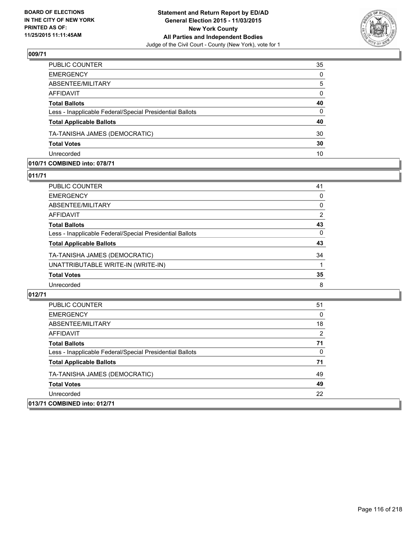

| PUBLIC COUNTER                                           | 35           |
|----------------------------------------------------------|--------------|
| <b>EMERGENCY</b>                                         | $\mathbf{0}$ |
| ABSENTEE/MILITARY                                        | 5            |
| <b>AFFIDAVIT</b>                                         | $\mathbf{0}$ |
| <b>Total Ballots</b>                                     | 40           |
| Less - Inapplicable Federal/Special Presidential Ballots | $\Omega$     |
| <b>Total Applicable Ballots</b>                          | 40           |
| TA-TANISHA JAMES (DEMOCRATIC)                            | 30           |
| <b>Total Votes</b>                                       | 30           |
| Unrecorded                                               | 10           |

## **010/71 COMBINED into: 078/71**

#### **011/71**

| PUBLIC COUNTER                                           | 41 |
|----------------------------------------------------------|----|
| EMERGENCY                                                | 0  |
| ABSENTEE/MILITARY                                        | 0  |
| AFFIDAVIT                                                | 2  |
| Total Ballots                                            | 43 |
| Less - Inapplicable Federal/Special Presidential Ballots | 0  |
| <b>Total Applicable Ballots</b>                          | 43 |
| TA-TANISHA JAMES (DEMOCRATIC)                            | 34 |
| UNATTRIBUTABLE WRITE-IN (WRITE-IN)                       |    |
| <b>Total Votes</b>                                       | 35 |
| Unrecorded                                               | 8  |

| <b>PUBLIC COUNTER</b>                                    | 51 |
|----------------------------------------------------------|----|
| <b>EMERGENCY</b>                                         | 0  |
| ABSENTEE/MILITARY                                        | 18 |
| <b>AFFIDAVIT</b>                                         | 2  |
| <b>Total Ballots</b>                                     | 71 |
| Less - Inapplicable Federal/Special Presidential Ballots | 0  |
| <b>Total Applicable Ballots</b>                          | 71 |
| TA-TANISHA JAMES (DEMOCRATIC)                            | 49 |
| <b>Total Votes</b>                                       | 49 |
| Unrecorded                                               | 22 |
| 013/71 COMBINED into: 012/71                             |    |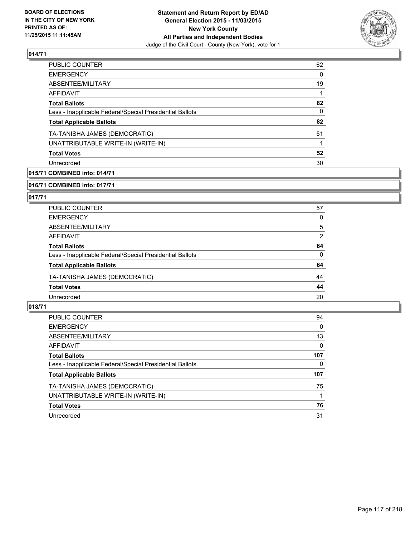

| <b>PUBLIC COUNTER</b>                                    | 62           |
|----------------------------------------------------------|--------------|
| <b>EMERGENCY</b>                                         | 0            |
| <b>ABSENTEE/MILITARY</b>                                 | 19           |
| <b>AFFIDAVIT</b>                                         | 1            |
| <b>Total Ballots</b>                                     | 82           |
| Less - Inapplicable Federal/Special Presidential Ballots | $\mathbf{0}$ |
| <b>Total Applicable Ballots</b>                          | 82           |
| TA-TANISHA JAMES (DEMOCRATIC)                            | 51           |
| UNATTRIBUTABLE WRITE-IN (WRITE-IN)                       |              |
| <b>Total Votes</b>                                       | 52           |
| Unrecorded                                               | 30           |
|                                                          |              |

## **015/71 COMBINED into: 014/71**

**016/71 COMBINED into: 017/71**

## **017/71**

| <b>PUBLIC COUNTER</b>                                    | 57 |
|----------------------------------------------------------|----|
| <b>EMERGENCY</b>                                         | 0  |
| ABSENTEE/MILITARY                                        | 5  |
| AFFIDAVIT                                                | 2  |
| <b>Total Ballots</b>                                     | 64 |
| Less - Inapplicable Federal/Special Presidential Ballots | 0  |
| <b>Total Applicable Ballots</b>                          | 64 |
| TA-TANISHA JAMES (DEMOCRATIC)                            | 44 |
| <b>Total Votes</b>                                       | 44 |
| Unrecorded                                               | 20 |

| <b>PUBLIC COUNTER</b>                                    | 94  |
|----------------------------------------------------------|-----|
| <b>EMERGENCY</b>                                         | 0   |
| ABSENTEE/MILITARY                                        | 13  |
| AFFIDAVIT                                                | 0   |
| <b>Total Ballots</b>                                     | 107 |
| Less - Inapplicable Federal/Special Presidential Ballots | 0   |
| <b>Total Applicable Ballots</b>                          | 107 |
| TA-TANISHA JAMES (DEMOCRATIC)                            | 75  |
| UNATTRIBUTABLE WRITE-IN (WRITE-IN)                       |     |
| <b>Total Votes</b>                                       | 76  |
| Unrecorded                                               | 31  |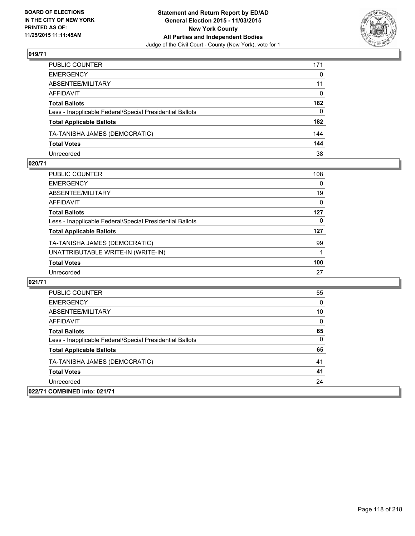

| PUBLIC COUNTER                                                                                                                                                                                                                   | 171          |
|----------------------------------------------------------------------------------------------------------------------------------------------------------------------------------------------------------------------------------|--------------|
|                                                                                                                                                                                                                                  | $\mathbf{0}$ |
|                                                                                                                                                                                                                                  | 11           |
|                                                                                                                                                                                                                                  | $\Omega$     |
|                                                                                                                                                                                                                                  | 182          |
|                                                                                                                                                                                                                                  | $\mathbf{0}$ |
| EMERGENCY<br>ABSENTEE/MILITARY<br>AFFIDAVIT<br>Total Ballots<br>Less - Inapplicable Federal/Special Presidential Ballots<br><b>Total Applicable Ballots</b><br>TA-TANISHA JAMES (DEMOCRATIC)<br><b>Total Votes</b><br>Unrecorded | 182          |
|                                                                                                                                                                                                                                  | 144          |
|                                                                                                                                                                                                                                  | 144          |
|                                                                                                                                                                                                                                  | 38           |

### **020/71**

| <b>PUBLIC COUNTER</b>                                    | 108 |
|----------------------------------------------------------|-----|
| <b>EMERGENCY</b>                                         | 0   |
| ABSENTEE/MILITARY                                        | 19  |
| AFFIDAVIT                                                | 0   |
| <b>Total Ballots</b>                                     | 127 |
| Less - Inapplicable Federal/Special Presidential Ballots | 0   |
| <b>Total Applicable Ballots</b>                          | 127 |
| TA-TANISHA JAMES (DEMOCRATIC)                            | 99  |
| UNATTRIBUTABLE WRITE-IN (WRITE-IN)                       |     |
| <b>Total Votes</b>                                       | 100 |
| Unrecorded                                               | 27  |
|                                                          |     |

| <b>PUBLIC COUNTER</b>                                    | 55 |
|----------------------------------------------------------|----|
| <b>EMERGENCY</b>                                         | 0  |
| ABSENTEE/MILITARY                                        | 10 |
| <b>AFFIDAVIT</b>                                         | 0  |
| <b>Total Ballots</b>                                     | 65 |
| Less - Inapplicable Federal/Special Presidential Ballots | 0  |
| <b>Total Applicable Ballots</b>                          | 65 |
| TA-TANISHA JAMES (DEMOCRATIC)                            | 41 |
| <b>Total Votes</b>                                       | 41 |
| Unrecorded                                               | 24 |
| 022/71 COMBINED into: 021/71                             |    |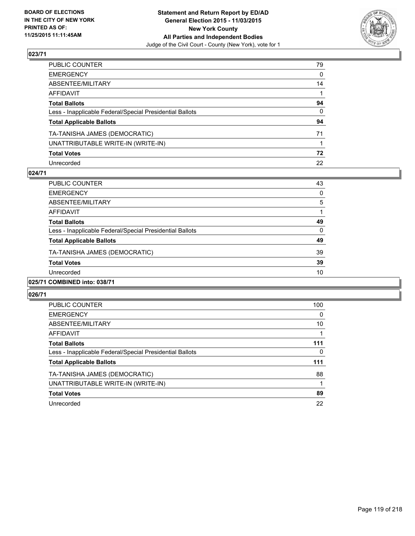

| PUBLIC COUNTER                                           | 79 |
|----------------------------------------------------------|----|
| EMERGENCY                                                | 0  |
| ABSENTEE/MILITARY                                        | 14 |
| AFFIDAVIT                                                |    |
| <b>Total Ballots</b>                                     | 94 |
| Less - Inapplicable Federal/Special Presidential Ballots | 0  |
| <b>Total Applicable Ballots</b>                          | 94 |
| TA-TANISHA JAMES (DEMOCRATIC)                            | 71 |
| UNATTRIBUTABLE WRITE-IN (WRITE-IN)                       |    |
| <b>Total Votes</b>                                       | 72 |
| Unrecorded                                               | 22 |

## **024/71**

| ABSENTEE/MILITARY                                        | 5  |
|----------------------------------------------------------|----|
| AFFIDAVIT                                                |    |
| <b>Total Ballots</b>                                     | 49 |
| Less - Inapplicable Federal/Special Presidential Ballots | 0  |
| <b>Total Applicable Ballots</b>                          | 49 |
| TA-TANISHA JAMES (DEMOCRATIC)                            | 39 |
| <b>Total Votes</b>                                       | 39 |
| Unrecorded                                               | 10 |
| 025/71 COMBINED into: 038/71                             |    |

| <b>PUBLIC COUNTER</b>                                    | 100 |
|----------------------------------------------------------|-----|
| <b>EMERGENCY</b>                                         | 0   |
| ABSENTEE/MILITARY                                        | 10  |
| AFFIDAVIT                                                |     |
| <b>Total Ballots</b>                                     | 111 |
| Less - Inapplicable Federal/Special Presidential Ballots | 0   |
| <b>Total Applicable Ballots</b>                          | 111 |
| TA-TANISHA JAMES (DEMOCRATIC)                            | 88  |
| UNATTRIBUTABLE WRITE-IN (WRITE-IN)                       |     |
| <b>Total Votes</b>                                       | 89  |
| Unrecorded                                               | 22  |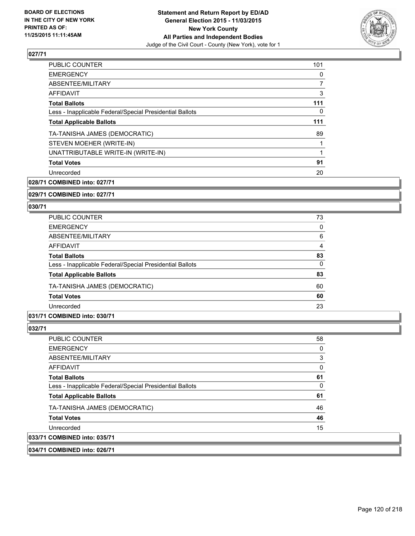

| <b>PUBLIC COUNTER</b>                                    | 101 |
|----------------------------------------------------------|-----|
| <b>EMERGENCY</b>                                         | 0   |
| ABSENTEE/MILITARY                                        | 7   |
| AFFIDAVIT                                                | 3   |
| <b>Total Ballots</b>                                     | 111 |
| Less - Inapplicable Federal/Special Presidential Ballots | 0   |
| <b>Total Applicable Ballots</b>                          | 111 |
| TA-TANISHA JAMES (DEMOCRATIC)                            | 89  |
| STEVEN MOEHER (WRITE-IN)                                 |     |
| UNATTRIBUTABLE WRITE-IN (WRITE-IN)                       |     |
| <b>Total Votes</b>                                       | 91  |
| Unrecorded                                               | 20  |
|                                                          |     |

**028/71 COMBINED into: 027/71**

**029/71 COMBINED into: 027/71**

#### **030/71**

| <b>PUBLIC COUNTER</b>                                    | 73 |
|----------------------------------------------------------|----|
| <b>EMERGENCY</b>                                         | 0  |
| ABSENTEE/MILITARY                                        | 6  |
| AFFIDAVIT                                                | 4  |
| <b>Total Ballots</b>                                     | 83 |
| Less - Inapplicable Federal/Special Presidential Ballots | 0  |
| <b>Total Applicable Ballots</b>                          | 83 |
| TA-TANISHA JAMES (DEMOCRATIC)                            | 60 |
| <b>Total Votes</b>                                       | 60 |
| Unrecorded                                               | 23 |

## **031/71 COMBINED into: 030/71**

## **032/71**

**033/71 COMBINED into: 035/71**

| <b>PUBLIC COUNTER</b>                                    | 58 |
|----------------------------------------------------------|----|
| <b>EMERGENCY</b>                                         | 0  |
| ABSENTEE/MILITARY                                        | 3  |
| AFFIDAVIT                                                | 0  |
| <b>Total Ballots</b>                                     | 61 |
| Less - Inapplicable Federal/Special Presidential Ballots | 0  |
| <b>Total Applicable Ballots</b>                          | 61 |
| TA-TANISHA JAMES (DEMOCRATIC)                            | 46 |
| <b>Total Votes</b>                                       | 46 |
| Unrecorded                                               | 15 |
| <b>COMBINED into: 035/71</b>                             |    |

**034/71 COMBINED into: 026/71**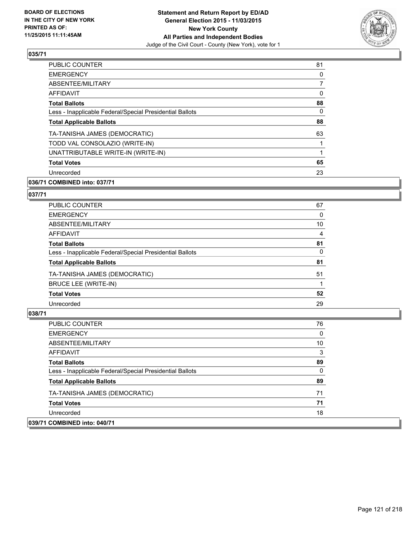

| <b>EMERGENCY</b><br>ABSENTEE/MILITARY<br>AFFIDAVIT<br><b>Total Ballots</b> | 81             |
|----------------------------------------------------------------------------|----------------|
|                                                                            | 0              |
|                                                                            | $\overline{7}$ |
|                                                                            | 0              |
|                                                                            | 88             |
| Less - Inapplicable Federal/Special Presidential Ballots                   | 0              |
| <b>Total Applicable Ballots</b>                                            | 88             |
| TA-TANISHA JAMES (DEMOCRATIC)                                              | 63             |
| TODD VAL CONSOLAZIO (WRITE-IN)                                             |                |
| UNATTRIBUTABLE WRITE-IN (WRITE-IN)                                         |                |
| <b>Total Votes</b>                                                         | 65             |
| Unrecorded                                                                 | 23             |

## **036/71 COMBINED into: 037/71**

## **037/71**

| <b>PUBLIC COUNTER</b>                                    | 67 |
|----------------------------------------------------------|----|
| <b>EMERGENCY</b>                                         | 0  |
| ABSENTEE/MILITARY                                        | 10 |
| AFFIDAVIT                                                | 4  |
| <b>Total Ballots</b>                                     | 81 |
| Less - Inapplicable Federal/Special Presidential Ballots | 0  |
| <b>Total Applicable Ballots</b>                          | 81 |
| TA-TANISHA JAMES (DEMOCRATIC)                            | 51 |
| BRUCE LEE (WRITE-IN)                                     |    |
| <b>Total Votes</b>                                       | 52 |
| Unrecorded                                               | 29 |

| <b>PUBLIC COUNTER</b>                                    | 76 |
|----------------------------------------------------------|----|
| <b>EMERGENCY</b>                                         | 0  |
| ABSENTEE/MILITARY                                        | 10 |
| AFFIDAVIT                                                | 3  |
| <b>Total Ballots</b>                                     | 89 |
| Less - Inapplicable Federal/Special Presidential Ballots | 0  |
| <b>Total Applicable Ballots</b>                          | 89 |
| TA-TANISHA JAMES (DEMOCRATIC)                            | 71 |
| <b>Total Votes</b>                                       | 71 |
| Unrecorded                                               | 18 |
| 039/71 COMBINED into: 040/71                             |    |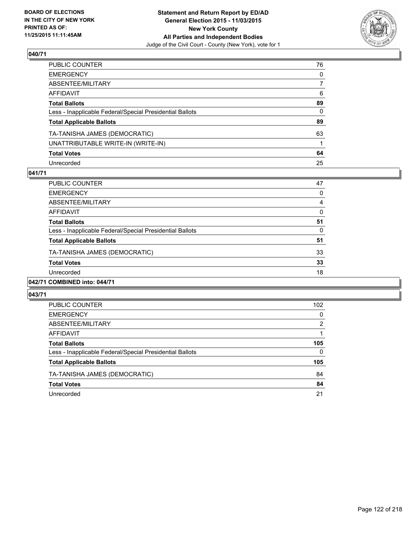

| PUBLIC COUNTER                                           | 76           |
|----------------------------------------------------------|--------------|
| EMERGENCY                                                | $\mathbf{0}$ |
| ABSENTEE/MILITARY                                        | 7            |
| AFFIDAVIT                                                | 6            |
| <b>Total Ballots</b>                                     | 89           |
| Less - Inapplicable Federal/Special Presidential Ballots | 0            |
| <b>Total Applicable Ballots</b>                          | 89           |
| TA-TANISHA JAMES (DEMOCRATIC)                            | 63           |
| UNATTRIBUTABLE WRITE-IN (WRITE-IN)                       |              |
| <b>Total Votes</b>                                       | 64           |
| Unrecorded                                               | 25           |

## **041/71**

| PUBLIC COUNTER                                           | 47 |
|----------------------------------------------------------|----|
| <b>EMERGENCY</b>                                         | 0  |
| ABSENTEE/MILITARY                                        | 4  |
| <b>AFFIDAVIT</b>                                         | 0  |
| <b>Total Ballots</b>                                     | 51 |
| Less - Inapplicable Federal/Special Presidential Ballots | 0  |
| <b>Total Applicable Ballots</b>                          | 51 |
| TA-TANISHA JAMES (DEMOCRATIC)                            | 33 |
| <b>Total Votes</b>                                       | 33 |
| Unrecorded                                               | 18 |
|                                                          |    |

## **042/71 COMBINED into: 044/71**

| <b>PUBLIC COUNTER</b>                                    | 102 |
|----------------------------------------------------------|-----|
| <b>EMERGENCY</b>                                         | 0   |
| ABSENTEE/MILITARY                                        | 2   |
| AFFIDAVIT                                                |     |
| <b>Total Ballots</b>                                     | 105 |
| Less - Inapplicable Federal/Special Presidential Ballots | 0   |
| <b>Total Applicable Ballots</b>                          | 105 |
| TA-TANISHA JAMES (DEMOCRATIC)                            | 84  |
| <b>Total Votes</b>                                       | 84  |
| Unrecorded                                               | 21  |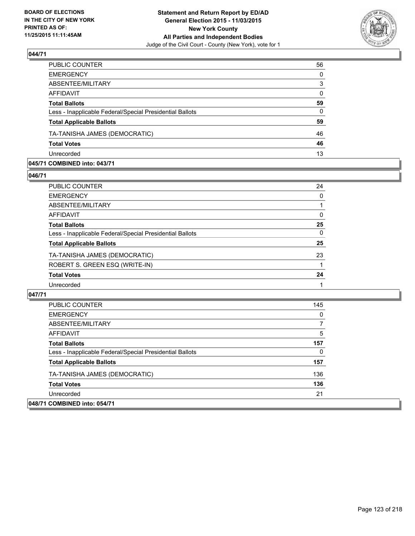

| PUBLIC COUNTER                                           | 56           |
|----------------------------------------------------------|--------------|
| <b>EMERGENCY</b>                                         | $\mathbf{0}$ |
| ABSENTEE/MILITARY                                        | 3            |
| <b>AFFIDAVIT</b>                                         | $\Omega$     |
| <b>Total Ballots</b>                                     | 59           |
| Less - Inapplicable Federal/Special Presidential Ballots | $\Omega$     |
| <b>Total Applicable Ballots</b>                          | 59           |
| TA-TANISHA JAMES (DEMOCRATIC)                            | 46           |
| <b>Total Votes</b>                                       | 46           |
| Unrecorded                                               | 13           |
|                                                          |              |

### **045/71 COMBINED into: 043/71**

**046/71** 

| PUBLIC COUNTER                                           | 24 |
|----------------------------------------------------------|----|
| EMERGENCY                                                | 0  |
| ABSENTEE/MILITARY                                        |    |
| AFFIDAVIT                                                | 0  |
| Total Ballots                                            | 25 |
| Less - Inapplicable Federal/Special Presidential Ballots | 0  |
| <b>Total Applicable Ballots</b>                          | 25 |
| TA-TANISHA JAMES (DEMOCRATIC)                            | 23 |
| ROBERT S. GREEN ESQ (WRITE-IN)                           |    |
| <b>Total Votes</b>                                       | 24 |
| Unrecorded                                               |    |

**047/71** 

 $|048/7|$ 

| <b>EMERGENCY</b><br>ABSENTEE/MILITARY                    | 0   |
|----------------------------------------------------------|-----|
| <b>AFFIDAVIT</b>                                         | 5   |
| <b>Total Ballots</b>                                     | 157 |
| Less - Inapplicable Federal/Special Presidential Ballots | 0   |
| <b>Total Applicable Ballots</b>                          | 157 |
| TA-TANISHA JAMES (DEMOCRATIC)                            | 136 |
| <b>Total Votes</b>                                       | 136 |
| Unrecorded                                               | 21  |
| 1 COMBINED into: 054/71                                  |     |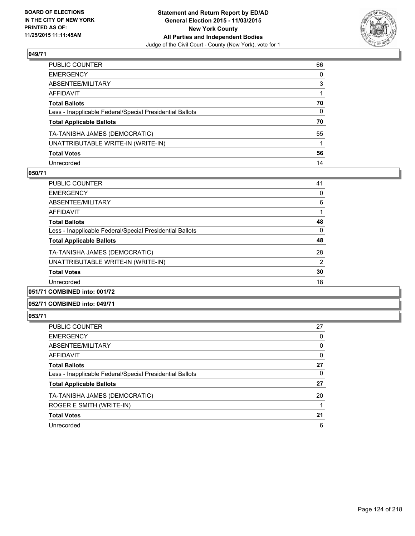

| PUBLIC COUNTER                                           | 66           |
|----------------------------------------------------------|--------------|
| EMERGENCY                                                | $\mathbf{0}$ |
| ABSENTEE/MILITARY                                        | 3            |
| AFFIDAVIT                                                |              |
| <b>Total Ballots</b>                                     | 70           |
| Less - Inapplicable Federal/Special Presidential Ballots | 0            |
| <b>Total Applicable Ballots</b>                          | 70           |
| TA-TANISHA JAMES (DEMOCRATIC)                            | 55           |
| UNATTRIBUTABLE WRITE-IN (WRITE-IN)                       |              |
| <b>Total Votes</b>                                       | 56           |
| Unrecorded                                               | 14           |

## **050/71**

| <b>PUBLIC COUNTER</b>                                    | 41 |
|----------------------------------------------------------|----|
| <b>EMERGENCY</b>                                         | 0  |
| ABSENTEE/MILITARY                                        | 6  |
| <b>AFFIDAVIT</b>                                         |    |
| <b>Total Ballots</b>                                     | 48 |
| Less - Inapplicable Federal/Special Presidential Ballots | 0  |
| <b>Total Applicable Ballots</b>                          | 48 |
| TA-TANISHA JAMES (DEMOCRATIC)                            | 28 |
| UNATTRIBUTABLE WRITE-IN (WRITE-IN)                       | 2  |
| <b>Total Votes</b>                                       | 30 |
| Unrecorded                                               | 18 |
|                                                          |    |

## **051/71 COMBINED into: 001/72**

#### **052/71 COMBINED into: 049/71**

| <b>PUBLIC COUNTER</b>                                    | 27 |
|----------------------------------------------------------|----|
| <b>EMERGENCY</b>                                         | 0  |
| ABSENTEE/MILITARY                                        | 0  |
| AFFIDAVIT                                                | 0  |
| <b>Total Ballots</b>                                     | 27 |
| Less - Inapplicable Federal/Special Presidential Ballots | 0  |
| <b>Total Applicable Ballots</b>                          | 27 |
| TA-TANISHA JAMES (DEMOCRATIC)                            | 20 |
| ROGER E SMITH (WRITE-IN)                                 | 1  |
| <b>Total Votes</b>                                       | 21 |
| Unrecorded                                               | 6  |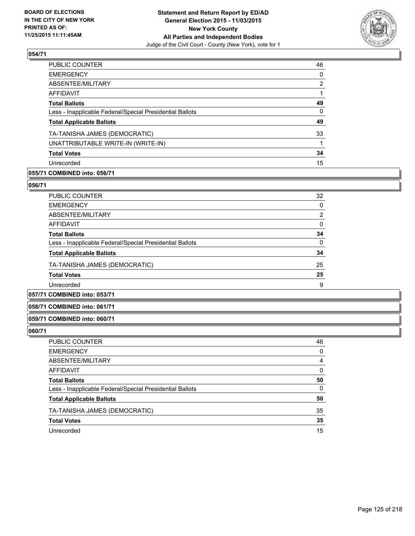

| PUBLIC COUNTER                                           | 46             |
|----------------------------------------------------------|----------------|
| <b>EMERGENCY</b>                                         | 0              |
| ABSENTEE/MILITARY                                        | $\overline{2}$ |
| AFFIDAVIT                                                |                |
| <b>Total Ballots</b>                                     | 49             |
| Less - Inapplicable Federal/Special Presidential Ballots | $\Omega$       |
| <b>Total Applicable Ballots</b>                          | 49             |
| TA-TANISHA JAMES (DEMOCRATIC)                            | 33             |
| UNATTRIBUTABLE WRITE-IN (WRITE-IN)                       |                |
| <b>Total Votes</b>                                       | 34             |
| Unrecorded                                               | 15             |
|                                                          |                |

## **055/71 COMBINED into: 056/71**

## **056/71**

| <b>PUBLIC COUNTER</b>                                    | 32             |
|----------------------------------------------------------|----------------|
| <b>EMERGENCY</b>                                         | 0              |
| ABSENTEE/MILITARY                                        | $\overline{2}$ |
| AFFIDAVIT                                                | 0              |
| <b>Total Ballots</b>                                     | 34             |
| Less - Inapplicable Federal/Special Presidential Ballots | 0              |
| <b>Total Applicable Ballots</b>                          | 34             |
| TA-TANISHA JAMES (DEMOCRATIC)                            | 25             |
| <b>Total Votes</b>                                       | 25             |
| Unrecorded                                               | 9              |
|                                                          |                |

# **057/71 COMBINED into: 053/71**

## **058/71 COMBINED into: 061/71**

## **059/71 COMBINED into: 060/71**

| PUBLIC COUNTER                                           | 46 |
|----------------------------------------------------------|----|
| <b>EMERGENCY</b>                                         | 0  |
| ABSENTEE/MILITARY                                        | 4  |
| AFFIDAVIT                                                | 0  |
| <b>Total Ballots</b>                                     | 50 |
| Less - Inapplicable Federal/Special Presidential Ballots | 0  |
| <b>Total Applicable Ballots</b>                          | 50 |
| TA-TANISHA JAMES (DEMOCRATIC)                            | 35 |
| <b>Total Votes</b>                                       | 35 |
| Unrecorded                                               | 15 |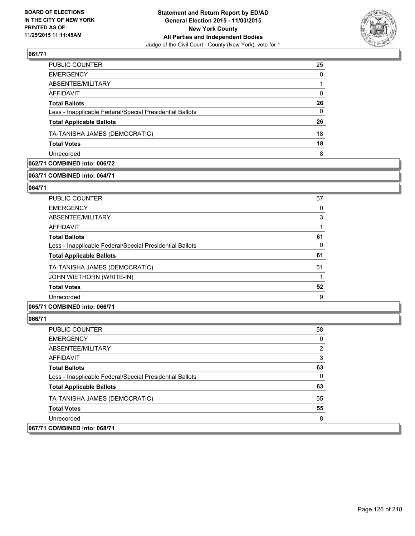

| PUBLIC COUNTER                                           | 25 |
|----------------------------------------------------------|----|
| <b>EMERGENCY</b>                                         | 0  |
| ABSENTEE/MILITARY                                        |    |
| AFFIDAVIT                                                | 0  |
| <b>Total Ballots</b>                                     | 26 |
| Less - Inapplicable Federal/Special Presidential Ballots | 0  |
| <b>Total Applicable Ballots</b>                          | 26 |
| TA-TANISHA JAMES (DEMOCRATIC)                            | 18 |
| <b>Total Votes</b>                                       | 18 |
| Unrecorded                                               | 8  |

## **062/71 COMBINED into: 006/72**

## **063/71 COMBINED into: 064/71**

**064/71** 

| <b>PUBLIC COUNTER</b>                                    | 57 |
|----------------------------------------------------------|----|
| <b>EMERGENCY</b>                                         | 0  |
| ABSENTEE/MILITARY                                        | 3  |
| AFFIDAVIT                                                |    |
| <b>Total Ballots</b>                                     | 61 |
| Less - Inapplicable Federal/Special Presidential Ballots | 0  |
| <b>Total Applicable Ballots</b>                          | 61 |
| TA-TANISHA JAMES (DEMOCRATIC)                            | 51 |
| JOHN WIETHORN (WRITE-IN)                                 |    |
| <b>Total Votes</b>                                       | 52 |
| Unrecorded                                               | 9  |
|                                                          |    |

## **065/71 COMBINED into: 066/71**

| <b>PUBLIC COUNTER</b>                                    | 58 |
|----------------------------------------------------------|----|
| <b>EMERGENCY</b>                                         | 0  |
| ABSENTEE/MILITARY                                        | 2  |
| AFFIDAVIT                                                | 3  |
| <b>Total Ballots</b>                                     | 63 |
| Less - Inapplicable Federal/Special Presidential Ballots | 0  |
| <b>Total Applicable Ballots</b>                          | 63 |
| TA-TANISHA JAMES (DEMOCRATIC)                            | 55 |
| <b>Total Votes</b>                                       | 55 |
| Unrecorded                                               | 8  |
| 067/71 COMBINED into: 068/71                             |    |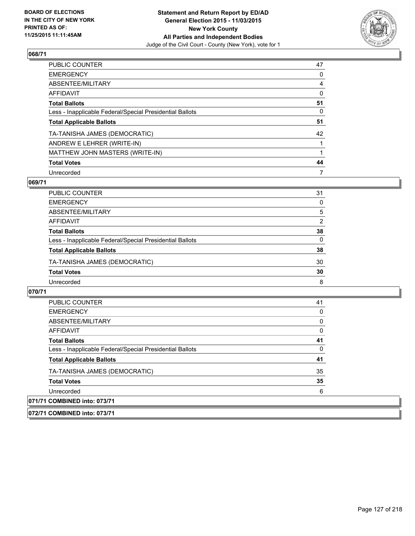

| PUBLIC COUNTER                                           | 47 |
|----------------------------------------------------------|----|
| <b>EMERGENCY</b>                                         | 0  |
| ABSENTEE/MILITARY                                        | 4  |
| AFFIDAVIT                                                | 0  |
| <b>Total Ballots</b>                                     | 51 |
| Less - Inapplicable Federal/Special Presidential Ballots | 0  |
| <b>Total Applicable Ballots</b>                          | 51 |
| TA-TANISHA JAMES (DEMOCRATIC)                            | 42 |
| ANDREW E LEHRER (WRITE-IN)                               |    |
| MATTHEW JOHN MASTERS (WRITE-IN)                          |    |
| <b>Total Votes</b>                                       | 44 |
| Unrecorded                                               | 7  |

## **069/71**

| PUBLIC COUNTER                                           | 31           |
|----------------------------------------------------------|--------------|
| <b>EMERGENCY</b>                                         | 0            |
| ABSENTEE/MILITARY                                        | 5            |
| AFFIDAVIT                                                | 2            |
| <b>Total Ballots</b>                                     | 38           |
| Less - Inapplicable Federal/Special Presidential Ballots | $\mathbf{0}$ |
| <b>Total Applicable Ballots</b>                          | 38           |
| TA-TANISHA JAMES (DEMOCRATIC)                            | 30           |
| <b>Total Votes</b>                                       | 30           |
| Unrecorded                                               | 8            |

| <b>PUBLIC COUNTER</b>                                    | 41 |
|----------------------------------------------------------|----|
| <b>EMERGENCY</b>                                         |    |
| ABSENTEE/MILITARY                                        |    |
| AFFIDAVIT                                                |    |
| <b>Total Ballots</b>                                     | 41 |
| Less - Inapplicable Federal/Special Presidential Ballots | 0  |
| <b>Total Applicable Ballots</b>                          | 41 |
| TA-TANISHA JAMES (DEMOCRATIC)                            | 35 |
| <b>Total Votes</b>                                       | 35 |
| Unrecorded                                               | 6  |
| 071/71 COMBINED into: 073/71                             |    |
| 072/71 COMBINED into: 073/71                             |    |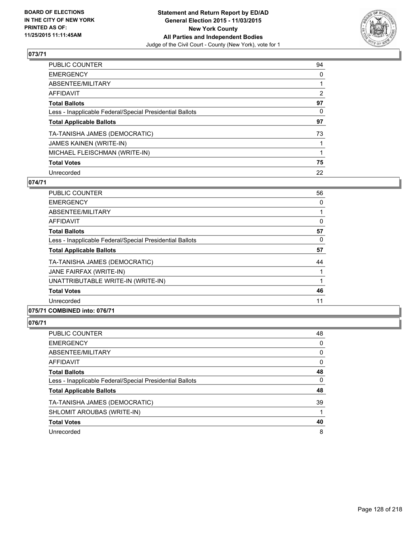

| PUBLIC COUNTER                                           | 94 |
|----------------------------------------------------------|----|
| <b>EMERGENCY</b>                                         | 0  |
| ABSENTEE/MILITARY                                        |    |
| AFFIDAVIT                                                | 2  |
| <b>Total Ballots</b>                                     | 97 |
| Less - Inapplicable Federal/Special Presidential Ballots | 0  |
| <b>Total Applicable Ballots</b>                          | 97 |
| TA-TANISHA JAMES (DEMOCRATIC)                            | 73 |
| JAMES KAINEN (WRITE-IN)                                  |    |
| MICHAEL FLEISCHMAN (WRITE-IN)                            |    |
| <b>Total Votes</b>                                       | 75 |
| Unrecorded                                               | 22 |

### **074/71**

| <b>PUBLIC COUNTER</b>                                           | 56 |
|-----------------------------------------------------------------|----|
| <b>EMERGENCY</b>                                                | 0  |
| ABSENTEE/MILITARY                                               |    |
| AFFIDAVIT                                                       | 0  |
| <b>Total Ballots</b>                                            | 57 |
| Less - Inapplicable Federal/Special Presidential Ballots        | 0  |
| <b>Total Applicable Ballots</b>                                 | 57 |
| TA-TANISHA JAMES (DEMOCRATIC)                                   | 44 |
| JANE FAIRFAX (WRITE-IN)                                         |    |
| UNATTRIBUTABLE WRITE-IN (WRITE-IN)                              |    |
| <b>Total Votes</b>                                              | 46 |
| Unrecorded                                                      | 11 |
| $A$ $A$ $B$ $B$ $B$ $B$ $B$ $A$ $A$ $A$ $A$ $A$ $B$ $A$ $B$ $A$ |    |

## **075/71 COMBINED into: 076/71**

| PUBLIC COUNTER                                           | 48 |
|----------------------------------------------------------|----|
| <b>EMERGENCY</b>                                         | 0  |
| ABSENTEE/MILITARY                                        | 0  |
| AFFIDAVIT                                                | 0  |
| <b>Total Ballots</b>                                     | 48 |
| Less - Inapplicable Federal/Special Presidential Ballots | 0  |
| <b>Total Applicable Ballots</b>                          | 48 |
| TA-TANISHA JAMES (DEMOCRATIC)                            | 39 |
| SHLOMIT AROUBAS (WRITE-IN)                               |    |
| <b>Total Votes</b>                                       | 40 |
| Unrecorded                                               | 8  |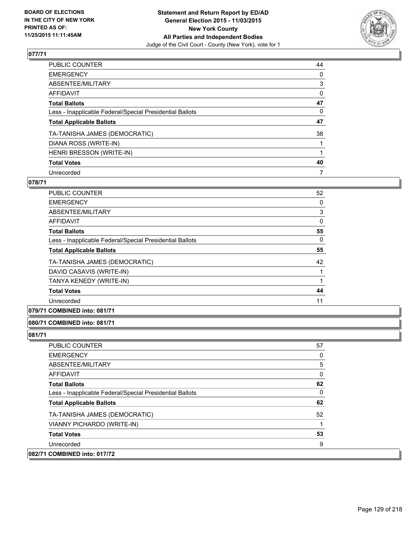

| PUBLIC COUNTER                                           | 44 |
|----------------------------------------------------------|----|
| <b>EMERGENCY</b>                                         | 0  |
| ABSENTEE/MILITARY                                        | 3  |
| AFFIDAVIT                                                | 0  |
| <b>Total Ballots</b>                                     | 47 |
| Less - Inapplicable Federal/Special Presidential Ballots | 0  |
| <b>Total Applicable Ballots</b>                          | 47 |
| TA-TANISHA JAMES (DEMOCRATIC)                            | 38 |
| DIANA ROSS (WRITE-IN)                                    |    |
| HENRI BRESSON (WRITE-IN)                                 |    |
| <b>Total Votes</b>                                       | 40 |
| Unrecorded                                               | 7  |

## **078/71**

| <b>PUBLIC COUNTER</b>                                    | 52 |
|----------------------------------------------------------|----|
| <b>EMERGENCY</b>                                         | 0  |
| ABSENTEE/MILITARY                                        | 3  |
| <b>AFFIDAVIT</b>                                         | 0  |
| <b>Total Ballots</b>                                     | 55 |
| Less - Inapplicable Federal/Special Presidential Ballots | 0  |
| <b>Total Applicable Ballots</b>                          | 55 |
| TA-TANISHA JAMES (DEMOCRATIC)                            | 42 |
| DAVID CASAVIS (WRITE-IN)                                 |    |
| TANYA KENEDY (WRITE-IN)                                  |    |
| <b>Total Votes</b>                                       | 44 |
| Unrecorded                                               | 11 |

**079/71 COMBINED into: 081/71**

#### **080/71 COMBINED into: 081/71**

| <b>PUBLIC COUNTER</b>                                    | 57 |
|----------------------------------------------------------|----|
| <b>EMERGENCY</b>                                         | 0  |
| ABSENTEE/MILITARY                                        | 5  |
| <b>AFFIDAVIT</b>                                         | 0  |
| <b>Total Ballots</b>                                     | 62 |
| Less - Inapplicable Federal/Special Presidential Ballots | 0  |
| <b>Total Applicable Ballots</b>                          | 62 |
| TA-TANISHA JAMES (DEMOCRATIC)                            | 52 |
| VIANNY PICHARDO (WRITE-IN)                               |    |
| <b>Total Votes</b>                                       | 53 |
| Unrecorded                                               | 9  |
| 082/71 COMBINED into: 017/72                             |    |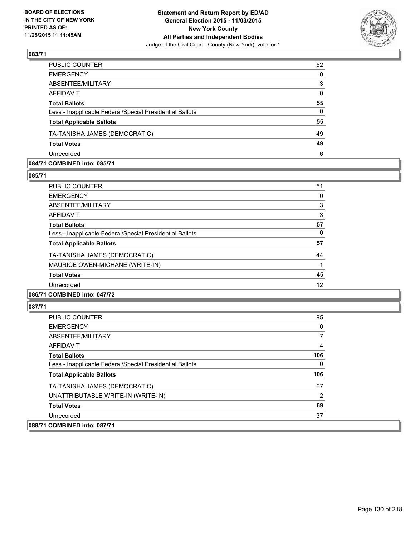

| PUBLIC COUNTER                                           | 52           |
|----------------------------------------------------------|--------------|
| <b>EMERGENCY</b>                                         | $\mathbf{0}$ |
| ABSENTEE/MILITARY                                        | 3            |
| <b>AFFIDAVIT</b>                                         | $\Omega$     |
| <b>Total Ballots</b>                                     | 55           |
| Less - Inapplicable Federal/Special Presidential Ballots | $\Omega$     |
| <b>Total Applicable Ballots</b>                          | 55           |
| TA-TANISHA JAMES (DEMOCRATIC)                            | 49           |
| <b>Total Votes</b>                                       | 49           |
| Unrecorded                                               | 6            |
|                                                          |              |

### **084/71 COMBINED into: 085/71**

**085/71** 

| <b>PUBLIC COUNTER</b>                                    | 51 |
|----------------------------------------------------------|----|
| <b>EMERGENCY</b>                                         | 0  |
| ABSENTEE/MILITARY                                        | 3  |
| AFFIDAVIT                                                | 3  |
| <b>Total Ballots</b>                                     | 57 |
| Less - Inapplicable Federal/Special Presidential Ballots | 0  |
| <b>Total Applicable Ballots</b>                          | 57 |
| TA-TANISHA JAMES (DEMOCRATIC)                            | 44 |
| MAURICE OWEN-MICHANE (WRITE-IN)                          |    |
| <b>Total Votes</b>                                       | 45 |
| Unrecorded                                               | 12 |
| 086/71 COMBINED into: 047/72                             |    |

| <b>PUBLIC COUNTER</b>                                    | 95  |
|----------------------------------------------------------|-----|
| <b>EMERGENCY</b>                                         | 0   |
| ABSENTEE/MILITARY                                        |     |
| AFFIDAVIT                                                | 4   |
| <b>Total Ballots</b>                                     | 106 |
| Less - Inapplicable Federal/Special Presidential Ballots | 0   |
| <b>Total Applicable Ballots</b>                          | 106 |
| TA-TANISHA JAMES (DEMOCRATIC)                            | 67  |
| UNATTRIBUTABLE WRITE-IN (WRITE-IN)                       | 2   |
| <b>Total Votes</b>                                       | 69  |
| Unrecorded                                               | 37  |
| 088/71 COMBINED into: 087/71                             |     |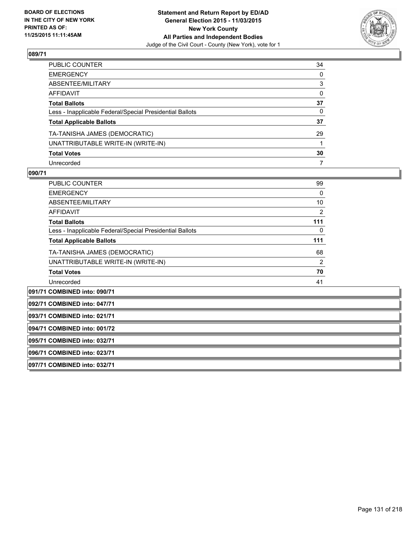

| PUBLIC COUNTER                                           | 34           |
|----------------------------------------------------------|--------------|
| EMERGENCY                                                | $\mathbf{0}$ |
| ABSENTEE/MILITARY                                        | 3            |
| AFFIDAVIT                                                | 0            |
| Total Ballots                                            | 37           |
| Less - Inapplicable Federal/Special Presidential Ballots | 0            |
| <b>Total Applicable Ballots</b>                          | 37           |
| TA-TANISHA JAMES (DEMOCRATIC)                            | 29           |
| UNATTRIBUTABLE WRITE-IN (WRITE-IN)                       |              |
| <b>Total Votes</b>                                       | 30           |
| Unrecorded                                               | 7            |

## **090/71**

| <b>PUBLIC COUNTER</b>                                    | 99  |
|----------------------------------------------------------|-----|
| <b>EMERGENCY</b>                                         | 0   |
| ABSENTEE/MILITARY                                        | 10  |
| <b>AFFIDAVIT</b>                                         | 2   |
| <b>Total Ballots</b>                                     | 111 |
| Less - Inapplicable Federal/Special Presidential Ballots | 0   |
| <b>Total Applicable Ballots</b>                          | 111 |
| TA-TANISHA JAMES (DEMOCRATIC)                            | 68  |
| UNATTRIBUTABLE WRITE-IN (WRITE-IN)                       | 2   |
| <b>Total Votes</b>                                       | 70  |
| Unrecorded                                               | 41  |
| 091/71 COMBINED into: 090/71                             |     |

**092/71 COMBINED into: 047/71**

**093/71 COMBINED into: 021/71**

**094/71 COMBINED into: 001/72**

**095/71 COMBINED into: 032/71**

**096/71 COMBINED into: 023/71**

**097/71 COMBINED into: 032/71**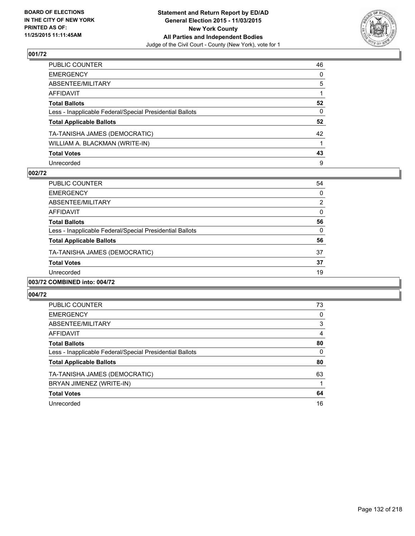

| PUBLIC COUNTER                                           | 46           |
|----------------------------------------------------------|--------------|
| EMERGENCY                                                | $\mathbf{0}$ |
| ABSENTEE/MILITARY                                        | 5            |
| AFFIDAVIT                                                |              |
| <b>Total Ballots</b>                                     | 52           |
| Less - Inapplicable Federal/Special Presidential Ballots | $\mathbf{0}$ |
| <b>Total Applicable Ballots</b>                          | 52           |
| TA-TANISHA JAMES (DEMOCRATIC)                            | 42           |
| WILLIAM A. BLACKMAN (WRITE-IN)                           |              |
| <b>Total Votes</b>                                       | 43           |
| Unrecorded                                               | 9            |

## **002/72**

| PUBLIC COUNTER                                           | 54       |
|----------------------------------------------------------|----------|
| <b>EMERGENCY</b>                                         | 0        |
| ABSENTEE/MILITARY                                        | 2        |
| AFFIDAVIT                                                | $\Omega$ |
| <b>Total Ballots</b>                                     | 56       |
| Less - Inapplicable Federal/Special Presidential Ballots | 0        |
| <b>Total Applicable Ballots</b>                          | 56       |
| TA-TANISHA JAMES (DEMOCRATIC)                            | 37       |
| <b>Total Votes</b>                                       | 37       |
| Unrecorded                                               | 19       |
|                                                          |          |

## **003/72 COMBINED into: 004/72**

| <b>PUBLIC COUNTER</b>                                    | 73 |
|----------------------------------------------------------|----|
| <b>EMERGENCY</b>                                         | 0  |
| ABSENTEE/MILITARY                                        | 3  |
| AFFIDAVIT                                                | 4  |
| <b>Total Ballots</b>                                     | 80 |
| Less - Inapplicable Federal/Special Presidential Ballots | 0  |
| <b>Total Applicable Ballots</b>                          | 80 |
| TA-TANISHA JAMES (DEMOCRATIC)                            | 63 |
| BRYAN JIMENEZ (WRITE-IN)                                 |    |
| <b>Total Votes</b>                                       | 64 |
| Unrecorded                                               | 16 |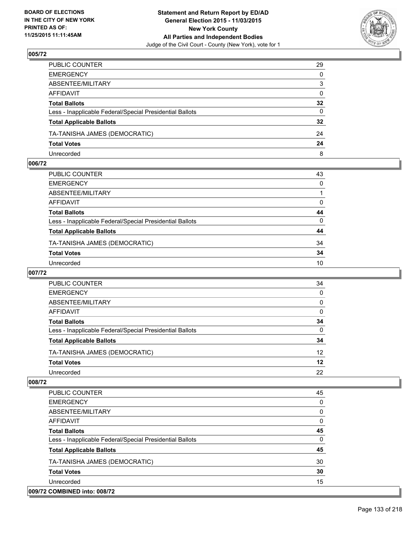

| PUBLIC COUNTER                                           | 29              |
|----------------------------------------------------------|-----------------|
| EMERGENCY                                                | $\mathbf{0}$    |
| ABSENTEE/MILITARY                                        | 3               |
| AFFIDAVIT                                                | $\mathbf{0}$    |
| Total Ballots                                            | $32\phantom{a}$ |
| Less - Inapplicable Federal/Special Presidential Ballots | $\mathbf{0}$    |
| <b>Total Applicable Ballots</b>                          | $32\phantom{a}$ |
| TA-TANISHA JAMES (DEMOCRATIC)                            | 24              |
| <b>Total Votes</b>                                       | 24              |
| Unrecorded                                               | 8               |

### **006/72**

| 43           |
|--------------|
| $\mathbf{0}$ |
|              |
| 0            |
| 44           |
| $\Omega$     |
| 44           |
| 34           |
| 34           |
| 10           |
|              |

## **007/72**

| PUBLIC COUNTER                                           | 34 |
|----------------------------------------------------------|----|
| <b>EMERGENCY</b>                                         | 0  |
| ABSENTEE/MILITARY                                        | 0  |
| AFFIDAVIT                                                | 0  |
| <b>Total Ballots</b>                                     | 34 |
| Less - Inapplicable Federal/Special Presidential Ballots | 0  |
| <b>Total Applicable Ballots</b>                          | 34 |
| TA-TANISHA JAMES (DEMOCRATIC)                            | 12 |
| <b>Total Votes</b>                                       | 12 |
| Unrecorded                                               | 22 |
|                                                          |    |

| <b>PUBLIC COUNTER</b>                                    | 45 |
|----------------------------------------------------------|----|
| <b>EMERGENCY</b>                                         | 0  |
| ABSENTEE/MILITARY                                        | 0  |
| <b>AFFIDAVIT</b>                                         | 0  |
| <b>Total Ballots</b>                                     | 45 |
| Less - Inapplicable Federal/Special Presidential Ballots | 0  |
| <b>Total Applicable Ballots</b>                          | 45 |
| TA-TANISHA JAMES (DEMOCRATIC)                            | 30 |
| <b>Total Votes</b>                                       | 30 |
| Unrecorded                                               | 15 |
| 009/72 COMBINED into: 008/72                             |    |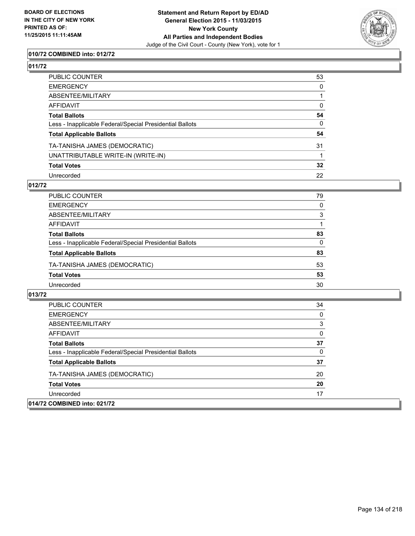

## **010/72 COMBINED into: 012/72**

## **011/72**

| PUBLIC COUNTER                                           | 53              |
|----------------------------------------------------------|-----------------|
| EMERGENCY                                                | $\mathbf{0}$    |
| ABSENTEE/MILITARY                                        |                 |
| AFFIDAVIT                                                | 0               |
| Total Ballots                                            | 54              |
| Less - Inapplicable Federal/Special Presidential Ballots | 0               |
| <b>Total Applicable Ballots</b>                          | 54              |
| TA-TANISHA JAMES (DEMOCRATIC)                            | 31              |
| UNATTRIBUTABLE WRITE-IN (WRITE-IN)                       |                 |
| <b>Total Votes</b>                                       | $32\phantom{a}$ |
| Unrecorded                                               | 22              |

#### **012/72**

| PUBLIC COUNTER                                           | 79       |
|----------------------------------------------------------|----------|
| <b>EMERGENCY</b>                                         | 0        |
| ABSENTEE/MILITARY                                        | 3        |
| <b>AFFIDAVIT</b>                                         |          |
| <b>Total Ballots</b>                                     | 83       |
| Less - Inapplicable Federal/Special Presidential Ballots | $\Omega$ |
| <b>Total Applicable Ballots</b>                          | 83       |
| TA-TANISHA JAMES (DEMOCRATIC)                            | 53       |
| <b>Total Votes</b>                                       | 53       |
| Unrecorded                                               | 30       |

| <b>PUBLIC COUNTER</b>                                    | 34 |
|----------------------------------------------------------|----|
| <b>EMERGENCY</b>                                         | 0  |
| ABSENTEE/MILITARY                                        | 3  |
| AFFIDAVIT                                                | 0  |
| <b>Total Ballots</b>                                     | 37 |
| Less - Inapplicable Federal/Special Presidential Ballots | 0  |
| <b>Total Applicable Ballots</b>                          | 37 |
| TA-TANISHA JAMES (DEMOCRATIC)                            | 20 |
| <b>Total Votes</b>                                       | 20 |
| Unrecorded                                               | 17 |
| 014/72 COMBINED into: 021/72                             |    |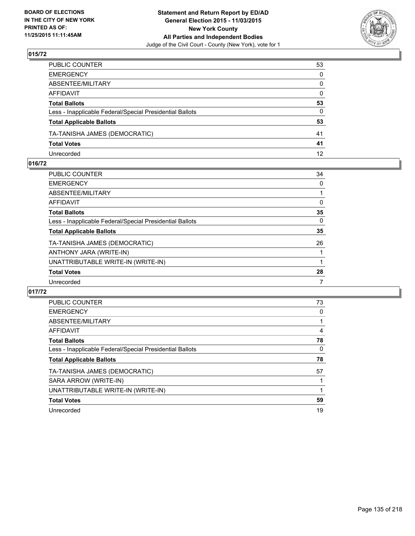

| PUBLIC COUNTER                                           | 53              |
|----------------------------------------------------------|-----------------|
| EMERGENCY                                                | 0               |
| ABSENTEE/MILITARY                                        | $\mathbf{0}$    |
| AFFIDAVIT                                                | $\mathbf{0}$    |
| Total Ballots                                            | 53              |
| Less - Inapplicable Federal/Special Presidential Ballots | 0               |
| <b>Total Applicable Ballots</b>                          | 53              |
| TA-TANISHA JAMES (DEMOCRATIC)                            | 41              |
| <b>Total Votes</b>                                       | 41              |
| Unrecorded                                               | 12 <sup>2</sup> |

### **016/72**

| 34 |
|----|
| 0  |
| 1  |
| 0  |
| 35 |
| 0  |
| 35 |
| 26 |
|    |
|    |
| 28 |
| 7  |
|    |

| <b>PUBLIC COUNTER</b>                                    | 73 |
|----------------------------------------------------------|----|
| <b>EMERGENCY</b>                                         | 0  |
| ABSENTEE/MILITARY                                        |    |
| AFFIDAVIT                                                | 4  |
| <b>Total Ballots</b>                                     | 78 |
| Less - Inapplicable Federal/Special Presidential Ballots | 0  |
| <b>Total Applicable Ballots</b>                          | 78 |
| TA-TANISHA JAMES (DEMOCRATIC)                            | 57 |
| SARA ARROW (WRITE-IN)                                    |    |
| UNATTRIBUTABLE WRITE-IN (WRITE-IN)                       |    |
| <b>Total Votes</b>                                       | 59 |
| Unrecorded                                               | 19 |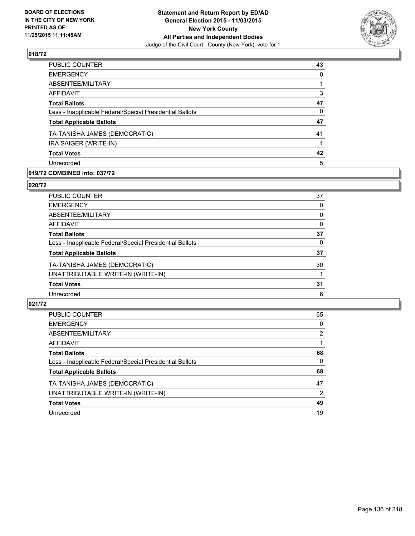

| PUBLIC COUNTER                                           | 43       |
|----------------------------------------------------------|----------|
| <b>EMERGENCY</b>                                         | $\Omega$ |
| ABSENTEE/MILITARY                                        |          |
| <b>AFFIDAVIT</b>                                         | 3        |
| <b>Total Ballots</b>                                     | 47       |
| Less - Inapplicable Federal/Special Presidential Ballots | 0        |
| <b>Total Applicable Ballots</b>                          | 47       |
| TA-TANISHA JAMES (DEMOCRATIC)                            | 41       |
| IRA SAIGER (WRITE-IN)                                    |          |
| <b>Total Votes</b>                                       | 42       |
| Unrecorded                                               | 5        |
|                                                          |          |

## **019/72 COMBINED into: 037/72**

### **020/72**

| PUBLIC COUNTER                                           | 37       |
|----------------------------------------------------------|----------|
| <b>EMERGENCY</b>                                         | 0        |
| ABSENTEE/MILITARY                                        | 0        |
| <b>AFFIDAVIT</b>                                         | $\Omega$ |
| <b>Total Ballots</b>                                     | 37       |
| Less - Inapplicable Federal/Special Presidential Ballots | 0        |
| <b>Total Applicable Ballots</b>                          | 37       |
| TA-TANISHA JAMES (DEMOCRATIC)                            | 30       |
| UNATTRIBUTABLE WRITE-IN (WRITE-IN)                       |          |
| <b>Total Votes</b>                                       | 31       |
| Unrecorded                                               | 6        |
|                                                          |          |

| <b>PUBLIC COUNTER</b>                                    | 65 |
|----------------------------------------------------------|----|
| <b>EMERGENCY</b>                                         | 0  |
| ABSENTEE/MILITARY                                        | 2  |
| AFFIDAVIT                                                |    |
| <b>Total Ballots</b>                                     | 68 |
| Less - Inapplicable Federal/Special Presidential Ballots | 0  |
| <b>Total Applicable Ballots</b>                          | 68 |
| TA-TANISHA JAMES (DEMOCRATIC)                            | 47 |
| UNATTRIBUTABLE WRITE-IN (WRITE-IN)                       | 2  |
| <b>Total Votes</b>                                       | 49 |
| Unrecorded                                               | 19 |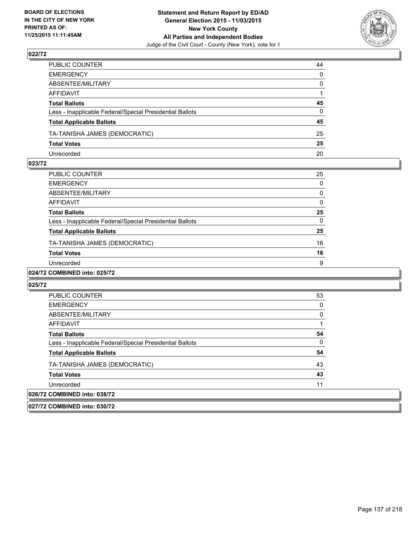

| PUBLIC COUNTER                                           | 44           |
|----------------------------------------------------------|--------------|
| EMERGENCY                                                | $\mathbf{0}$ |
| ABSENTEE/MILITARY                                        | $\Omega$     |
| AFFIDAVIT                                                |              |
| Total Ballots                                            | 45           |
| Less - Inapplicable Federal/Special Presidential Ballots | $\mathbf{0}$ |
| <b>Total Applicable Ballots</b>                          | 45           |
| TA-TANISHA JAMES (DEMOCRATIC)                            | 25           |
| <b>Total Votes</b>                                       | 25           |
| Unrecorded                                               | 20           |

### **023/72**

| <b>PUBLIC COUNTER</b>                                    | 25 |
|----------------------------------------------------------|----|
| <b>EMERGENCY</b>                                         | 0  |
| ABSENTEE/MILITARY                                        | 0  |
| <b>AFFIDAVIT</b>                                         | 0  |
| <b>Total Ballots</b>                                     | 25 |
| Less - Inapplicable Federal/Special Presidential Ballots | 0  |
| <b>Total Applicable Ballots</b>                          | 25 |
| TA-TANISHA JAMES (DEMOCRATIC)                            | 16 |
| <b>Total Votes</b>                                       | 16 |
| Unrecorded                                               | 9  |
| -----------                                              |    |

## **024/72 COMBINED into: 025/72**

#### **025/72**

| <b>PUBLIC COUNTER</b>                                                                                                                                                                                                                                                                                                                                                                                                   | 53 |
|-------------------------------------------------------------------------------------------------------------------------------------------------------------------------------------------------------------------------------------------------------------------------------------------------------------------------------------------------------------------------------------------------------------------------|----|
| <b>EMERGENCY</b>                                                                                                                                                                                                                                                                                                                                                                                                        | 0  |
| ABSENTEE/MILITARY                                                                                                                                                                                                                                                                                                                                                                                                       | 0  |
| AFFIDAVIT                                                                                                                                                                                                                                                                                                                                                                                                               |    |
| <b>Total Ballots</b>                                                                                                                                                                                                                                                                                                                                                                                                    | 54 |
| Less - Inapplicable Federal/Special Presidential Ballots                                                                                                                                                                                                                                                                                                                                                                | 0  |
| <b>Total Applicable Ballots</b>                                                                                                                                                                                                                                                                                                                                                                                         | 54 |
| TA-TANISHA JAMES (DEMOCRATIC)                                                                                                                                                                                                                                                                                                                                                                                           | 43 |
| <b>Total Votes</b>                                                                                                                                                                                                                                                                                                                                                                                                      | 43 |
| Unrecorded                                                                                                                                                                                                                                                                                                                                                                                                              | 11 |
| 026/72 COMBINED into: 038/72                                                                                                                                                                                                                                                                                                                                                                                            |    |
| $\mathbf{A} \mathbf{A} = \mathbf{A} \mathbf{A} \mathbf{A} + \mathbf{A} \mathbf{A} + \mathbf{A} \mathbf{A} + \mathbf{A} \mathbf{A} + \mathbf{A} \mathbf{A} + \mathbf{A} \mathbf{A} + \mathbf{A} \mathbf{A} + \mathbf{A} \mathbf{A} + \mathbf{A} \mathbf{A} + \mathbf{A} \mathbf{A} + \mathbf{A} \mathbf{A} + \mathbf{A} \mathbf{A} + \mathbf{A} \mathbf{A} + \mathbf{A} \mathbf{A} + \mathbf{A} \mathbf{A} + \mathbf{A}$ |    |

### **027/72 COMBINED into: 030/72**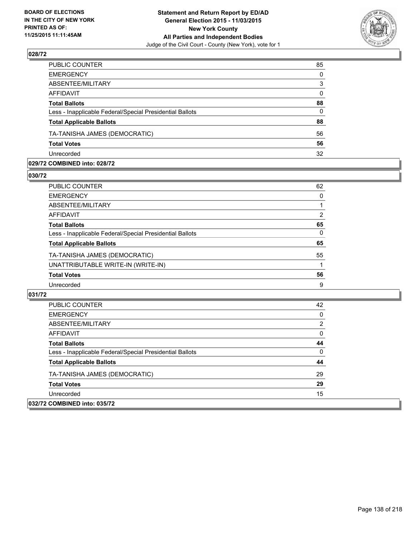

| PUBLIC COUNTER                                           | 85           |
|----------------------------------------------------------|--------------|
| <b>EMERGENCY</b>                                         | $\mathbf{0}$ |
| ABSENTEE/MILITARY                                        | 3            |
| <b>AFFIDAVIT</b>                                         | $\Omega$     |
| <b>Total Ballots</b>                                     | 88           |
| Less - Inapplicable Federal/Special Presidential Ballots | $\Omega$     |
| <b>Total Applicable Ballots</b>                          | 88           |
| TA-TANISHA JAMES (DEMOCRATIC)                            | 56           |
| <b>Total Votes</b>                                       | 56           |
| Unrecorded                                               | 32           |

### **029/72 COMBINED into: 028/72**

**030/72** 

| PUBLIC COUNTER                                           | 62 |
|----------------------------------------------------------|----|
| <b>EMERGENCY</b>                                         | 0  |
| ABSENTEE/MILITARY                                        |    |
| AFFIDAVIT                                                | 2  |
| <b>Total Ballots</b>                                     | 65 |
| Less - Inapplicable Federal/Special Presidential Ballots | 0  |
| <b>Total Applicable Ballots</b>                          | 65 |
| TA-TANISHA JAMES (DEMOCRATIC)                            | 55 |
| UNATTRIBUTABLE WRITE-IN (WRITE-IN)                       |    |
| <b>Total Votes</b>                                       | 56 |
| Unrecorded                                               | 9  |

| <b>PUBLIC COUNTER</b>                                    | 42 |
|----------------------------------------------------------|----|
| <b>EMERGENCY</b>                                         | 0  |
| ABSENTEE/MILITARY                                        | 2  |
| <b>AFFIDAVIT</b>                                         | 0  |
| <b>Total Ballots</b>                                     | 44 |
| Less - Inapplicable Federal/Special Presidential Ballots | 0  |
| <b>Total Applicable Ballots</b>                          | 44 |
| TA-TANISHA JAMES (DEMOCRATIC)                            | 29 |
| <b>Total Votes</b>                                       | 29 |
| Unrecorded                                               | 15 |
| 032/72 COMBINED into: 035/72                             |    |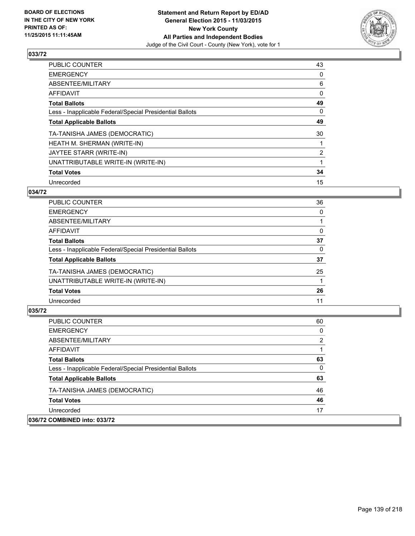

| PUBLIC COUNTER                                           | 43             |
|----------------------------------------------------------|----------------|
| <b>EMERGENCY</b>                                         | 0              |
| ABSENTEE/MILITARY                                        | 6              |
| <b>AFFIDAVIT</b>                                         | 0              |
| <b>Total Ballots</b>                                     | 49             |
| Less - Inapplicable Federal/Special Presidential Ballots | 0              |
| <b>Total Applicable Ballots</b>                          | 49             |
| TA-TANISHA JAMES (DEMOCRATIC)                            | 30             |
| HEATH M. SHERMAN (WRITE-IN)                              |                |
| JAYTEE STARR (WRITE-IN)                                  | $\overline{2}$ |
| UNATTRIBUTABLE WRITE-IN (WRITE-IN)                       |                |
| <b>Total Votes</b>                                       | 34             |
| Unrecorded                                               | 15             |

## **034/72**

| <b>PUBLIC COUNTER</b>                                    | 36       |
|----------------------------------------------------------|----------|
| <b>EMERGENCY</b>                                         | $\Omega$ |
| <b>ABSENTEE/MILITARY</b>                                 |          |
| AFFIDAVIT                                                | 0        |
| <b>Total Ballots</b>                                     | 37       |
| Less - Inapplicable Federal/Special Presidential Ballots | $\Omega$ |
| <b>Total Applicable Ballots</b>                          | 37       |
| TA-TANISHA JAMES (DEMOCRATIC)                            | 25       |
| UNATTRIBUTABLE WRITE-IN (WRITE-IN)                       |          |
| <b>Total Votes</b>                                       | 26       |
| Unrecorded                                               | 11       |
|                                                          |          |

| <b>PUBLIC COUNTER</b>                                    | 60 |
|----------------------------------------------------------|----|
| <b>EMERGENCY</b>                                         | 0  |
| ABSENTEE/MILITARY                                        | 2  |
| AFFIDAVIT                                                |    |
| <b>Total Ballots</b>                                     | 63 |
| Less - Inapplicable Federal/Special Presidential Ballots | 0  |
| <b>Total Applicable Ballots</b>                          | 63 |
| TA-TANISHA JAMES (DEMOCRATIC)                            | 46 |
| <b>Total Votes</b>                                       | 46 |
| Unrecorded                                               | 17 |
| 036/72 COMBINED into: 033/72                             |    |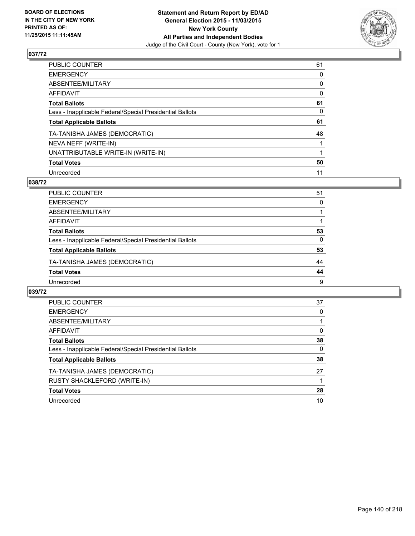

| PUBLIC COUNTER                                           | 61 |
|----------------------------------------------------------|----|
| <b>EMERGENCY</b>                                         | 0  |
| ABSENTEE/MILITARY                                        | 0  |
| <b>AFFIDAVIT</b>                                         | 0  |
| <b>Total Ballots</b>                                     | 61 |
| Less - Inapplicable Federal/Special Presidential Ballots | 0  |
| <b>Total Applicable Ballots</b>                          | 61 |
| TA-TANISHA JAMES (DEMOCRATIC)                            | 48 |
| NEVA NEFF (WRITE-IN)                                     |    |
| UNATTRIBUTABLE WRITE-IN (WRITE-IN)                       |    |
| <b>Total Votes</b>                                       | 50 |
| Unrecorded                                               | 11 |

## **038/72**

| PUBLIC COUNTER                                           | 51       |
|----------------------------------------------------------|----------|
| <b>EMERGENCY</b>                                         | 0        |
| ABSENTEE/MILITARY                                        |          |
| <b>AFFIDAVIT</b>                                         |          |
| <b>Total Ballots</b>                                     | 53       |
| Less - Inapplicable Federal/Special Presidential Ballots | $\Omega$ |
| <b>Total Applicable Ballots</b>                          | 53       |
| TA-TANISHA JAMES (DEMOCRATIC)                            | 44       |
| <b>Total Votes</b>                                       | 44       |
| Unrecorded                                               | 9        |
|                                                          |          |

| <b>PUBLIC COUNTER</b>                                    | 37 |
|----------------------------------------------------------|----|
| <b>EMERGENCY</b>                                         | 0  |
| ABSENTEE/MILITARY                                        |    |
| AFFIDAVIT                                                | 0  |
| <b>Total Ballots</b>                                     | 38 |
| Less - Inapplicable Federal/Special Presidential Ballots | 0  |
| <b>Total Applicable Ballots</b>                          | 38 |
| TA-TANISHA JAMES (DEMOCRATIC)                            | 27 |
| RUSTY SHACKLEFORD (WRITE-IN)                             |    |
| <b>Total Votes</b>                                       | 28 |
| Unrecorded                                               | 10 |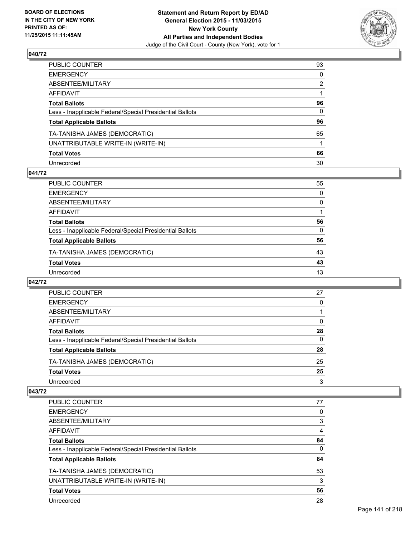

| PUBLIC COUNTER                                           | 93           |
|----------------------------------------------------------|--------------|
| EMERGENCY                                                | $\mathbf{0}$ |
| ABSENTEE/MILITARY                                        | 2            |
| AFFIDAVIT                                                |              |
| Total Ballots                                            | 96           |
| Less - Inapplicable Federal/Special Presidential Ballots | 0            |
| <b>Total Applicable Ballots</b>                          | 96           |
| TA-TANISHA JAMES (DEMOCRATIC)                            | 65           |
| UNATTRIBUTABLE WRITE-IN (WRITE-IN)                       |              |
| <b>Total Votes</b>                                       | 66           |
| Unrecorded                                               | 30           |

## **041/72**

| PUBLIC COUNTER                                           | 55       |
|----------------------------------------------------------|----------|
| <b>EMERGENCY</b>                                         | 0        |
| ABSENTEE/MILITARY                                        | $\Omega$ |
| <b>AFFIDAVIT</b>                                         |          |
| <b>Total Ballots</b>                                     | 56       |
| Less - Inapplicable Federal/Special Presidential Ballots | $\Omega$ |
| <b>Total Applicable Ballots</b>                          | 56       |
| TA-TANISHA JAMES (DEMOCRATIC)                            | 43       |
| <b>Total Votes</b>                                       | 43       |
| Unrecorded                                               | 13       |
|                                                          |          |

### **042/72**

| PUBLIC COUNTER                                           | 27 |
|----------------------------------------------------------|----|
| <b>EMERGENCY</b>                                         | 0  |
| ABSENTEE/MILITARY                                        |    |
| AFFIDAVIT                                                | 0  |
| <b>Total Ballots</b>                                     | 28 |
| Less - Inapplicable Federal/Special Presidential Ballots | 0  |
| <b>Total Applicable Ballots</b>                          | 28 |
| TA-TANISHA JAMES (DEMOCRATIC)                            | 25 |
| <b>Total Votes</b>                                       | 25 |
| Unrecorded                                               | 3  |

| <b>PUBLIC COUNTER</b>                                    | 77 |
|----------------------------------------------------------|----|
| <b>EMERGENCY</b>                                         | 0  |
| ABSENTEE/MILITARY                                        | 3  |
| <b>AFFIDAVIT</b>                                         | 4  |
| <b>Total Ballots</b>                                     | 84 |
| Less - Inapplicable Federal/Special Presidential Ballots | 0  |
| <b>Total Applicable Ballots</b>                          | 84 |
| TA-TANISHA JAMES (DEMOCRATIC)                            | 53 |
| UNATTRIBUTABLE WRITE-IN (WRITE-IN)                       | 3  |
| <b>Total Votes</b>                                       | 56 |
| Unrecorded                                               | 28 |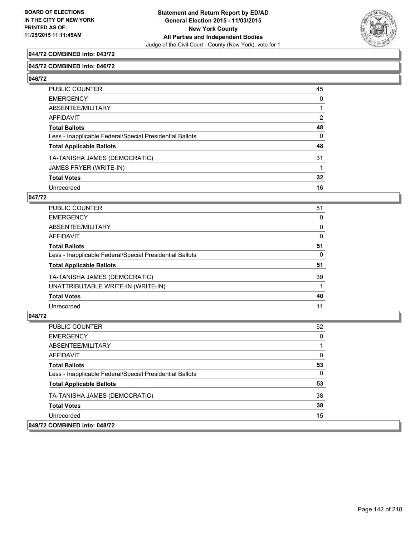

## **044/72 COMBINED into: 043/72**

### **045/72 COMBINED into: 046/72**

**046/72** 

| PUBLIC COUNTER                                           | 45           |
|----------------------------------------------------------|--------------|
| <b>EMERGENCY</b>                                         | 0            |
| ABSENTEE/MILITARY                                        |              |
| AFFIDAVIT                                                | 2            |
| <b>Total Ballots</b>                                     | 48           |
| Less - Inapplicable Federal/Special Presidential Ballots | $\mathbf{0}$ |
| <b>Total Applicable Ballots</b>                          | 48           |
| TA-TANISHA JAMES (DEMOCRATIC)                            | 31           |
| JAMES FRYER (WRITE-IN)                                   |              |
| <b>Total Votes</b>                                       | 32           |
| Unrecorded                                               | 16           |

## **047/72**

| <b>PUBLIC COUNTER</b>                                    | 51 |
|----------------------------------------------------------|----|
| <b>EMERGENCY</b>                                         | 0  |
| ABSENTEE/MILITARY                                        | 0  |
| <b>AFFIDAVIT</b>                                         | 0  |
| <b>Total Ballots</b>                                     | 51 |
| Less - Inapplicable Federal/Special Presidential Ballots | 0  |
| <b>Total Applicable Ballots</b>                          | 51 |
| TA-TANISHA JAMES (DEMOCRATIC)                            | 39 |
| UNATTRIBUTABLE WRITE-IN (WRITE-IN)                       |    |
| <b>Total Votes</b>                                       | 40 |
| Unrecorded                                               | 11 |

| <b>PUBLIC COUNTER</b>                                    | 52 |
|----------------------------------------------------------|----|
| <b>EMERGENCY</b>                                         | 0  |
| ABSENTEE/MILITARY                                        |    |
| AFFIDAVIT                                                | 0  |
| <b>Total Ballots</b>                                     | 53 |
| Less - Inapplicable Federal/Special Presidential Ballots | 0  |
| <b>Total Applicable Ballots</b>                          | 53 |
| TA-TANISHA JAMES (DEMOCRATIC)                            | 38 |
| <b>Total Votes</b>                                       | 38 |
| Unrecorded                                               | 15 |
| 049/72 COMBINED into: 048/72                             |    |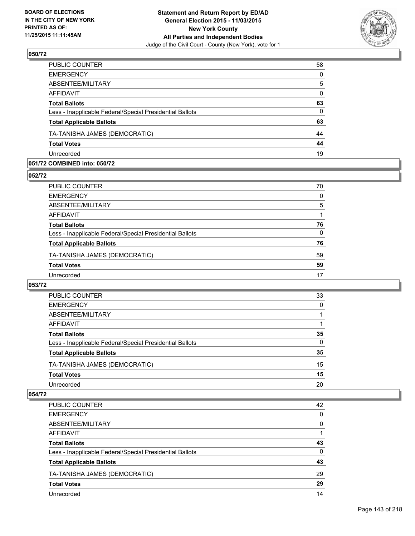

| 58       |
|----------|
| $\Omega$ |
| 5        |
| $\Omega$ |
| 63       |
| $\Omega$ |
| 63       |
| 44       |
| 44       |
| 19       |
|          |

### **051/72 COMBINED into: 050/72**

**052/72** 

| PUBLIC COUNTER                                           | 70 |
|----------------------------------------------------------|----|
| <b>EMERGENCY</b>                                         | 0  |
| ABSENTEE/MILITARY                                        | 5  |
| <b>AFFIDAVIT</b>                                         |    |
| <b>Total Ballots</b>                                     | 76 |
| Less - Inapplicable Federal/Special Presidential Ballots | 0  |
| <b>Total Applicable Ballots</b>                          | 76 |
| TA-TANISHA JAMES (DEMOCRATIC)                            | 59 |
| <b>Total Votes</b>                                       | 59 |
| Unrecorded                                               | 17 |
|                                                          |    |

## **053/72**

| <b>PUBLIC COUNTER</b>                                    | 33 |
|----------------------------------------------------------|----|
| <b>EMERGENCY</b>                                         | 0  |
| ABSENTEE/MILITARY                                        |    |
| AFFIDAVIT                                                |    |
| <b>Total Ballots</b>                                     | 35 |
| Less - Inapplicable Federal/Special Presidential Ballots | 0  |
| <b>Total Applicable Ballots</b>                          | 35 |
| TA-TANISHA JAMES (DEMOCRATIC)                            | 15 |
| <b>Total Votes</b>                                       | 15 |
| Unrecorded                                               | 20 |

| PUBLIC COUNTER                                           | 42 |
|----------------------------------------------------------|----|
| <b>EMERGENCY</b>                                         | 0  |
| ABSENTEE/MILITARY                                        | 0  |
| AFFIDAVIT                                                |    |
| <b>Total Ballots</b>                                     | 43 |
| Less - Inapplicable Federal/Special Presidential Ballots | 0  |
| <b>Total Applicable Ballots</b>                          | 43 |
| TA-TANISHA JAMES (DEMOCRATIC)                            | 29 |
| <b>Total Votes</b>                                       | 29 |
| Unrecorded                                               | 14 |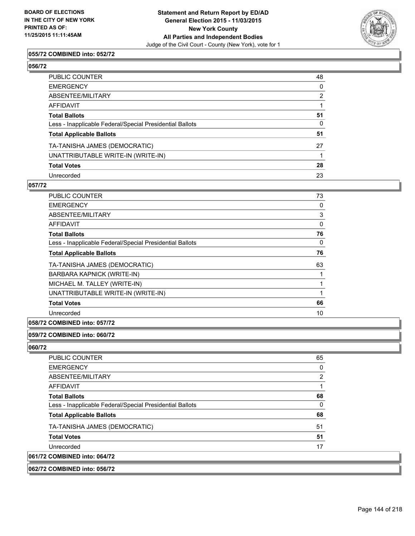

## **055/72 COMBINED into: 052/72**

| PUBLIC COUNTER                                           | 48           |
|----------------------------------------------------------|--------------|
| EMERGENCY                                                | $\mathbf{0}$ |
| ABSENTEE/MILITARY                                        | 2            |
| AFFIDAVIT                                                |              |
| Total Ballots                                            | 51           |
| Less - Inapplicable Federal/Special Presidential Ballots | $\Omega$     |
| <b>Total Applicable Ballots</b>                          | 51           |
| TA-TANISHA JAMES (DEMOCRATIC)                            | 27           |
| UNATTRIBUTABLE WRITE-IN (WRITE-IN)                       |              |
| <b>Total Votes</b>                                       | 28           |
| Unrecorded                                               | 23           |

#### **057/72**

| <b>PUBLIC COUNTER</b>                                    | 73 |
|----------------------------------------------------------|----|
| <b>EMERGENCY</b>                                         | 0  |
| ABSENTEE/MILITARY                                        | 3  |
| AFFIDAVIT                                                | 0  |
| <b>Total Ballots</b>                                     | 76 |
| Less - Inapplicable Federal/Special Presidential Ballots | 0  |
| <b>Total Applicable Ballots</b>                          | 76 |
| TA-TANISHA JAMES (DEMOCRATIC)                            | 63 |
| BARBARA KAPNICK (WRITE-IN)                               | 1  |
| MICHAEL M. TALLEY (WRITE-IN)                             | 1  |
| UNATTRIBUTABLE WRITE-IN (WRITE-IN)                       | 1  |
| <b>Total Votes</b>                                       | 66 |
| Unrecorded                                               | 10 |
|                                                          |    |

## **058/72 COMBINED into: 057/72**

## **059/72 COMBINED into: 060/72**

| <b>PUBLIC COUNTER</b>                                    | 65 |
|----------------------------------------------------------|----|
| <b>EMERGENCY</b>                                         | 0  |
| ABSENTEE/MILITARY                                        | 2  |
| AFFIDAVIT                                                |    |
| <b>Total Ballots</b>                                     | 68 |
| Less - Inapplicable Federal/Special Presidential Ballots | 0  |
| <b>Total Applicable Ballots</b>                          | 68 |
| TA-TANISHA JAMES (DEMOCRATIC)                            | 51 |
| <b>Total Votes</b>                                       | 51 |
| Unrecorded                                               | 17 |
| 061/72 COMBINED into: 064/72                             |    |
| 062/72 COMBINED into: 056/72                             |    |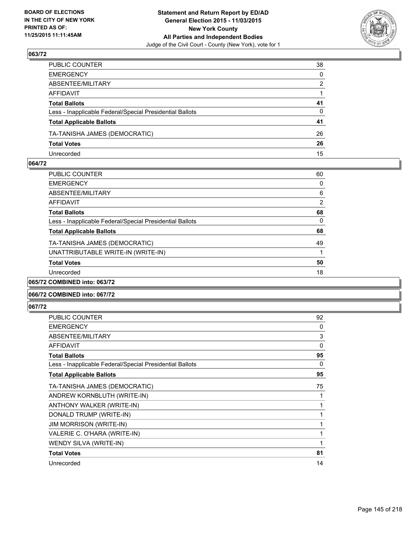

| PUBLIC COUNTER                                           | 38           |
|----------------------------------------------------------|--------------|
| EMERGENCY                                                | $\mathbf{0}$ |
| ABSENTEE/MILITARY                                        | 2            |
| AFFIDAVIT                                                |              |
| Total Ballots                                            | 41           |
| Less - Inapplicable Federal/Special Presidential Ballots | 0            |
| <b>Total Applicable Ballots</b>                          | 41           |
| TA-TANISHA JAMES (DEMOCRATIC)                            | 26           |
| <b>Total Votes</b>                                       | 26           |
| Unrecorded                                               | 15           |

#### **064/72**

| <b>PUBLIC COUNTER</b>                                    | 60 |
|----------------------------------------------------------|----|
| <b>EMERGENCY</b>                                         | 0  |
| ABSENTEE/MILITARY                                        | 6  |
| <b>AFFIDAVIT</b>                                         | 2  |
| <b>Total Ballots</b>                                     | 68 |
| Less - Inapplicable Federal/Special Presidential Ballots | 0  |
| <b>Total Applicable Ballots</b>                          | 68 |
| TA-TANISHA JAMES (DEMOCRATIC)                            | 49 |
| UNATTRIBUTABLE WRITE-IN (WRITE-IN)                       |    |
| <b>Total Votes</b>                                       | 50 |
| Unrecorded                                               | 18 |
| 065/72 COMBINED into: 063/72                             |    |

### **066/72 COMBINED into: 067/72**

| PUBLIC COUNTER                                           | 92 |
|----------------------------------------------------------|----|
| <b>EMERGENCY</b>                                         | 0  |
| ABSENTEE/MILITARY                                        | 3  |
| <b>AFFIDAVIT</b>                                         | 0  |
| <b>Total Ballots</b>                                     | 95 |
| Less - Inapplicable Federal/Special Presidential Ballots | 0  |
| <b>Total Applicable Ballots</b>                          | 95 |
| TA-TANISHA JAMES (DEMOCRATIC)                            | 75 |
| ANDREW KORNBLUTH (WRITE-IN)                              | 1  |
| ANTHONY WALKER (WRITE-IN)                                | 1  |
| DONALD TRUMP (WRITE-IN)                                  | 1  |
| <b>JIM MORRISON (WRITE-IN)</b>                           | 1  |
| VALERIE C. O'HARA (WRITE-IN)                             | 1  |
| WENDY SILVA (WRITE-IN)                                   | 1  |
| <b>Total Votes</b>                                       | 81 |
| Unrecorded                                               | 14 |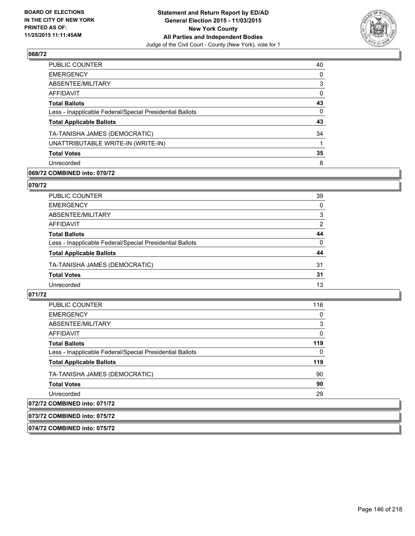

| <b>PUBLIC COUNTER</b>                                    | 40 |
|----------------------------------------------------------|----|
| <b>EMERGENCY</b>                                         | 0  |
| ABSENTEE/MILITARY                                        | 3  |
| <b>AFFIDAVIT</b>                                         | 0  |
| <b>Total Ballots</b>                                     | 43 |
| Less - Inapplicable Federal/Special Presidential Ballots | 0  |
| <b>Total Applicable Ballots</b>                          | 43 |
| TA-TANISHA JAMES (DEMOCRATIC)                            | 34 |
| UNATTRIBUTABLE WRITE-IN (WRITE-IN)                       |    |
| <b>Total Votes</b>                                       | 35 |
| Unrecorded                                               | 8  |
|                                                          |    |

### **069/72 COMBINED into: 070/72**

#### **070/72**

| PUBLIC COUNTER                                           | 39       |
|----------------------------------------------------------|----------|
| <b>EMERGENCY</b>                                         | 0        |
| ABSENTEE/MILITARY                                        | 3        |
| <b>AFFIDAVIT</b>                                         | 2        |
| <b>Total Ballots</b>                                     | 44       |
| Less - Inapplicable Federal/Special Presidential Ballots | $\Omega$ |
| <b>Total Applicable Ballots</b>                          | 44       |
| TA-TANISHA JAMES (DEMOCRATIC)                            | 31       |
| <b>Total Votes</b>                                       | 31       |
| Unrecorded                                               | 13       |
|                                                          |          |

### **071/72**

| <b>PUBLIC COUNTER</b>                                    | 116      |
|----------------------------------------------------------|----------|
| <b>EMERGENCY</b>                                         | $\Omega$ |
| ABSENTEE/MILITARY                                        | 3        |
| AFFIDAVIT                                                | $\Omega$ |
| <b>Total Ballots</b>                                     | 119      |
| Less - Inapplicable Federal/Special Presidential Ballots | $\Omega$ |
| <b>Total Applicable Ballots</b>                          | 119      |
| TA-TANISHA JAMES (DEMOCRATIC)                            | 90       |
| <b>Total Votes</b>                                       | 90       |
| Unrecorded                                               | 29       |
| 072/72 COMBINED into: 071/72                             |          |

## **073/72 COMBINED into: 075/72**

**074/72 COMBINED into: 075/72**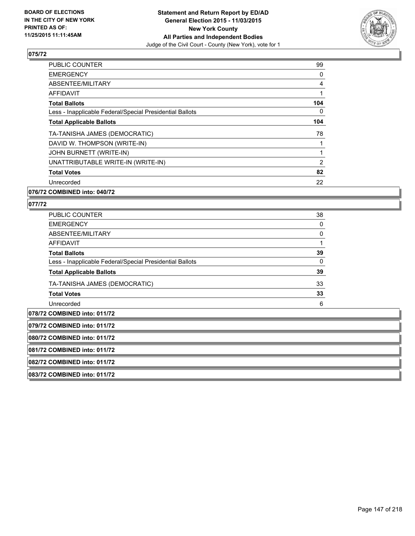

| PUBLIC COUNTER                                           | 99  |
|----------------------------------------------------------|-----|
| <b>EMERGENCY</b>                                         | 0   |
| ABSENTEE/MILITARY                                        | 4   |
| <b>AFFIDAVIT</b>                                         |     |
| <b>Total Ballots</b>                                     | 104 |
| Less - Inapplicable Federal/Special Presidential Ballots | 0   |
| <b>Total Applicable Ballots</b>                          | 104 |
| TA-TANISHA JAMES (DEMOCRATIC)                            | 78  |
| DAVID W. THOMPSON (WRITE-IN)                             |     |
| JOHN BURNETT (WRITE-IN)                                  |     |
| UNATTRIBUTABLE WRITE-IN (WRITE-IN)                       | 2   |
| <b>Total Votes</b>                                       | 82  |
| Unrecorded                                               | 22  |
|                                                          |     |

### **076/72 COMBINED into: 040/72**

| <b>PUBLIC COUNTER</b>                                    | 38           |
|----------------------------------------------------------|--------------|
| <b>EMERGENCY</b>                                         | 0            |
| ABSENTEE/MILITARY                                        | 0            |
| AFFIDAVIT                                                |              |
| <b>Total Ballots</b>                                     | 39           |
| Less - Inapplicable Federal/Special Presidential Ballots | $\mathbf{0}$ |
| <b>Total Applicable Ballots</b>                          | 39           |
| TA-TANISHA JAMES (DEMOCRATIC)                            | 33           |
| <b>Total Votes</b>                                       | 33           |
| Unrecorded                                               | 6            |
| $079/72$ COMPINED $into: 044/72$                         |              |

| 1078/72 COMBINED into: 011/72 |  |
|-------------------------------|--|
| 079/72 COMBINED into: 011/72  |  |
| 080/72 COMBINED into: 011/72  |  |
| 081/72 COMBINED into: 011/72  |  |
| 082/72 COMBINED into: 011/72  |  |
| 083/72 COMBINED into: 011/72  |  |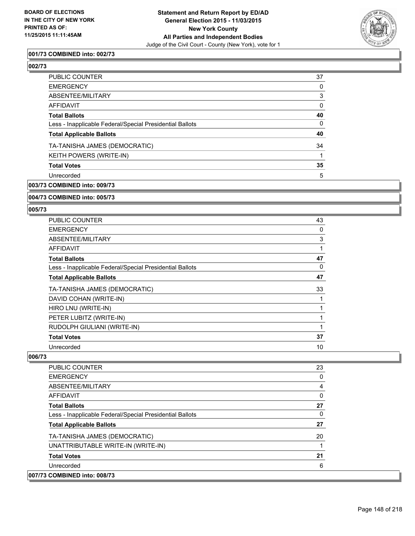

### **001/73 COMBINED into: 002/73**

#### **002/73**

| <b>PUBLIC COUNTER</b>                                    | 37 |
|----------------------------------------------------------|----|
| <b>EMERGENCY</b>                                         | 0  |
| ABSENTEE/MILITARY                                        | 3  |
| AFFIDAVIT                                                | 0  |
| <b>Total Ballots</b>                                     | 40 |
| Less - Inapplicable Federal/Special Presidential Ballots | 0  |
| <b>Total Applicable Ballots</b>                          | 40 |
| TA-TANISHA JAMES (DEMOCRATIC)                            | 34 |
| <b>KEITH POWERS (WRITE-IN)</b>                           |    |
| <b>Total Votes</b>                                       | 35 |
| Unrecorded                                               | 5  |
| 003/73 COMBINED into: 009/73                             |    |

### **004/73 COMBINED into: 005/73**

#### **005/73**

| <b>PUBLIC COUNTER</b>                                    | 43 |
|----------------------------------------------------------|----|
| <b>EMERGENCY</b>                                         | 0  |
| ABSENTEE/MILITARY                                        | 3  |
| AFFIDAVIT                                                | 1  |
| <b>Total Ballots</b>                                     | 47 |
| Less - Inapplicable Federal/Special Presidential Ballots | 0  |
| <b>Total Applicable Ballots</b>                          | 47 |
| TA-TANISHA JAMES (DEMOCRATIC)                            | 33 |
| DAVID COHAN (WRITE-IN)                                   | 1  |
| HIRO LNU (WRITE-IN)                                      | 1  |
| PETER LUBITZ (WRITE-IN)                                  | 1  |
| RUDOLPH GIULIANI (WRITE-IN)                              | 1  |
| <b>Total Votes</b>                                       | 37 |
| Unrecorded                                               | 10 |

| <b>PUBLIC COUNTER</b>                                    | 23 |
|----------------------------------------------------------|----|
| <b>EMERGENCY</b>                                         | 0  |
| ABSENTEE/MILITARY                                        | 4  |
| <b>AFFIDAVIT</b>                                         | 0  |
| <b>Total Ballots</b>                                     | 27 |
| Less - Inapplicable Federal/Special Presidential Ballots | 0  |
| <b>Total Applicable Ballots</b>                          | 27 |
| TA-TANISHA JAMES (DEMOCRATIC)                            | 20 |
| UNATTRIBUTABLE WRITE-IN (WRITE-IN)                       |    |
| <b>Total Votes</b>                                       | 21 |
| Unrecorded                                               | 6  |
| 007/73 COMBINED into: 008/73                             |    |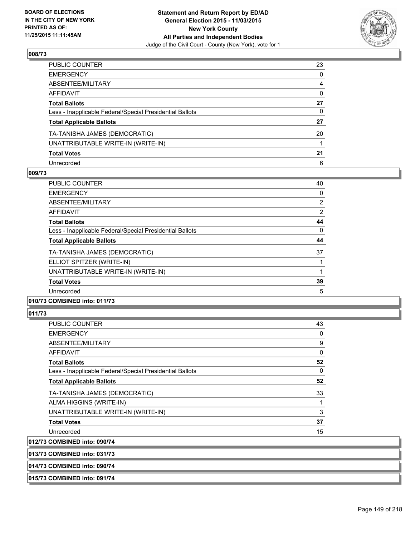

| PUBLIC COUNTER                                           | 23           |
|----------------------------------------------------------|--------------|
| EMERGENCY                                                | $\mathbf{0}$ |
| ABSENTEE/MILITARY                                        | 4            |
| AFFIDAVIT                                                | 0            |
| Total Ballots                                            | 27           |
| Less - Inapplicable Federal/Special Presidential Ballots | 0            |
| <b>Total Applicable Ballots</b>                          | 27           |
| TA-TANISHA JAMES (DEMOCRATIC)                            | 20           |
| UNATTRIBUTABLE WRITE-IN (WRITE-IN)                       |              |
| <b>Total Votes</b>                                       | 21           |
| Unrecorded                                               | 6            |

#### **009/73**

| <b>PUBLIC COUNTER</b>                                    | 40             |
|----------------------------------------------------------|----------------|
| <b>EMERGENCY</b>                                         | 0              |
| ABSENTEE/MILITARY                                        | $\overline{2}$ |
| AFFIDAVIT                                                | $\overline{2}$ |
| <b>Total Ballots</b>                                     | 44             |
| Less - Inapplicable Federal/Special Presidential Ballots | 0              |
| <b>Total Applicable Ballots</b>                          | 44             |
| TA-TANISHA JAMES (DEMOCRATIC)                            | 37             |
| ELLIOT SPITZER (WRITE-IN)                                |                |
| UNATTRIBUTABLE WRITE-IN (WRITE-IN)                       |                |
| <b>Total Votes</b>                                       | 39             |
| Unrecorded                                               | 5              |
|                                                          |                |

### **010/73 COMBINED into: 011/73**

### **011/73**

| <b>PUBLIC COUNTER</b>                                    | 43       |
|----------------------------------------------------------|----------|
| <b>EMERGENCY</b>                                         | 0        |
| ABSENTEE/MILITARY                                        | 9        |
| AFFIDAVIT                                                | $\Omega$ |
| <b>Total Ballots</b>                                     | 52       |
| Less - Inapplicable Federal/Special Presidential Ballots | 0        |
| <b>Total Applicable Ballots</b>                          | 52       |
| TA-TANISHA JAMES (DEMOCRATIC)                            | 33       |
| ALMA HIGGINS (WRITE-IN)                                  |          |
| UNATTRIBUTABLE WRITE-IN (WRITE-IN)                       | 3        |
| <b>Total Votes</b>                                       | 37       |
| Unrecorded                                               | 15       |
| 012/73 COMBINED into: 090/74                             |          |
|                                                          |          |

**013/73 COMBINED into: 031/73**

#### **014/73 COMBINED into: 090/74**

#### **015/73 COMBINED into: 091/74**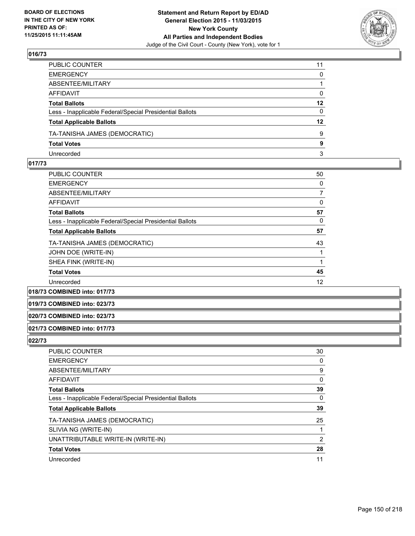

| PUBLIC COUNTER                                           | 11      |
|----------------------------------------------------------|---------|
| EMERGENCY                                                | 0       |
| ABSENTEE/MILITARY                                        |         |
| AFFIDAVIT                                                | 0       |
| Total Ballots                                            | $12 \,$ |
| Less - Inapplicable Federal/Special Presidential Ballots | 0       |
| <b>Total Applicable Ballots</b>                          | $12 \,$ |
| TA-TANISHA JAMES (DEMOCRATIC)                            | 9       |
| <b>Total Votes</b>                                       | 9       |
| Unrecorded                                               | 3       |

#### **017/73**

| <b>PUBLIC COUNTER</b>                                    | 50 |
|----------------------------------------------------------|----|
| <b>EMERGENCY</b>                                         | 0  |
| ABSENTEE/MILITARY                                        | 7  |
| AFFIDAVIT                                                | 0  |
| <b>Total Ballots</b>                                     | 57 |
| Less - Inapplicable Federal/Special Presidential Ballots | 0  |
| <b>Total Applicable Ballots</b>                          | 57 |
| TA-TANISHA JAMES (DEMOCRATIC)                            | 43 |
| JOHN DOE (WRITE-IN)                                      |    |
| SHEA FINK (WRITE-IN)                                     |    |
| <b>Total Votes</b>                                       | 45 |
| Unrecorded                                               | 12 |
|                                                          |    |

**018/73 COMBINED into: 017/73**

**019/73 COMBINED into: 023/73**

#### **020/73 COMBINED into: 023/73**

#### **021/73 COMBINED into: 017/73**

| <b>PUBLIC COUNTER</b>                                    | 30 |
|----------------------------------------------------------|----|
| <b>EMERGENCY</b>                                         | 0  |
| ABSENTEE/MILITARY                                        | 9  |
| AFFIDAVIT                                                | 0  |
| <b>Total Ballots</b>                                     | 39 |
| Less - Inapplicable Federal/Special Presidential Ballots | 0  |
| <b>Total Applicable Ballots</b>                          | 39 |
| TA-TANISHA JAMES (DEMOCRATIC)                            | 25 |
| SLIVIA NG (WRITE-IN)                                     |    |
| UNATTRIBUTABLE WRITE-IN (WRITE-IN)                       | 2  |
| <b>Total Votes</b>                                       | 28 |
| Unrecorded                                               | 11 |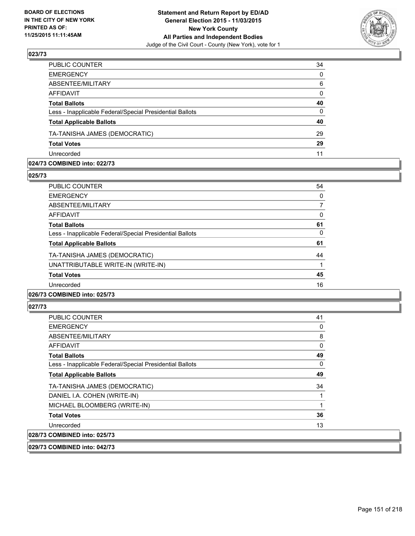

| PUBLIC COUNTER                                           | 34           |
|----------------------------------------------------------|--------------|
| <b>EMERGENCY</b>                                         | $\Omega$     |
| ABSENTEE/MILITARY                                        | 6            |
| <b>AFFIDAVIT</b>                                         | $\mathbf{0}$ |
| <b>Total Ballots</b>                                     | 40           |
| Less - Inapplicable Federal/Special Presidential Ballots | $\mathbf{0}$ |
| <b>Total Applicable Ballots</b>                          | 40           |
| TA-TANISHA JAMES (DEMOCRATIC)                            | 29           |
| <b>Total Votes</b>                                       | 29           |
| Unrecorded                                               | 11           |

#### **024/73 COMBINED into: 022/73**

**025/73** 

| PUBLIC COUNTER                                           | 54 |
|----------------------------------------------------------|----|
| <b>EMERGENCY</b>                                         | 0  |
| ABSENTEE/MILITARY                                        |    |
| <b>AFFIDAVIT</b>                                         | 0  |
| <b>Total Ballots</b>                                     | 61 |
| Less - Inapplicable Federal/Special Presidential Ballots | 0  |
| <b>Total Applicable Ballots</b>                          | 61 |
| TA-TANISHA JAMES (DEMOCRATIC)                            | 44 |
| UNATTRIBUTABLE WRITE-IN (WRITE-IN)                       |    |
| <b>Total Votes</b>                                       | 45 |
| Unrecorded                                               | 16 |
|                                                          |    |

# **026/73 COMBINED into: 025/73**

#### **027/73**

| <b>PUBLIC COUNTER</b>                                    | 41 |
|----------------------------------------------------------|----|
| <b>EMERGENCY</b>                                         | 0  |
| ABSENTEE/MILITARY                                        | 8  |
| AFFIDAVIT                                                | 0  |
| <b>Total Ballots</b>                                     | 49 |
| Less - Inapplicable Federal/Special Presidential Ballots | 0  |
| <b>Total Applicable Ballots</b>                          | 49 |
| TA-TANISHA JAMES (DEMOCRATIC)                            | 34 |
| DANIEL I.A. COHEN (WRITE-IN)                             |    |
| MICHAEL BLOOMBERG (WRITE-IN)                             |    |
| <b>Total Votes</b>                                       | 36 |
| Unrecorded                                               | 13 |
| 028/73 COMBINED into: 025/73                             |    |

**029/73 COMBINED into: 042/73**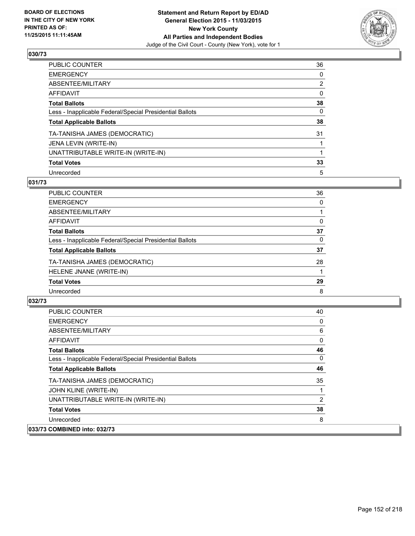

| PUBLIC COUNTER                                           | 36             |
|----------------------------------------------------------|----------------|
| <b>EMERGENCY</b>                                         | 0              |
| ABSENTEE/MILITARY                                        | $\overline{2}$ |
| <b>AFFIDAVIT</b>                                         | 0              |
| <b>Total Ballots</b>                                     | 38             |
| Less - Inapplicable Federal/Special Presidential Ballots | 0              |
| <b>Total Applicable Ballots</b>                          | 38             |
| TA-TANISHA JAMES (DEMOCRATIC)                            | 31             |
| JENA LEVIN (WRITE-IN)                                    |                |
| UNATTRIBUTABLE WRITE-IN (WRITE-IN)                       |                |
| <b>Total Votes</b>                                       | 33             |
| Unrecorded                                               | 5              |

#### **031/73**

| PUBLIC COUNTER                                           | 36 |
|----------------------------------------------------------|----|
| <b>EMERGENCY</b>                                         | 0  |
| ABSENTEE/MILITARY                                        |    |
| <b>AFFIDAVIT</b>                                         | 0  |
| <b>Total Ballots</b>                                     | 37 |
| Less - Inapplicable Federal/Special Presidential Ballots | 0  |
| <b>Total Applicable Ballots</b>                          | 37 |
| TA-TANISHA JAMES (DEMOCRATIC)                            | 28 |
| HELENE JNANE (WRITE-IN)                                  |    |
| <b>Total Votes</b>                                       | 29 |
| Unrecorded                                               | 8  |
|                                                          |    |

| <b>PUBLIC COUNTER</b>                                    | 40       |
|----------------------------------------------------------|----------|
| <b>EMERGENCY</b>                                         | 0        |
| ABSENTEE/MILITARY                                        | 6        |
| AFFIDAVIT                                                | 0        |
| <b>Total Ballots</b>                                     | 46       |
| Less - Inapplicable Federal/Special Presidential Ballots | $\Omega$ |
| <b>Total Applicable Ballots</b>                          | 46       |
| TA-TANISHA JAMES (DEMOCRATIC)                            | 35       |
| JOHN KLINE (WRITE-IN)                                    |          |
| UNATTRIBUTABLE WRITE-IN (WRITE-IN)                       | 2        |
| <b>Total Votes</b>                                       | 38       |
| Unrecorded                                               | 8        |
| 033/73 COMBINED into: 032/73                             |          |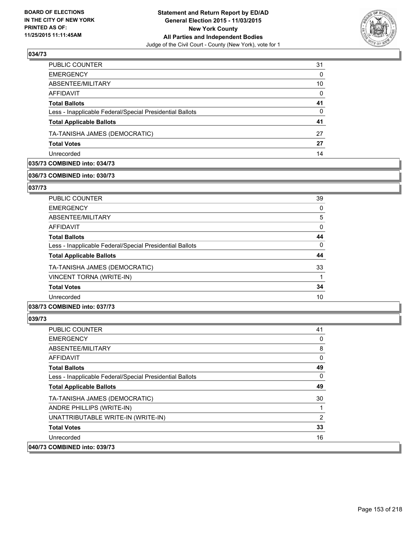

| PUBLIC COUNTER                                           | 31       |
|----------------------------------------------------------|----------|
| <b>EMERGENCY</b>                                         | $\Omega$ |
| ABSENTEE/MILITARY                                        | 10       |
| AFFIDAVIT                                                | $\Omega$ |
| <b>Total Ballots</b>                                     | 41       |
| Less - Inapplicable Federal/Special Presidential Ballots | $\Omega$ |
| <b>Total Applicable Ballots</b>                          | 41       |
| TA-TANISHA JAMES (DEMOCRATIC)                            | 27       |
| <b>Total Votes</b>                                       | 27       |
| Unrecorded                                               | 14       |

### **035/73 COMBINED into: 034/73**

#### **036/73 COMBINED into: 030/73**

**037/73** 

| <b>PUBLIC COUNTER</b>                                    | 39 |
|----------------------------------------------------------|----|
| <b>EMERGENCY</b>                                         | 0  |
| ABSENTEE/MILITARY                                        | 5  |
| <b>AFFIDAVIT</b>                                         | 0  |
| <b>Total Ballots</b>                                     | 44 |
| Less - Inapplicable Federal/Special Presidential Ballots | 0  |
| <b>Total Applicable Ballots</b>                          | 44 |
| TA-TANISHA JAMES (DEMOCRATIC)                            | 33 |
| VINCENT TORNA (WRITE-IN)                                 |    |
| <b>Total Votes</b>                                       | 34 |
| Unrecorded                                               | 10 |
|                                                          |    |

### **038/73 COMBINED into: 037/73**

| <b>PUBLIC COUNTER</b>                                    | 41 |
|----------------------------------------------------------|----|
| <b>EMERGENCY</b>                                         | 0  |
| ABSENTEE/MILITARY                                        | 8  |
| <b>AFFIDAVIT</b>                                         | 0  |
| <b>Total Ballots</b>                                     | 49 |
| Less - Inapplicable Federal/Special Presidential Ballots | 0  |
| <b>Total Applicable Ballots</b>                          | 49 |
| TA-TANISHA JAMES (DEMOCRATIC)                            | 30 |
| ANDRE PHILLIPS (WRITE-IN)                                |    |
| UNATTRIBUTABLE WRITE-IN (WRITE-IN)                       | 2  |
| <b>Total Votes</b>                                       | 33 |
| Unrecorded                                               | 16 |
| 040/73 COMBINED into: 039/73                             |    |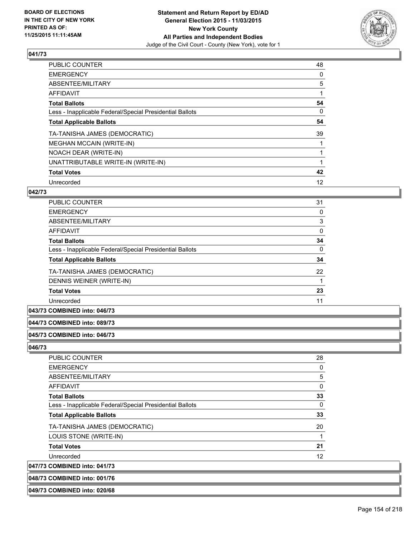

| PUBLIC COUNTER                                           | 48 |
|----------------------------------------------------------|----|
| <b>EMERGENCY</b>                                         | 0  |
| ABSENTEE/MILITARY                                        | 5  |
| <b>AFFIDAVIT</b>                                         |    |
| <b>Total Ballots</b>                                     | 54 |
| Less - Inapplicable Federal/Special Presidential Ballots | 0  |
| <b>Total Applicable Ballots</b>                          | 54 |
| TA-TANISHA JAMES (DEMOCRATIC)                            | 39 |
| <b>MEGHAN MCCAIN (WRITE-IN)</b>                          |    |
| NOACH DEAR (WRITE-IN)                                    |    |
| UNATTRIBUTABLE WRITE-IN (WRITE-IN)                       |    |
| <b>Total Votes</b>                                       | 42 |
| Unrecorded                                               | 12 |

### **042/73**

| <b>PUBLIC COUNTER</b>                                    | 31 |
|----------------------------------------------------------|----|
| <b>EMERGENCY</b>                                         | 0  |
| ABSENTEE/MILITARY                                        | 3  |
| AFFIDAVIT                                                | 0  |
| <b>Total Ballots</b>                                     | 34 |
| Less - Inapplicable Federal/Special Presidential Ballots | 0  |
| <b>Total Applicable Ballots</b>                          | 34 |
| TA-TANISHA JAMES (DEMOCRATIC)                            | 22 |
| DENNIS WEINER (WRITE-IN)                                 |    |
| <b>Total Votes</b>                                       | 23 |
| Unrecorded                                               | 11 |
|                                                          |    |

### **043/73 COMBINED into: 046/73**

#### **044/73 COMBINED into: 089/73**

### **045/73 COMBINED into: 046/73**

#### **046/73**

| <b>PUBLIC COUNTER</b>                                    | 28 |
|----------------------------------------------------------|----|
| <b>EMERGENCY</b>                                         | 0  |
| ABSENTEE/MILITARY                                        | 5  |
| AFFIDAVIT                                                | 0  |
| <b>Total Ballots</b>                                     | 33 |
| Less - Inapplicable Federal/Special Presidential Ballots | 0  |
| <b>Total Applicable Ballots</b>                          | 33 |
| TA-TANISHA JAMES (DEMOCRATIC)                            | 20 |
| LOUIS STONE (WRITE-IN)                                   | 1  |
| <b>Total Votes</b>                                       | 21 |
| Unrecorded                                               | 12 |
| 047/73 COMBINED into: 041/73                             |    |
|                                                          |    |

**048/73 COMBINED into: 001/76**

**049/73 COMBINED into: 020/68**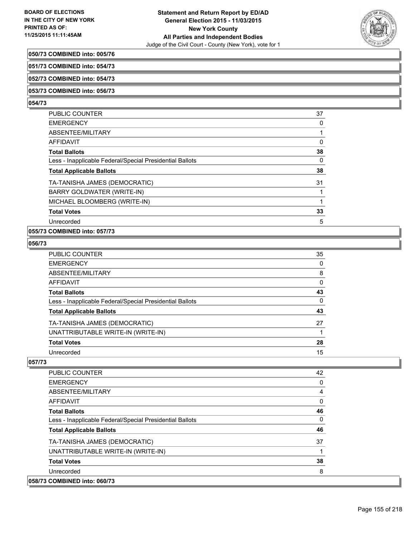

#### **050/73 COMBINED into: 005/76**

**051/73 COMBINED into: 054/73**

**052/73 COMBINED into: 054/73**

#### **053/73 COMBINED into: 056/73**

#### **054/73**

| <b>PUBLIC COUNTER</b>                                    | 37 |
|----------------------------------------------------------|----|
| <b>EMERGENCY</b>                                         | 0  |
| ABSENTEE/MILITARY                                        |    |
| <b>AFFIDAVIT</b>                                         | 0  |
| <b>Total Ballots</b>                                     | 38 |
| Less - Inapplicable Federal/Special Presidential Ballots | 0  |
| <b>Total Applicable Ballots</b>                          | 38 |
| TA-TANISHA JAMES (DEMOCRATIC)                            | 31 |
| BARRY GOLDWATER (WRITE-IN)                               |    |
| MICHAEL BLOOMBERG (WRITE-IN)                             |    |
| <b>Total Votes</b>                                       | 33 |
| Unrecorded                                               | 5  |
|                                                          |    |

### **055/73 COMBINED into: 057/73**

### **056/73**

| PUBLIC COUNTER                                           | 35 |
|----------------------------------------------------------|----|
| EMERGENCY                                                | 0  |
| ABSENTEE/MILITARY                                        | 8  |
| AFFIDAVIT                                                | 0  |
| Total Ballots                                            | 43 |
| Less - Inapplicable Federal/Special Presidential Ballots | 0  |
| <b>Total Applicable Ballots</b>                          | 43 |
| TA-TANISHA JAMES (DEMOCRATIC)                            | 27 |
| UNATTRIBUTABLE WRITE-IN (WRITE-IN)                       |    |
| <b>Total Votes</b>                                       | 28 |
| Unrecorded                                               | 15 |
|                                                          |    |

| <b>PUBLIC COUNTER</b>                                    | 42 |
|----------------------------------------------------------|----|
| <b>EMERGENCY</b>                                         | 0  |
| ABSENTEE/MILITARY                                        | 4  |
| <b>AFFIDAVIT</b>                                         | 0  |
| <b>Total Ballots</b>                                     | 46 |
| Less - Inapplicable Federal/Special Presidential Ballots | 0  |
| <b>Total Applicable Ballots</b>                          | 46 |
| TA-TANISHA JAMES (DEMOCRATIC)                            | 37 |
| UNATTRIBUTABLE WRITE-IN (WRITE-IN)                       | 4  |
| <b>Total Votes</b>                                       | 38 |
| Unrecorded                                               | 8  |
| 058/73 COMBINED into: 060/73                             |    |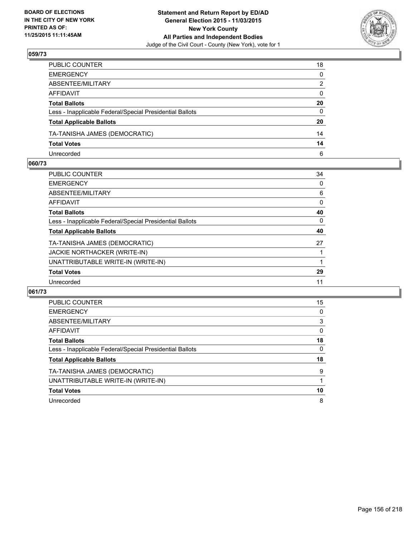

| PUBLIC COUNTER                                           | 18           |
|----------------------------------------------------------|--------------|
| EMERGENCY                                                | 0            |
| ABSENTEE/MILITARY                                        | 2            |
| AFFIDAVIT                                                | $\mathbf{0}$ |
| Total Ballots                                            | 20           |
| Less - Inapplicable Federal/Special Presidential Ballots | $\mathbf{0}$ |
| <b>Total Applicable Ballots</b>                          | 20           |
| TA-TANISHA JAMES (DEMOCRATIC)                            | 14           |
| <b>Total Votes</b>                                       | 14           |
| Unrecorded                                               | 6            |

#### **060/73**

| PUBLIC COUNTER                                           | 34 |
|----------------------------------------------------------|----|
| <b>EMERGENCY</b>                                         | 0  |
| ABSENTEE/MILITARY                                        | 6  |
| <b>AFFIDAVIT</b>                                         | 0  |
| <b>Total Ballots</b>                                     | 40 |
| Less - Inapplicable Federal/Special Presidential Ballots | 0  |
| <b>Total Applicable Ballots</b>                          | 40 |
| TA-TANISHA JAMES (DEMOCRATIC)                            | 27 |
| <b>JACKIE NORTHACKER (WRITE-IN)</b>                      |    |
| UNATTRIBUTABLE WRITE-IN (WRITE-IN)                       |    |
| <b>Total Votes</b>                                       | 29 |
| Unrecorded                                               | 11 |
|                                                          |    |

| <b>PUBLIC COUNTER</b>                                    | 15 |
|----------------------------------------------------------|----|
| <b>EMERGENCY</b>                                         | 0  |
| ABSENTEE/MILITARY                                        | 3  |
| AFFIDAVIT                                                | 0  |
| <b>Total Ballots</b>                                     | 18 |
| Less - Inapplicable Federal/Special Presidential Ballots | 0  |
| <b>Total Applicable Ballots</b>                          | 18 |
| TA-TANISHA JAMES (DEMOCRATIC)                            | 9  |
| UNATTRIBUTABLE WRITE-IN (WRITE-IN)                       |    |
| <b>Total Votes</b>                                       | 10 |
| Unrecorded                                               | 8  |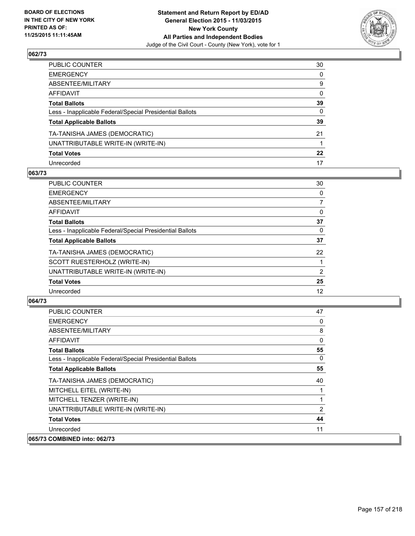

| PUBLIC COUNTER                                           | 30      |
|----------------------------------------------------------|---------|
| EMERGENCY                                                | 0       |
| ABSENTEE/MILITARY                                        | 9       |
| AFFIDAVIT                                                | 0       |
| <b>Total Ballots</b>                                     | 39      |
| Less - Inapplicable Federal/Special Presidential Ballots | 0       |
| <b>Total Applicable Ballots</b>                          | 39      |
| TA-TANISHA JAMES (DEMOCRATIC)                            | 21      |
| UNATTRIBUTABLE WRITE-IN (WRITE-IN)                       |         |
| <b>Total Votes</b>                                       | $22 \,$ |
| Unrecorded                                               | 17      |

### **063/73**

| PUBLIC COUNTER                                           | 30       |
|----------------------------------------------------------|----------|
| <b>EMERGENCY</b>                                         | 0        |
| ABSENTEE/MILITARY                                        | 7        |
| <b>AFFIDAVIT</b>                                         | 0        |
| <b>Total Ballots</b>                                     | 37       |
| Less - Inapplicable Federal/Special Presidential Ballots | $\Omega$ |
| <b>Total Applicable Ballots</b>                          | 37       |
| TA-TANISHA JAMES (DEMOCRATIC)                            | 22       |
| SCOTT RUESTERHOLZ (WRITE-IN)                             |          |
| UNATTRIBUTABLE WRITE-IN (WRITE-IN)                       | 2        |
| <b>Total Votes</b>                                       | 25       |
| Unrecorded                                               | 12       |
|                                                          |          |

| PUBLIC COUNTER                                           | 47 |
|----------------------------------------------------------|----|
| <b>EMERGENCY</b>                                         | 0  |
| ABSENTEE/MILITARY                                        | 8  |
| AFFIDAVIT                                                | 0  |
| <b>Total Ballots</b>                                     | 55 |
| Less - Inapplicable Federal/Special Presidential Ballots | 0  |
| <b>Total Applicable Ballots</b>                          | 55 |
| TA-TANISHA JAMES (DEMOCRATIC)                            | 40 |
| MITCHELL EITEL (WRITE-IN)                                |    |
| MITCHELL TENZER (WRITE-IN)                               |    |
| UNATTRIBUTABLE WRITE-IN (WRITE-IN)                       | 2  |
| <b>Total Votes</b>                                       | 44 |
| Unrecorded                                               | 11 |
| 065/73 COMBINED into: 062/73                             |    |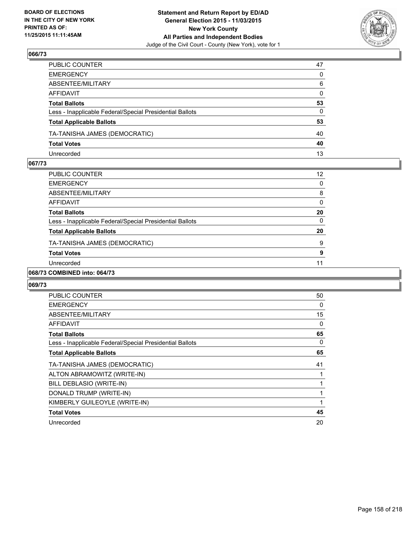

| PUBLIC COUNTER                                           | 47           |
|----------------------------------------------------------|--------------|
| EMERGENCY                                                | 0            |
| ABSENTEE/MILITARY                                        | 6            |
| AFFIDAVIT                                                | $\mathbf{0}$ |
| Total Ballots                                            | 53           |
| Less - Inapplicable Federal/Special Presidential Ballots | 0            |
| <b>Total Applicable Ballots</b>                          | 53           |
| TA-TANISHA JAMES (DEMOCRATIC)                            | 40           |
| <b>Total Votes</b>                                       | 40           |
| Unrecorded                                               | 13           |

#### **067/73**

| PUBLIC COUNTER                                           | 12 |
|----------------------------------------------------------|----|
| <b>EMERGENCY</b>                                         | 0  |
| ABSENTEE/MILITARY                                        | 8  |
| AFFIDAVIT                                                | 0  |
| <b>Total Ballots</b>                                     | 20 |
| Less - Inapplicable Federal/Special Presidential Ballots | 0  |
| <b>Total Applicable Ballots</b>                          | 20 |
| TA-TANISHA JAMES (DEMOCRATIC)                            | 9  |
| <b>Total Votes</b>                                       | 9  |
| Unrecorded                                               | 11 |
| <b>OONIBILIED : 004/50</b>                               |    |

### **068/73 COMBINED into: 064/73**

| <b>PUBLIC COUNTER</b>                                    | 50 |
|----------------------------------------------------------|----|
| <b>EMERGENCY</b>                                         | 0  |
| ABSENTEE/MILITARY                                        | 15 |
| <b>AFFIDAVIT</b>                                         | 0  |
| <b>Total Ballots</b>                                     | 65 |
| Less - Inapplicable Federal/Special Presidential Ballots | 0  |
| <b>Total Applicable Ballots</b>                          | 65 |
| TA-TANISHA JAMES (DEMOCRATIC)                            | 41 |
| ALTON ABRAMOWITZ (WRITE-IN)                              |    |
| BILL DEBLASIO (WRITE-IN)                                 |    |
|                                                          |    |
| DONALD TRUMP (WRITE-IN)                                  |    |
| KIMBERLY GUILEOYLE (WRITE-IN)                            |    |
| <b>Total Votes</b>                                       | 45 |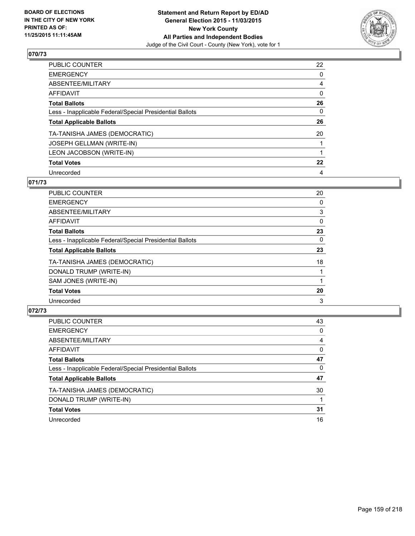

| PUBLIC COUNTER                                           | 22      |
|----------------------------------------------------------|---------|
| <b>EMERGENCY</b>                                         | 0       |
| <b>ABSENTEE/MILITARY</b>                                 | 4       |
| AFFIDAVIT                                                | 0       |
| <b>Total Ballots</b>                                     | 26      |
| Less - Inapplicable Federal/Special Presidential Ballots | 0       |
| <b>Total Applicable Ballots</b>                          | 26      |
| TA-TANISHA JAMES (DEMOCRATIC)                            | 20      |
| JOSEPH GELLMAN (WRITE-IN)                                |         |
| LEON JACOBSON (WRITE-IN)                                 |         |
| <b>Total Votes</b>                                       | $22 \,$ |
| Unrecorded                                               | 4       |

### **071/73**

| PUBLIC COUNTER                                           | 20 |
|----------------------------------------------------------|----|
| <b>EMERGENCY</b>                                         | 0  |
| ABSENTEE/MILITARY                                        | 3  |
| <b>AFFIDAVIT</b>                                         | 0  |
| <b>Total Ballots</b>                                     | 23 |
| Less - Inapplicable Federal/Special Presidential Ballots | 0  |
| <b>Total Applicable Ballots</b>                          | 23 |
| TA-TANISHA JAMES (DEMOCRATIC)                            | 18 |
| DONALD TRUMP (WRITE-IN)                                  |    |
| SAM JONES (WRITE-IN)                                     |    |
| <b>Total Votes</b>                                       | 20 |
| Unrecorded                                               | 3  |
|                                                          |    |

| <b>PUBLIC COUNTER</b>                                    | 43 |
|----------------------------------------------------------|----|
| <b>EMERGENCY</b>                                         | 0  |
| ABSENTEE/MILITARY                                        | 4  |
| AFFIDAVIT                                                | 0  |
| <b>Total Ballots</b>                                     | 47 |
| Less - Inapplicable Federal/Special Presidential Ballots | 0  |
| <b>Total Applicable Ballots</b>                          | 47 |
| TA-TANISHA JAMES (DEMOCRATIC)                            | 30 |
| DONALD TRUMP (WRITE-IN)                                  |    |
| <b>Total Votes</b>                                       | 31 |
| Unrecorded                                               | 16 |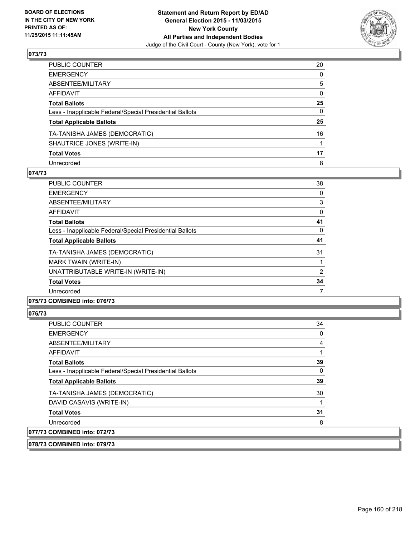

| PUBLIC COUNTER                                           | 20           |
|----------------------------------------------------------|--------------|
| EMERGENCY                                                | $\mathbf{0}$ |
| ABSENTEE/MILITARY                                        | 5            |
| AFFIDAVIT                                                | 0            |
| Total Ballots                                            | 25           |
| Less - Inapplicable Federal/Special Presidential Ballots | $\mathbf{0}$ |
| <b>Total Applicable Ballots</b>                          | 25           |
| TA-TANISHA JAMES (DEMOCRATIC)                            | 16           |
| SHAUTRICE JONES (WRITE-IN)                               |              |
| <b>Total Votes</b>                                       | 17           |
| Unrecorded                                               | 8            |

#### **074/73**

| PUBLIC COUNTER                                           | 38 |
|----------------------------------------------------------|----|
| <b>EMERGENCY</b>                                         | 0  |
| ABSENTEE/MILITARY                                        | 3  |
| AFFIDAVIT                                                | 0  |
| <b>Total Ballots</b>                                     | 41 |
| Less - Inapplicable Federal/Special Presidential Ballots | 0  |
| <b>Total Applicable Ballots</b>                          | 41 |
| TA-TANISHA JAMES (DEMOCRATIC)                            | 31 |
| <b>MARK TWAIN (WRITE-IN)</b>                             |    |
| UNATTRIBUTABLE WRITE-IN (WRITE-IN)                       | 2  |
| <b>Total Votes</b>                                       | 34 |
| Unrecorded                                               | 7  |
|                                                          |    |

### **075/73 COMBINED into: 076/73**

### **076/73**

| <b>PUBLIC COUNTER</b>                                    | 34 |
|----------------------------------------------------------|----|
| <b>EMERGENCY</b>                                         | 0  |
| ABSENTEE/MILITARY                                        |    |
| AFFIDAVIT                                                |    |
| <b>Total Ballots</b>                                     | 39 |
| Less - Inapplicable Federal/Special Presidential Ballots | 0  |
| <b>Total Applicable Ballots</b>                          | 39 |
| TA-TANISHA JAMES (DEMOCRATIC)                            | 30 |
| DAVID CASAVIS (WRITE-IN)                                 |    |
| <b>Total Votes</b>                                       | 31 |
| Unrecorded                                               | 8  |
| 077/73 COMBINED into: 072/73                             |    |
|                                                          |    |

**078/73 COMBINED into: 079/73**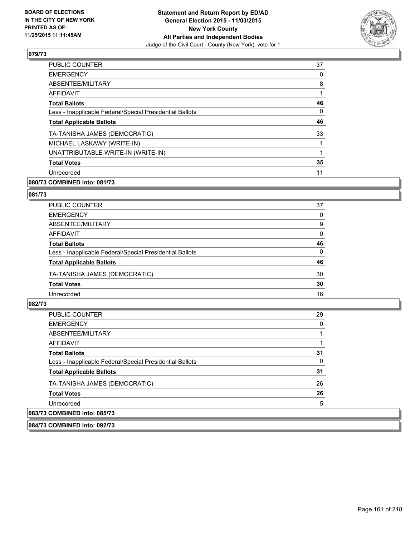

| 37 |
|----|
| 0  |
| 8  |
| 1  |
| 46 |
| 0  |
| 46 |
| 33 |
|    |
| 1  |
| 35 |
| 11 |
|    |

### **080/73 COMBINED into: 081/73**

#### **081/73**

| <b>PUBLIC COUNTER</b>                                    | 37 |
|----------------------------------------------------------|----|
| <b>EMERGENCY</b>                                         | 0  |
| ABSENTEE/MILITARY                                        | 9  |
| AFFIDAVIT                                                | 0  |
| <b>Total Ballots</b>                                     | 46 |
| Less - Inapplicable Federal/Special Presidential Ballots | 0  |
| <b>Total Applicable Ballots</b>                          | 46 |
| TA-TANISHA JAMES (DEMOCRATIC)                            | 30 |
| <b>Total Votes</b>                                       | 30 |
| Unrecorded                                               | 16 |

#### **082/73**

| <b>PUBLIC COUNTER</b>                                    | 29 |
|----------------------------------------------------------|----|
| <b>EMERGENCY</b>                                         | 0  |
| ABSENTEE/MILITARY                                        |    |
| AFFIDAVIT                                                |    |
| <b>Total Ballots</b>                                     | 31 |
| Less - Inapplicable Federal/Special Presidential Ballots | 0  |
| <b>Total Applicable Ballots</b>                          | 31 |
| TA-TANISHA JAMES (DEMOCRATIC)                            | 26 |
| <b>Total Votes</b>                                       | 26 |
| Unrecorded                                               | 5  |
| 083/73 COMBINED into: 085/73                             |    |

**084/73 COMBINED into: 092/73**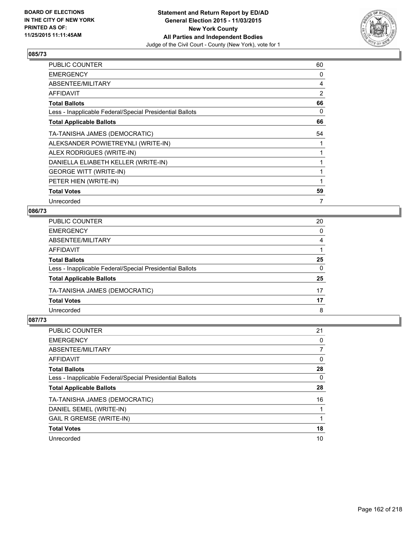

| PUBLIC COUNTER                                           | 60 |
|----------------------------------------------------------|----|
| <b>EMERGENCY</b>                                         | 0  |
| ABSENTEE/MILITARY                                        | 4  |
| <b>AFFIDAVIT</b>                                         | 2  |
| <b>Total Ballots</b>                                     | 66 |
| Less - Inapplicable Federal/Special Presidential Ballots | 0  |
| <b>Total Applicable Ballots</b>                          | 66 |
| TA-TANISHA JAMES (DEMOCRATIC)                            | 54 |
| ALEKSANDER POWIETREYNLI (WRITE-IN)                       |    |
| ALEX RODRIGUES (WRITE-IN)                                |    |
| DANIELLA ELIABETH KELLER (WRITE-IN)                      |    |
| <b>GEORGE WITT (WRITE-IN)</b>                            |    |
| PETER HIEN (WRITE-IN)                                    |    |
| <b>Total Votes</b>                                       | 59 |
| Unrecorded                                               | 7  |

#### **086/73**

| PUBLIC COUNTER                                           | 20 |
|----------------------------------------------------------|----|
| <b>EMERGENCY</b>                                         | 0  |
| ABSENTEE/MILITARY                                        | 4  |
| AFFIDAVIT                                                |    |
| <b>Total Ballots</b>                                     | 25 |
| Less - Inapplicable Federal/Special Presidential Ballots | 0  |
| <b>Total Applicable Ballots</b>                          | 25 |
| TA-TANISHA JAMES (DEMOCRATIC)                            | 17 |
| <b>Total Votes</b>                                       | 17 |
| Unrecorded                                               | 8  |

| <b>PUBLIC COUNTER</b>                                    | 21 |
|----------------------------------------------------------|----|
| <b>EMERGENCY</b>                                         | 0  |
| ABSENTEE/MILITARY                                        |    |
| <b>AFFIDAVIT</b>                                         | 0  |
| <b>Total Ballots</b>                                     | 28 |
| Less - Inapplicable Federal/Special Presidential Ballots | 0  |
| <b>Total Applicable Ballots</b>                          | 28 |
| TA-TANISHA JAMES (DEMOCRATIC)                            | 16 |
| DANIEL SEMEL (WRITE-IN)                                  |    |
| <b>GAIL R GREMSE (WRITE-IN)</b>                          |    |
| <b>Total Votes</b>                                       | 18 |
| Unrecorded                                               | 10 |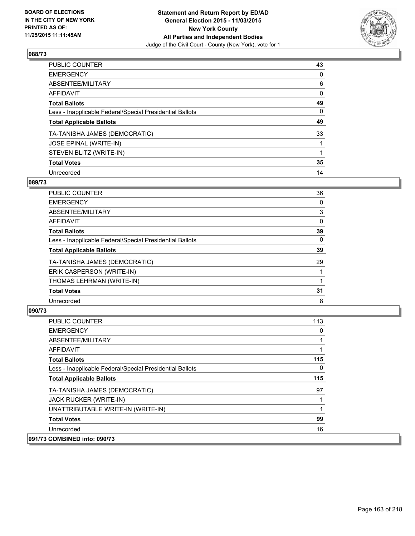

| PUBLIC COUNTER                                           | 43 |
|----------------------------------------------------------|----|
| <b>EMERGENCY</b>                                         | 0  |
| ABSENTEE/MILITARY                                        | 6  |
| AFFIDAVIT                                                | 0  |
| <b>Total Ballots</b>                                     | 49 |
| Less - Inapplicable Federal/Special Presidential Ballots | 0  |
| <b>Total Applicable Ballots</b>                          | 49 |
| TA-TANISHA JAMES (DEMOCRATIC)                            | 33 |
| JOSE EPINAL (WRITE-IN)                                   |    |
| STEVEN BLITZ (WRITE-IN)                                  |    |
| <b>Total Votes</b>                                       | 35 |
| Unrecorded                                               | 14 |

#### **089/73**

| PUBLIC COUNTER                                           | 36 |
|----------------------------------------------------------|----|
| <b>EMERGENCY</b>                                         | 0  |
| ABSENTEE/MILITARY                                        | 3  |
| <b>AFFIDAVIT</b>                                         | 0  |
| <b>Total Ballots</b>                                     | 39 |
| Less - Inapplicable Federal/Special Presidential Ballots | 0  |
| <b>Total Applicable Ballots</b>                          | 39 |
| TA-TANISHA JAMES (DEMOCRATIC)                            | 29 |
| ERIK CASPERSON (WRITE-IN)                                |    |
| THOMAS LEHRMAN (WRITE-IN)                                |    |
| <b>Total Votes</b>                                       | 31 |
| Unrecorded                                               | 8  |

| <b>PUBLIC COUNTER</b>                                    | 113 |
|----------------------------------------------------------|-----|
| <b>EMERGENCY</b>                                         | 0   |
| ABSENTEE/MILITARY                                        |     |
| <b>AFFIDAVIT</b>                                         |     |
| <b>Total Ballots</b>                                     | 115 |
| Less - Inapplicable Federal/Special Presidential Ballots | 0   |
| <b>Total Applicable Ballots</b>                          | 115 |
| TA-TANISHA JAMES (DEMOCRATIC)                            | 97  |
| JACK RUCKER (WRITE-IN)                                   |     |
| UNATTRIBUTABLE WRITE-IN (WRITE-IN)                       |     |
| <b>Total Votes</b>                                       | 99  |
| Unrecorded                                               | 16  |
| 091/73 COMBINED into: 090/73                             |     |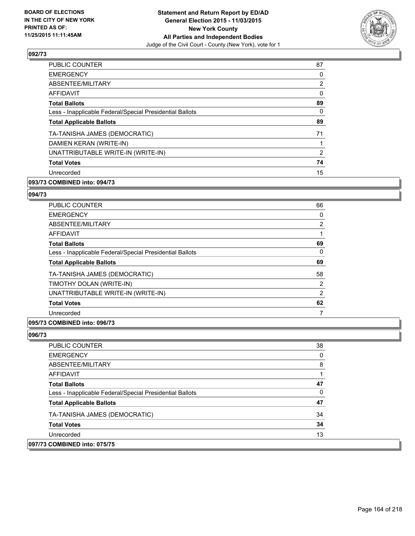

| <b>PUBLIC COUNTER</b>                                    | 87             |
|----------------------------------------------------------|----------------|
| <b>EMERGENCY</b>                                         | 0              |
| ABSENTEE/MILITARY                                        | $\overline{2}$ |
| <b>AFFIDAVIT</b>                                         | 0              |
| <b>Total Ballots</b>                                     | 89             |
| Less - Inapplicable Federal/Special Presidential Ballots | 0              |
| <b>Total Applicable Ballots</b>                          | 89             |
| TA-TANISHA JAMES (DEMOCRATIC)                            | 71             |
| DAMIEN KERAN (WRITE-IN)                                  |                |
| UNATTRIBUTABLE WRITE-IN (WRITE-IN)                       | 2              |
| <b>Total Votes</b>                                       | 74             |
| Unrecorded                                               | 15             |
|                                                          |                |

### **093/73 COMBINED into: 094/73**

#### **094/73**

| PUBLIC COUNTER                                           | 66             |
|----------------------------------------------------------|----------------|
| <b>EMERGENCY</b>                                         | 0              |
| ABSENTEE/MILITARY                                        | $\overline{2}$ |
| <b>AFFIDAVIT</b>                                         |                |
| <b>Total Ballots</b>                                     | 69             |
| Less - Inapplicable Federal/Special Presidential Ballots | 0              |
| <b>Total Applicable Ballots</b>                          | 69             |
| TA-TANISHA JAMES (DEMOCRATIC)                            | 58             |
| TIMOTHY DOLAN (WRITE-IN)                                 | $\overline{2}$ |
| UNATTRIBUTABLE WRITE-IN (WRITE-IN)                       | 2              |
| <b>Total Votes</b>                                       | 62             |
| Unrecorded                                               |                |

#### **095/73 COMBINED into: 096/73**

| <b>PUBLIC COUNTER</b>                                    | 38 |
|----------------------------------------------------------|----|
| <b>EMERGENCY</b>                                         | 0  |
| ABSENTEE/MILITARY                                        | 8  |
| AFFIDAVIT                                                |    |
| <b>Total Ballots</b>                                     | 47 |
| Less - Inapplicable Federal/Special Presidential Ballots | 0  |
| <b>Total Applicable Ballots</b>                          | 47 |
| TA-TANISHA JAMES (DEMOCRATIC)                            | 34 |
| <b>Total Votes</b>                                       | 34 |
| Unrecorded                                               | 13 |
| 097/73 COMBINED into: 075/75                             |    |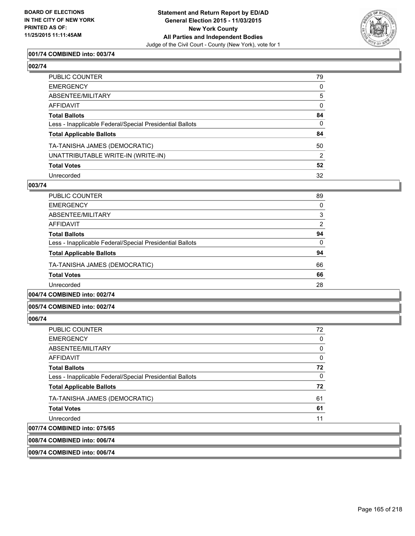

### **001/74 COMBINED into: 003/74**

### **002/74**

| PUBLIC COUNTER                                           | 79 |
|----------------------------------------------------------|----|
| EMERGENCY                                                | 0  |
| ABSENTEE/MILITARY                                        | 5  |
| AFFIDAVIT                                                | 0  |
| Total Ballots                                            | 84 |
| Less - Inapplicable Federal/Special Presidential Ballots | 0  |
| <b>Total Applicable Ballots</b>                          | 84 |
| TA-TANISHA JAMES (DEMOCRATIC)                            | 50 |
| UNATTRIBUTABLE WRITE-IN (WRITE-IN)                       | 2  |
| <b>Total Votes</b>                                       | 52 |
| Unrecorded                                               | 32 |

#### **003/74**

| PUBLIC COUNTER                                           | 89             |
|----------------------------------------------------------|----------------|
| <b>EMERGENCY</b>                                         | 0              |
| ABSENTEE/MILITARY                                        | 3              |
| AFFIDAVIT                                                | $\overline{2}$ |
| <b>Total Ballots</b>                                     | 94             |
| Less - Inapplicable Federal/Special Presidential Ballots | 0              |
| <b>Total Applicable Ballots</b>                          | 94             |
| TA-TANISHA JAMES (DEMOCRATIC)                            | 66             |
| <b>Total Votes</b>                                       | 66             |
| Unrecorded                                               | 28             |
|                                                          |                |

### **004/74 COMBINED into: 002/74**

#### **005/74 COMBINED into: 002/74**

#### **006/74**

| <b>PUBLIC COUNTER</b>                                    | 72 |
|----------------------------------------------------------|----|
| <b>EMERGENCY</b>                                         | 0  |
| ABSENTEE/MILITARY                                        | 0  |
| <b>AFFIDAVIT</b>                                         | 0  |
| <b>Total Ballots</b>                                     | 72 |
| Less - Inapplicable Federal/Special Presidential Ballots | 0  |
| <b>Total Applicable Ballots</b>                          | 72 |
| TA-TANISHA JAMES (DEMOCRATIC)                            | 61 |
| <b>Total Votes</b>                                       | 61 |
| Unrecorded                                               | 11 |
| 007/74 COMBINED into: 075/65                             |    |

#### **008/74 COMBINED into: 006/74**

#### **009/74 COMBINED into: 006/74**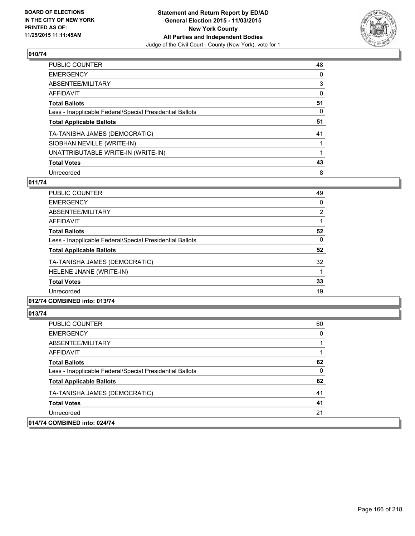

| <b>PUBLIC COUNTER</b>                                    | 48 |
|----------------------------------------------------------|----|
| <b>EMERGENCY</b>                                         | 0  |
| ABSENTEE/MILITARY                                        | 3  |
| <b>AFFIDAVIT</b>                                         | 0  |
| <b>Total Ballots</b>                                     | 51 |
| Less - Inapplicable Federal/Special Presidential Ballots | 0  |
| <b>Total Applicable Ballots</b>                          | 51 |
| TA-TANISHA JAMES (DEMOCRATIC)                            | 41 |
| SIOBHAN NEVILLE (WRITE-IN)                               |    |
| UNATTRIBUTABLE WRITE-IN (WRITE-IN)                       |    |
| <b>Total Votes</b>                                       | 43 |
| Unrecorded                                               | 8  |

### **011/74**

| <b>PUBLIC COUNTER</b>                                    | 49 |
|----------------------------------------------------------|----|
| <b>EMERGENCY</b>                                         | 0  |
| ABSENTEE/MILITARY                                        | 2  |
| AFFIDAVIT                                                |    |
| <b>Total Ballots</b>                                     | 52 |
| Less - Inapplicable Federal/Special Presidential Ballots | 0  |
| <b>Total Applicable Ballots</b>                          | 52 |
| TA-TANISHA JAMES (DEMOCRATIC)                            | 32 |
| HELENE JNANE (WRITE-IN)                                  |    |
| <b>Total Votes</b>                                       | 33 |
| Unrecorded                                               | 19 |
|                                                          |    |

### **012/74 COMBINED into: 013/74**

| <b>PUBLIC COUNTER</b>                                    | 60 |
|----------------------------------------------------------|----|
| <b>EMERGENCY</b>                                         | 0  |
| ABSENTEE/MILITARY                                        |    |
| AFFIDAVIT                                                |    |
| <b>Total Ballots</b>                                     | 62 |
| Less - Inapplicable Federal/Special Presidential Ballots | 0  |
| <b>Total Applicable Ballots</b>                          | 62 |
| TA-TANISHA JAMES (DEMOCRATIC)                            | 41 |
| <b>Total Votes</b>                                       | 41 |
| Unrecorded                                               | 21 |
| 014/74 COMBINED into: 024/74                             |    |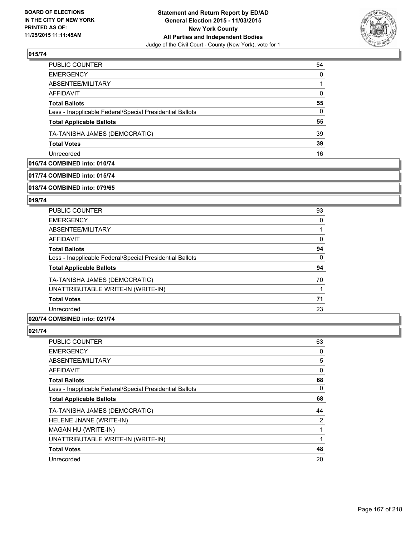

| PUBLIC COUNTER                                           | 54       |
|----------------------------------------------------------|----------|
| <b>EMERGENCY</b>                                         | $\Omega$ |
| ABSENTEE/MILITARY                                        |          |
| <b>AFFIDAVIT</b>                                         | $\Omega$ |
| <b>Total Ballots</b>                                     | 55       |
| Less - Inapplicable Federal/Special Presidential Ballots | $\Omega$ |
| <b>Total Applicable Ballots</b>                          | 55       |
| TA-TANISHA JAMES (DEMOCRATIC)                            | 39       |
| <b>Total Votes</b>                                       | 39       |
| Unrecorded                                               | 16       |

### **016/74 COMBINED into: 010/74**

#### **017/74 COMBINED into: 015/74**

#### **018/74 COMBINED into: 079/65**

#### **019/74**

| <b>PUBLIC COUNTER</b>                                    | 93 |
|----------------------------------------------------------|----|
| <b>EMERGENCY</b>                                         | 0  |
| ABSENTEE/MILITARY                                        |    |
| AFFIDAVIT                                                | 0  |
| <b>Total Ballots</b>                                     | 94 |
| Less - Inapplicable Federal/Special Presidential Ballots | 0  |
| <b>Total Applicable Ballots</b>                          | 94 |
| TA-TANISHA JAMES (DEMOCRATIC)                            | 70 |
| UNATTRIBUTABLE WRITE-IN (WRITE-IN)                       |    |
| <b>Total Votes</b>                                       | 71 |
| Unrecorded                                               | 23 |
|                                                          |    |

### **020/74 COMBINED into: 021/74**

| PUBLIC COUNTER                                           | 63 |
|----------------------------------------------------------|----|
| <b>EMERGENCY</b>                                         | 0  |
| ABSENTEE/MILITARY                                        | 5  |
| <b>AFFIDAVIT</b>                                         | 0  |
| <b>Total Ballots</b>                                     | 68 |
| Less - Inapplicable Federal/Special Presidential Ballots | 0  |
| <b>Total Applicable Ballots</b>                          | 68 |
| TA-TANISHA JAMES (DEMOCRATIC)                            | 44 |
| HELENE JNANE (WRITE-IN)                                  | 2  |
| MAGAN HU (WRITE-IN)                                      | 1  |
| UNATTRIBUTABLE WRITE-IN (WRITE-IN)                       | 1  |
| <b>Total Votes</b>                                       | 48 |
| Unrecorded                                               | 20 |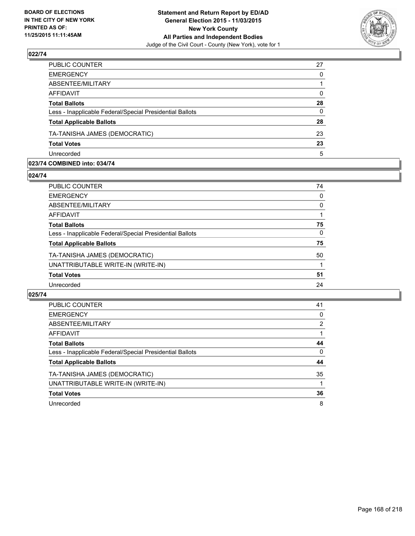

| PUBLIC COUNTER                                           | 27           |
|----------------------------------------------------------|--------------|
| <b>EMERGENCY</b>                                         | $\Omega$     |
| ABSENTEE/MILITARY                                        |              |
| <b>AFFIDAVIT</b>                                         | $\mathbf{0}$ |
| <b>Total Ballots</b>                                     | 28           |
| Less - Inapplicable Federal/Special Presidential Ballots | $\mathbf{0}$ |
| <b>Total Applicable Ballots</b>                          | 28           |
| TA-TANISHA JAMES (DEMOCRATIC)                            | 23           |
| <b>Total Votes</b>                                       | 23           |
| Unrecorded                                               | 5            |

#### **023/74 COMBINED into: 034/74**

**024/74** 

| PUBLIC COUNTER                                           | 74 |
|----------------------------------------------------------|----|
| <b>EMERGENCY</b>                                         | 0  |
| ABSENTEE/MILITARY                                        | 0  |
| AFFIDAVIT                                                | 1  |
| <b>Total Ballots</b>                                     | 75 |
| Less - Inapplicable Federal/Special Presidential Ballots | 0  |
| <b>Total Applicable Ballots</b>                          | 75 |
| TA-TANISHA JAMES (DEMOCRATIC)                            | 50 |
| UNATTRIBUTABLE WRITE-IN (WRITE-IN)                       | 1  |
| <b>Total Votes</b>                                       | 51 |
| Unrecorded                                               | 24 |
|                                                          |    |

| <b>PUBLIC COUNTER</b>                                    | 41 |
|----------------------------------------------------------|----|
| <b>EMERGENCY</b>                                         | 0  |
| ABSENTEE/MILITARY                                        | 2  |
| AFFIDAVIT                                                |    |
| <b>Total Ballots</b>                                     | 44 |
| Less - Inapplicable Federal/Special Presidential Ballots | 0  |
| <b>Total Applicable Ballots</b>                          | 44 |
| TA-TANISHA JAMES (DEMOCRATIC)                            | 35 |
| UNATTRIBUTABLE WRITE-IN (WRITE-IN)                       |    |
| <b>Total Votes</b>                                       | 36 |
| Unrecorded                                               | 8  |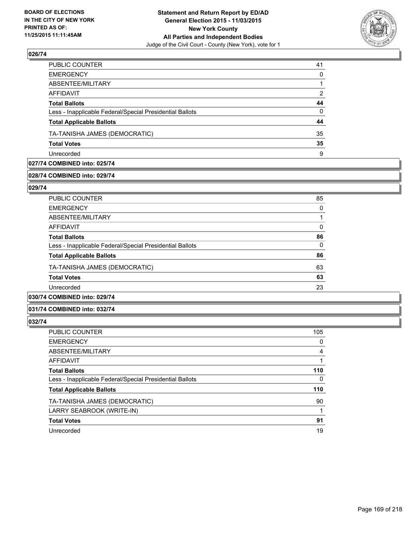

| PUBLIC COUNTER                                           | 41       |
|----------------------------------------------------------|----------|
| <b>EMERGENCY</b>                                         | 0        |
| ABSENTEE/MILITARY                                        |          |
| AFFIDAVIT                                                | 2        |
| <b>Total Ballots</b>                                     | 44       |
| Less - Inapplicable Federal/Special Presidential Ballots | $\Omega$ |
| <b>Total Applicable Ballots</b>                          | 44       |
| TA-TANISHA JAMES (DEMOCRATIC)                            | 35       |
| <b>Total Votes</b>                                       | 35       |
| Unrecorded                                               | 9        |

### **027/74 COMBINED into: 025/74**

### **028/74 COMBINED into: 029/74**

**029/74** 

| <b>PUBLIC COUNTER</b>                                    | 85 |
|----------------------------------------------------------|----|
| <b>EMERGENCY</b>                                         | 0  |
| ABSENTEE/MILITARY                                        |    |
| AFFIDAVIT                                                | 0  |
| <b>Total Ballots</b>                                     | 86 |
| Less - Inapplicable Federal/Special Presidential Ballots | 0  |
| <b>Total Applicable Ballots</b>                          | 86 |
| TA-TANISHA JAMES (DEMOCRATIC)                            | 63 |
| <b>Total Votes</b>                                       | 63 |
| Unrecorded                                               | 23 |
| 0.01101100011110001011                                   |    |

### **030/74 COMBINED into: 029/74**

#### **031/74 COMBINED into: 032/74**

| PUBLIC COUNTER                                           | 105 |
|----------------------------------------------------------|-----|
| <b>EMERGENCY</b>                                         | 0   |
| ABSENTEE/MILITARY                                        | 4   |
| AFFIDAVIT                                                |     |
| <b>Total Ballots</b>                                     | 110 |
| Less - Inapplicable Federal/Special Presidential Ballots | 0   |
| <b>Total Applicable Ballots</b>                          | 110 |
| TA-TANISHA JAMES (DEMOCRATIC)                            | 90  |
| LARRY SEABROOK (WRITE-IN)                                |     |
| <b>Total Votes</b>                                       | 91  |
| Unrecorded                                               | 19  |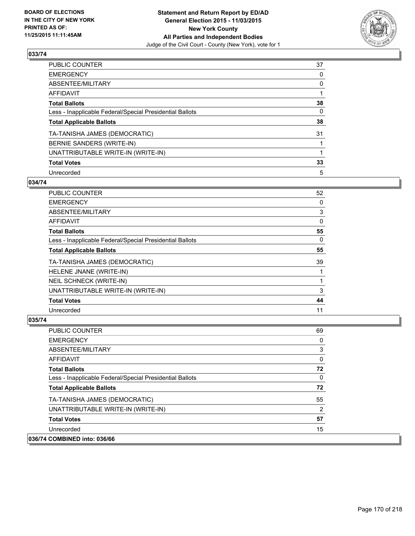

| PUBLIC COUNTER                                           | 37 |
|----------------------------------------------------------|----|
| <b>EMERGENCY</b>                                         | 0  |
| ABSENTEE/MILITARY                                        | 0  |
| <b>AFFIDAVIT</b>                                         |    |
| <b>Total Ballots</b>                                     | 38 |
| Less - Inapplicable Federal/Special Presidential Ballots | 0  |
| <b>Total Applicable Ballots</b>                          | 38 |
| TA-TANISHA JAMES (DEMOCRATIC)                            | 31 |
| BERNIE SANDERS (WRITE-IN)                                |    |
| UNATTRIBUTABLE WRITE-IN (WRITE-IN)                       |    |
| <b>Total Votes</b>                                       | 33 |
| Unrecorded                                               | 5  |

#### **034/74**

| <b>PUBLIC COUNTER</b>                                    | 52 |
|----------------------------------------------------------|----|
| <b>EMERGENCY</b>                                         | 0  |
| ABSENTEE/MILITARY                                        | 3  |
| AFFIDAVIT                                                | 0  |
| <b>Total Ballots</b>                                     | 55 |
| Less - Inapplicable Federal/Special Presidential Ballots | 0  |
| <b>Total Applicable Ballots</b>                          | 55 |
| TA-TANISHA JAMES (DEMOCRATIC)                            | 39 |
| HELENE JNANE (WRITE-IN)                                  |    |
| <b>NEIL SCHNECK (WRITE-IN)</b>                           |    |
| UNATTRIBUTABLE WRITE-IN (WRITE-IN)                       | 3  |
| <b>Total Votes</b>                                       | 44 |
| Unrecorded                                               | 11 |

| <b>PUBLIC COUNTER</b>                                    | 69 |
|----------------------------------------------------------|----|
| <b>EMERGENCY</b>                                         | 0  |
| ABSENTEE/MILITARY                                        | 3  |
| AFFIDAVIT                                                | 0  |
| <b>Total Ballots</b>                                     | 72 |
| Less - Inapplicable Federal/Special Presidential Ballots | 0  |
| <b>Total Applicable Ballots</b>                          | 72 |
| TA-TANISHA JAMES (DEMOCRATIC)                            | 55 |
| UNATTRIBUTABLE WRITE-IN (WRITE-IN)                       | 2  |
| <b>Total Votes</b>                                       | 57 |
| Unrecorded                                               | 15 |
| 036/74 COMBINED into: 036/66                             |    |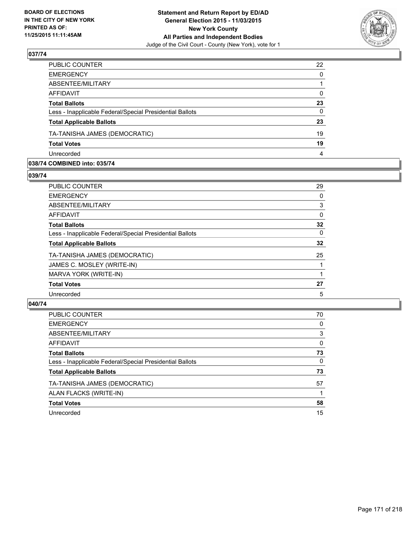

| <b>EMERGENCY</b>                                         | $\Omega$ |
|----------------------------------------------------------|----------|
| ABSENTEE/MILITARY                                        |          |
| <b>AFFIDAVIT</b>                                         | 0        |
| <b>Total Ballots</b>                                     | 23       |
| Less - Inapplicable Federal/Special Presidential Ballots | $\Omega$ |
| <b>Total Applicable Ballots</b>                          | 23       |
| TA-TANISHA JAMES (DEMOCRATIC)                            | 19       |
| <b>Total Votes</b>                                       | 19       |
| Unrecorded                                               | 4        |

#### **038/74 COMBINED into: 035/74**

**039/74** 

| PUBLIC COUNTER                                           | 29 |
|----------------------------------------------------------|----|
| <b>EMERGENCY</b>                                         | 0  |
| <b>ABSENTEE/MILITARY</b>                                 | 3  |
| AFFIDAVIT                                                | 0  |
| <b>Total Ballots</b>                                     | 32 |
| Less - Inapplicable Federal/Special Presidential Ballots | 0  |
| <b>Total Applicable Ballots</b>                          | 32 |
| TA-TANISHA JAMES (DEMOCRATIC)                            | 25 |
| JAMES C. MOSLEY (WRITE-IN)                               |    |
| MARVA YORK (WRITE-IN)                                    | 1  |
| <b>Total Votes</b>                                       | 27 |
| Unrecorded                                               | 5  |
|                                                          |    |

| <b>PUBLIC COUNTER</b>                                    | 70 |
|----------------------------------------------------------|----|
| <b>EMERGENCY</b>                                         | 0  |
| ABSENTEE/MILITARY                                        | 3  |
| AFFIDAVIT                                                | 0  |
| <b>Total Ballots</b>                                     | 73 |
| Less - Inapplicable Federal/Special Presidential Ballots | 0  |
| <b>Total Applicable Ballots</b>                          | 73 |
| TA-TANISHA JAMES (DEMOCRATIC)                            | 57 |
| ALAN FLACKS (WRITE-IN)                                   |    |
| <b>Total Votes</b>                                       | 58 |
| Unrecorded                                               | 15 |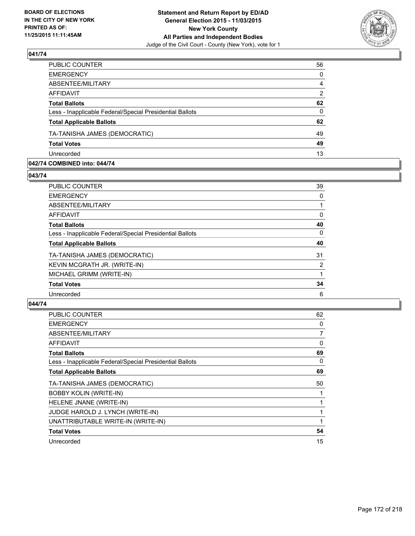

| <b>EMERGENCY</b><br>ABSENTEE/MILITARY<br><b>AFFIDAVIT</b><br><b>Total Ballots</b><br>Less - Inapplicable Federal/Special Presidential Ballots<br><b>Total Applicable Ballots</b><br>TA-TANISHA JAMES (DEMOCRATIC)<br><b>Total Votes</b><br>Unrecorded | PUBLIC COUNTER | 56       |
|-------------------------------------------------------------------------------------------------------------------------------------------------------------------------------------------------------------------------------------------------------|----------------|----------|
|                                                                                                                                                                                                                                                       |                | $\Omega$ |
|                                                                                                                                                                                                                                                       |                | 4        |
|                                                                                                                                                                                                                                                       |                | 2        |
|                                                                                                                                                                                                                                                       |                | 62       |
|                                                                                                                                                                                                                                                       |                | $\Omega$ |
|                                                                                                                                                                                                                                                       |                | 62       |
|                                                                                                                                                                                                                                                       |                | 49       |
|                                                                                                                                                                                                                                                       |                | 49       |
|                                                                                                                                                                                                                                                       |                | 13       |

#### **042/74 COMBINED into: 044/74**

**043/74** 

| <b>PUBLIC COUNTER</b>                                    | 39             |
|----------------------------------------------------------|----------------|
| <b>EMERGENCY</b>                                         | 0              |
| ABSENTEE/MILITARY                                        |                |
| AFFIDAVIT                                                | 0              |
| <b>Total Ballots</b>                                     | 40             |
| Less - Inapplicable Federal/Special Presidential Ballots | 0              |
| <b>Total Applicable Ballots</b>                          | 40             |
| TA-TANISHA JAMES (DEMOCRATIC)                            | 31             |
| KEVIN MCGRATH JR. (WRITE-IN)                             | $\overline{2}$ |
| MICHAEL GRIMM (WRITE-IN)                                 | 1              |
| <b>Total Votes</b>                                       | 34             |
| Unrecorded                                               | 6              |
|                                                          |                |

| <b>PUBLIC COUNTER</b>                                    | 62             |
|----------------------------------------------------------|----------------|
| <b>EMERGENCY</b>                                         | 0              |
| ABSENTEE/MILITARY                                        | $\overline{7}$ |
| AFFIDAVIT                                                | 0              |
| <b>Total Ballots</b>                                     | 69             |
| Less - Inapplicable Federal/Special Presidential Ballots | 0              |
| <b>Total Applicable Ballots</b>                          | 69             |
| TA-TANISHA JAMES (DEMOCRATIC)                            | 50             |
| <b>BOBBY KOLIN (WRITE-IN)</b>                            |                |
| HELENE JNANE (WRITE-IN)                                  |                |
| JUDGE HAROLD J. LYNCH (WRITE-IN)                         |                |
| UNATTRIBUTABLE WRITE-IN (WRITE-IN)                       |                |
| <b>Total Votes</b>                                       | 54             |
| Unrecorded                                               | 15             |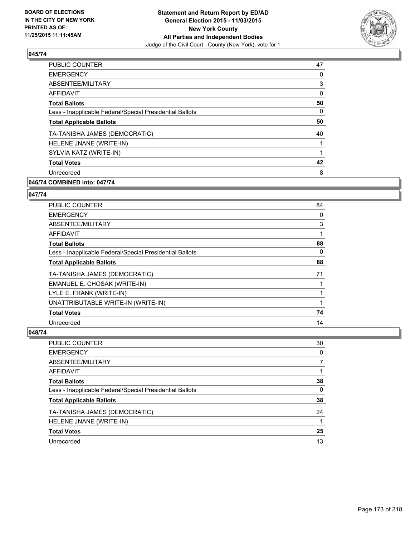

| <b>PUBLIC COUNTER</b>                                    | 47 |
|----------------------------------------------------------|----|
| <b>EMERGENCY</b>                                         | 0  |
| ABSENTEE/MILITARY                                        | 3  |
| AFFIDAVIT                                                | 0  |
| <b>Total Ballots</b>                                     | 50 |
| Less - Inapplicable Federal/Special Presidential Ballots | 0  |
| <b>Total Applicable Ballots</b>                          | 50 |
| TA-TANISHA JAMES (DEMOCRATIC)                            | 40 |
| HELENE JNANE (WRITE-IN)                                  |    |
| SYLVIA KATZ (WRITE-IN)                                   |    |
| <b>Total Votes</b>                                       | 42 |
| Unrecorded                                               | 8  |
|                                                          |    |

### **046/74 COMBINED into: 047/74**

#### **047/74**

| <b>PUBLIC COUNTER</b>                                    | 84 |
|----------------------------------------------------------|----|
| <b>EMERGENCY</b>                                         | 0  |
| ABSENTEE/MILITARY                                        | 3  |
| AFFIDAVIT                                                |    |
| <b>Total Ballots</b>                                     | 88 |
| Less - Inapplicable Federal/Special Presidential Ballots | 0  |
| <b>Total Applicable Ballots</b>                          | 88 |
| TA-TANISHA JAMES (DEMOCRATIC)                            | 71 |
| EMANUEL E. CHOSAK (WRITE-IN)                             |    |
| LYLE E. FRANK (WRITE-IN)                                 |    |
| UNATTRIBUTABLE WRITE-IN (WRITE-IN)                       |    |
| <b>Total Votes</b>                                       | 74 |
| Unrecorded                                               | 14 |

| PUBLIC COUNTER                                           | 30           |
|----------------------------------------------------------|--------------|
| <b>EMERGENCY</b>                                         | 0            |
| ABSENTEE/MILITARY                                        | 7            |
| <b>AFFIDAVIT</b>                                         |              |
| <b>Total Ballots</b>                                     | 38           |
| Less - Inapplicable Federal/Special Presidential Ballots | $\mathbf{0}$ |
| <b>Total Applicable Ballots</b>                          | 38           |
| TA-TANISHA JAMES (DEMOCRATIC)                            | 24           |
| HELENE JNANE (WRITE-IN)                                  |              |
| <b>Total Votes</b>                                       | 25           |
| Unrecorded                                               | 13           |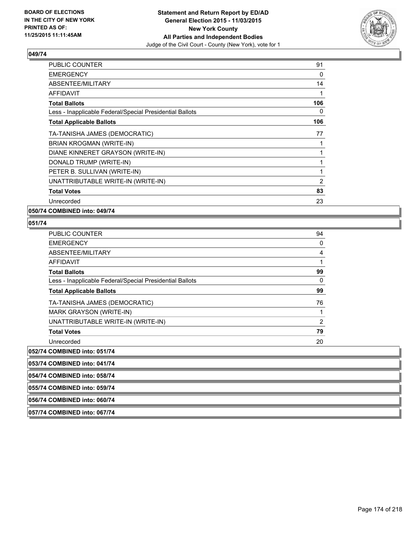

| <b>PUBLIC COUNTER</b>                                    | 91  |
|----------------------------------------------------------|-----|
| <b>EMERGENCY</b>                                         | 0   |
| ABSENTEE/MILITARY                                        | 14  |
| AFFIDAVIT                                                | 1   |
| <b>Total Ballots</b>                                     | 106 |
| Less - Inapplicable Federal/Special Presidential Ballots | 0   |
| <b>Total Applicable Ballots</b>                          | 106 |
| TA-TANISHA JAMES (DEMOCRATIC)                            | 77  |
| BRIAN KROGMAN (WRITE-IN)                                 |     |
| DIANE KINNERET GRAYSON (WRITE-IN)                        |     |
| DONALD TRUMP (WRITE-IN)                                  |     |
| PETER B. SULLIVAN (WRITE-IN)                             |     |
| UNATTRIBUTABLE WRITE-IN (WRITE-IN)                       | 2   |
| <b>Total Votes</b>                                       | 83  |
| Unrecorded                                               | 23  |

**050/74 COMBINED into: 049/74**

### **051/74**

| <b>PUBLIC COUNTER</b>                                    | 94             |
|----------------------------------------------------------|----------------|
| <b>EMERGENCY</b>                                         | 0              |
| ABSENTEE/MILITARY                                        | 4              |
| AFFIDAVIT                                                |                |
| <b>Total Ballots</b>                                     | 99             |
| Less - Inapplicable Federal/Special Presidential Ballots | 0              |
| <b>Total Applicable Ballots</b>                          | 99             |
| TA-TANISHA JAMES (DEMOCRATIC)                            | 76             |
| MARK GRAYSON (WRITE-IN)                                  |                |
| UNATTRIBUTABLE WRITE-IN (WRITE-IN)                       | $\overline{2}$ |
| <b>Total Votes</b>                                       | 79             |
| Unrecorded                                               | 20             |
| 052/74 COMBINED into: 051/74                             |                |

**053/74 COMBINED into: 041/74**

**054/74 COMBINED into: 058/74**

**055/74 COMBINED into: 059/74**

**056/74 COMBINED into: 060/74**

**057/74 COMBINED into: 067/74**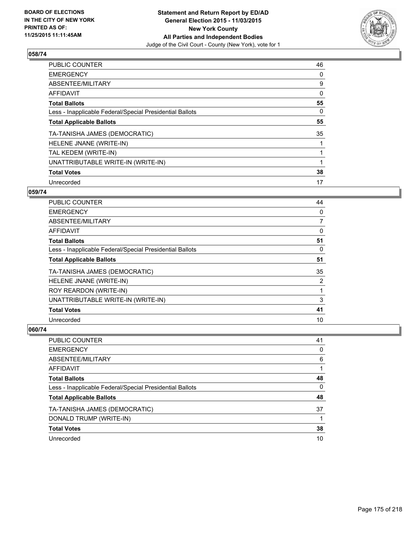

| <b>PUBLIC COUNTER</b>                                    | 46 |
|----------------------------------------------------------|----|
| <b>EMERGENCY</b>                                         | 0  |
| ABSENTEE/MILITARY                                        | 9  |
| AFFIDAVIT                                                | 0  |
| <b>Total Ballots</b>                                     | 55 |
| Less - Inapplicable Federal/Special Presidential Ballots | 0  |
| <b>Total Applicable Ballots</b>                          | 55 |
| TA-TANISHA JAMES (DEMOCRATIC)                            | 35 |
| HELENE JNANE (WRITE-IN)                                  |    |
| TAL KEDEM (WRITE-IN)                                     |    |
| UNATTRIBUTABLE WRITE-IN (WRITE-IN)                       |    |
| <b>Total Votes</b>                                       | 38 |
| Unrecorded                                               | 17 |

### **059/74**

| PUBLIC COUNTER                                           | 44             |
|----------------------------------------------------------|----------------|
| <b>EMERGENCY</b>                                         | 0              |
| ABSENTEE/MILITARY                                        | $\overline{7}$ |
| <b>AFFIDAVIT</b>                                         | 0              |
| <b>Total Ballots</b>                                     | 51             |
| Less - Inapplicable Federal/Special Presidential Ballots | 0              |
| <b>Total Applicable Ballots</b>                          | 51             |
| TA-TANISHA JAMES (DEMOCRATIC)                            | 35             |
| HELENE JNANE (WRITE-IN)                                  | 2              |
| ROY REARDON (WRITE-IN)                                   |                |
| UNATTRIBUTABLE WRITE-IN (WRITE-IN)                       | 3              |
| <b>Total Votes</b>                                       | 41             |
| Unrecorded                                               | 10             |

| <b>PUBLIC COUNTER</b>                                    | 41 |
|----------------------------------------------------------|----|
| <b>EMERGENCY</b>                                         | 0  |
| ABSENTEE/MILITARY                                        | 6  |
| AFFIDAVIT                                                |    |
| <b>Total Ballots</b>                                     | 48 |
| Less - Inapplicable Federal/Special Presidential Ballots | 0  |
| <b>Total Applicable Ballots</b>                          | 48 |
| TA-TANISHA JAMES (DEMOCRATIC)                            | 37 |
| DONALD TRUMP (WRITE-IN)                                  |    |
| <b>Total Votes</b>                                       | 38 |
| Unrecorded                                               | 10 |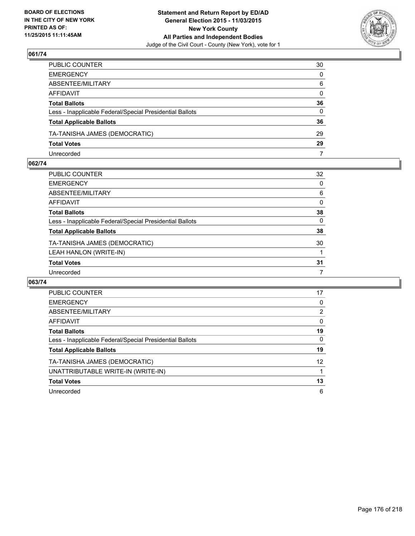

| PUBLIC COUNTER                                           | 30           |
|----------------------------------------------------------|--------------|
| EMERGENCY                                                | $\mathbf{0}$ |
| ABSENTEE/MILITARY                                        | 6            |
| AFFIDAVIT                                                | $\mathbf{0}$ |
| Total Ballots                                            | 36           |
| Less - Inapplicable Federal/Special Presidential Ballots | $\mathbf{0}$ |
| <b>Total Applicable Ballots</b>                          | 36           |
| TA-TANISHA JAMES (DEMOCRATIC)                            | 29           |
| <b>Total Votes</b>                                       | 29           |
| Unrecorded                                               | 7            |

#### **062/74**

| <b>PUBLIC COUNTER</b>                                    | 32       |
|----------------------------------------------------------|----------|
| <b>EMERGENCY</b>                                         | $\Omega$ |
| ABSENTEE/MILITARY                                        | 6        |
| AFFIDAVIT                                                | 0        |
| <b>Total Ballots</b>                                     | 38       |
| Less - Inapplicable Federal/Special Presidential Ballots | 0        |
| <b>Total Applicable Ballots</b>                          | 38       |
| TA-TANISHA JAMES (DEMOCRATIC)                            | 30       |
| LEAH HANLON (WRITE-IN)                                   |          |
| <b>Total Votes</b>                                       | 31       |
| Unrecorded                                               | 7        |
|                                                          |          |

| <b>PUBLIC COUNTER</b>                                    | 17 |
|----------------------------------------------------------|----|
| <b>EMERGENCY</b>                                         | 0  |
| ABSENTEE/MILITARY                                        | 2  |
| AFFIDAVIT                                                | 0  |
| <b>Total Ballots</b>                                     | 19 |
| Less - Inapplicable Federal/Special Presidential Ballots | 0  |
| <b>Total Applicable Ballots</b>                          | 19 |
| TA-TANISHA JAMES (DEMOCRATIC)                            | 12 |
| UNATTRIBUTABLE WRITE-IN (WRITE-IN)                       |    |
| <b>Total Votes</b>                                       | 13 |
| Unrecorded                                               | 6  |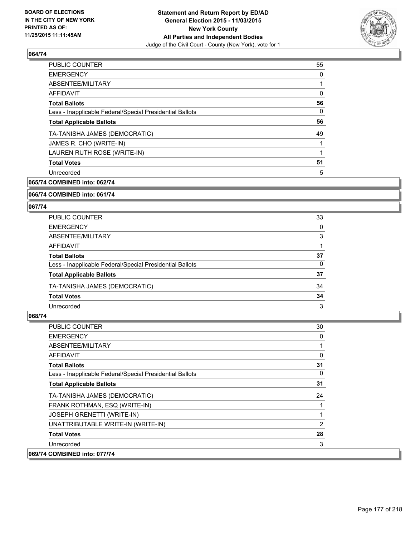

| <b>PUBLIC COUNTER</b>                                    | 55 |
|----------------------------------------------------------|----|
| <b>EMERGENCY</b>                                         | 0  |
| ABSENTEE/MILITARY                                        |    |
| AFFIDAVIT                                                | 0  |
| <b>Total Ballots</b>                                     | 56 |
| Less - Inapplicable Federal/Special Presidential Ballots | 0  |
| <b>Total Applicable Ballots</b>                          | 56 |
| TA-TANISHA JAMES (DEMOCRATIC)                            | 49 |
| JAMES R. CHO (WRITE-IN)                                  |    |
| LAUREN RUTH ROSE (WRITE-IN)                              |    |
| <b>Total Votes</b>                                       | 51 |
| Unrecorded                                               | 5  |
|                                                          |    |

**065/74 COMBINED into: 062/74**

**066/74 COMBINED into: 061/74**

#### **067/74**

| <b>PUBLIC COUNTER</b>                                    | 33 |
|----------------------------------------------------------|----|
| <b>EMERGENCY</b>                                         | 0  |
| ABSENTEE/MILITARY                                        | 3  |
| AFFIDAVIT                                                |    |
| <b>Total Ballots</b>                                     | 37 |
| Less - Inapplicable Federal/Special Presidential Ballots | 0  |
| <b>Total Applicable Ballots</b>                          | 37 |
| TA-TANISHA JAMES (DEMOCRATIC)                            | 34 |
| <b>Total Votes</b>                                       | 34 |
| Unrecorded                                               | 3  |

| PUBLIC COUNTER                                           | 30 |
|----------------------------------------------------------|----|
| <b>EMERGENCY</b>                                         | 0  |
| ABSENTEE/MILITARY                                        |    |
| AFFIDAVIT                                                | 0  |
| <b>Total Ballots</b>                                     | 31 |
| Less - Inapplicable Federal/Special Presidential Ballots | 0  |
| <b>Total Applicable Ballots</b>                          | 31 |
| TA-TANISHA JAMES (DEMOCRATIC)                            | 24 |
| FRANK ROTHMAN, ESQ (WRITE-IN)                            |    |
| JOSEPH GRENETTI (WRITE-IN)                               | 1  |
| UNATTRIBUTABLE WRITE-IN (WRITE-IN)                       | 2  |
| <b>Total Votes</b>                                       | 28 |
| Unrecorded                                               | 3  |
| 069/74 COMBINED into: 077/74                             |    |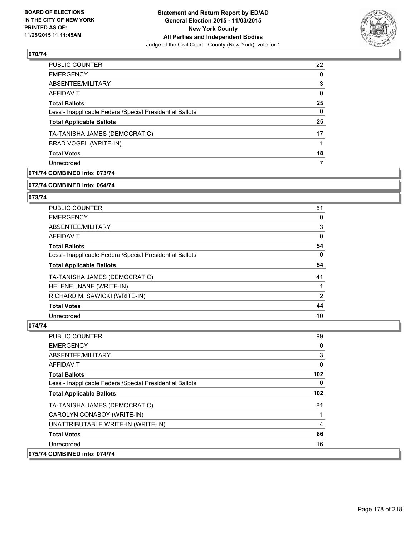

| PUBLIC COUNTER                                           | 22       |
|----------------------------------------------------------|----------|
| <b>EMERGENCY</b>                                         | $\Omega$ |
| ABSENTEE/MILITARY                                        | 3        |
| AFFIDAVIT                                                | 0        |
| <b>Total Ballots</b>                                     | 25       |
| Less - Inapplicable Federal/Special Presidential Ballots | 0        |
| <b>Total Applicable Ballots</b>                          | 25       |
| TA-TANISHA JAMES (DEMOCRATIC)                            | 17       |
| BRAD VOGEL (WRITE-IN)                                    |          |
| <b>Total Votes</b>                                       | 18       |
| Unrecorded                                               | 7        |
|                                                          |          |

### **071/74 COMBINED into: 073/74**

#### **072/74 COMBINED into: 064/74**

### **073/74**

| <b>PUBLIC COUNTER</b>                                    | 51             |
|----------------------------------------------------------|----------------|
| <b>EMERGENCY</b>                                         | 0              |
| ABSENTEE/MILITARY                                        | 3              |
| AFFIDAVIT                                                | 0              |
| <b>Total Ballots</b>                                     | 54             |
| Less - Inapplicable Federal/Special Presidential Ballots | 0              |
| <b>Total Applicable Ballots</b>                          | 54             |
| TA-TANISHA JAMES (DEMOCRATIC)                            | 41             |
| HELENE JNANE (WRITE-IN)                                  |                |
| RICHARD M. SAWICKI (WRITE-IN)                            | $\overline{2}$ |
| <b>Total Votes</b>                                       |                |
|                                                          | 44             |

| <b>PUBLIC COUNTER</b>                                    | 99             |
|----------------------------------------------------------|----------------|
| <b>EMERGENCY</b>                                         | 0              |
| ABSENTEE/MILITARY                                        | 3              |
| AFFIDAVIT                                                | 0              |
| <b>Total Ballots</b>                                     | 102            |
| Less - Inapplicable Federal/Special Presidential Ballots | 0              |
| <b>Total Applicable Ballots</b>                          | 102            |
| TA-TANISHA JAMES (DEMOCRATIC)                            | 81             |
| CAROLYN CONABOY (WRITE-IN)                               |                |
| UNATTRIBUTABLE WRITE-IN (WRITE-IN)                       | $\overline{4}$ |
| <b>Total Votes</b>                                       | 86             |
| Unrecorded                                               | 16             |
| 075/74 COMBINED into: 074/74                             |                |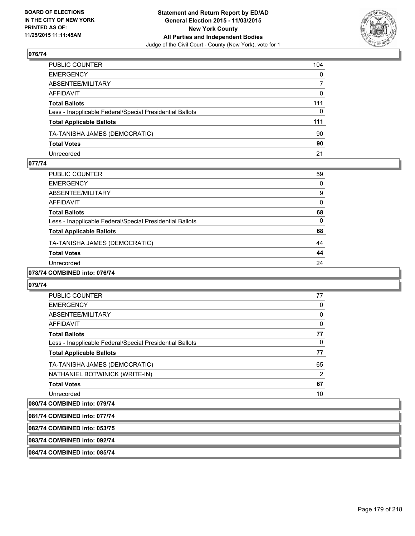

| PUBLIC COUNTER                                           | 104          |
|----------------------------------------------------------|--------------|
| EMERGENCY                                                | $\mathbf{0}$ |
| ABSENTEE/MILITARY                                        | 7            |
| AFFIDAVIT                                                | 0            |
| Total Ballots                                            | 111          |
| Less - Inapplicable Federal/Special Presidential Ballots | $\mathbf{0}$ |
| <b>Total Applicable Ballots</b>                          | 111          |
| TA-TANISHA JAMES (DEMOCRATIC)                            | 90           |
| <b>Total Votes</b>                                       | 90           |
| Unrecorded                                               | 21           |

#### **077/74**

| PUBLIC COUNTER                                           | 59 |
|----------------------------------------------------------|----|
| <b>EMERGENCY</b>                                         | 0  |
| ABSENTEE/MILITARY                                        | 9  |
| <b>AFFIDAVIT</b>                                         | 0  |
| <b>Total Ballots</b>                                     | 68 |
| Less - Inapplicable Federal/Special Presidential Ballots | 0  |
| <b>Total Applicable Ballots</b>                          | 68 |
| TA-TANISHA JAMES (DEMOCRATIC)                            | 44 |
| <b>Total Votes</b>                                       | 44 |
| Unrecorded                                               | 24 |
| 0.0110110007074                                          |    |

### **078/74 COMBINED into: 076/74**

#### **079/74**

| PUBLIC COUNTER                                           | 77             |
|----------------------------------------------------------|----------------|
| <b>EMERGENCY</b>                                         | 0              |
| ABSENTEE/MILITARY                                        | 0              |
| <b>AFFIDAVIT</b>                                         | 0              |
| <b>Total Ballots</b>                                     | 77             |
| Less - Inapplicable Federal/Special Presidential Ballots | 0              |
| <b>Total Applicable Ballots</b>                          | 77             |
| TA-TANISHA JAMES (DEMOCRATIC)                            | 65             |
| NATHANIEL BOTWINICK (WRITE-IN)                           | $\overline{2}$ |
| <b>Total Votes</b>                                       | 67             |
| Unrecorded                                               | 10             |

# **080/74 COMBINED into: 079/74 081/74 COMBINED into: 077/74 082/74 COMBINED into: 053/75 083/74 COMBINED into: 092/74 084/74 COMBINED into: 085/74**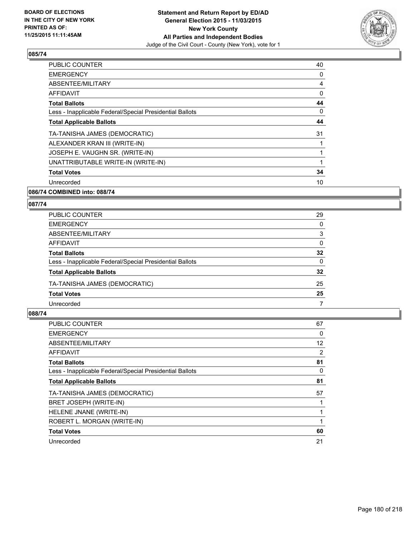

| <b>PUBLIC COUNTER</b>                                    | 40 |
|----------------------------------------------------------|----|
| <b>EMERGENCY</b>                                         | 0  |
| ABSENTEE/MILITARY                                        | 4  |
| AFFIDAVIT                                                | 0  |
| <b>Total Ballots</b>                                     | 44 |
| Less - Inapplicable Federal/Special Presidential Ballots | 0  |
| <b>Total Applicable Ballots</b>                          | 44 |
| TA-TANISHA JAMES (DEMOCRATIC)                            | 31 |
| ALEXANDER KRAN III (WRITE-IN)                            |    |
| JOSEPH E. VAUGHN SR. (WRITE-IN)                          | 1  |
| UNATTRIBUTABLE WRITE-IN (WRITE-IN)                       | 1  |
| <b>Total Votes</b>                                       | 34 |
| Unrecorded                                               | 10 |
|                                                          |    |

### **086/74 COMBINED into: 088/74**

#### **087/74**

| <b>PUBLIC COUNTER</b>                                    | 29       |
|----------------------------------------------------------|----------|
| <b>EMERGENCY</b>                                         | $\Omega$ |
| ABSENTEE/MILITARY                                        | 3        |
| AFFIDAVIT                                                | 0        |
| <b>Total Ballots</b>                                     | 32       |
| Less - Inapplicable Federal/Special Presidential Ballots | 0        |
| <b>Total Applicable Ballots</b>                          | 32       |
| TA-TANISHA JAMES (DEMOCRATIC)                            | 25       |
| <b>Total Votes</b>                                       | 25       |
| Unrecorded                                               | 7        |

| <b>PUBLIC COUNTER</b>                                    | 67 |
|----------------------------------------------------------|----|
| <b>EMERGENCY</b>                                         | 0  |
| ABSENTEE/MILITARY                                        | 12 |
| <b>AFFIDAVIT</b>                                         | 2  |
| <b>Total Ballots</b>                                     | 81 |
| Less - Inapplicable Federal/Special Presidential Ballots | 0  |
| <b>Total Applicable Ballots</b>                          | 81 |
| TA-TANISHA JAMES (DEMOCRATIC)                            | 57 |
| BRET JOSEPH (WRITE-IN)                                   |    |
| HELENE JNANE (WRITE-IN)                                  |    |
| ROBERT L. MORGAN (WRITE-IN)                              | 1  |
| <b>Total Votes</b>                                       | 60 |
| Unrecorded                                               | 21 |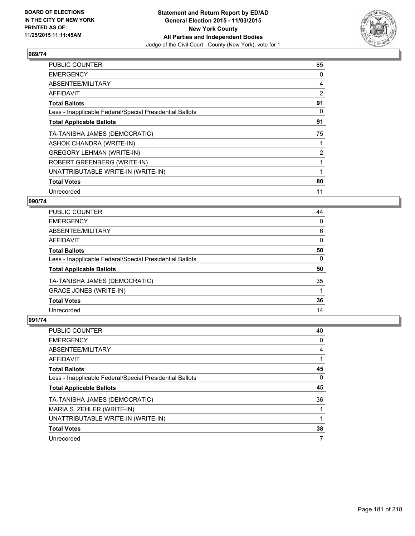

| 85             |
|----------------|
| 0              |
| 4              |
| $\overline{2}$ |
| 91             |
| 0              |
| 91             |
| 75             |
|                |
| $\overline{2}$ |
|                |
|                |
| 80             |
| 11             |
|                |

## **090/74**

| <b>PUBLIC COUNTER</b>                                    | 44       |
|----------------------------------------------------------|----------|
| <b>EMERGENCY</b>                                         | 0        |
| ABSENTEE/MILITARY                                        | 6        |
| <b>AFFIDAVIT</b>                                         | 0        |
| <b>Total Ballots</b>                                     | 50       |
| Less - Inapplicable Federal/Special Presidential Ballots | $\Omega$ |
| <b>Total Applicable Ballots</b>                          | 50       |
| TA-TANISHA JAMES (DEMOCRATIC)                            | 35       |
| <b>GRACE JONES (WRITE-IN)</b>                            |          |
| <b>Total Votes</b>                                       | 36       |
| Unrecorded                                               | 14       |

| PUBLIC COUNTER                                           | 40 |
|----------------------------------------------------------|----|
| <b>EMERGENCY</b>                                         | 0  |
| ABSENTEE/MILITARY                                        | 4  |
| AFFIDAVIT                                                |    |
| <b>Total Ballots</b>                                     | 45 |
| Less - Inapplicable Federal/Special Presidential Ballots | 0  |
| <b>Total Applicable Ballots</b>                          | 45 |
| TA-TANISHA JAMES (DEMOCRATIC)                            | 36 |
| MARIA S. ZEHLER (WRITE-IN)                               |    |
| UNATTRIBUTABLE WRITE-IN (WRITE-IN)                       |    |
| <b>Total Votes</b>                                       | 38 |
| Unrecorded                                               | 7  |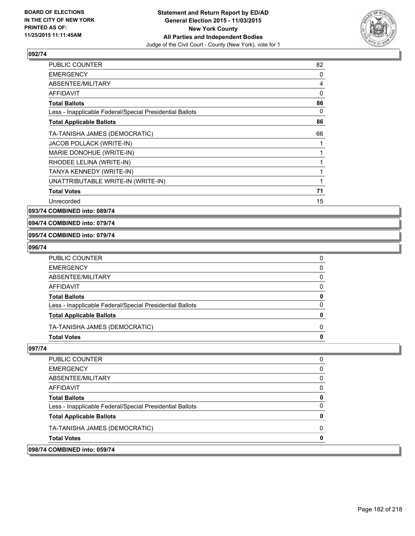

| <b>PUBLIC COUNTER</b>                                    | 82 |
|----------------------------------------------------------|----|
| <b>EMERGENCY</b>                                         | 0  |
| ABSENTEE/MILITARY                                        | 4  |
| AFFIDAVIT                                                | 0  |
| <b>Total Ballots</b>                                     | 86 |
| Less - Inapplicable Federal/Special Presidential Ballots | 0  |
| <b>Total Applicable Ballots</b>                          | 86 |
| TA-TANISHA JAMES (DEMOCRATIC)                            | 66 |
| JACOB POLLACK (WRITE-IN)                                 | 1  |
| MARIE DONOHUE (WRITE-IN)                                 | 1  |
| RHODEE LELINA (WRITE-IN)                                 | 1  |
| TANYA KENNEDY (WRITE-IN)                                 | 1  |
| UNATTRIBUTABLE WRITE-IN (WRITE-IN)                       | 1  |
| <b>Total Votes</b>                                       | 71 |
| Unrecorded                                               | 15 |

**093/74 COMBINED into: 089/74**

**094/74 COMBINED into: 079/74**

**095/74 COMBINED into: 079/74**

#### **096/74**

| PUBLIC COUNTER                                           | 0 |
|----------------------------------------------------------|---|
| EMERGENCY                                                | 0 |
| ABSENTEE/MILITARY                                        | 0 |
| AFFIDAVIT                                                | 0 |
| <b>Total Ballots</b>                                     | 0 |
| Less - Inapplicable Federal/Special Presidential Ballots | 0 |
| <b>Total Applicable Ballots</b>                          | 0 |
| TA-TANISHA JAMES (DEMOCRATIC)                            | 0 |
| Total Votes                                              | 0 |

| <b>Total Votes</b><br>098/74 COMBINED into: 059/74       |  |
|----------------------------------------------------------|--|
|                                                          |  |
| TA-TANISHA JAMES (DEMOCRATIC)                            |  |
| <b>Total Applicable Ballots</b>                          |  |
| Less - Inapplicable Federal/Special Presidential Ballots |  |
| <b>Total Ballots</b>                                     |  |
| AFFIDAVIT                                                |  |
| ABSENTEE/MILITARY                                        |  |
| <b>EMERGENCY</b>                                         |  |
| <b>PUBLIC COUNTER</b>                                    |  |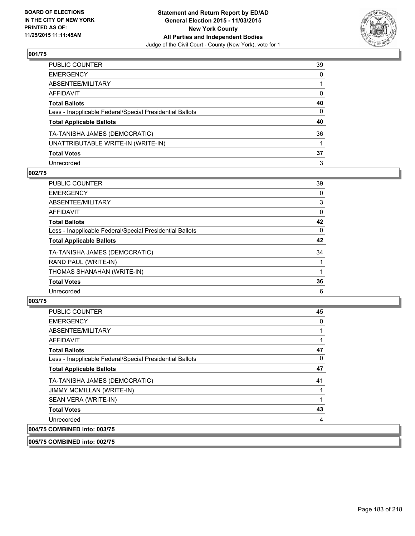

| PUBLIC COUNTER                                           | 39           |
|----------------------------------------------------------|--------------|
| EMERGENCY                                                | $\mathbf{0}$ |
| ABSENTEE/MILITARY                                        |              |
| AFFIDAVIT                                                | 0            |
| Total Ballots                                            | 40           |
| Less - Inapplicable Federal/Special Presidential Ballots | $\mathbf{0}$ |
| <b>Total Applicable Ballots</b>                          | 40           |
| TA-TANISHA JAMES (DEMOCRATIC)                            | 36           |
| UNATTRIBUTABLE WRITE-IN (WRITE-IN)                       |              |
| <b>Total Votes</b>                                       | 37           |
| Unrecorded                                               | 3            |

## **002/75**

| PUBLIC COUNTER                                           | 39 |
|----------------------------------------------------------|----|
| <b>EMERGENCY</b>                                         | 0  |
| ABSENTEE/MILITARY                                        | 3  |
| <b>AFFIDAVIT</b>                                         | 0  |
| <b>Total Ballots</b>                                     | 42 |
| Less - Inapplicable Federal/Special Presidential Ballots | 0  |
| <b>Total Applicable Ballots</b>                          | 42 |
| TA-TANISHA JAMES (DEMOCRATIC)                            | 34 |
| RAND PAUL (WRITE-IN)                                     |    |
| THOMAS SHANAHAN (WRITE-IN)                               |    |
| <b>Total Votes</b>                                       | 36 |
| Unrecorded                                               | 6  |
|                                                          |    |

## **003/75**

| <b>PUBLIC COUNTER</b>                                                                                                                                                                                                                                                                                                                                                                                                   | 45 |
|-------------------------------------------------------------------------------------------------------------------------------------------------------------------------------------------------------------------------------------------------------------------------------------------------------------------------------------------------------------------------------------------------------------------------|----|
| <b>EMERGENCY</b>                                                                                                                                                                                                                                                                                                                                                                                                        | 0  |
| ABSENTEE/MILITARY                                                                                                                                                                                                                                                                                                                                                                                                       |    |
| <b>AFFIDAVIT</b>                                                                                                                                                                                                                                                                                                                                                                                                        | 1  |
| <b>Total Ballots</b>                                                                                                                                                                                                                                                                                                                                                                                                    | 47 |
| Less - Inapplicable Federal/Special Presidential Ballots                                                                                                                                                                                                                                                                                                                                                                | 0  |
| <b>Total Applicable Ballots</b>                                                                                                                                                                                                                                                                                                                                                                                         | 47 |
| TA-TANISHA JAMES (DEMOCRATIC)                                                                                                                                                                                                                                                                                                                                                                                           | 41 |
| JIMMY MCMILLAN (WRITE-IN)                                                                                                                                                                                                                                                                                                                                                                                               |    |
| SEAN VERA (WRITE-IN)                                                                                                                                                                                                                                                                                                                                                                                                    | 1  |
| <b>Total Votes</b>                                                                                                                                                                                                                                                                                                                                                                                                      | 43 |
| Unrecorded                                                                                                                                                                                                                                                                                                                                                                                                              | 4  |
| 004/75 COMBINED into: 003/75                                                                                                                                                                                                                                                                                                                                                                                            |    |
| $\mathbf{A} \mathbf{A} = \mathbf{A} \mathbf{A} \mathbf{A} + \mathbf{A} \mathbf{A} + \mathbf{A} \mathbf{A} + \mathbf{A} \mathbf{A} + \mathbf{A} \mathbf{A} + \mathbf{A} \mathbf{A} + \mathbf{A} \mathbf{A} + \mathbf{A} \mathbf{A} + \mathbf{A} \mathbf{A} + \mathbf{A} \mathbf{A} + \mathbf{A} \mathbf{A} + \mathbf{A} \mathbf{A} + \mathbf{A} \mathbf{A} + \mathbf{A} \mathbf{A} + \mathbf{A} \mathbf{A} + \mathbf{A}$ |    |

**005/75 COMBINED into: 002/75**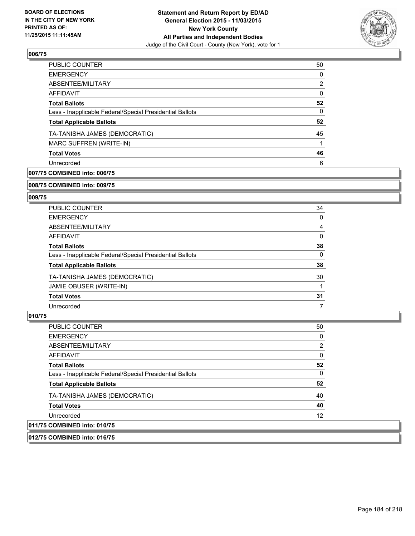

| PUBLIC COUNTER                                           | 50             |
|----------------------------------------------------------|----------------|
| <b>EMERGENCY</b>                                         | 0              |
| ABSENTEE/MILITARY                                        | $\overline{2}$ |
| <b>AFFIDAVIT</b>                                         | 0              |
| <b>Total Ballots</b>                                     | 52             |
| Less - Inapplicable Federal/Special Presidential Ballots | $\Omega$       |
| <b>Total Applicable Ballots</b>                          | 52             |
| TA-TANISHA JAMES (DEMOCRATIC)                            | 45             |
| MARC SUFFREN (WRITE-IN)                                  |                |
| <b>Total Votes</b>                                       | 46             |
| Unrecorded                                               | 6              |
|                                                          |                |

# **007/75 COMBINED into: 006/75**

#### **008/75 COMBINED into: 009/75**

## **009/75**

| <b>PUBLIC COUNTER</b>                                    | 34 |
|----------------------------------------------------------|----|
| <b>EMERGENCY</b>                                         | 0  |
| ABSENTEE/MILITARY                                        | 4  |
| AFFIDAVIT                                                | 0  |
| <b>Total Ballots</b>                                     | 38 |
| Less - Inapplicable Federal/Special Presidential Ballots | 0  |
| <b>Total Applicable Ballots</b>                          | 38 |
| TA-TANISHA JAMES (DEMOCRATIC)                            | 30 |
| JAMIE OBUSER (WRITE-IN)                                  |    |
| <b>Total Votes</b>                                       | 31 |
| Unrecorded                                               | 7  |

#### **010/75**

 $|011/75$ 

| PUBLIC COUNTER                                           | 50             |
|----------------------------------------------------------|----------------|
| <b>EMERGENCY</b>                                         | 0              |
| ABSENTEE/MILITARY                                        | $\overline{2}$ |
| <b>AFFIDAVIT</b>                                         | $\Omega$       |
| <b>Total Ballots</b>                                     | 52             |
| Less - Inapplicable Federal/Special Presidential Ballots | 0              |
| <b>Total Applicable Ballots</b>                          | 52             |
| TA-TANISHA JAMES (DEMOCRATIC)                            | 40             |
| <b>Total Votes</b>                                       | 40             |
| Unrecorded                                               | 12             |
| COMBINED into: 010/75                                    |                |

# **012/75 COMBINED into: 016/75**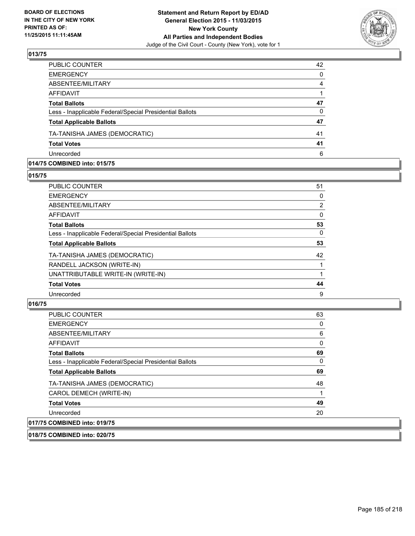

| PUBLIC COUNTER                                           | 42       |
|----------------------------------------------------------|----------|
| <b>EMERGENCY</b>                                         | $\Omega$ |
| ABSENTEE/MILITARY                                        | 4        |
| AFFIDAVIT                                                |          |
| <b>Total Ballots</b>                                     | 47       |
| Less - Inapplicable Federal/Special Presidential Ballots | $\Omega$ |
| <b>Total Applicable Ballots</b>                          | 47       |
| TA-TANISHA JAMES (DEMOCRATIC)                            | 41       |
| <b>Total Votes</b>                                       | 41       |
| Unrecorded                                               | 6        |

#### **014/75 COMBINED into: 015/75**

**015/75** 

| <b>PUBLIC COUNTER</b>                                    | 51             |
|----------------------------------------------------------|----------------|
| <b>EMERGENCY</b>                                         | 0              |
| ABSENTEE/MILITARY                                        | $\overline{2}$ |
| <b>AFFIDAVIT</b>                                         | 0              |
| <b>Total Ballots</b>                                     | 53             |
| Less - Inapplicable Federal/Special Presidential Ballots | 0              |
| <b>Total Applicable Ballots</b>                          | 53             |
| TA-TANISHA JAMES (DEMOCRATIC)                            | 42             |
| RANDELL JACKSON (WRITE-IN)                               |                |
| UNATTRIBUTABLE WRITE-IN (WRITE-IN)                       |                |
| <b>Total Votes</b>                                       | 44             |
| Unrecorded                                               | 9              |
|                                                          |                |

#### **016/75**

| PUBLIC COUNTER                                           | 63 |
|----------------------------------------------------------|----|
| <b>EMERGENCY</b>                                         | 0  |
| ABSENTEE/MILITARY                                        | 6  |
| AFFIDAVIT                                                | 0  |
| <b>Total Ballots</b>                                     | 69 |
| Less - Inapplicable Federal/Special Presidential Ballots | 0  |
| <b>Total Applicable Ballots</b>                          | 69 |
| TA-TANISHA JAMES (DEMOCRATIC)                            | 48 |
| CAROL DEMECH (WRITE-IN)                                  |    |
| <b>Total Votes</b>                                       | 49 |
| Unrecorded                                               | 20 |
| 017/75 COMBINED into: 019/75                             |    |

**018/75 COMBINED into: 020/75**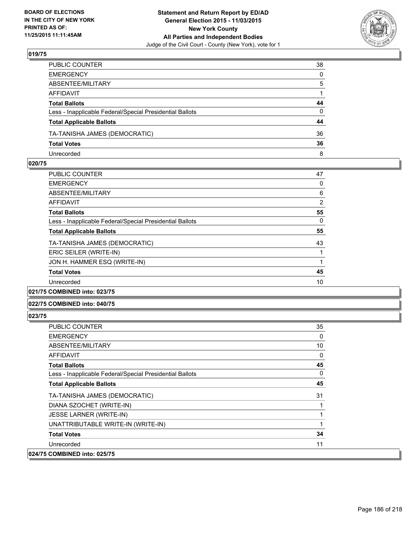

| PUBLIC COUNTER                                           | 38           |
|----------------------------------------------------------|--------------|
| EMERGENCY                                                | $\mathbf{0}$ |
| ABSENTEE/MILITARY                                        | 5            |
| AFFIDAVIT                                                |              |
| Total Ballots                                            | 44           |
| Less - Inapplicable Federal/Special Presidential Ballots | $\mathbf{0}$ |
| <b>Total Applicable Ballots</b>                          | 44           |
| TA-TANISHA JAMES (DEMOCRATIC)                            | 36           |
| <b>Total Votes</b>                                       | 36           |
| Unrecorded                                               | 8            |

#### **020/75**

| <b>PUBLIC COUNTER</b>                                    | 47             |
|----------------------------------------------------------|----------------|
| <b>EMERGENCY</b>                                         | 0              |
| ABSENTEE/MILITARY                                        | 6              |
| AFFIDAVIT                                                | $\overline{2}$ |
| <b>Total Ballots</b>                                     | 55             |
| Less - Inapplicable Federal/Special Presidential Ballots | 0              |
| <b>Total Applicable Ballots</b>                          | 55             |
| TA-TANISHA JAMES (DEMOCRATIC)                            | 43             |
| ERIC SEILER (WRITE-IN)                                   |                |
| JON H. HAMMER ESQ (WRITE-IN)                             |                |
| <b>Total Votes</b>                                       | 45             |
| Unrecorded                                               | 10             |
| $\cdots$                                                 |                |

## **021/75 COMBINED into: 023/75**

## **022/75 COMBINED into: 040/75**

| <b>PUBLIC COUNTER</b>                                    | 35 |
|----------------------------------------------------------|----|
| <b>EMERGENCY</b>                                         | 0  |
| ABSENTEE/MILITARY                                        | 10 |
| AFFIDAVIT                                                | 0  |
| <b>Total Ballots</b>                                     | 45 |
| Less - Inapplicable Federal/Special Presidential Ballots | 0  |
| <b>Total Applicable Ballots</b>                          | 45 |
| TA-TANISHA JAMES (DEMOCRATIC)                            | 31 |
| DIANA SZOCHET (WRITE-IN)                                 |    |
| <b>JESSE LARNER (WRITE-IN)</b>                           |    |
| UNATTRIBUTABLE WRITE-IN (WRITE-IN)                       |    |
| <b>Total Votes</b>                                       | 34 |
| Unrecorded                                               | 11 |
| 024/75 COMBINED into: 025/75                             |    |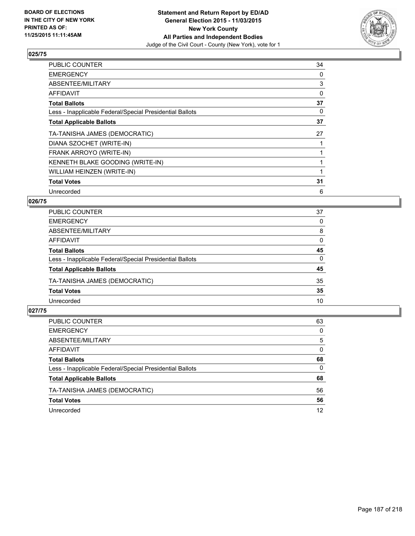

| PUBLIC COUNTER                                           | 34 |
|----------------------------------------------------------|----|
| <b>EMERGENCY</b>                                         | 0  |
| ABSENTEE/MILITARY                                        | 3  |
| AFFIDAVIT                                                | 0  |
| <b>Total Ballots</b>                                     | 37 |
| Less - Inapplicable Federal/Special Presidential Ballots | 0  |
| <b>Total Applicable Ballots</b>                          | 37 |
| TA-TANISHA JAMES (DEMOCRATIC)                            | 27 |
| DIANA SZOCHET (WRITE-IN)                                 |    |
| FRANK ARROYO (WRITE-IN)                                  |    |
| KENNETH BLAKE GOODING (WRITE-IN)                         |    |
| WILLIAM HEINZEN (WRITE-IN)                               |    |
| <b>Total Votes</b>                                       | 31 |
| Unrecorded                                               | 6  |

# **026/75**

| PUBLIC COUNTER                                           | 37       |
|----------------------------------------------------------|----------|
| <b>EMERGENCY</b>                                         | $\Omega$ |
| ABSENTEE/MILITARY                                        | 8        |
| <b>AFFIDAVIT</b>                                         | 0        |
| <b>Total Ballots</b>                                     | 45       |
| Less - Inapplicable Federal/Special Presidential Ballots | $\Omega$ |
| <b>Total Applicable Ballots</b>                          | 45       |
| TA-TANISHA JAMES (DEMOCRATIC)                            | 35       |
| <b>Total Votes</b>                                       | 35       |
| Unrecorded                                               | 10       |
|                                                          |          |

| PUBLIC COUNTER                                           | 63       |
|----------------------------------------------------------|----------|
| <b>EMERGENCY</b>                                         | 0        |
| ABSENTEE/MILITARY                                        | 5        |
| AFFIDAVIT                                                | $\Omega$ |
| <b>Total Ballots</b>                                     | 68       |
| Less - Inapplicable Federal/Special Presidential Ballots | 0        |
| <b>Total Applicable Ballots</b>                          | 68       |
| TA-TANISHA JAMES (DEMOCRATIC)                            | 56       |
| <b>Total Votes</b>                                       | 56       |
| Unrecorded                                               | 12       |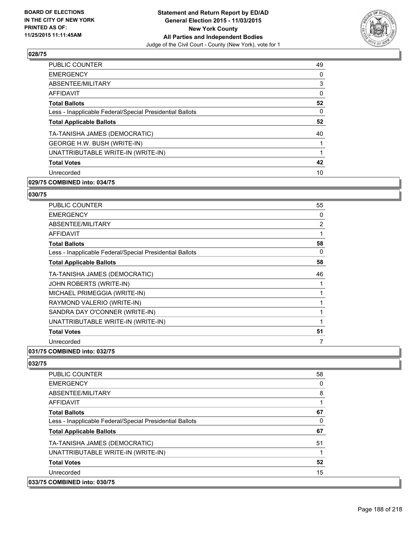

| <b>PUBLIC COUNTER</b>                                    | 49 |
|----------------------------------------------------------|----|
| <b>EMERGENCY</b>                                         | 0  |
| ABSENTEE/MILITARY                                        | 3  |
| AFFIDAVIT                                                | 0  |
| <b>Total Ballots</b>                                     | 52 |
| Less - Inapplicable Federal/Special Presidential Ballots | 0  |
| <b>Total Applicable Ballots</b>                          | 52 |
| TA-TANISHA JAMES (DEMOCRATIC)                            | 40 |
| GEORGE H.W. BUSH (WRITE-IN)                              |    |
| UNATTRIBUTABLE WRITE-IN (WRITE-IN)                       |    |
| <b>Total Votes</b>                                       | 42 |
| Unrecorded                                               | 10 |
|                                                          |    |

# **029/75 COMBINED into: 034/75**

#### **030/75**

| <b>PUBLIC COUNTER</b>                                    | 55 |
|----------------------------------------------------------|----|
| <b>EMERGENCY</b>                                         | 0  |
| <b>ABSENTEE/MILITARY</b>                                 | 2  |
| <b>AFFIDAVIT</b>                                         | 1  |
| <b>Total Ballots</b>                                     | 58 |
| Less - Inapplicable Federal/Special Presidential Ballots | 0  |
| <b>Total Applicable Ballots</b>                          | 58 |
| TA-TANISHA JAMES (DEMOCRATIC)                            | 46 |
| JOHN ROBERTS (WRITE-IN)                                  |    |
| MICHAEL PRIMEGGIA (WRITE-IN)                             | 1  |
| RAYMOND VALERIO (WRITE-IN)                               |    |
| SANDRA DAY O'CONNER (WRITE-IN)                           | 1  |
| UNATTRIBUTABLE WRITE-IN (WRITE-IN)                       | 1  |
| <b>Total Votes</b>                                       | 51 |
| Unrecorded                                               | 7  |

#### **031/75 COMBINED into: 032/75**

| <b>PUBLIC COUNTER</b>                                    | 58 |
|----------------------------------------------------------|----|
| <b>EMERGENCY</b>                                         | 0  |
| ABSENTEE/MILITARY                                        | 8  |
| <b>AFFIDAVIT</b>                                         | 1  |
| <b>Total Ballots</b>                                     | 67 |
| Less - Inapplicable Federal/Special Presidential Ballots | 0  |
| <b>Total Applicable Ballots</b>                          | 67 |
| TA-TANISHA JAMES (DEMOCRATIC)                            | 51 |
| UNATTRIBUTABLE WRITE-IN (WRITE-IN)                       | 1  |
| <b>Total Votes</b>                                       | 52 |
| Unrecorded                                               | 15 |
| 033/75 COMBINED into: 030/75                             |    |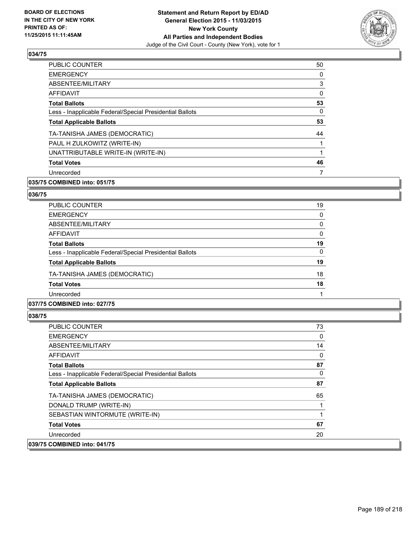

| <b>PUBLIC COUNTER</b>                                    | 50 |
|----------------------------------------------------------|----|
| <b>EMERGENCY</b>                                         | 0  |
| ABSENTEE/MILITARY                                        | 3  |
| AFFIDAVIT                                                | 0  |
| <b>Total Ballots</b>                                     | 53 |
| Less - Inapplicable Federal/Special Presidential Ballots | 0  |
| <b>Total Applicable Ballots</b>                          | 53 |
| TA-TANISHA JAMES (DEMOCRATIC)                            | 44 |
| PAUL H ZULKOWITZ (WRITE-IN)                              | 1  |
| UNATTRIBUTABLE WRITE-IN (WRITE-IN)                       | 1  |
| <b>Total Votes</b>                                       | 46 |
| Unrecorded                                               |    |

# **035/75 COMBINED into: 051/75**

#### **036/75**

| PUBLIC COUNTER                                           | 19 |
|----------------------------------------------------------|----|
| <b>EMERGENCY</b>                                         | 0  |
| ABSENTEE/MILITARY                                        | 0  |
| AFFIDAVIT                                                | 0  |
| <b>Total Ballots</b>                                     | 19 |
| Less - Inapplicable Federal/Special Presidential Ballots | 0  |
| <b>Total Applicable Ballots</b>                          | 19 |
| TA-TANISHA JAMES (DEMOCRATIC)                            | 18 |
| <b>Total Votes</b>                                       | 18 |
| Unrecorded                                               |    |

## **037/75 COMBINED into: 027/75**

| <b>PUBLIC COUNTER</b>                                    | 73 |
|----------------------------------------------------------|----|
| <b>EMERGENCY</b>                                         | 0  |
| ABSENTEE/MILITARY                                        | 14 |
| AFFIDAVIT                                                | 0  |
| <b>Total Ballots</b>                                     | 87 |
| Less - Inapplicable Federal/Special Presidential Ballots | 0  |
| <b>Total Applicable Ballots</b>                          | 87 |
| TA-TANISHA JAMES (DEMOCRATIC)                            | 65 |
| DONALD TRUMP (WRITE-IN)                                  |    |
| SEBASTIAN WINTORMUTE (WRITE-IN)                          |    |
| <b>Total Votes</b>                                       | 67 |
| Unrecorded                                               | 20 |
| 039/75 COMBINED into: 041/75                             |    |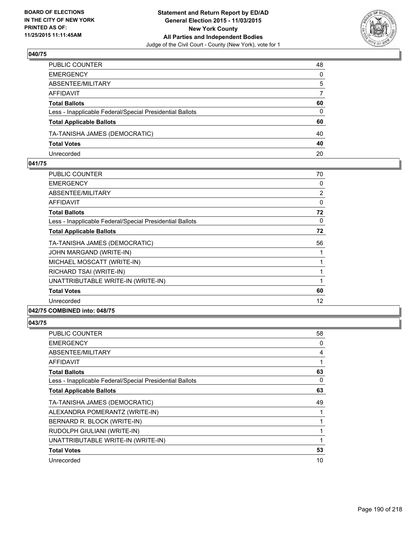

| PUBLIC COUNTER                                           | 48           |
|----------------------------------------------------------|--------------|
| EMERGENCY                                                | $\mathbf{0}$ |
| ABSENTEE/MILITARY                                        | 5            |
| AFFIDAVIT                                                | 7            |
| Total Ballots                                            | 60           |
| Less - Inapplicable Federal/Special Presidential Ballots | 0            |
| <b>Total Applicable Ballots</b>                          | 60           |
| TA-TANISHA JAMES (DEMOCRATIC)                            | 40           |
| <b>Total Votes</b>                                       | 40           |
| Unrecorded                                               | 20           |

#### **041/75**

| <b>PUBLIC COUNTER</b>                                    | 70             |
|----------------------------------------------------------|----------------|
| <b>EMERGENCY</b>                                         | 0              |
| ABSENTEE/MILITARY                                        | $\overline{2}$ |
| <b>AFFIDAVIT</b>                                         | 0              |
| <b>Total Ballots</b>                                     | 72             |
| Less - Inapplicable Federal/Special Presidential Ballots | 0              |
| <b>Total Applicable Ballots</b>                          | 72             |
| TA-TANISHA JAMES (DEMOCRATIC)                            | 56             |
| JOHN MARGAND (WRITE-IN)                                  |                |
| MICHAEL MOSCATT (WRITE-IN)                               |                |
| RICHARD TSAI (WRITE-IN)                                  | 1              |
| UNATTRIBUTABLE WRITE-IN (WRITE-IN)                       | 1              |
| <b>Total Votes</b>                                       | 60             |
| Unrecorded                                               | 12             |
| 042/75 COMBINED into: 048/75                             |                |

| PUBLIC COUNTER                                           | 58 |
|----------------------------------------------------------|----|
| <b>EMERGENCY</b>                                         | 0  |
| ABSENTEE/MILITARY                                        | 4  |
| AFFIDAVIT                                                |    |
| <b>Total Ballots</b>                                     | 63 |
| Less - Inapplicable Federal/Special Presidential Ballots | 0  |
| <b>Total Applicable Ballots</b>                          | 63 |
| TA-TANISHA JAMES (DEMOCRATIC)                            | 49 |
| ALEXANDRA POMERANTZ (WRITE-IN)                           |    |
| BERNARD R. BLOCK (WRITE-IN)                              |    |
| RUDOLPH GIULIANI (WRITE-IN)                              |    |
| UNATTRIBUTABLE WRITE-IN (WRITE-IN)                       |    |
| <b>Total Votes</b>                                       | 53 |
| Unrecorded                                               | 10 |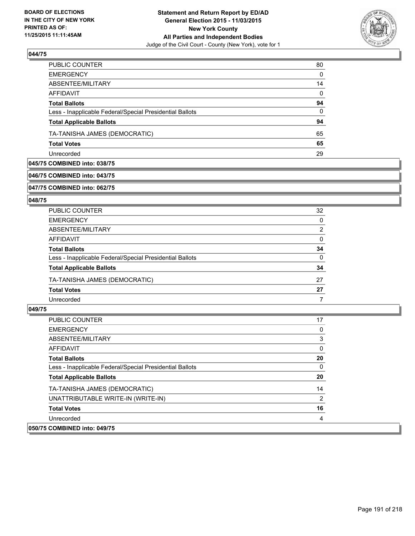

| PUBLIC COUNTER                                           | 80       |
|----------------------------------------------------------|----------|
| <b>EMERGENCY</b>                                         | $\Omega$ |
| ABSENTEE/MILITARY                                        | 14       |
| <b>AFFIDAVIT</b>                                         | $\Omega$ |
| <b>Total Ballots</b>                                     | 94       |
| Less - Inapplicable Federal/Special Presidential Ballots | 0        |
| <b>Total Applicable Ballots</b>                          | 94       |
| TA-TANISHA JAMES (DEMOCRATIC)                            | 65       |
| <b>Total Votes</b>                                       | 65       |
| Unrecorded                                               | 29       |

## **045/75 COMBINED into: 038/75**

#### **046/75 COMBINED into: 043/75**

**047/75 COMBINED into: 062/75**

#### **048/75**

| <b>PUBLIC COUNTER</b>                                    | 32       |
|----------------------------------------------------------|----------|
| <b>EMERGENCY</b>                                         | 0        |
| ABSENTEE/MILITARY                                        | 2        |
| AFFIDAVIT                                                | $\Omega$ |
| <b>Total Ballots</b>                                     | 34       |
| Less - Inapplicable Federal/Special Presidential Ballots | 0        |
| <b>Total Applicable Ballots</b>                          | 34       |
| TA-TANISHA JAMES (DEMOCRATIC)                            | 27       |
| <b>Total Votes</b>                                       | 27       |
| Unrecorded                                               |          |

| <b>PUBLIC COUNTER</b>                                    | 17 |
|----------------------------------------------------------|----|
| <b>EMERGENCY</b>                                         |    |
| ABSENTEE/MILITARY                                        | 3  |
| AFFIDAVIT                                                | 0  |
| <b>Total Ballots</b>                                     | 20 |
| Less - Inapplicable Federal/Special Presidential Ballots | 0  |
| <b>Total Applicable Ballots</b>                          | 20 |
| TA-TANISHA JAMES (DEMOCRATIC)                            | 14 |
| UNATTRIBUTABLE WRITE-IN (WRITE-IN)                       | 2  |
| <b>Total Votes</b>                                       | 16 |
| Unrecorded                                               |    |
| 050/75 COMBINED into: 049/75                             |    |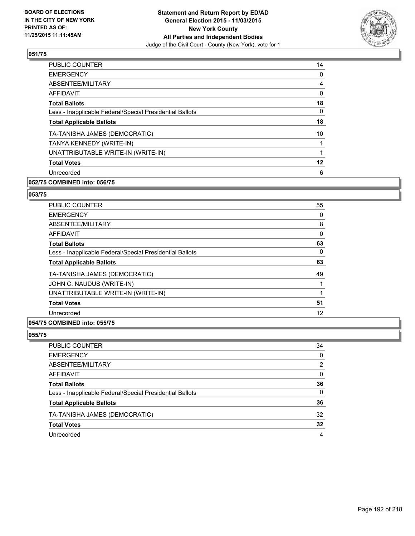

| <b>PUBLIC COUNTER</b>                                    | 14 |
|----------------------------------------------------------|----|
| <b>EMERGENCY</b>                                         | 0  |
| ABSENTEE/MILITARY                                        | 4  |
| AFFIDAVIT                                                | 0  |
| <b>Total Ballots</b>                                     | 18 |
| Less - Inapplicable Federal/Special Presidential Ballots | 0  |
| <b>Total Applicable Ballots</b>                          | 18 |
| TA-TANISHA JAMES (DEMOCRATIC)                            | 10 |
| TANYA KENNEDY (WRITE-IN)                                 |    |
| UNATTRIBUTABLE WRITE-IN (WRITE-IN)                       |    |
| <b>Total Votes</b>                                       | 12 |
| Unrecorded                                               | 6  |
|                                                          |    |

# **052/75 COMBINED into: 056/75**

#### **053/75**

| <b>PUBLIC COUNTER</b>                                    | 55 |
|----------------------------------------------------------|----|
| <b>EMERGENCY</b>                                         | 0  |
| ABSENTEE/MILITARY                                        | 8  |
| AFFIDAVIT                                                | 0  |
| <b>Total Ballots</b>                                     | 63 |
| Less - Inapplicable Federal/Special Presidential Ballots | 0  |
| <b>Total Applicable Ballots</b>                          | 63 |
| TA-TANISHA JAMES (DEMOCRATIC)                            | 49 |
| JOHN C. NAUDUS (WRITE-IN)                                |    |
| UNATTRIBUTABLE WRITE-IN (WRITE-IN)                       |    |
| <b>Total Votes</b>                                       | 51 |
| Unrecorded                                               | 12 |
|                                                          |    |

# **054/75 COMBINED into: 055/75**

| <b>PUBLIC COUNTER</b>                                    | 34 |
|----------------------------------------------------------|----|
| <b>EMERGENCY</b>                                         | 0  |
| ABSENTEE/MILITARY                                        | 2  |
| AFFIDAVIT                                                | 0  |
| <b>Total Ballots</b>                                     | 36 |
| Less - Inapplicable Federal/Special Presidential Ballots | 0  |
| <b>Total Applicable Ballots</b>                          | 36 |
| TA-TANISHA JAMES (DEMOCRATIC)                            | 32 |
| <b>Total Votes</b>                                       | 32 |
| Unrecorded                                               | 4  |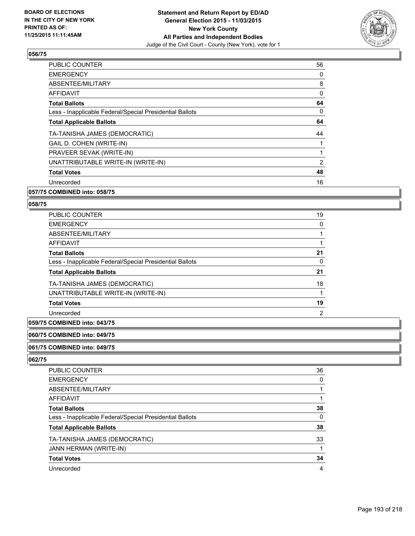

| <b>PUBLIC COUNTER</b>                                    | 56 |
|----------------------------------------------------------|----|
| <b>EMERGENCY</b>                                         | 0  |
| ABSENTEE/MILITARY                                        | 8  |
| AFFIDAVIT                                                | 0  |
| <b>Total Ballots</b>                                     | 64 |
| Less - Inapplicable Federal/Special Presidential Ballots | 0  |
| <b>Total Applicable Ballots</b>                          | 64 |
| TA-TANISHA JAMES (DEMOCRATIC)                            | 44 |
| GAIL D. COHEN (WRITE-IN)                                 |    |
| PRAVEER SEVAK (WRITE-IN)                                 | 1  |
| UNATTRIBUTABLE WRITE-IN (WRITE-IN)                       | 2  |
| <b>Total Votes</b>                                       | 48 |
| Unrecorded                                               | 16 |
|                                                          |    |

## **057/75 COMBINED into: 058/75**

#### **058/75**

| 19 |
|----|
| 0  |
|    |
|    |
| 21 |
| 0  |
| 21 |
| 18 |
|    |
| 19 |
| 2  |
|    |

# **059/75 COMBINED into: 043/75**

# **060/75 COMBINED into: 049/75**

#### **061/75 COMBINED into: 049/75**

| PUBLIC COUNTER                                           | 36 |
|----------------------------------------------------------|----|
|                                                          |    |
| <b>EMERGENCY</b>                                         | 0  |
| ABSENTEE/MILITARY                                        |    |
| <b>AFFIDAVIT</b>                                         |    |
| <b>Total Ballots</b>                                     | 38 |
| Less - Inapplicable Federal/Special Presidential Ballots | 0  |
| <b>Total Applicable Ballots</b>                          | 38 |
| TA-TANISHA JAMES (DEMOCRATIC)                            | 33 |
| <b>JANN HERMAN (WRITE-IN)</b>                            |    |
| <b>Total Votes</b>                                       | 34 |
| Unrecorded                                               | 4  |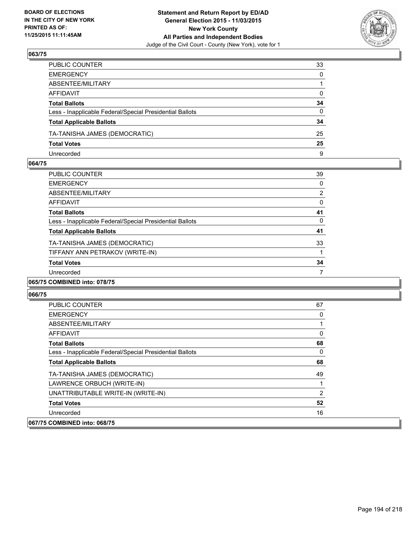

| PUBLIC COUNTER                                           | 33           |
|----------------------------------------------------------|--------------|
| EMERGENCY                                                | $\mathbf{0}$ |
| ABSENTEE/MILITARY                                        |              |
| AFFIDAVIT                                                | $\mathbf{0}$ |
| Total Ballots                                            | 34           |
| Less - Inapplicable Federal/Special Presidential Ballots | $\mathbf{0}$ |
| <b>Total Applicable Ballots</b>                          | 34           |
| TA-TANISHA JAMES (DEMOCRATIC)                            | 25           |
| <b>Total Votes</b>                                       | 25           |
| Unrecorded                                               | 9            |

#### **064/75**

| <b>PUBLIC COUNTER</b>                                    | 39             |
|----------------------------------------------------------|----------------|
| <b>EMERGENCY</b>                                         | 0              |
| ABSENTEE/MILITARY                                        | $\overline{2}$ |
| <b>AFFIDAVIT</b>                                         | 0              |
| <b>Total Ballots</b>                                     | 41             |
| Less - Inapplicable Federal/Special Presidential Ballots | 0              |
| <b>Total Applicable Ballots</b>                          | 41             |
| TA-TANISHA JAMES (DEMOCRATIC)                            | 33             |
| TIFFANY ANN PETRAKOV (WRITE-IN)                          |                |
| <b>Total Votes</b>                                       | 34             |
| Unrecorded                                               |                |
| 065/75 COMBINED into: 078/75                             |                |

| <b>PUBLIC COUNTER</b>                                    | 67 |
|----------------------------------------------------------|----|
| <b>EMERGENCY</b>                                         | 0  |
| ABSENTEE/MILITARY                                        |    |
| AFFIDAVIT                                                | 0  |
| <b>Total Ballots</b>                                     | 68 |
| Less - Inapplicable Federal/Special Presidential Ballots | 0  |
| <b>Total Applicable Ballots</b>                          | 68 |
| TA-TANISHA JAMES (DEMOCRATIC)                            | 49 |
| LAWRENCE ORBUCH (WRITE-IN)                               |    |
| UNATTRIBUTABLE WRITE-IN (WRITE-IN)                       | 2  |
| <b>Total Votes</b>                                       | 52 |
| Unrecorded                                               | 16 |
| 067/75 COMBINED into: 068/75                             |    |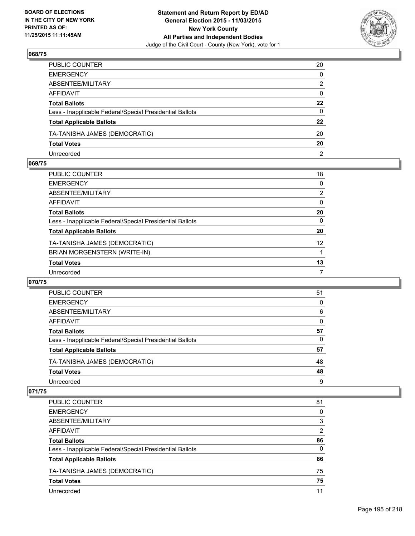

| PUBLIC COUNTER                                           | 20             |
|----------------------------------------------------------|----------------|
| EMERGENCY                                                | $\mathbf{0}$   |
| ABSENTEE/MILITARY                                        | 2              |
| AFFIDAVIT                                                | $\mathbf{0}$   |
| Total Ballots                                            | $22 \,$        |
| Less - Inapplicable Federal/Special Presidential Ballots | 0              |
| <b>Total Applicable Ballots</b>                          | 22             |
| TA-TANISHA JAMES (DEMOCRATIC)                            | 20             |
| <b>Total Votes</b>                                       | 20             |
| Unrecorded                                               | $\overline{2}$ |

#### **069/75**

| PUBLIC COUNTER                                           | 18              |
|----------------------------------------------------------|-----------------|
| EMERGENCY                                                | 0               |
| ABSENTEE/MILITARY                                        | $\overline{2}$  |
| AFFIDAVIT                                                | 0               |
| <b>Total Ballots</b>                                     | 20              |
| Less - Inapplicable Federal/Special Presidential Ballots | 0               |
| <b>Total Applicable Ballots</b>                          | 20              |
| TA-TANISHA JAMES (DEMOCRATIC)                            | 12 <sup>°</sup> |
| BRIAN MORGENSTERN (WRITE-IN)                             |                 |
| <b>Total Votes</b>                                       | 13              |
| Unrecorded                                               | 7               |
|                                                          |                 |

#### **070/75**

| PUBLIC COUNTER                                           | 51 |
|----------------------------------------------------------|----|
| <b>EMERGENCY</b>                                         | 0  |
| ABSENTEE/MILITARY                                        | 6  |
| AFFIDAVIT                                                | 0  |
| <b>Total Ballots</b>                                     | 57 |
| Less - Inapplicable Federal/Special Presidential Ballots | 0  |
| <b>Total Applicable Ballots</b>                          | 57 |
| TA-TANISHA JAMES (DEMOCRATIC)                            | 48 |
| <b>Total Votes</b>                                       | 48 |
| Unrecorded                                               | 9  |

| <b>PUBLIC COUNTER</b>                                    | 81 |
|----------------------------------------------------------|----|
| <b>EMERGENCY</b>                                         | 0  |
| ABSENTEE/MILITARY                                        | 3  |
| AFFIDAVIT                                                | 2  |
| <b>Total Ballots</b>                                     | 86 |
| Less - Inapplicable Federal/Special Presidential Ballots | 0  |
| <b>Total Applicable Ballots</b>                          | 86 |
| TA-TANISHA JAMES (DEMOCRATIC)                            | 75 |
| <b>Total Votes</b>                                       | 75 |
| Unrecorded                                               | 11 |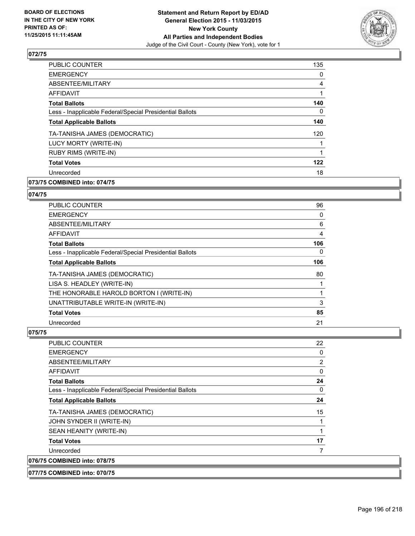

| <b>PUBLIC COUNTER</b>                                    | 135 |
|----------------------------------------------------------|-----|
| <b>EMERGENCY</b>                                         | 0   |
| ABSENTEE/MILITARY                                        | 4   |
| AFFIDAVIT                                                |     |
| <b>Total Ballots</b>                                     | 140 |
| Less - Inapplicable Federal/Special Presidential Ballots | 0   |
| <b>Total Applicable Ballots</b>                          | 140 |
| TA-TANISHA JAMES (DEMOCRATIC)                            | 120 |
| LUCY MORTY (WRITE-IN)                                    |     |
| <b>RUBY RIMS (WRITE-IN)</b>                              | 1   |
| <b>Total Votes</b>                                       | 122 |
| Unrecorded                                               | 18  |
|                                                          |     |

# **073/75 COMBINED into: 074/75**

#### **074/75**

| <b>PUBLIC COUNTER</b>                                    | 96  |
|----------------------------------------------------------|-----|
| <b>EMERGENCY</b>                                         | 0   |
| ABSENTEE/MILITARY                                        | 6   |
| <b>AFFIDAVIT</b>                                         | 4   |
| <b>Total Ballots</b>                                     | 106 |
| Less - Inapplicable Federal/Special Presidential Ballots | 0   |
| <b>Total Applicable Ballots</b>                          | 106 |
| TA-TANISHA JAMES (DEMOCRATIC)                            | 80  |
| LISA S. HEADLEY (WRITE-IN)                               |     |
| THE HONORABLE HAROLD BORTON I (WRITE-IN)                 |     |
| UNATTRIBUTABLE WRITE-IN (WRITE-IN)                       | 3   |
| <b>Total Votes</b>                                       | 85  |
| Unrecorded                                               | 21  |

| <b>PUBLIC COUNTER</b>                                    | 22 |
|----------------------------------------------------------|----|
| <b>EMERGENCY</b>                                         | 0  |
| ABSENTEE/MILITARY                                        | 2  |
| <b>AFFIDAVIT</b>                                         | 0  |
| <b>Total Ballots</b>                                     | 24 |
| Less - Inapplicable Federal/Special Presidential Ballots | 0  |
| <b>Total Applicable Ballots</b>                          | 24 |
| TA-TANISHA JAMES (DEMOCRATIC)                            | 15 |
| JOHN SYNDER II (WRITE-IN)                                |    |
| SEAN HEANITY (WRITE-IN)                                  |    |
| <b>Total Votes</b>                                       | 17 |
| Unrecorded                                               |    |
| 076/75 COMBINED into: 078/75                             |    |
| 077/75 COMBINED into: 070/75                             |    |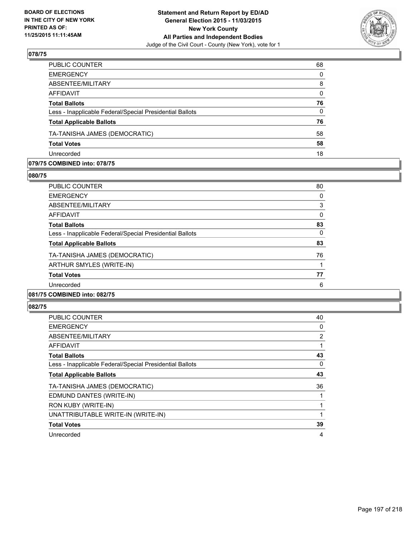

| PUBLIC COUNTER                                           | 68           |
|----------------------------------------------------------|--------------|
| <b>EMERGENCY</b>                                         | $\Omega$     |
| ABSENTEE/MILITARY                                        | 8            |
| <b>AFFIDAVIT</b>                                         | $\mathbf{0}$ |
| <b>Total Ballots</b>                                     | 76           |
| Less - Inapplicable Federal/Special Presidential Ballots | $\mathbf{0}$ |
| <b>Total Applicable Ballots</b>                          | 76           |
| TA-TANISHA JAMES (DEMOCRATIC)                            | 58           |
| <b>Total Votes</b>                                       | 58           |
| Unrecorded                                               | 18           |

## **079/75 COMBINED into: 078/75**

**080/75** 

| <b>PUBLIC COUNTER</b>                                    | 80 |
|----------------------------------------------------------|----|
| <b>EMERGENCY</b>                                         | 0  |
| ABSENTEE/MILITARY                                        | 3  |
| AFFIDAVIT                                                | 0  |
| <b>Total Ballots</b>                                     | 83 |
| Less - Inapplicable Federal/Special Presidential Ballots | 0  |
| <b>Total Applicable Ballots</b>                          | 83 |
| TA-TANISHA JAMES (DEMOCRATIC)                            | 76 |
| ARTHUR SMYLES (WRITE-IN)                                 |    |
| <b>Total Votes</b>                                       | 77 |
| Unrecorded                                               | 6  |
| 081/75 COMBINED into: 082/75                             |    |

| <b>PUBLIC COUNTER</b>                                    | 40          |
|----------------------------------------------------------|-------------|
| <b>EMERGENCY</b>                                         | $\mathbf 0$ |
| ABSENTEE/MILITARY                                        | 2           |
| AFFIDAVIT                                                | 1           |
| <b>Total Ballots</b>                                     | 43          |
| Less - Inapplicable Federal/Special Presidential Ballots | 0           |
| <b>Total Applicable Ballots</b>                          | 43          |
| TA-TANISHA JAMES (DEMOCRATIC)                            | 36          |
| EDMUND DANTES (WRITE-IN)                                 |             |
| RON KUBY (WRITE-IN)                                      | 1           |
| UNATTRIBUTABLE WRITE-IN (WRITE-IN)                       | 1           |
| <b>Total Votes</b>                                       | 39          |
| Unrecorded                                               | 4           |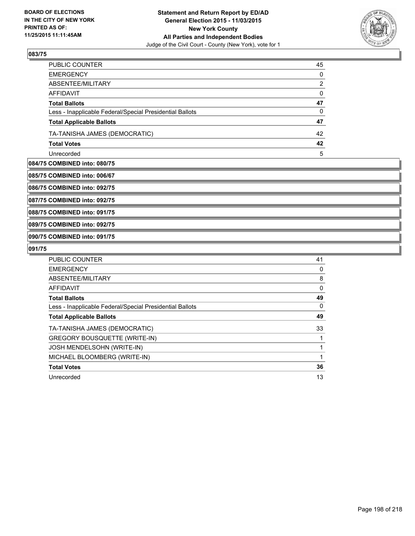

| PUBLIC COUNTER                                           | 45 |
|----------------------------------------------------------|----|
| <b>EMERGENCY</b>                                         | 0  |
| ABSENTEE/MILITARY                                        | 2  |
| AFFIDAVIT                                                | 0  |
| <b>Total Ballots</b>                                     | 47 |
| Less - Inapplicable Federal/Special Presidential Ballots | 0  |
| <b>Total Applicable Ballots</b>                          | 47 |
| TA-TANISHA JAMES (DEMOCRATIC)                            | 42 |
| <b>Total Votes</b>                                       | 42 |
| Unrecorded                                               | 5  |

#### **084/75 COMBINED into: 080/75**

**085/75 COMBINED into: 006/67**

**086/75 COMBINED into: 092/75**

**087/75 COMBINED into: 092/75**

**088/75 COMBINED into: 091/75**

**089/75 COMBINED into: 092/75**

**090/75 COMBINED into: 091/75**

| <b>PUBLIC COUNTER</b>                                    | 41 |
|----------------------------------------------------------|----|
| <b>EMERGENCY</b>                                         | 0  |
| ABSENTEE/MILITARY                                        | 8  |
| <b>AFFIDAVIT</b>                                         | 0  |
| <b>Total Ballots</b>                                     | 49 |
| Less - Inapplicable Federal/Special Presidential Ballots | 0  |
| <b>Total Applicable Ballots</b>                          | 49 |
| TA-TANISHA JAMES (DEMOCRATIC)                            | 33 |
| <b>GREGORY BOUSQUETTE (WRITE-IN)</b>                     |    |
| <b>JOSH MENDELSOHN (WRITE-IN)</b>                        |    |
| MICHAEL BLOOMBERG (WRITE-IN)                             | 1  |
| <b>Total Votes</b>                                       | 36 |
| Unrecorded                                               | 13 |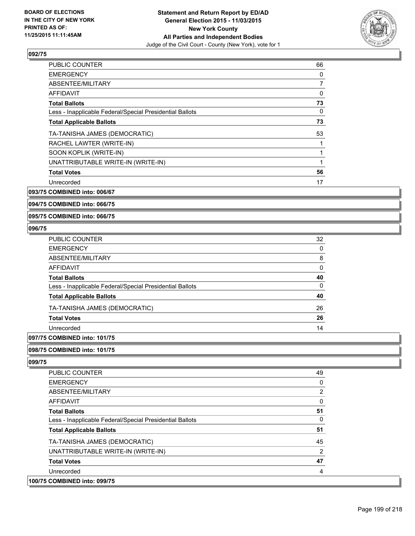

| <b>PUBLIC COUNTER</b>                                    | 66 |
|----------------------------------------------------------|----|
| <b>EMERGENCY</b>                                         | 0  |
| ABSENTEE/MILITARY                                        | 7  |
| <b>AFFIDAVIT</b>                                         | 0  |
| <b>Total Ballots</b>                                     | 73 |
| Less - Inapplicable Federal/Special Presidential Ballots | 0  |
| <b>Total Applicable Ballots</b>                          | 73 |
| TA-TANISHA JAMES (DEMOCRATIC)                            | 53 |
| RACHEL LAWTER (WRITE-IN)                                 |    |
| SOON KOPLIK (WRITE-IN)                                   | 1  |
| UNATTRIBUTABLE WRITE-IN (WRITE-IN)                       |    |
| <b>Total Votes</b>                                       | 56 |
| Unrecorded                                               | 17 |

**093/75 COMBINED into: 006/67**

**094/75 COMBINED into: 066/75**

**095/75 COMBINED into: 066/75**

#### **096/75**

| PUBLIC COUNTER                                           | 32 |
|----------------------------------------------------------|----|
| <b>EMERGENCY</b>                                         | 0  |
| ABSENTEE/MILITARY                                        | 8  |
| <b>AFFIDAVIT</b>                                         | 0  |
| <b>Total Ballots</b>                                     | 40 |
| Less - Inapplicable Federal/Special Presidential Ballots | 0  |
| <b>Total Applicable Ballots</b>                          | 40 |
| TA-TANISHA JAMES (DEMOCRATIC)                            | 26 |
| <b>Total Votes</b>                                       | 26 |
| Unrecorded                                               | 14 |

# **097/75 COMBINED into: 101/75**

## **098/75 COMBINED into: 101/75**

| <b>PUBLIC COUNTER</b>                                    | 49 |
|----------------------------------------------------------|----|
| <b>EMERGENCY</b>                                         | 0  |
| ABSENTEE/MILITARY                                        | 2  |
| <b>AFFIDAVIT</b>                                         | 0  |
| <b>Total Ballots</b>                                     | 51 |
| Less - Inapplicable Federal/Special Presidential Ballots | 0  |
| <b>Total Applicable Ballots</b>                          | 51 |
| TA-TANISHA JAMES (DEMOCRATIC)                            | 45 |
| UNATTRIBUTABLE WRITE-IN (WRITE-IN)                       | 2  |
| <b>Total Votes</b>                                       | 47 |
| Unrecorded                                               | 4  |
| 100/75 COMBINED into: 099/75                             |    |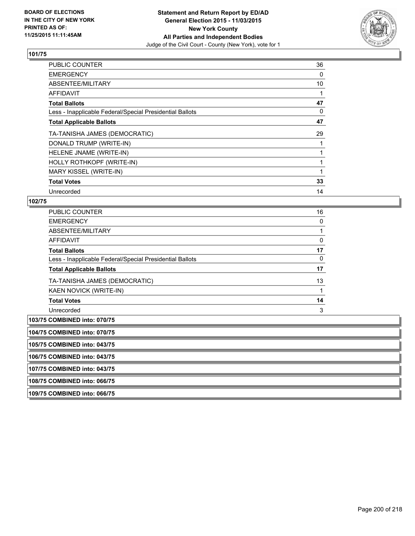

| <b>PUBLIC COUNTER</b>                                    | 36 |
|----------------------------------------------------------|----|
| <b>EMERGENCY</b>                                         | 0  |
| ABSENTEE/MILITARY                                        | 10 |
| AFFIDAVIT                                                |    |
| <b>Total Ballots</b>                                     | 47 |
| Less - Inapplicable Federal/Special Presidential Ballots | 0  |
| <b>Total Applicable Ballots</b>                          | 47 |
| TA-TANISHA JAMES (DEMOCRATIC)                            | 29 |
| DONALD TRUMP (WRITE-IN)                                  |    |
| HELENE JNAME (WRITE-IN)                                  |    |
| HOLLY ROTHKOPF (WRITE-IN)                                |    |
| MARY KISSEL (WRITE-IN)                                   |    |
| <b>Total Votes</b>                                       | 33 |
| Unrecorded                                               | 14 |

| <b>PUBLIC COUNTER</b>                                    | 16 |
|----------------------------------------------------------|----|
| <b>EMERGENCY</b>                                         | 0  |
| ABSENTEE/MILITARY                                        |    |
| <b>AFFIDAVIT</b>                                         | 0  |
| <b>Total Ballots</b>                                     | 17 |
| Less - Inapplicable Federal/Special Presidential Ballots | 0  |
| <b>Total Applicable Ballots</b>                          | 17 |
| TA-TANISHA JAMES (DEMOCRATIC)                            | 13 |
| KAEN NOVICK (WRITE-IN)                                   |    |
| <b>Total Votes</b>                                       | 14 |
| Unrecorded                                               | 3  |

| 104/75 COMBINED into: 070/75<br>105/75 COMBINED into: 043/75<br>106/75 COMBINED into: 043/75<br>107/75 COMBINED into: 043/75<br>108/75 COMBINED into: 066/75<br>109/75 COMBINED into: 066/75 | 103/75 COMBINED into: 070/75 |
|----------------------------------------------------------------------------------------------------------------------------------------------------------------------------------------------|------------------------------|
|                                                                                                                                                                                              |                              |
|                                                                                                                                                                                              |                              |
|                                                                                                                                                                                              |                              |
|                                                                                                                                                                                              |                              |
|                                                                                                                                                                                              |                              |
|                                                                                                                                                                                              |                              |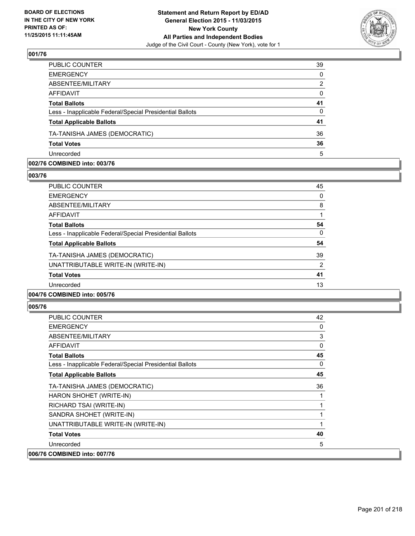

| PUBLIC COUNTER                                           | 39       |
|----------------------------------------------------------|----------|
| <b>EMERGENCY</b>                                         | $\Omega$ |
| ABSENTEE/MILITARY                                        | 2        |
| AFFIDAVIT                                                | 0        |
| <b>Total Ballots</b>                                     | 41       |
| Less - Inapplicable Federal/Special Presidential Ballots | $\Omega$ |
| <b>Total Applicable Ballots</b>                          | 41       |
| TA-TANISHA JAMES (DEMOCRATIC)                            | 36       |
| <b>Total Votes</b>                                       | 36       |
| Unrecorded                                               | 5        |

#### **002/76 COMBINED into: 003/76**

**003/76** 

| <b>PUBLIC COUNTER</b>                                    | 45             |
|----------------------------------------------------------|----------------|
| <b>EMERGENCY</b>                                         | 0              |
| ABSENTEE/MILITARY                                        | 8              |
| AFFIDAVIT                                                |                |
| <b>Total Ballots</b>                                     | 54             |
| Less - Inapplicable Federal/Special Presidential Ballots | 0              |
| <b>Total Applicable Ballots</b>                          | 54             |
| TA-TANISHA JAMES (DEMOCRATIC)                            | 39             |
| UNATTRIBUTABLE WRITE-IN (WRITE-IN)                       | $\overline{2}$ |
| <b>Total Votes</b>                                       | 41             |
| Unrecorded                                               | 13             |
| 004/76 COMBINED into: 005/76                             |                |

| PUBLIC COUNTER                                           | 42 |
|----------------------------------------------------------|----|
| <b>EMERGENCY</b>                                         | 0  |
| ABSENTEE/MILITARY                                        | 3  |
| <b>AFFIDAVIT</b>                                         | 0  |
| <b>Total Ballots</b>                                     | 45 |
| Less - Inapplicable Federal/Special Presidential Ballots | 0  |
| <b>Total Applicable Ballots</b>                          | 45 |
| TA-TANISHA JAMES (DEMOCRATIC)                            | 36 |
| HARON SHOHET (WRITE-IN)                                  | 1  |
| RICHARD TSAI (WRITE-IN)                                  | 1  |
| SANDRA SHOHET (WRITE-IN)                                 | 1  |
| UNATTRIBUTABLE WRITE-IN (WRITE-IN)                       | 1  |
| <b>Total Votes</b>                                       | 40 |
| Unrecorded                                               | 5  |
| 006/76 COMBINED into: 007/76                             |    |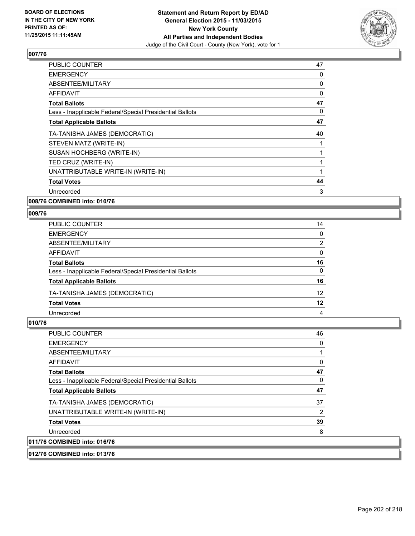

| <b>PUBLIC COUNTER</b>                                    | 47 |
|----------------------------------------------------------|----|
| <b>EMERGENCY</b>                                         | 0  |
| ABSENTEE/MILITARY                                        | 0  |
| AFFIDAVIT                                                | 0  |
| <b>Total Ballots</b>                                     | 47 |
| Less - Inapplicable Federal/Special Presidential Ballots | 0  |
| <b>Total Applicable Ballots</b>                          | 47 |
| TA-TANISHA JAMES (DEMOCRATIC)                            | 40 |
| STEVEN MATZ (WRITE-IN)                                   |    |
| SUSAN HOCHBERG (WRITE-IN)                                |    |
| TED CRUZ (WRITE-IN)                                      |    |
| UNATTRIBUTABLE WRITE-IN (WRITE-IN)                       |    |
| <b>Total Votes</b>                                       | 44 |
| Unrecorded                                               | 3  |
|                                                          |    |

**008/76 COMBINED into: 010/76**

## **009/76**

| PUBLIC COUNTER                                           | 14              |
|----------------------------------------------------------|-----------------|
| <b>EMERGENCY</b>                                         | $\Omega$        |
| ABSENTEE/MILITARY                                        | 2               |
| <b>AFFIDAVIT</b>                                         | $\Omega$        |
| <b>Total Ballots</b>                                     | 16              |
| Less - Inapplicable Federal/Special Presidential Ballots | $\mathbf{0}$    |
| <b>Total Applicable Ballots</b>                          | 16              |
| TA-TANISHA JAMES (DEMOCRATIC)                            | 12 <sup>2</sup> |
| <b>Total Votes</b>                                       | 12              |
| Unrecorded                                               | 4               |

# **010/76**

| 011/76 COMBINED into: 016/76                             |          |
|----------------------------------------------------------|----------|
|                                                          |          |
| Unrecorded                                               | 8        |
| <b>Total Votes</b>                                       | 39       |
| UNATTRIBUTABLE WRITE-IN (WRITE-IN)                       | 2        |
| TA-TANISHA JAMES (DEMOCRATIC)                            | 37       |
| <b>Total Applicable Ballots</b>                          | 47       |
| Less - Inapplicable Federal/Special Presidential Ballots | 0        |
| <b>Total Ballots</b>                                     | 47       |
| AFFIDAVIT                                                | 0        |
| ABSENTEE/MILITARY                                        |          |
| <b>EMERGENCY</b>                                         | $\Omega$ |
| <b>PUBLIC COUNTER</b>                                    | 46       |

#### **012/76 COMBINED into: 013/76**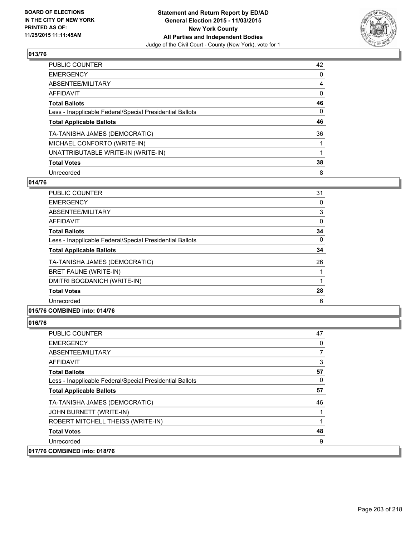

| <b>PUBLIC COUNTER</b>                                    | 42       |
|----------------------------------------------------------|----------|
| <b>EMERGENCY</b>                                         | 0        |
| ABSENTEE/MILITARY                                        | 4        |
| <b>AFFIDAVIT</b>                                         | 0        |
| <b>Total Ballots</b>                                     | 46       |
| Less - Inapplicable Federal/Special Presidential Ballots | $\Omega$ |
| <b>Total Applicable Ballots</b>                          | 46       |
| TA-TANISHA JAMES (DEMOCRATIC)                            | 36       |
| MICHAEL CONFORTO (WRITE-IN)                              |          |
| UNATTRIBUTABLE WRITE-IN (WRITE-IN)                       |          |
| <b>Total Votes</b>                                       | 38       |
| Unrecorded                                               | 8        |

#### **014/76**

| PUBLIC COUNTER                                           | 31 |
|----------------------------------------------------------|----|
| <b>EMERGENCY</b>                                         | 0  |
| ABSENTEE/MILITARY                                        | 3  |
| <b>AFFIDAVIT</b>                                         | 0  |
| <b>Total Ballots</b>                                     | 34 |
| Less - Inapplicable Federal/Special Presidential Ballots | 0  |
| <b>Total Applicable Ballots</b>                          | 34 |
| TA-TANISHA JAMES (DEMOCRATIC)                            | 26 |
| BRET FAUNE (WRITE-IN)                                    |    |
| DMITRI BOGDANICH (WRITE-IN)                              |    |
| <b>Total Votes</b>                                       | 28 |
| Unrecorded                                               | 6  |
|                                                          |    |

#### **015/76 COMBINED into: 014/76**

| <b>PUBLIC COUNTER</b>                                    | 47 |
|----------------------------------------------------------|----|
| <b>EMERGENCY</b>                                         | 0  |
| ABSENTEE/MILITARY                                        | 7  |
| AFFIDAVIT                                                | 3  |
| <b>Total Ballots</b>                                     | 57 |
| Less - Inapplicable Federal/Special Presidential Ballots | 0  |
| <b>Total Applicable Ballots</b>                          | 57 |
| TA-TANISHA JAMES (DEMOCRATIC)                            | 46 |
| JOHN BURNETT (WRITE-IN)                                  |    |
| ROBERT MITCHELL THEISS (WRITE-IN)                        | 1  |
| <b>Total Votes</b>                                       | 48 |
| Unrecorded                                               | 9  |
| 017/76 COMBINED into: 018/76                             |    |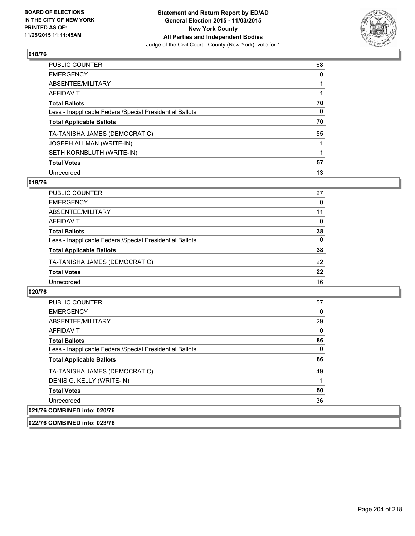

| PUBLIC COUNTER                                           | 68           |
|----------------------------------------------------------|--------------|
| <b>EMERGENCY</b>                                         | 0            |
| ABSENTEE/MILITARY                                        |              |
| <b>AFFIDAVIT</b>                                         |              |
| <b>Total Ballots</b>                                     | 70           |
| Less - Inapplicable Federal/Special Presidential Ballots | $\mathbf{0}$ |
| <b>Total Applicable Ballots</b>                          | 70           |
| TA-TANISHA JAMES (DEMOCRATIC)                            | 55           |
| <b>JOSEPH ALLMAN (WRITE-IN)</b>                          |              |
| SETH KORNBLUTH (WRITE-IN)                                |              |
| <b>Total Votes</b>                                       | 57           |
| Unrecorded                                               | 13           |

## **019/76**

| PUBLIC COUNTER                                           | 27       |
|----------------------------------------------------------|----------|
| <b>EMERGENCY</b>                                         | 0        |
| ABSENTEE/MILITARY                                        | 11       |
| AFFIDAVIT                                                | 0        |
| <b>Total Ballots</b>                                     | 38       |
| Less - Inapplicable Federal/Special Presidential Ballots | $\Omega$ |
| <b>Total Applicable Ballots</b>                          | 38       |
| TA-TANISHA JAMES (DEMOCRATIC)                            | 22       |
| <b>Total Votes</b>                                       | 22       |
| Unrecorded                                               | 16       |
|                                                          |          |

#### **020/76**

| <b>PUBLIC COUNTER</b>                                    | 57 |
|----------------------------------------------------------|----|
| <b>EMERGENCY</b>                                         | 0  |
| ABSENTEE/MILITARY                                        | 29 |
| <b>AFFIDAVIT</b>                                         | 0  |
| <b>Total Ballots</b>                                     | 86 |
| Less - Inapplicable Federal/Special Presidential Ballots | 0  |
| <b>Total Applicable Ballots</b>                          | 86 |
| TA-TANISHA JAMES (DEMOCRATIC)                            | 49 |
| DENIS G. KELLY (WRITE-IN)                                |    |
| <b>Total Votes</b>                                       | 50 |
| Unrecorded                                               | 36 |
| 021/76 COMBINED into: 020/76                             |    |

**022/76 COMBINED into: 023/76**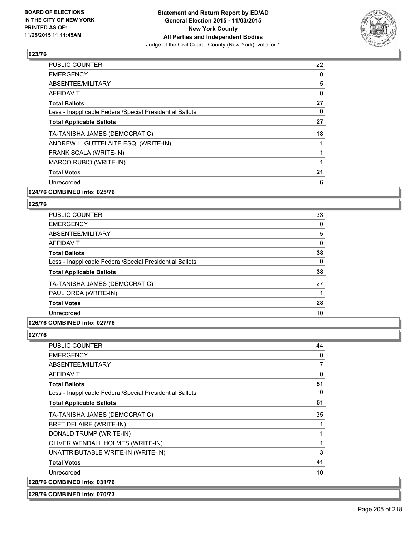

| <b>PUBLIC COUNTER</b>                                    | 22       |
|----------------------------------------------------------|----------|
| <b>EMERGENCY</b>                                         | 0        |
| ABSENTEE/MILITARY                                        | 5        |
| <b>AFFIDAVIT</b>                                         | $\Omega$ |
| <b>Total Ballots</b>                                     | 27       |
| Less - Inapplicable Federal/Special Presidential Ballots | 0        |
| <b>Total Applicable Ballots</b>                          | 27       |
| TA-TANISHA JAMES (DEMOCRATIC)                            | 18       |
| ANDREW L. GUTTELAITE ESQ. (WRITE-IN)                     |          |
| FRANK SCALA (WRITE-IN)                                   |          |
| MARCO RUBIO (WRITE-IN)                                   |          |
| <b>Total Votes</b>                                       | 21       |
| Unrecorded                                               | 6        |
|                                                          |          |

#### **024/76 COMBINED into: 025/76**

#### **025/76**

| <b>PUBLIC COUNTER</b>                                    | 33 |
|----------------------------------------------------------|----|
| <b>EMERGENCY</b>                                         | 0  |
| ABSENTEE/MILITARY                                        | 5  |
| AFFIDAVIT                                                | 0  |
| <b>Total Ballots</b>                                     | 38 |
| Less - Inapplicable Federal/Special Presidential Ballots | 0  |
| <b>Total Applicable Ballots</b>                          | 38 |
| TA-TANISHA JAMES (DEMOCRATIC)                            | 27 |
| PAUL ORDA (WRITE-IN)                                     |    |
| <b>Total Votes</b>                                       | 28 |
| Unrecorded                                               | 10 |
|                                                          |    |

# **026/76 COMBINED into: 027/76**

## **027/76**

| <b>PUBLIC COUNTER</b>                                    | 44 |
|----------------------------------------------------------|----|
| <b>EMERGENCY</b>                                         | 0  |
| <b>ABSENTEE/MILITARY</b>                                 | 7  |
| <b>AFFIDAVIT</b>                                         | 0  |
| <b>Total Ballots</b>                                     | 51 |
| Less - Inapplicable Federal/Special Presidential Ballots | 0  |
| <b>Total Applicable Ballots</b>                          | 51 |
| TA-TANISHA JAMES (DEMOCRATIC)                            | 35 |
| BRET DELAIRE (WRITE-IN)                                  |    |
| DONALD TRUMP (WRITE-IN)                                  |    |
| OLIVER WENDALL HOLMES (WRITE-IN)                         |    |
| UNATTRIBUTABLE WRITE-IN (WRITE-IN)                       | 3  |
| <b>Total Votes</b>                                       | 41 |
| Unrecorded                                               | 10 |
| 028/76 COMBINED into: 031/76                             |    |

#### **029/76 COMBINED into: 070/73**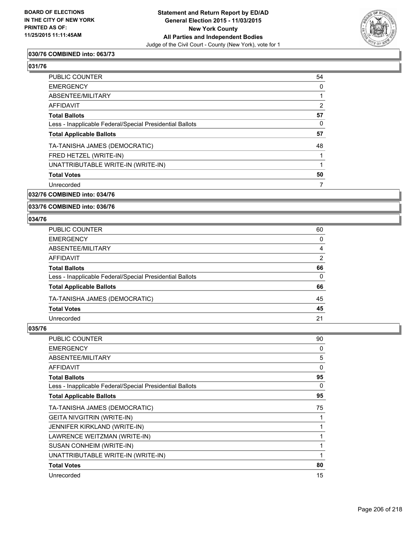

## **030/76 COMBINED into: 063/73**

## **031/76**

| PUBLIC COUNTER                                           | 54 |
|----------------------------------------------------------|----|
| <b>EMERGENCY</b>                                         | 0  |
| ABSENTEE/MILITARY                                        |    |
| AFFIDAVIT                                                | 2  |
| <b>Total Ballots</b>                                     | 57 |
| Less - Inapplicable Federal/Special Presidential Ballots | 0  |
| <b>Total Applicable Ballots</b>                          | 57 |
| TA-TANISHA JAMES (DEMOCRATIC)                            | 48 |
| FRED HETZEL (WRITE-IN)                                   |    |
| UNATTRIBUTABLE WRITE-IN (WRITE-IN)                       | 1  |
| <b>Total Votes</b>                                       | 50 |
| Unrecorded                                               | 7  |

#### **032/76 COMBINED into: 034/76**

#### **033/76 COMBINED into: 036/76**

#### **034/76**

| PUBLIC COUNTER                                           | 60             |
|----------------------------------------------------------|----------------|
| EMERGENCY                                                | 0              |
| ABSENTEE/MILITARY                                        | 4              |
| AFFIDAVIT                                                | $\overline{2}$ |
| <b>Total Ballots</b>                                     | 66             |
| Less - Inapplicable Federal/Special Presidential Ballots | $\mathbf{0}$   |
| <b>Total Applicable Ballots</b>                          | 66             |
| TA-TANISHA JAMES (DEMOCRATIC)                            | 45             |
| <b>Total Votes</b>                                       | 45             |
| Unrecorded                                               | 21             |
|                                                          |                |

| <b>PUBLIC COUNTER</b>                                    | 90 |
|----------------------------------------------------------|----|
| <b>EMERGENCY</b>                                         | 0  |
| ABSENTEE/MILITARY                                        | 5  |
| <b>AFFIDAVIT</b>                                         | 0  |
| <b>Total Ballots</b>                                     | 95 |
| Less - Inapplicable Federal/Special Presidential Ballots | 0  |
| <b>Total Applicable Ballots</b>                          | 95 |
| TA-TANISHA JAMES (DEMOCRATIC)                            | 75 |
| <b>GEITA NIVGITRIN (WRITE-IN)</b>                        | 1  |
| JENNIFER KIRKLAND (WRITE-IN)                             | 1  |
| LAWRENCE WEITZMAN (WRITE-IN)                             | 1  |
| SUSAN CONHEIM (WRITE-IN)                                 | 1  |
| UNATTRIBUTABLE WRITE-IN (WRITE-IN)                       | 1  |
| <b>Total Votes</b>                                       | 80 |
| Unrecorded                                               | 15 |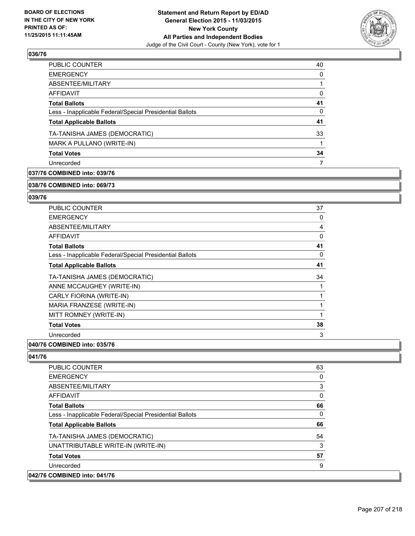

| PUBLIC COUNTER                                           | 40       |
|----------------------------------------------------------|----------|
| <b>EMERGENCY</b>                                         | 0        |
| ABSENTEE/MILITARY                                        |          |
| <b>AFFIDAVIT</b>                                         | 0        |
| <b>Total Ballots</b>                                     | 41       |
| Less - Inapplicable Federal/Special Presidential Ballots | $\Omega$ |
| <b>Total Applicable Ballots</b>                          | 41       |
| TA-TANISHA JAMES (DEMOCRATIC)                            | 33       |
| MARK A PULLANO (WRITE-IN)                                |          |
| <b>Total Votes</b>                                       | 34       |
| Unrecorded                                               | 7        |
|                                                          |          |

# **037/76 COMBINED into: 039/76**

#### **038/76 COMBINED into: 069/73**

## **039/76**

| <b>PUBLIC COUNTER</b>                                    | 37       |
|----------------------------------------------------------|----------|
| <b>EMERGENCY</b>                                         | 0        |
| ABSENTEE/MILITARY                                        | 4        |
| AFFIDAVIT                                                | $\Omega$ |
| <b>Total Ballots</b>                                     | 41       |
| Less - Inapplicable Federal/Special Presidential Ballots | 0        |
| <b>Total Applicable Ballots</b>                          | 41       |
| TA-TANISHA JAMES (DEMOCRATIC)                            | 34       |
| ANNE MCCAUGHEY (WRITE-IN)                                |          |
| CARLY FIORINA (WRITE-IN)                                 |          |
| MARIA FRANZESE (WRITE-IN)                                |          |
| MITT ROMNEY (WRITE-IN)                                   | 1        |
| <b>Total Votes</b>                                       | 38       |
| Unrecorded                                               | 3        |
|                                                          |          |

#### **040/76 COMBINED into: 035/76**

| <b>PUBLIC COUNTER</b>                                    | 63 |
|----------------------------------------------------------|----|
| <b>EMERGENCY</b>                                         | 0  |
| ABSENTEE/MILITARY                                        | 3  |
| <b>AFFIDAVIT</b>                                         | 0  |
| <b>Total Ballots</b>                                     | 66 |
| Less - Inapplicable Federal/Special Presidential Ballots | 0  |
| <b>Total Applicable Ballots</b>                          | 66 |
| TA-TANISHA JAMES (DEMOCRATIC)                            | 54 |
| UNATTRIBUTABLE WRITE-IN (WRITE-IN)                       | 3  |
| <b>Total Votes</b>                                       | 57 |
| Unrecorded                                               | 9  |
| 042/76 COMBINED into: 041/76                             |    |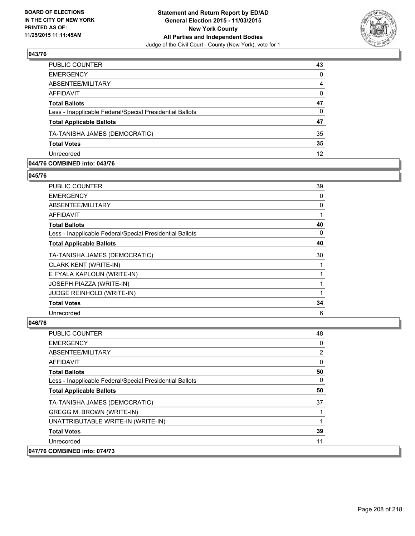

| 43       |
|----------|
| $\Omega$ |
| 4        |
| $\Omega$ |
| 47       |
| $\Omega$ |
| 47       |
| 35       |
| 35       |
| 12       |
|          |

#### **044/76 COMBINED into: 043/76**

**045/76** 

| <b>PUBLIC COUNTER</b>                                    | 39 |
|----------------------------------------------------------|----|
| <b>EMERGENCY</b>                                         | 0  |
| ABSENTEE/MILITARY                                        | 0  |
| <b>AFFIDAVIT</b>                                         |    |
| <b>Total Ballots</b>                                     | 40 |
| Less - Inapplicable Federal/Special Presidential Ballots | 0  |
| <b>Total Applicable Ballots</b>                          | 40 |
| TA-TANISHA JAMES (DEMOCRATIC)                            | 30 |
| <b>CLARK KENT (WRITE-IN)</b>                             |    |
| E FYALA KAPLOUN (WRITE-IN)                               |    |
| <b>JOSEPH PIAZZA (WRITE-IN)</b>                          |    |
| JUDGE REINHOLD (WRITE-IN)                                |    |
| <b>Total Votes</b>                                       | 34 |
| Unrecorded                                               | 6  |
|                                                          |    |

| <b>PUBLIC COUNTER</b>                                    | 48       |
|----------------------------------------------------------|----------|
| <b>EMERGENCY</b>                                         | 0        |
| ABSENTEE/MILITARY                                        | 2        |
| <b>AFFIDAVIT</b>                                         | 0        |
| <b>Total Ballots</b>                                     | 50       |
| Less - Inapplicable Federal/Special Presidential Ballots | $\Omega$ |
| <b>Total Applicable Ballots</b>                          | 50       |
| TA-TANISHA JAMES (DEMOCRATIC)                            | 37       |
| <b>GREGG M. BROWN (WRITE-IN)</b>                         |          |
| UNATTRIBUTABLE WRITE-IN (WRITE-IN)                       |          |
| <b>Total Votes</b>                                       | 39       |
| Unrecorded                                               | 11       |
| 047/76 COMBINED into: 074/73                             |          |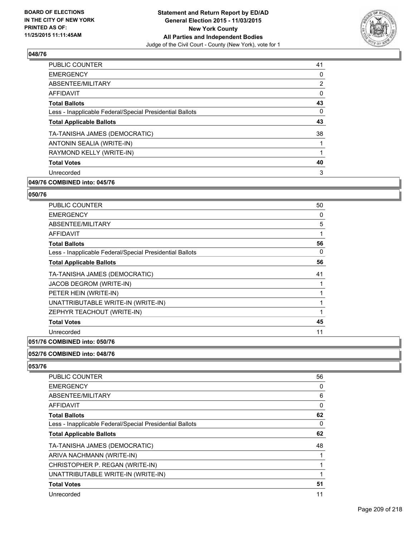

| <b>PUBLIC COUNTER</b>                                    | 41                    |
|----------------------------------------------------------|-----------------------|
| <b>EMERGENCY</b>                                         | 0                     |
| ABSENTEE/MILITARY                                        | $\mathbf{2}^{\prime}$ |
| AFFIDAVIT                                                | 0                     |
| <b>Total Ballots</b>                                     | 43                    |
| Less - Inapplicable Federal/Special Presidential Ballots | 0                     |
| <b>Total Applicable Ballots</b>                          | 43                    |
| TA-TANISHA JAMES (DEMOCRATIC)                            | 38                    |
| ANTONIN SEALIA (WRITE-IN)                                |                       |
| RAYMOND KELLY (WRITE-IN)                                 |                       |
| <b>Total Votes</b>                                       | 40                    |
| Unrecorded                                               | 3                     |
|                                                          |                       |

# **049/76 COMBINED into: 045/76**

#### **050/76**

| PUBLIC COUNTER                                           | 50 |
|----------------------------------------------------------|----|
| <b>EMERGENCY</b>                                         | 0  |
| ABSENTEE/MILITARY                                        | 5  |
| <b>AFFIDAVIT</b>                                         | 1  |
| <b>Total Ballots</b>                                     | 56 |
| Less - Inapplicable Federal/Special Presidential Ballots | 0  |
| <b>Total Applicable Ballots</b>                          | 56 |
| TA-TANISHA JAMES (DEMOCRATIC)                            | 41 |
| JACOB DEGROM (WRITE-IN)                                  | 1  |
| PETER HEIN (WRITE-IN)                                    | 1  |
| UNATTRIBUTABLE WRITE-IN (WRITE-IN)                       | 1  |
| ZEPHYR TEACHOUT (WRITE-IN)                               | 1  |
| <b>Total Votes</b>                                       | 45 |
| Unrecorded                                               | 11 |
| A                                                        |    |

#### **051/76 COMBINED into: 050/76**

# **052/76 COMBINED into: 048/76**

| <b>PUBLIC COUNTER</b>                                    | 56 |
|----------------------------------------------------------|----|
| <b>EMERGENCY</b>                                         | 0  |
| ABSENTEE/MILITARY                                        | 6  |
| <b>AFFIDAVIT</b>                                         | 0  |
| <b>Total Ballots</b>                                     | 62 |
| Less - Inapplicable Federal/Special Presidential Ballots | 0  |
| <b>Total Applicable Ballots</b>                          | 62 |
| TA-TANISHA JAMES (DEMOCRATIC)                            | 48 |
| ARIVA NACHMANN (WRITE-IN)                                |    |
| CHRISTOPHER P. REGAN (WRITE-IN)                          |    |
| UNATTRIBUTABLE WRITE-IN (WRITE-IN)                       |    |
| <b>Total Votes</b>                                       | 51 |
| Unrecorded                                               | 11 |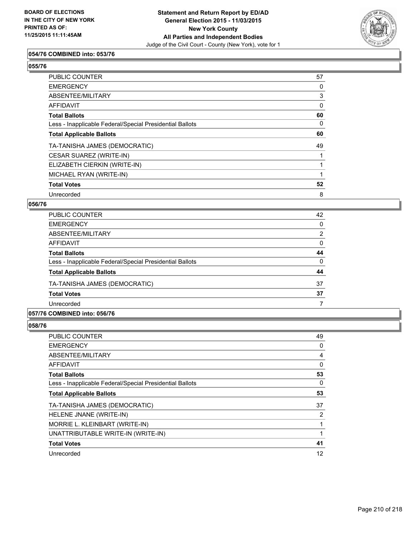

#### **054/76 COMBINED into: 053/76**

| ۰.<br>۰.<br>۰.<br>۰.<br>×<br>× |
|--------------------------------|
|--------------------------------|

| <b>PUBLIC COUNTER</b>                                    | 57 |
|----------------------------------------------------------|----|
| <b>EMERGENCY</b>                                         | 0  |
| <b>ABSENTEE/MILITARY</b>                                 | 3  |
| <b>AFFIDAVIT</b>                                         | 0  |
| <b>Total Ballots</b>                                     | 60 |
| Less - Inapplicable Federal/Special Presidential Ballots | 0  |
| <b>Total Applicable Ballots</b>                          | 60 |
| TA-TANISHA JAMES (DEMOCRATIC)                            | 49 |
| CESAR SUAREZ (WRITE-IN)                                  |    |
| ELIZABETH CIERKIN (WRITE-IN)                             |    |
| MICHAEL RYAN (WRITE-IN)                                  |    |
| <b>Total Votes</b>                                       | 52 |
| Unrecorded                                               | 8  |

#### **056/76**

| <b>PUBLIC COUNTER</b>                                    | 42 |
|----------------------------------------------------------|----|
| <b>EMERGENCY</b>                                         | 0  |
| ABSENTEE/MILITARY                                        | 2  |
| AFFIDAVIT                                                | 0  |
| <b>Total Ballots</b>                                     | 44 |
| Less - Inapplicable Federal/Special Presidential Ballots | 0  |
| <b>Total Applicable Ballots</b>                          | 44 |
| TA-TANISHA JAMES (DEMOCRATIC)                            | 37 |
| <b>Total Votes</b>                                       | 37 |
| Unrecorded                                               |    |

## **057/76 COMBINED into: 056/76**

| <b>PUBLIC COUNTER</b>                                    | 49 |
|----------------------------------------------------------|----|
| <b>EMERGENCY</b>                                         | 0  |
| ABSENTEE/MILITARY                                        | 4  |
| AFFIDAVIT                                                | 0  |
| <b>Total Ballots</b>                                     | 53 |
| Less - Inapplicable Federal/Special Presidential Ballots | 0  |
| <b>Total Applicable Ballots</b>                          | 53 |
| TA-TANISHA JAMES (DEMOCRATIC)                            | 37 |
| HELENE JNANE (WRITE-IN)                                  | 2  |
| MORRIE L. KLEINBART (WRITE-IN)                           |    |
| UNATTRIBUTABLE WRITE-IN (WRITE-IN)                       |    |
| <b>Total Votes</b>                                       | 41 |
| Unrecorded                                               | 12 |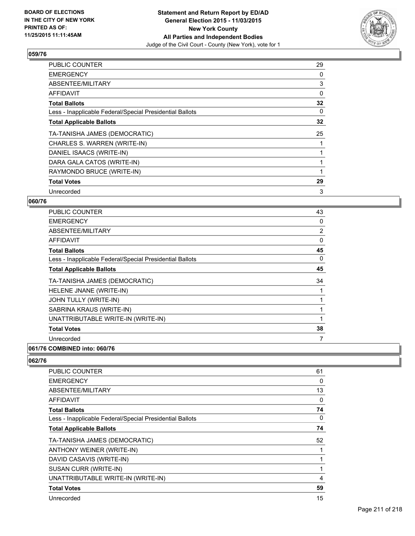

| <b>PUBLIC COUNTER</b>                                    | 29 |
|----------------------------------------------------------|----|
| <b>EMERGENCY</b>                                         | 0  |
| ABSENTEE/MILITARY                                        | 3  |
| AFFIDAVIT                                                | 0  |
| <b>Total Ballots</b>                                     | 32 |
| Less - Inapplicable Federal/Special Presidential Ballots | 0  |
| <b>Total Applicable Ballots</b>                          | 32 |
| TA-TANISHA JAMES (DEMOCRATIC)                            | 25 |
| CHARLES S. WARREN (WRITE-IN)                             |    |
| DANIEL ISAACS (WRITE-IN)                                 |    |
| DARA GALA CATOS (WRITE-IN)                               |    |
| RAYMONDO BRUCE (WRITE-IN)                                |    |
| <b>Total Votes</b>                                       | 29 |
| Unrecorded                                               | 3  |

## **060/76**

| PUBLIC COUNTER                                           | 43 |
|----------------------------------------------------------|----|
| <b>EMERGENCY</b>                                         | 0  |
| ABSENTEE/MILITARY                                        | 2  |
| AFFIDAVIT                                                | 0  |
| <b>Total Ballots</b>                                     | 45 |
| Less - Inapplicable Federal/Special Presidential Ballots | 0  |
| <b>Total Applicable Ballots</b>                          | 45 |
| TA-TANISHA JAMES (DEMOCRATIC)                            | 34 |
| HELENE JNANE (WRITE-IN)                                  |    |
| JOHN TULLY (WRITE-IN)                                    |    |
| SABRINA KRAUS (WRITE-IN)                                 |    |
| UNATTRIBUTABLE WRITE-IN (WRITE-IN)                       | 1  |
| <b>Total Votes</b>                                       | 38 |
| Unrecorded                                               | 7  |
|                                                          |    |

#### **061/76 COMBINED into: 060/76**

| 61 |
|----|
| 0  |
| 13 |
| 0  |
| 74 |
| 0  |
| 74 |
| 52 |
| 1  |
| 1  |
| 1  |
| 4  |
| 59 |
| 15 |
|    |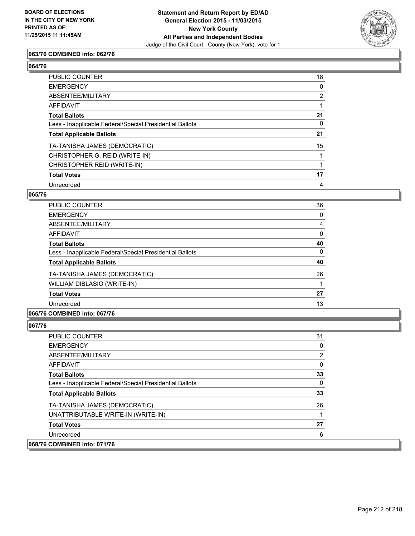

## **063/76 COMBINED into: 062/76**

#### **064/76**

| <b>PUBLIC COUNTER</b>                                    | 18                    |
|----------------------------------------------------------|-----------------------|
| <b>EMERGENCY</b>                                         | 0                     |
| <b>ABSENTEE/MILITARY</b>                                 | $\mathbf{2}^{\prime}$ |
| <b>AFFIDAVIT</b>                                         |                       |
| <b>Total Ballots</b>                                     | 21                    |
| Less - Inapplicable Federal/Special Presidential Ballots | 0                     |
| <b>Total Applicable Ballots</b>                          | 21                    |
| TA-TANISHA JAMES (DEMOCRATIC)                            | 15                    |
| CHRISTOPHER G. REID (WRITE-IN)                           |                       |
| CHRISTOPHER REID (WRITE-IN)                              |                       |
| <b>Total Votes</b>                                       | 17                    |
| Unrecorded                                               | 4                     |

#### **065/76**

| <b>PUBLIC COUNTER</b>                                    | 36 |
|----------------------------------------------------------|----|
| <b>EMERGENCY</b>                                         | 0  |
| ABSENTEE/MILITARY                                        | 4  |
| <b>AFFIDAVIT</b>                                         | 0  |
| <b>Total Ballots</b>                                     | 40 |
| Less - Inapplicable Federal/Special Presidential Ballots | 0  |
| <b>Total Applicable Ballots</b>                          | 40 |
| TA-TANISHA JAMES (DEMOCRATIC)                            | 26 |
| WILLIAM DIBLASIO (WRITE-IN)                              |    |
| <b>Total Votes</b>                                       | 27 |
| Unrecorded                                               | 13 |
|                                                          |    |

# **066/76 COMBINED into: 067/76**

| <b>PUBLIC COUNTER</b>                                    | 31 |
|----------------------------------------------------------|----|
| <b>EMERGENCY</b>                                         | 0  |
| ABSENTEE/MILITARY                                        | 2  |
| AFFIDAVIT                                                | 0  |
| <b>Total Ballots</b>                                     | 33 |
| Less - Inapplicable Federal/Special Presidential Ballots | 0  |
| <b>Total Applicable Ballots</b>                          | 33 |
| TA-TANISHA JAMES (DEMOCRATIC)                            | 26 |
| UNATTRIBUTABLE WRITE-IN (WRITE-IN)                       |    |
| <b>Total Votes</b>                                       | 27 |
| Unrecorded                                               | 6  |
| 068/76 COMBINED into: 071/76                             |    |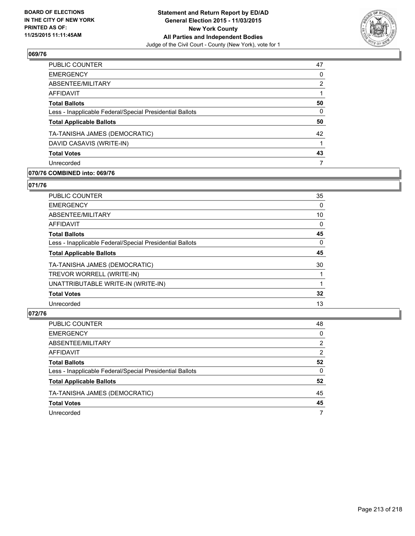

| <b>PUBLIC COUNTER</b>                                    | 47           |
|----------------------------------------------------------|--------------|
| <b>EMERGENCY</b>                                         | 0            |
| ABSENTEE/MILITARY                                        | 2            |
| <b>AFFIDAVIT</b>                                         |              |
| <b>Total Ballots</b>                                     | 50           |
| Less - Inapplicable Federal/Special Presidential Ballots | $\mathbf{0}$ |
| <b>Total Applicable Ballots</b>                          | 50           |
| TA-TANISHA JAMES (DEMOCRATIC)                            | 42           |
| DAVID CASAVIS (WRITE-IN)                                 |              |
| <b>Total Votes</b>                                       | 43           |
| Unrecorded                                               | 7            |
|                                                          |              |

## **070/76 COMBINED into: 069/76**

#### **071/76**

| PUBLIC COUNTER                                           | 35 |
|----------------------------------------------------------|----|
| <b>EMERGENCY</b>                                         | 0  |
| ABSENTEE/MILITARY                                        | 10 |
| AFFIDAVIT                                                | 0  |
| <b>Total Ballots</b>                                     | 45 |
| Less - Inapplicable Federal/Special Presidential Ballots | 0  |
| <b>Total Applicable Ballots</b>                          | 45 |
| TA-TANISHA JAMES (DEMOCRATIC)                            | 30 |
| TREVOR WORRELL (WRITE-IN)                                |    |
| UNATTRIBUTABLE WRITE-IN (WRITE-IN)                       |    |
| <b>Total Votes</b>                                       | 32 |
| Unrecorded                                               | 13 |

| PUBLIC COUNTER                                           | 48           |
|----------------------------------------------------------|--------------|
| <b>EMERGENCY</b>                                         | $\mathbf{0}$ |
| ABSENTEE/MILITARY                                        | 2            |
| <b>AFFIDAVIT</b>                                         | 2            |
| <b>Total Ballots</b>                                     | 52           |
| Less - Inapplicable Federal/Special Presidential Ballots | $\Omega$     |
| <b>Total Applicable Ballots</b>                          | 52           |
| TA-TANISHA JAMES (DEMOCRATIC)                            | 45           |
| <b>Total Votes</b>                                       | 45           |
| Unrecorded                                               | 7            |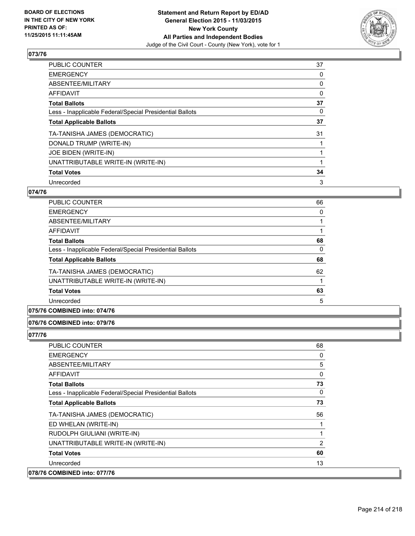

| <b>PUBLIC COUNTER</b>                                    | 37 |
|----------------------------------------------------------|----|
| <b>EMERGENCY</b>                                         | 0  |
| ABSENTEE/MILITARY                                        | 0  |
| AFFIDAVIT                                                | 0  |
| <b>Total Ballots</b>                                     | 37 |
| Less - Inapplicable Federal/Special Presidential Ballots | 0  |
| <b>Total Applicable Ballots</b>                          | 37 |
| TA-TANISHA JAMES (DEMOCRATIC)                            | 31 |
| DONALD TRUMP (WRITE-IN)                                  |    |
| JOE BIDEN (WRITE-IN)                                     |    |
| UNATTRIBUTABLE WRITE-IN (WRITE-IN)                       |    |
| <b>Total Votes</b>                                       | 34 |
| Unrecorded                                               | 3  |

# **074/76**

| PUBLIC COUNTER                                           | 66 |
|----------------------------------------------------------|----|
| <b>EMERGENCY</b>                                         | 0  |
| ABSENTEE/MILITARY                                        |    |
| <b>AFFIDAVIT</b>                                         |    |
| <b>Total Ballots</b>                                     | 68 |
| Less - Inapplicable Federal/Special Presidential Ballots | 0  |
| <b>Total Applicable Ballots</b>                          | 68 |
| TA-TANISHA JAMES (DEMOCRATIC)                            | 62 |
| UNATTRIBUTABLE WRITE-IN (WRITE-IN)                       |    |
| <b>Total Votes</b>                                       | 63 |
| Unrecorded                                               | 5  |
|                                                          |    |

# **075/76 COMBINED into: 074/76**

#### **076/76 COMBINED into: 079/76**

| <b>PUBLIC COUNTER</b>                                    | 68 |
|----------------------------------------------------------|----|
| <b>EMERGENCY</b>                                         | 0  |
| <b>ABSENTEE/MILITARY</b>                                 | 5  |
| AFFIDAVIT                                                | 0  |
| <b>Total Ballots</b>                                     | 73 |
| Less - Inapplicable Federal/Special Presidential Ballots | 0  |
| <b>Total Applicable Ballots</b>                          | 73 |
| TA-TANISHA JAMES (DEMOCRATIC)                            | 56 |
| ED WHELAN (WRITE-IN)                                     |    |
| RUDOLPH GIULIANI (WRITE-IN)                              | 1  |
| UNATTRIBUTABLE WRITE-IN (WRITE-IN)                       | 2  |
| <b>Total Votes</b>                                       | 60 |
| Unrecorded                                               | 13 |
| 078/76 COMBINED into: 077/76                             |    |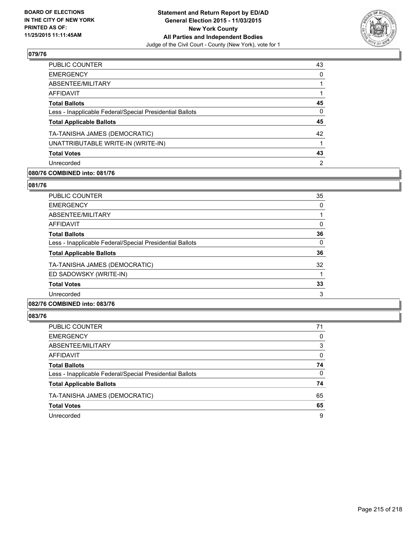

| <b>PUBLIC COUNTER</b>                                    | 43 |
|----------------------------------------------------------|----|
| <b>EMERGENCY</b>                                         | 0  |
| ABSENTEE/MILITARY                                        |    |
| <b>AFFIDAVIT</b>                                         |    |
| <b>Total Ballots</b>                                     | 45 |
| Less - Inapplicable Federal/Special Presidential Ballots | 0  |
| <b>Total Applicable Ballots</b>                          | 45 |
| TA-TANISHA JAMES (DEMOCRATIC)                            | 42 |
| UNATTRIBUTABLE WRITE-IN (WRITE-IN)                       |    |
| <b>Total Votes</b>                                       | 43 |
| Unrecorded                                               | 2  |
|                                                          |    |

## **080/76 COMBINED into: 081/76**

#### **081/76**

| <b>PUBLIC COUNTER</b>                                    | 35 |
|----------------------------------------------------------|----|
| <b>EMERGENCY</b>                                         | 0  |
| ABSENTEE/MILITARY                                        |    |
| AFFIDAVIT                                                | 0  |
| <b>Total Ballots</b>                                     | 36 |
| Less - Inapplicable Federal/Special Presidential Ballots | 0  |
| <b>Total Applicable Ballots</b>                          | 36 |
| TA-TANISHA JAMES (DEMOCRATIC)                            | 32 |
| ED SADOWSKY (WRITE-IN)                                   |    |
| <b>Total Votes</b>                                       | 33 |
| Unrecorded                                               | 3  |
|                                                          |    |

## **082/76 COMBINED into: 083/76**

| PUBLIC COUNTER                                           | 71 |
|----------------------------------------------------------|----|
| <b>EMERGENCY</b>                                         | 0  |
| ABSENTEE/MILITARY                                        | 3  |
| <b>AFFIDAVIT</b>                                         | 0  |
| <b>Total Ballots</b>                                     | 74 |
| Less - Inapplicable Federal/Special Presidential Ballots | 0  |
| <b>Total Applicable Ballots</b>                          | 74 |
| TA-TANISHA JAMES (DEMOCRATIC)                            | 65 |
| <b>Total Votes</b>                                       | 65 |
| Unrecorded                                               | 9  |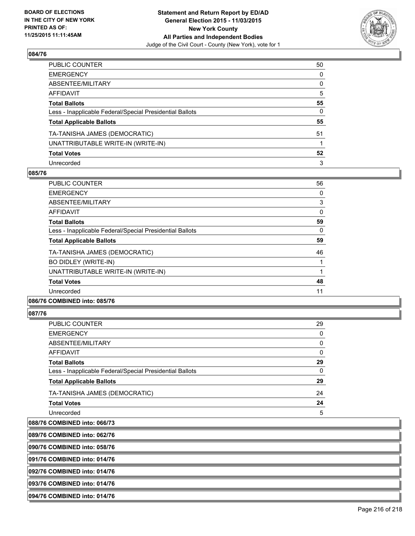

| PUBLIC COUNTER                                           | 50           |
|----------------------------------------------------------|--------------|
| EMERGENCY                                                | $\mathbf{0}$ |
| ABSENTEE/MILITARY                                        | 0            |
| AFFIDAVIT                                                | 5            |
| Total Ballots                                            | 55           |
| Less - Inapplicable Federal/Special Presidential Ballots | 0            |
| <b>Total Applicable Ballots</b>                          | 55           |
| TA-TANISHA JAMES (DEMOCRATIC)                            | 51           |
| UNATTRIBUTABLE WRITE-IN (WRITE-IN)                       |              |
| <b>Total Votes</b>                                       | 52           |
| Unrecorded                                               | 3            |

#### **085/76**

| PUBLIC COUNTER                                           | 56 |
|----------------------------------------------------------|----|
| <b>EMERGENCY</b>                                         | 0  |
| ABSENTEE/MILITARY                                        | 3  |
| AFFIDAVIT                                                | 0  |
| <b>Total Ballots</b>                                     | 59 |
| Less - Inapplicable Federal/Special Presidential Ballots | 0  |
| <b>Total Applicable Ballots</b>                          | 59 |
| TA-TANISHA JAMES (DEMOCRATIC)                            | 46 |
| BO DIDLEY (WRITE-IN)                                     |    |
| UNATTRIBUTABLE WRITE-IN (WRITE-IN)                       |    |
| <b>Total Votes</b>                                       | 48 |
| Unrecorded                                               | 11 |
|                                                          |    |

# **086/76 COMBINED into: 085/76**

#### **087/76**

| PUBLIC COUNTER                                           | 29 |
|----------------------------------------------------------|----|
| EMERGENCY                                                | 0  |
| ABSENTEE/MILITARY                                        | 0  |
| AFFIDAVIT                                                | 0  |
| Total Ballots                                            | 29 |
| Less - Inapplicable Federal/Special Presidential Ballots | 0  |
| <b>Total Applicable Ballots</b>                          | 29 |
| TA-TANISHA JAMES (DEMOCRATIC)                            | 24 |
| <b>Total Votes</b>                                       | 24 |
| Unrecorded                                               | 5  |

#### **088/76 COMBINED into: 066/73**

**089/76 COMBINED into: 062/76**

**090/76 COMBINED into: 058/76**

**091/76 COMBINED into: 014/76**

**092/76 COMBINED into: 014/76**

**093/76 COMBINED into: 014/76**

**094/76 COMBINED into: 014/76**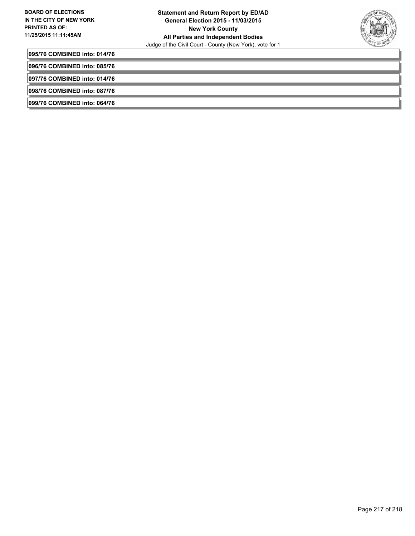

**095/76 COMBINED into: 014/76**

**096/76 COMBINED into: 085/76**

**097/76 COMBINED into: 014/76**

**098/76 COMBINED into: 087/76**

**099/76 COMBINED into: 064/76**